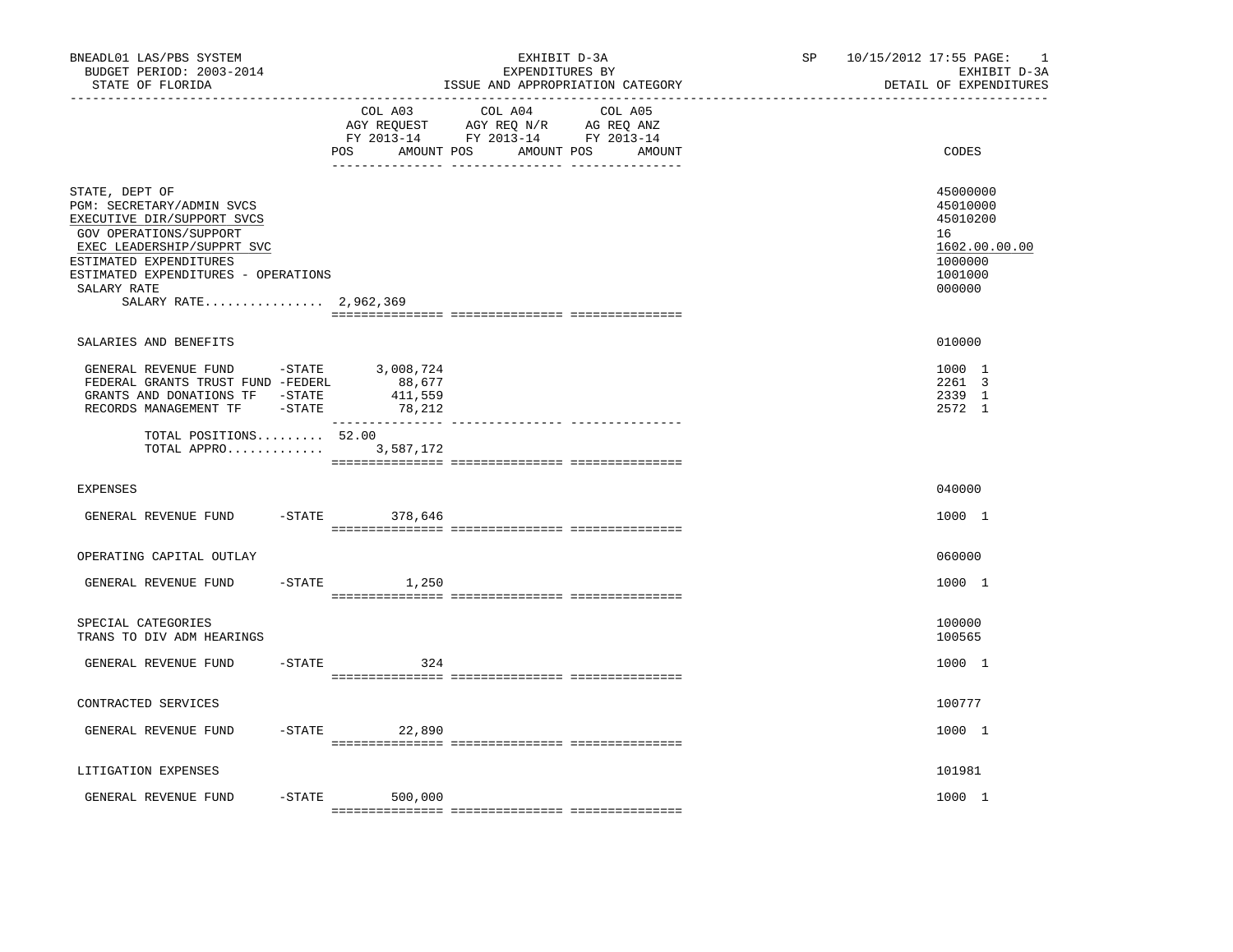| BNEADL01 LAS/PBS SYSTEM<br>BUDGET PERIOD: 2003-2014<br>STATE OF FLORIDA<br>---------------                                                                                                                                                 |  |                                                                                                                                       | EXHIBIT D-3A<br>EXPENDITURES BY<br>ISSUE AND APPROPRIATION CATEGORY | SP 10/15/2012 17:55 PAGE:<br>$\overline{\phantom{0}}$<br>EXHIBIT D-3A<br>DETAIL OF EXPENDITURES |
|--------------------------------------------------------------------------------------------------------------------------------------------------------------------------------------------------------------------------------------------|--|---------------------------------------------------------------------------------------------------------------------------------------|---------------------------------------------------------------------|-------------------------------------------------------------------------------------------------|
|                                                                                                                                                                                                                                            |  | COL A03 COL A04 COL A05<br>AGY REQUEST AGY REQ N/R AG REQ ANZ<br>FY 2013-14 FY 2013-14 FY 2013-14<br>POS AMOUNT POS AMOUNT POS AMOUNT | CODES                                                               |                                                                                                 |
| STATE, DEPT OF<br>PGM: SECRETARY/ADMIN SVCS<br>EXECUTIVE DIR/SUPPORT SVCS<br>GOV OPERATIONS/SUPPORT<br>EXEC LEADERSHIP/SUPPRT SVC<br>ESTIMATED EXPENDITURES<br>ESTIMATED EXPENDITURES - OPERATIONS<br>SALARY RATE<br>SALARY RATE 2,962,369 |  |                                                                                                                                       |                                                                     | 45000000<br>45010000<br>45010200<br>16<br>1602.00.00.00<br>1000000<br>1001000<br>000000         |
| SALARIES AND BENEFITS                                                                                                                                                                                                                      |  |                                                                                                                                       |                                                                     | 010000                                                                                          |
| GENERAL REVENUE FUND -STATE 3,008,724<br>FEDERAL GRANTS TRUST FUND -FEDERL<br>GRANTS AND DONATIONS TF -STATE<br>RECORDS MANAGEMENT TF -STATE 78,212                                                                                        |  | 88,677<br>411,559                                                                                                                     |                                                                     | 1000 1<br>2261 3<br>2339 1<br>2572 1                                                            |
| TOTAL POSITIONS 52.00<br>TOTAL APPRO                                                                                                                                                                                                       |  | 3,587,172                                                                                                                             |                                                                     |                                                                                                 |
| <b>EXPENSES</b>                                                                                                                                                                                                                            |  |                                                                                                                                       |                                                                     | 040000                                                                                          |
| GENERAL REVENUE FUND                                                                                                                                                                                                                       |  | -STATE 378,646                                                                                                                        |                                                                     | 1000 1                                                                                          |
| OPERATING CAPITAL OUTLAY                                                                                                                                                                                                                   |  |                                                                                                                                       |                                                                     | 060000                                                                                          |
| GENERAL REVENUE FUND                                                                                                                                                                                                                       |  | $-STATE$<br>1,250                                                                                                                     |                                                                     | 1000 1                                                                                          |
| SPECIAL CATEGORIES<br>TRANS TO DIV ADM HEARINGS                                                                                                                                                                                            |  |                                                                                                                                       |                                                                     | 100000<br>100565                                                                                |
| GENERAL REVENUE FUND                                                                                                                                                                                                                       |  | $-STATE$<br>324                                                                                                                       |                                                                     | 1000 1                                                                                          |
| CONTRACTED SERVICES                                                                                                                                                                                                                        |  |                                                                                                                                       |                                                                     | 100777                                                                                          |
| GENERAL REVENUE FUND                                                                                                                                                                                                                       |  | $-$ STATE 22,890                                                                                                                      |                                                                     | 1000 1                                                                                          |
| LITIGATION EXPENSES                                                                                                                                                                                                                        |  |                                                                                                                                       |                                                                     | 101981                                                                                          |
| GENERAL REVENUE FUND                                                                                                                                                                                                                       |  | $-STATE$<br>500,000                                                                                                                   |                                                                     | 1000 1                                                                                          |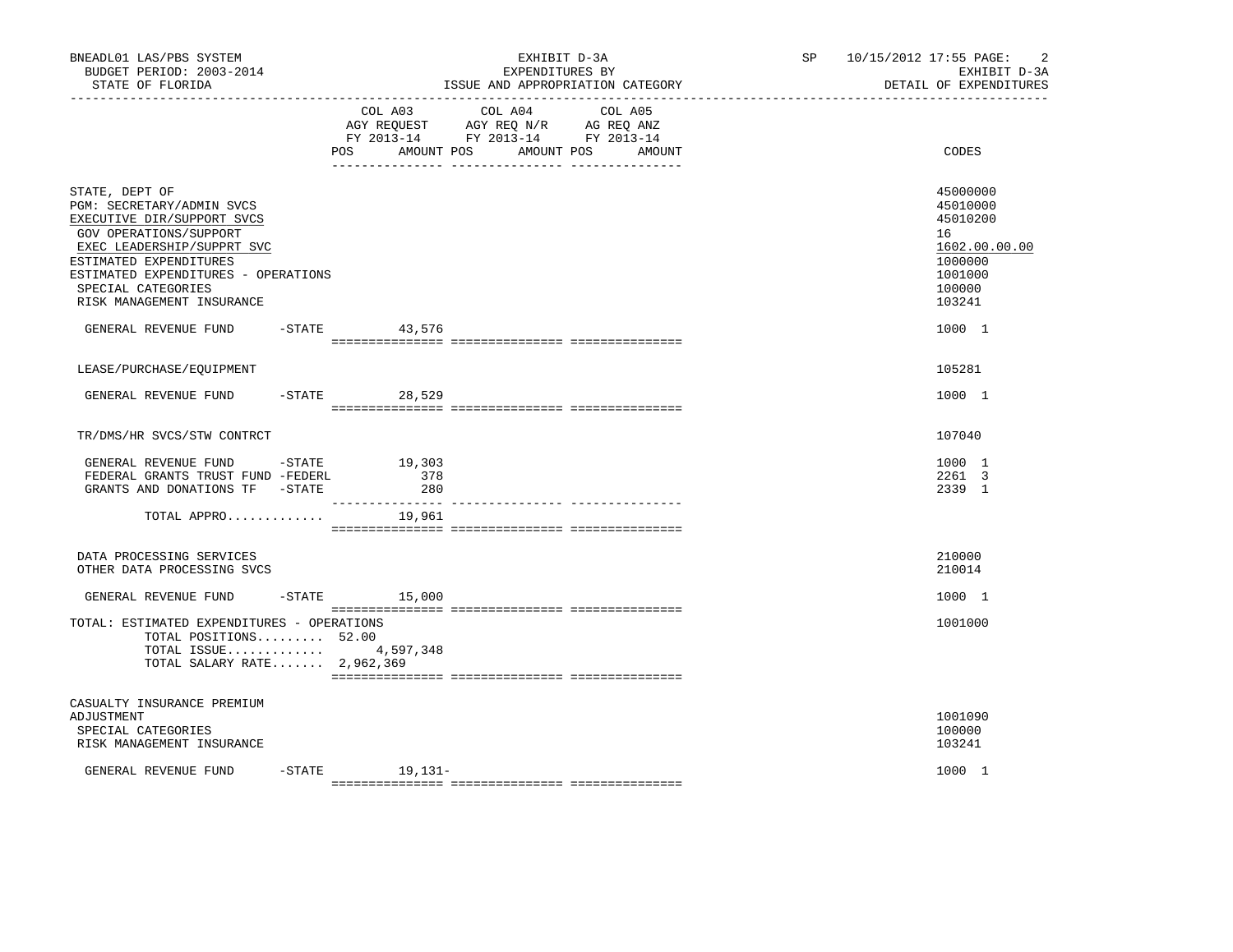| BNEADL01 LAS/PBS SYSTEM<br>BUDGET PERIOD: 2003-2014<br>STATE OF FLORIDA                                                                                                                                                                               |                                         | EXHIBIT D-3A<br>EXPENDITURES BY<br>ISSUE AND APPROPRIATION CATEGORY                                                                  | SP <sub>2</sub> | $\overline{2}$<br>10/15/2012 17:55 PAGE:<br>EXHIBIT D-3A<br>DETAIL OF EXPENDITURES                |
|-------------------------------------------------------------------------------------------------------------------------------------------------------------------------------------------------------------------------------------------------------|-----------------------------------------|--------------------------------------------------------------------------------------------------------------------------------------|-----------------|---------------------------------------------------------------------------------------------------|
|                                                                                                                                                                                                                                                       | POS                                     | COL A03 COL A04<br>COL A05<br>AGY REQUEST AGY REQ N/R AG REQ ANZ<br>FY 2013-14 FY 2013-14 FY 2013-14<br>AMOUNT POS AMOUNT POS AMOUNT |                 | CODES                                                                                             |
| STATE, DEPT OF<br>PGM: SECRETARY/ADMIN SVCS<br>EXECUTIVE DIR/SUPPORT SVCS<br>GOV OPERATIONS/SUPPORT<br>EXEC LEADERSHIP/SUPPRT SVC<br>ESTIMATED EXPENDITURES<br>ESTIMATED EXPENDITURES - OPERATIONS<br>SPECIAL CATEGORIES<br>RISK MANAGEMENT INSURANCE |                                         |                                                                                                                                      |                 | 45000000<br>45010000<br>45010200<br>16<br>1602.00.00.00<br>1000000<br>1001000<br>100000<br>103241 |
| GENERAL REVENUE FUND                                                                                                                                                                                                                                  | $-$ STATE 43,576                        |                                                                                                                                      |                 | 1000 1                                                                                            |
| LEASE/PURCHASE/EQUIPMENT                                                                                                                                                                                                                              |                                         |                                                                                                                                      |                 | 105281                                                                                            |
| GENERAL REVENUE FUND                                                                                                                                                                                                                                  | $-STATE$ 28,529                         |                                                                                                                                      |                 | 1000 1                                                                                            |
| TR/DMS/HR SVCS/STW CONTRCT                                                                                                                                                                                                                            |                                         |                                                                                                                                      |                 | 107040                                                                                            |
| GENERAL REVENUE FUND -STATE<br>FEDERAL GRANTS TRUST FUND -FEDERL<br>GRANTS AND DONATIONS TF -STATE                                                                                                                                                    | 19,303<br>378<br>280<br>--------------- |                                                                                                                                      |                 | 1000 1<br>2261 3<br>2339 1                                                                        |
| TOTAL APPRO                                                                                                                                                                                                                                           | 19,961                                  |                                                                                                                                      |                 |                                                                                                   |
| DATA PROCESSING SERVICES<br>OTHER DATA PROCESSING SVCS                                                                                                                                                                                                |                                         |                                                                                                                                      |                 | 210000<br>210014                                                                                  |
| GENERAL REVENUE FUND                                                                                                                                                                                                                                  | $-$ STATE $15,000$                      |                                                                                                                                      |                 | 1000 1                                                                                            |
| TOTAL: ESTIMATED EXPENDITURES - OPERATIONS<br>TOTAL POSITIONS 52.00<br>TOTAL ISSUE 4,597,348<br>TOTAL SALARY RATE 2,962,369                                                                                                                           |                                         |                                                                                                                                      |                 | 1001000                                                                                           |
| CASUALTY INSURANCE PREMIUM<br>ADJUSTMENT<br>SPECIAL CATEGORIES<br>RISK MANAGEMENT INSURANCE                                                                                                                                                           |                                         |                                                                                                                                      |                 | 1001090<br>100000<br>103241                                                                       |
| GENERAL REVENUE FUND                                                                                                                                                                                                                                  | $-$ STATE $19, 131-$                    |                                                                                                                                      |                 | 1000 1                                                                                            |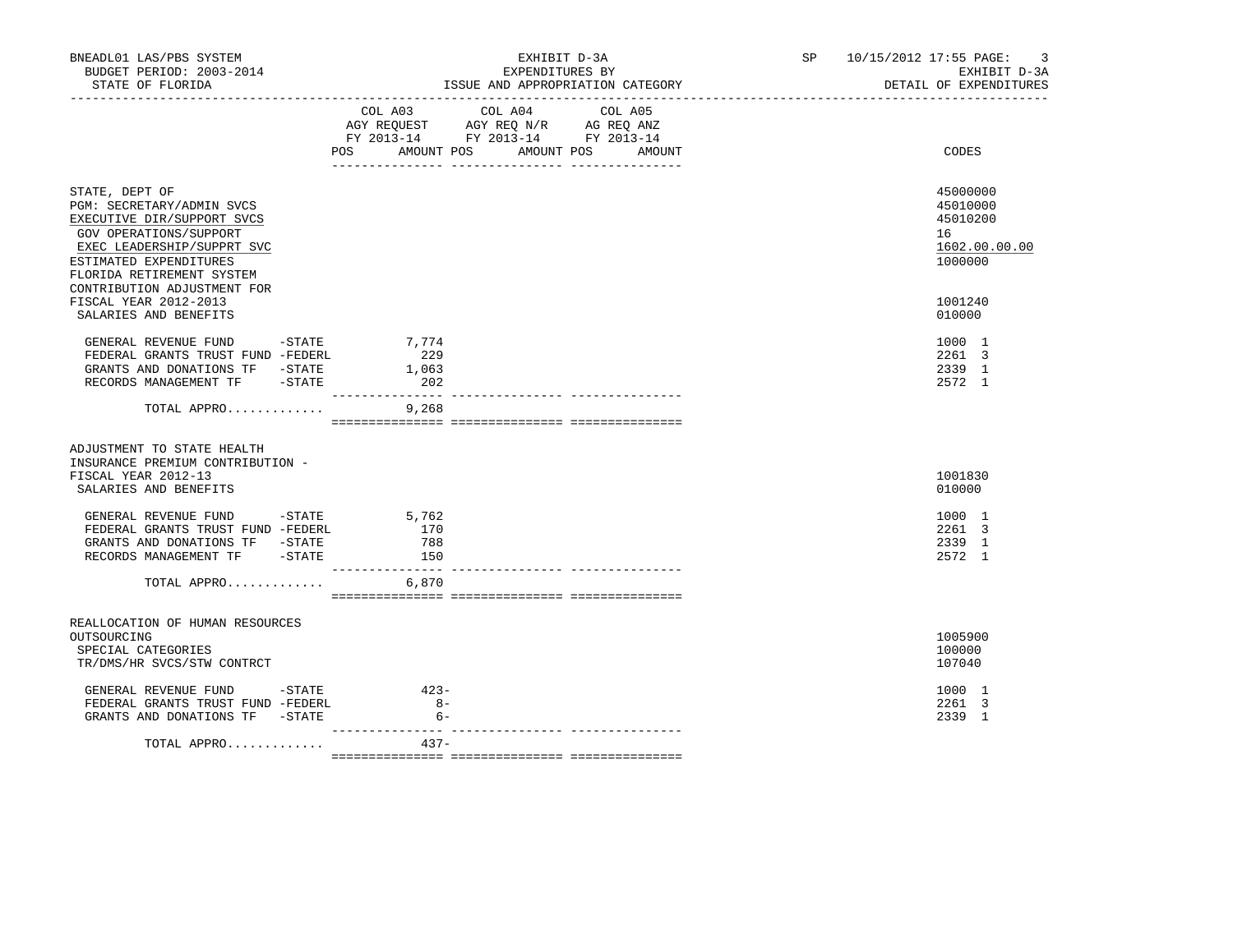| BNEADL01 LAS/PBS SYSTEM<br>BUDGET PERIOD: 2003-2014<br>STATE OF FLORIDA                                                                                                                                                 | EXHIBIT D-3A<br>EXPENDITURES BY<br>ISSUE AND APPROPRIATION CATEGORY                                                                         | SP 10/15/2012 17:55 PAGE:<br>-3<br>EXHIBIT D-3A<br>DETAIL OF EXPENDITURES |
|-------------------------------------------------------------------------------------------------------------------------------------------------------------------------------------------------------------------------|---------------------------------------------------------------------------------------------------------------------------------------------|---------------------------------------------------------------------------|
|                                                                                                                                                                                                                         | COL A04<br>COL A03<br>COL A05<br>AGY REQUEST AGY REQ N/R AG REQ ANZ<br>FY 2013-14 FY 2013-14 FY 2013-14<br>POS AMOUNT POS AMOUNT POS AMOUNT | CODES                                                                     |
| STATE, DEPT OF<br>PGM: SECRETARY/ADMIN SVCS<br>EXECUTIVE DIR/SUPPORT SVCS<br>GOV OPERATIONS/SUPPORT<br>EXEC LEADERSHIP/SUPPRT SVC<br>ESTIMATED EXPENDITURES<br>FLORIDA RETIREMENT SYSTEM<br>CONTRIBUTION ADJUSTMENT FOR |                                                                                                                                             | 45000000<br>45010000<br>45010200<br>16<br>1602.00.00.00<br>1000000        |
| FISCAL YEAR 2012-2013<br>SALARIES AND BENEFITS                                                                                                                                                                          |                                                                                                                                             | 1001240<br>010000                                                         |
| GENERAL REVENUE FUND -STATE<br>FEDERAL GRANTS TRUST FUND -FEDERL<br>GRANTS AND DONATIONS TF -STATE<br>RECORDS MANAGEMENT TF -STATE                                                                                      | 7,774<br>229<br>1,063<br>202<br>________________<br>______________ ___________                                                              | 1000 1<br>2261 3<br>2339 1<br>2572 1                                      |
| TOTAL APPRO                                                                                                                                                                                                             | 9,268                                                                                                                                       |                                                                           |
| ADJUSTMENT TO STATE HEALTH<br>INSURANCE PREMIUM CONTRIBUTION -<br>FISCAL YEAR 2012-13<br>SALARIES AND BENEFITS                                                                                                          |                                                                                                                                             | 1001830<br>010000                                                         |
| GENERAL REVENUE FUND -STATE<br>FEDERAL GRANTS TRUST FUND -FEDERL<br>GRANTS AND DONATIONS TF -STATE<br>RECORDS MANAGEMENT TF -STATE                                                                                      | 5,762<br>170<br>788<br>150                                                                                                                  | 1000 1<br>2261 3<br>2339 1<br>2572 1                                      |
| TOTAL APPRO $6,870$                                                                                                                                                                                                     |                                                                                                                                             |                                                                           |
| REALLOCATION OF HUMAN RESOURCES<br>OUTSOURCING<br>SPECIAL CATEGORIES<br>TR/DMS/HR SVCS/STW CONTRCT                                                                                                                      |                                                                                                                                             | 1005900<br>100000<br>107040                                               |
| GENERAL REVENUE FUND -STATE<br>FEDERAL GRANTS TRUST FUND -FEDERL<br>GRANTS AND DONATIONS TF -STATE                                                                                                                      | $423-$<br>$8 -$<br>$6-$                                                                                                                     | 1000 1<br>2261 3<br>2339 1                                                |
| TOTAL APPRO                                                                                                                                                                                                             | $437 -$                                                                                                                                     |                                                                           |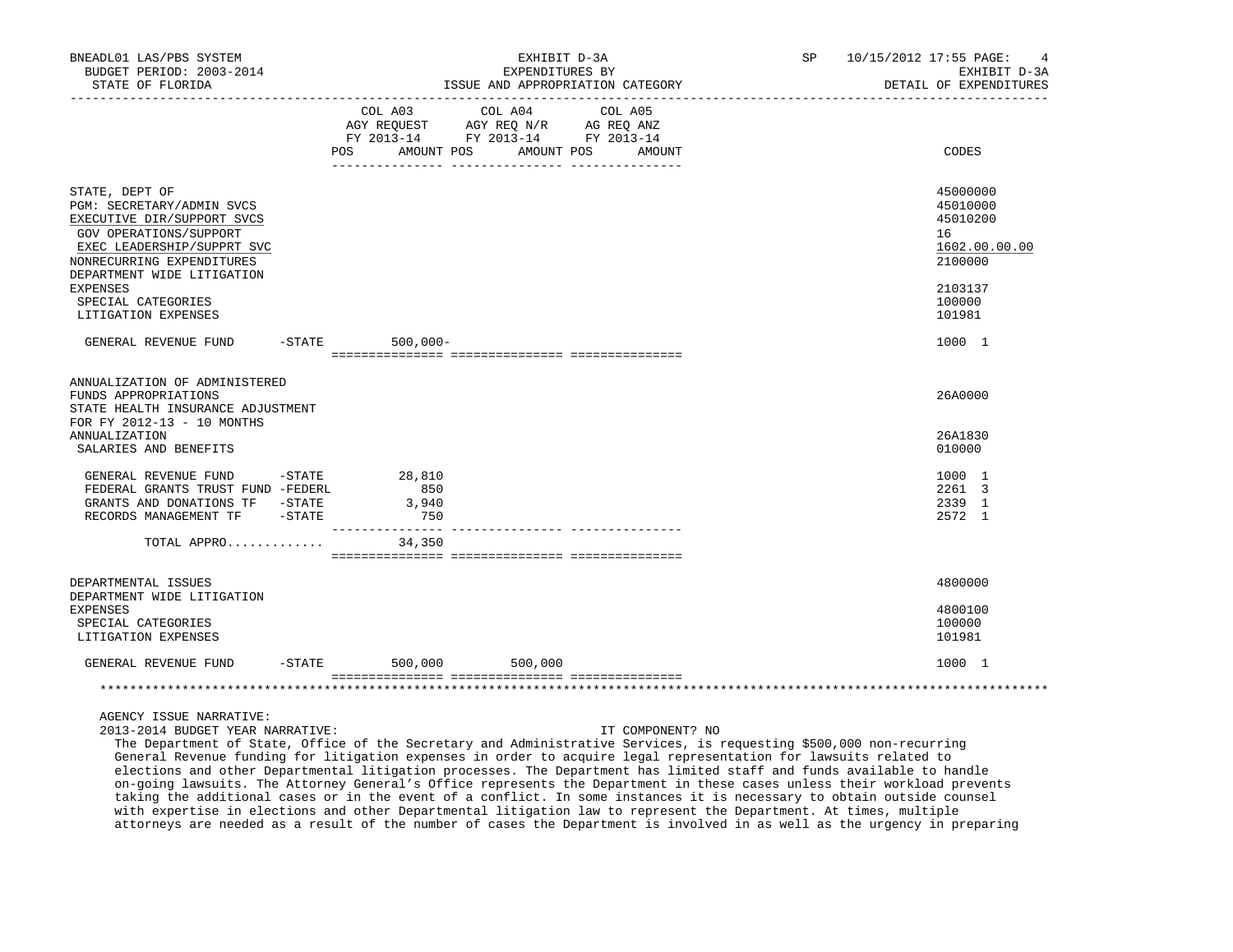| BNEADL01 LAS/PBS SYSTEM<br>BUDGET PERIOD: 2003-2014<br>STATE OF FLORIDA                                                                                                                                         |           | EXHIBIT D-3A<br>EXPENDITURES BY<br>ISSUE AND APPROPRIATION CATEGORY                                                   |  |         |         |  | SP 10/15/2012 17:55 PAGE:<br>EXHIBIT D-3A<br>DETAIL OF EXPENDITURES |                                                                               |
|-----------------------------------------------------------------------------------------------------------------------------------------------------------------------------------------------------------------|-----------|-----------------------------------------------------------------------------------------------------------------------|--|---------|---------|--|---------------------------------------------------------------------|-------------------------------------------------------------------------------|
|                                                                                                                                                                                                                 |           | COL A03<br>AGY REQUEST AGY REQ N/R AG REQ ANZ<br>FY 2013-14 FY 2013-14 FY 2013-14<br>POS AMOUNT POS AMOUNT POS AMOUNT |  | COL A04 | COL A05 |  |                                                                     | CODES                                                                         |
|                                                                                                                                                                                                                 |           |                                                                                                                       |  |         |         |  |                                                                     |                                                                               |
| STATE, DEPT OF<br>PGM: SECRETARY/ADMIN SVCS<br>EXECUTIVE DIR/SUPPORT SVCS<br>GOV OPERATIONS/SUPPORT<br>EXEC LEADERSHIP/SUPPRT SVC<br>NONRECURRING EXPENDITURES<br>DEPARTMENT WIDE LITIGATION<br><b>EXPENSES</b> |           |                                                                                                                       |  |         |         |  |                                                                     | 45000000<br>45010000<br>45010200<br>16<br>1602.00.00.00<br>2100000<br>2103137 |
| SPECIAL CATEGORIES<br>LITIGATION EXPENSES                                                                                                                                                                       |           |                                                                                                                       |  |         |         |  |                                                                     | 100000<br>101981                                                              |
| GENERAL REVENUE FUND                                                                                                                                                                                            |           | $-STATE$<br>$500,000 -$                                                                                               |  |         |         |  |                                                                     | 1000 1                                                                        |
| ANNUALIZATION OF ADMINISTERED<br>FUNDS APPROPRIATIONS<br>STATE HEALTH INSURANCE ADJUSTMENT<br>FOR FY 2012-13 - 10 MONTHS<br><b>ANNUALIZATION</b>                                                                |           |                                                                                                                       |  |         |         |  |                                                                     | 26A0000<br>26A1830                                                            |
| SALARIES AND BENEFITS                                                                                                                                                                                           |           |                                                                                                                       |  |         |         |  |                                                                     | 010000                                                                        |
| GENERAL REVENUE FUND<br>FEDERAL GRANTS TRUST FUND -FEDERL<br>GRANTS AND DONATIONS TF -STATE<br>RECORDS MANAGEMENT TF -STATE                                                                                     | $-$ STATE | 28,810<br>850<br>3,940<br>750<br>_______________                                                                      |  |         |         |  |                                                                     | 1000 1<br>2261 3<br>2339 1<br>2572 1                                          |
| TOTAL APPRO                                                                                                                                                                                                     |           | 34,350                                                                                                                |  |         |         |  |                                                                     |                                                                               |
|                                                                                                                                                                                                                 |           |                                                                                                                       |  |         |         |  |                                                                     |                                                                               |
| DEPARTMENTAL ISSUES<br>DEPARTMENT WIDE LITIGATION<br><b>EXPENSES</b><br>SPECIAL CATEGORIES<br>LITIGATION EXPENSES                                                                                               |           |                                                                                                                       |  |         |         |  |                                                                     | 4800000<br>4800100<br>100000<br>101981                                        |
| GENERAL REVENUE FUND                                                                                                                                                                                            |           | $-$ STATE 500,000                                                                                                     |  | 500,000 |         |  |                                                                     | 1000 1                                                                        |
|                                                                                                                                                                                                                 |           |                                                                                                                       |  |         |         |  |                                                                     |                                                                               |

# AGENCY ISSUE NARRATIVE:

2013-2014 BUDGET YEAR NARRATIVE: IT COMPONENT? NO

 The Department of State, Office of the Secretary and Administrative Services, is requesting \$500,000 non-recurring General Revenue funding for litigation expenses in order to acquire legal representation for lawsuits related to elections and other Departmental litigation processes. The Department has limited staff and funds available to handle on-going lawsuits. The Attorney General's Office represents the Department in these cases unless their workload prevents taking the additional cases or in the event of a conflict. In some instances it is necessary to obtain outside counsel with expertise in elections and other Departmental litigation law to represent the Department. At times, multiple attorneys are needed as a result of the number of cases the Department is involved in as well as the urgency in preparing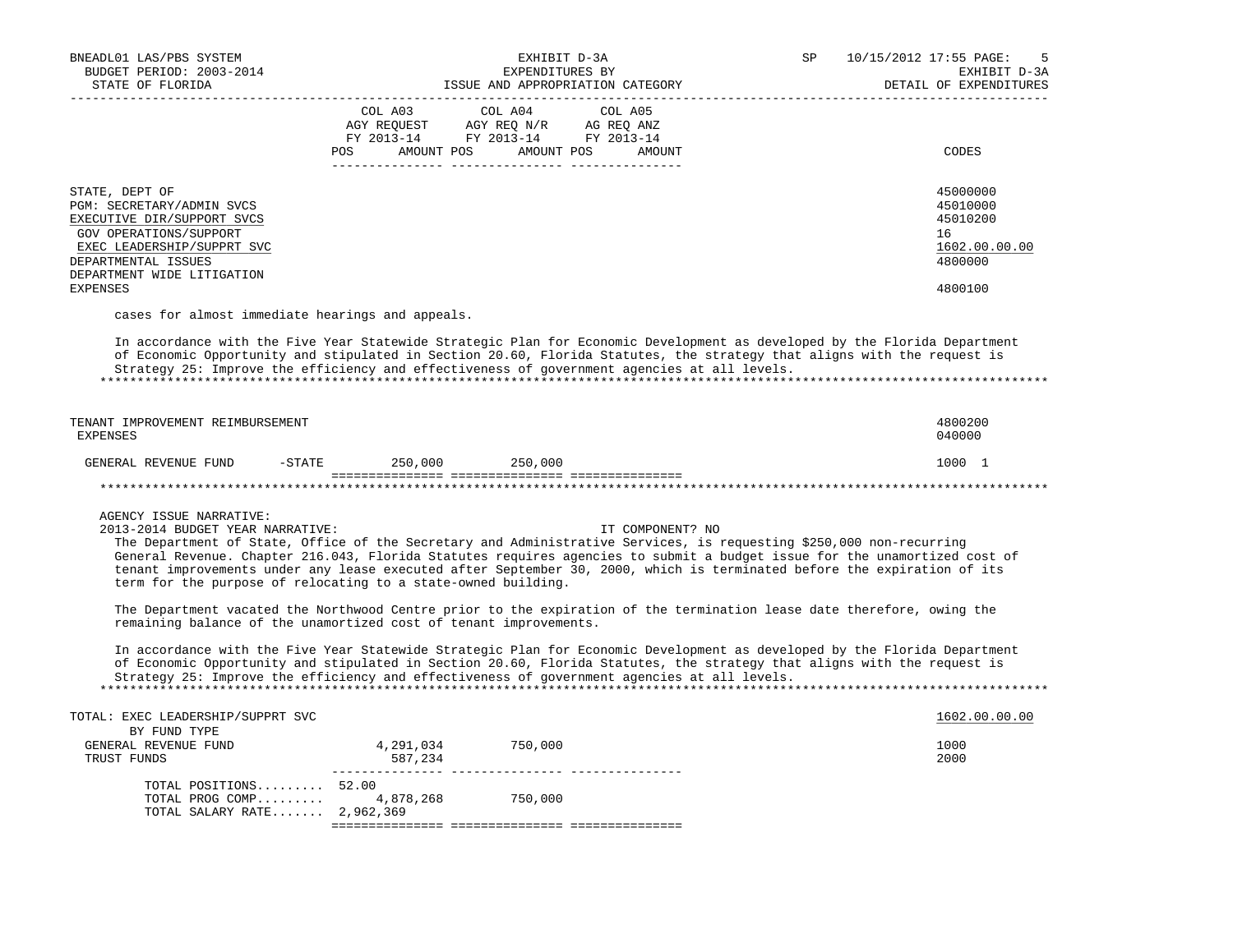| BNEADL01 LAS/PBS SYSTEM<br>BUDGET PERIOD: 2003-2014<br>STATE OF FLORIDA                                                                                                                                   |                                      | EXHIBIT D-3A<br>EXPENDITURES BY<br>ISSUE AND APPROPRIATION CATEGORY                                                                                                                                                                                                                                                                                                                                                                                                                                                       | SP. | 10/15/2012 17:55 PAGE:<br>5<br>EXHIBIT D-3A<br>DETAIL OF EXPENDITURES         |
|-----------------------------------------------------------------------------------------------------------------------------------------------------------------------------------------------------------|--------------------------------------|---------------------------------------------------------------------------------------------------------------------------------------------------------------------------------------------------------------------------------------------------------------------------------------------------------------------------------------------------------------------------------------------------------------------------------------------------------------------------------------------------------------------------|-----|-------------------------------------------------------------------------------|
|                                                                                                                                                                                                           | COL A03<br>POS AMOUNT POS AMOUNT POS | COL A04<br>COL A05<br>$\begin{tabular}{lllllllll} \bf AGY \,\,\, REQUEST \,\,\, & \bf AGY \,\, REQ \,\, N/R & \,\, AG \,\, REQ \,\, ANZ \\ \bf FY \,\, 2013-14 & \bf FY \,\, 2013-14 & \bf FY \,\, 2013-14 \\ \end{tabular}$<br>AMOUNT                                                                                                                                                                                                                                                                                    |     | CODES                                                                         |
| STATE, DEPT OF<br>PGM: SECRETARY/ADMIN SVCS<br>EXECUTIVE DIR/SUPPORT SVCS<br>GOV OPERATIONS/SUPPORT<br>EXEC LEADERSHIP/SUPPRT SVC<br>DEPARTMENTAL ISSUES<br>DEPARTMENT WIDE LITIGATION<br><b>EXPENSES</b> |                                      |                                                                                                                                                                                                                                                                                                                                                                                                                                                                                                                           |     | 45000000<br>45010000<br>45010200<br>16<br>1602.00.00.00<br>4800000<br>4800100 |
| cases for almost immediate hearings and appeals.                                                                                                                                                          |                                      | In accordance with the Five Year Statewide Strategic Plan for Economic Development as developed by the Florida Department<br>of Economic Opportunity and stipulated in Section 20.60, Florida Statutes, the strategy that aligns with the request is<br>Strategy 25: Improve the efficiency and effectiveness of government agencies at all levels.                                                                                                                                                                       |     |                                                                               |
| TENANT IMPROVEMENT REIMBURSEMENT<br>EXPENSES                                                                                                                                                              |                                      |                                                                                                                                                                                                                                                                                                                                                                                                                                                                                                                           |     | 4800200<br>040000                                                             |
| GENERAL REVENUE FUND -STATE 250,000 250,000                                                                                                                                                               |                                      |                                                                                                                                                                                                                                                                                                                                                                                                                                                                                                                           |     | 1000 1                                                                        |
|                                                                                                                                                                                                           |                                      |                                                                                                                                                                                                                                                                                                                                                                                                                                                                                                                           |     |                                                                               |
| AGENCY ISSUE NARRATIVE:<br>2013-2014 BUDGET YEAR NARRATIVE:<br>term for the purpose of relocating to a state-owned building.<br>remaining balance of the unamortized cost of tenant improvements.         |                                      | IT COMPONENT? NO<br>The Department of State, Office of the Secretary and Administrative Services, is requesting \$250,000 non-recurring<br>General Revenue. Chapter 216.043, Florida Statutes requires agencies to submit a budget issue for the unamortized cost of<br>tenant improvements under any lease executed after September 30, 2000, which is terminated before the expiration of its<br>The Department vacated the Northwood Centre prior to the expiration of the termination lease date therefore, owing the |     |                                                                               |
|                                                                                                                                                                                                           |                                      | In accordance with the Five Year Statewide Strategic Plan for Economic Development as developed by the Florida Department<br>of Economic Opportunity and stipulated in Section 20.60, Florida Statutes, the strategy that aligns with the request is<br>Strategy 25: Improve the efficiency and effectiveness of government agencies at all levels.                                                                                                                                                                       |     |                                                                               |
| TOTAL: EXEC LEADERSHIP/SUPPRT SVC                                                                                                                                                                         |                                      |                                                                                                                                                                                                                                                                                                                                                                                                                                                                                                                           |     | 1602.00.00.00                                                                 |
| BY FUND TYPE<br>GENERAL REVENUE FUND<br>TRUST FUNDS                                                                                                                                                       | 4,291,034 750,000<br>587,234         |                                                                                                                                                                                                                                                                                                                                                                                                                                                                                                                           |     | 1000<br>2000                                                                  |
| TOTAL POSITIONS $52.00$<br>TOTAL PROG COMP 4,878,268 750,000<br>TOTAL SALARY RATE 2,962,369                                                                                                               |                                      |                                                                                                                                                                                                                                                                                                                                                                                                                                                                                                                           |     |                                                                               |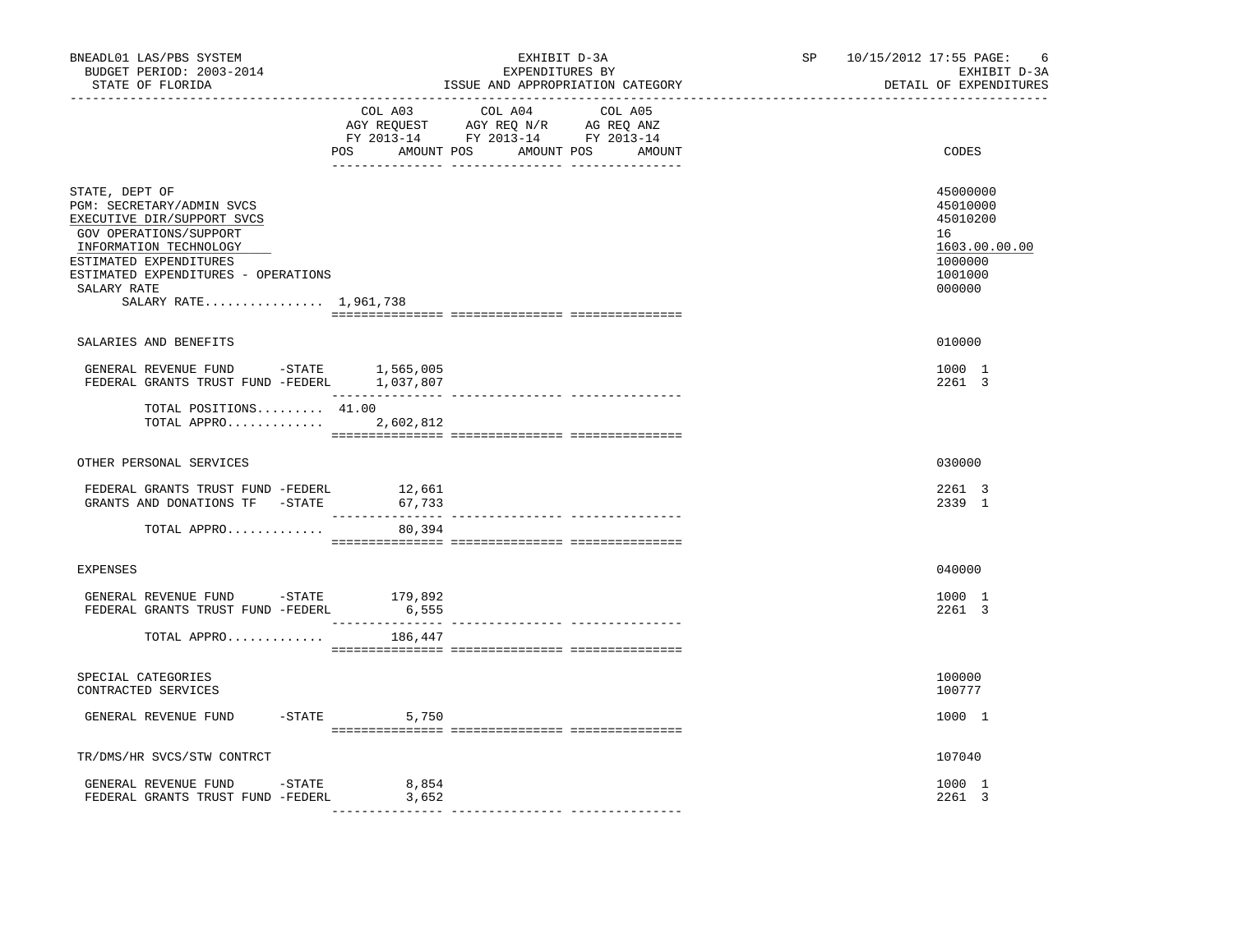| BNEADL01 LAS/PBS SYSTEM<br>BUDGET PERIOD: 2003-2014<br>STATE OF FLORIDA                                                                                                                                                                | EXHIBIT D-3A<br>EXPENDITURES BY<br>ISSUE AND APPROPRIATION CATEGORY                                                                   | SP 10/15/2012 17:55 PAGE:<br>-6<br>EXHIBIT D-3A<br>DETAIL OF EXPENDITURES               |
|----------------------------------------------------------------------------------------------------------------------------------------------------------------------------------------------------------------------------------------|---------------------------------------------------------------------------------------------------------------------------------------|-----------------------------------------------------------------------------------------|
|                                                                                                                                                                                                                                        | COL A03 COL A04 COL A05<br>AGY REQUEST AGY REQ N/R AG REQ ANZ<br>FY 2013-14 FY 2013-14 FY 2013-14<br>POS AMOUNT POS AMOUNT POS AMOUNT | CODES                                                                                   |
| STATE, DEPT OF<br>PGM: SECRETARY/ADMIN SVCS<br>EXECUTIVE DIR/SUPPORT SVCS<br>GOV OPERATIONS/SUPPORT<br>INFORMATION TECHNOLOGY<br>ESTIMATED EXPENDITURES<br>ESTIMATED EXPENDITURES - OPERATIONS<br>SALARY RATE<br>SALARY RATE 1,961,738 |                                                                                                                                       | 45000000<br>45010000<br>45010200<br>16<br>1603.00.00.00<br>1000000<br>1001000<br>000000 |
| SALARIES AND BENEFITS                                                                                                                                                                                                                  |                                                                                                                                       | 010000                                                                                  |
| GENERAL REVENUE FUND -STATE $1,565,005$<br>FEDERAL GRANTS TRUST FUND -FEDERL $1,037,807$                                                                                                                                               |                                                                                                                                       | 1000 1<br>2261 3                                                                        |
| TOTAL POSITIONS 41.00<br>TOTAL APPRO 2,602,812                                                                                                                                                                                         |                                                                                                                                       |                                                                                         |
| OTHER PERSONAL SERVICES                                                                                                                                                                                                                |                                                                                                                                       | 030000                                                                                  |
| FEDERAL GRANTS TRUST FUND -FEDERL<br>GRANTS AND DONATIONS TF -STATE                                                                                                                                                                    | 12,661<br>67,733                                                                                                                      | 2261 3<br>2339 1                                                                        |
| TOTAL APPRO                                                                                                                                                                                                                            | 80,394                                                                                                                                |                                                                                         |
| <b>EXPENSES</b>                                                                                                                                                                                                                        |                                                                                                                                       | 040000                                                                                  |
| GENERAL REVENUE FUND -STATE 179,892<br>FEDERAL GRANTS TRUST FUND -FEDERL                                                                                                                                                               | 6,555                                                                                                                                 | 1000 1<br>2261 3                                                                        |
| TOTAL APPRO                                                                                                                                                                                                                            | 186,447                                                                                                                               |                                                                                         |
| SPECIAL CATEGORIES<br>CONTRACTED SERVICES                                                                                                                                                                                              |                                                                                                                                       | 100000<br>100777                                                                        |
| GENERAL REVENUE FUND                                                                                                                                                                                                                   | $-$ STATE 5,750                                                                                                                       | 1000 1                                                                                  |
| TR/DMS/HR SVCS/STW CONTRCT                                                                                                                                                                                                             |                                                                                                                                       | 107040                                                                                  |
| GENERAL REVENUE FUND -STATE<br>FEDERAL GRANTS TRUST FUND -FEDERL                                                                                                                                                                       | 8,854<br>3,652                                                                                                                        | 1000 1<br>2261 3                                                                        |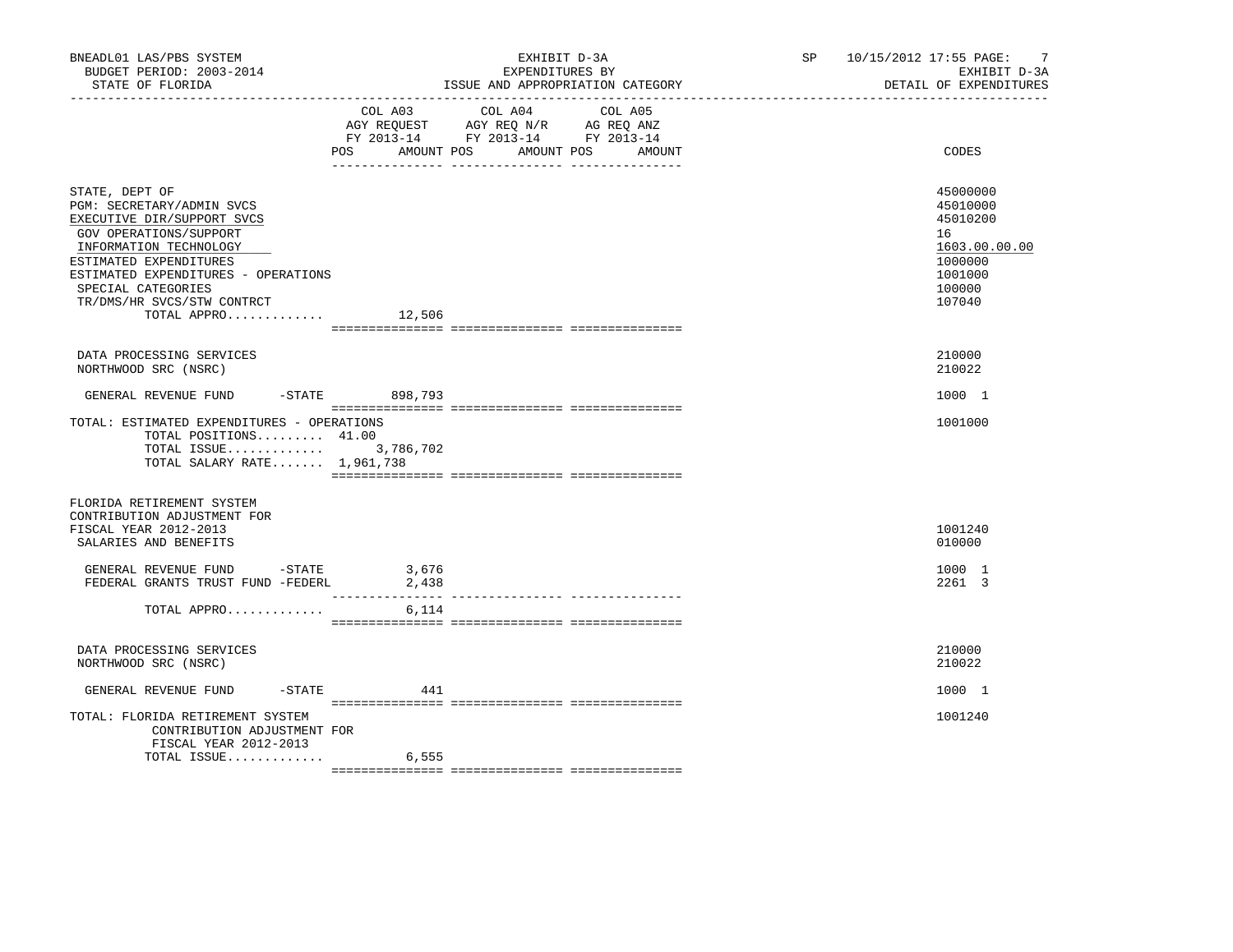| BNEADL01 LAS/PBS SYSTEM<br>BUDGET PERIOD: 2003-2014<br>STATE OF FLORIDA<br>______________                                                                                                                                                                                  |                           | EXHIBIT D-3A<br>EXPENDITURES BY<br>ISSUE AND APPROPRIATION CATEGORY                             | SP 10/15/2012 17:55 PAGE:<br>-7<br>EXHIBIT D-3A<br>DETAIL OF EXPENDITURES |                                                                                                   |
|----------------------------------------------------------------------------------------------------------------------------------------------------------------------------------------------------------------------------------------------------------------------------|---------------------------|-------------------------------------------------------------------------------------------------|---------------------------------------------------------------------------|---------------------------------------------------------------------------------------------------|
|                                                                                                                                                                                                                                                                            | COL A03<br>POS AMOUNT POS | COL A04<br>AGY REQUEST AGY REQ N/R AG REQ ANZ<br>FY 2013-14 FY 2013-14 FY 2013-14<br>AMOUNT POS | COL A05<br>AMOUNT                                                         | CODES                                                                                             |
| STATE, DEPT OF<br>PGM: SECRETARY/ADMIN SVCS<br>EXECUTIVE DIR/SUPPORT SVCS<br>GOV OPERATIONS/SUPPORT<br>INFORMATION TECHNOLOGY<br>ESTIMATED EXPENDITURES<br>ESTIMATED EXPENDITURES - OPERATIONS<br>SPECIAL CATEGORIES<br>TR/DMS/HR SVCS/STW CONTRCT<br>TOTAL APPRO $12,506$ |                           |                                                                                                 |                                                                           | 45000000<br>45010000<br>45010200<br>16<br>1603.00.00.00<br>1000000<br>1001000<br>100000<br>107040 |
| DATA PROCESSING SERVICES<br>NORTHWOOD SRC (NSRC)                                                                                                                                                                                                                           |                           |                                                                                                 |                                                                           | 210000<br>210022                                                                                  |
| GENERAL REVENUE FUND -STATE 898,793                                                                                                                                                                                                                                        |                           |                                                                                                 |                                                                           | 1000 1                                                                                            |
| TOTAL: ESTIMATED EXPENDITURES - OPERATIONS<br>TOTAL POSITIONS 41.00<br>TOTAL ISSUE 3,786,702<br>TOTAL SALARY RATE 1,961,738                                                                                                                                                |                           |                                                                                                 |                                                                           | 1001000                                                                                           |
| FLORIDA RETIREMENT SYSTEM<br>CONTRIBUTION ADJUSTMENT FOR<br>FISCAL YEAR 2012-2013<br>SALARIES AND BENEFITS                                                                                                                                                                 |                           |                                                                                                 |                                                                           | 1001240<br>010000                                                                                 |
| GENERAL REVENUE FUND -STATE<br>FEDERAL GRANTS TRUST FUND -FEDERL                                                                                                                                                                                                           | 3,676<br>2,438            |                                                                                                 |                                                                           | 1000 1<br>2261 3                                                                                  |
| TOTAL APPRO                                                                                                                                                                                                                                                                | 6,114                     |                                                                                                 |                                                                           |                                                                                                   |
| DATA PROCESSING SERVICES<br>NORTHWOOD SRC (NSRC)                                                                                                                                                                                                                           |                           |                                                                                                 |                                                                           | 210000<br>210022                                                                                  |
| GENERAL REVENUE FUND                                                                                                                                                                                                                                                       | $-$ STATE 441             |                                                                                                 |                                                                           | 1000 1                                                                                            |
| TOTAL: FLORIDA RETIREMENT SYSTEM<br>CONTRIBUTION ADJUSTMENT FOR<br>FISCAL YEAR 2012-2013                                                                                                                                                                                   |                           |                                                                                                 |                                                                           | 1001240                                                                                           |
| TOTAL ISSUE                                                                                                                                                                                                                                                                | 6,555                     |                                                                                                 |                                                                           |                                                                                                   |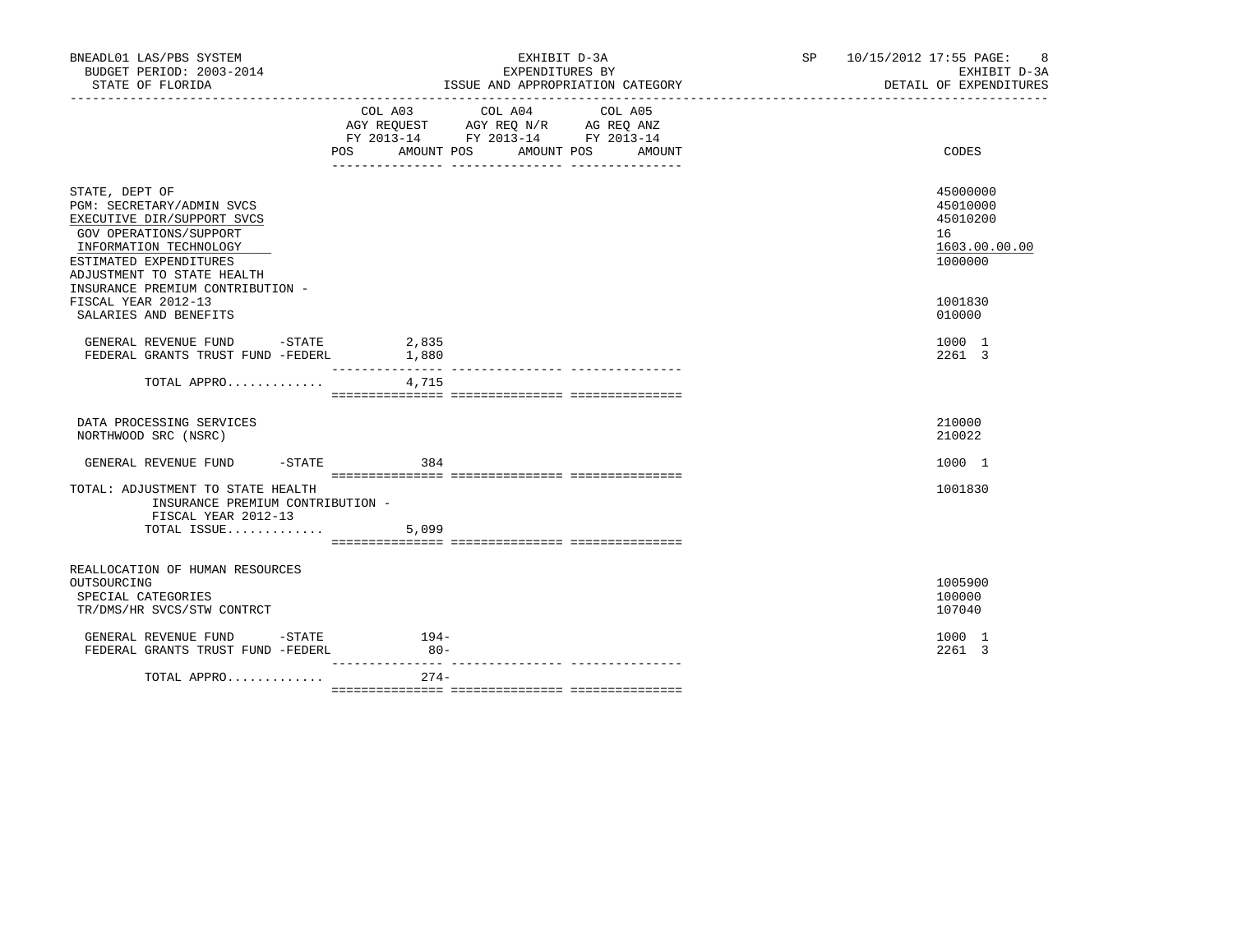| BNEADL01 LAS/PBS SYSTEM<br>BUDGET PERIOD: 2003-2014<br>STATE OF FLORIDA                                                                                                                                                                                                   |        | EXHIBIT D-3A<br>EXPENDITURES BY<br>ISSUE AND APPROPRIATION CATEGORY                                                                   | SP 10/15/2012 17:55 PAGE: 8<br>EXHIBIT D-3A<br>DETAIL OF EXPENDITURES                   |
|---------------------------------------------------------------------------------------------------------------------------------------------------------------------------------------------------------------------------------------------------------------------------|--------|---------------------------------------------------------------------------------------------------------------------------------------|-----------------------------------------------------------------------------------------|
|                                                                                                                                                                                                                                                                           |        | COL A03 COL A04 COL A05<br>AGY REQUEST AGY REQ N/R AG REQ ANZ<br>FY 2013-14 FY 2013-14 FY 2013-14<br>POS AMOUNT POS AMOUNT POS AMOUNT | CODES                                                                                   |
| STATE, DEPT OF<br>PGM: SECRETARY/ADMIN SVCS<br>EXECUTIVE DIR/SUPPORT SVCS<br>GOV OPERATIONS/SUPPORT<br>INFORMATION TECHNOLOGY<br>ESTIMATED EXPENDITURES<br>ADJUSTMENT TO STATE HEALTH<br>INSURANCE PREMIUM CONTRIBUTION -<br>FISCAL YEAR 2012-13<br>SALARIES AND BENEFITS |        |                                                                                                                                       | 45000000<br>45010000<br>45010200<br>16<br>1603.00.00.00<br>1000000<br>1001830<br>010000 |
| GENERAL REVENUE FUND -STATE 2,835<br>FEDERAL GRANTS TRUST FUND -FEDERL 1,880                                                                                                                                                                                              |        |                                                                                                                                       | 1000 1<br>2261 3                                                                        |
| TOTAL APPRO                                                                                                                                                                                                                                                               | 4,715  |                                                                                                                                       |                                                                                         |
| DATA PROCESSING SERVICES<br>NORTHWOOD SRC (NSRC)                                                                                                                                                                                                                          |        |                                                                                                                                       | 210000<br>210022                                                                        |
| GENERAL REVENUE FUND -STATE 384                                                                                                                                                                                                                                           |        |                                                                                                                                       | 1000 1                                                                                  |
| TOTAL: ADJUSTMENT TO STATE HEALTH<br>INSURANCE PREMIUM CONTRIBUTION -<br>FISCAL YEAR 2012-13<br>TOTAL ISSUE                                                                                                                                                               | 5,099  |                                                                                                                                       | 1001830                                                                                 |
|                                                                                                                                                                                                                                                                           |        |                                                                                                                                       |                                                                                         |
| REALLOCATION OF HUMAN RESOURCES<br>OUTSOURCING<br>SPECIAL CATEGORIES<br>TR/DMS/HR SVCS/STW CONTRCT                                                                                                                                                                        |        |                                                                                                                                       | 1005900<br>100000<br>107040                                                             |
| GENERAL REVENUE FUND -STATE 194-<br>FEDERAL GRANTS TRUST FUND -FEDERL                                                                                                                                                                                                     | $80 -$ |                                                                                                                                       | 1000 1<br>2261 3                                                                        |
| TOTAL APPRO                                                                                                                                                                                                                                                               | $274-$ |                                                                                                                                       |                                                                                         |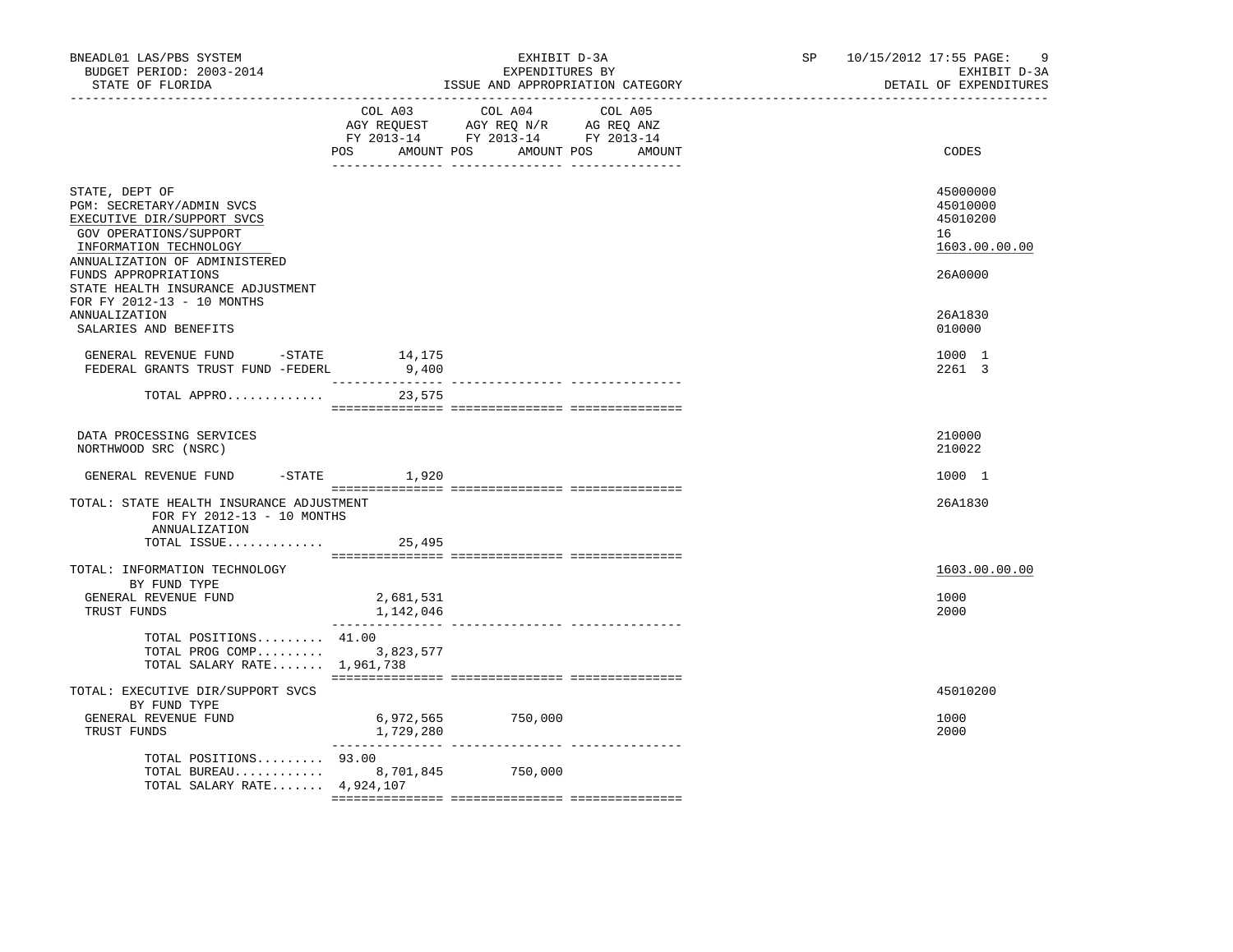| BNEADL01 LAS/PBS SYSTEM<br>BUDGET PERIOD: 2003-2014<br>STATE OF FLORIDA                                                                                                                                                     |                                  | EXHIBIT D-3A<br>EXPENDITURES BY<br>ISSUE AND APPROPRIATION CATEGORY                                                                   | SP and the set of the set of the set of the set of the set of the set of the set of the set of the set of the set of the set of the set of the set of the set of the set of the set of the set of the set of the set of the se | 10/15/2012 17:55 PAGE:<br>9<br>EXHIBIT D-3A<br>DETAIL OF EXPENDITURES |
|-----------------------------------------------------------------------------------------------------------------------------------------------------------------------------------------------------------------------------|----------------------------------|---------------------------------------------------------------------------------------------------------------------------------------|--------------------------------------------------------------------------------------------------------------------------------------------------------------------------------------------------------------------------------|-----------------------------------------------------------------------|
|                                                                                                                                                                                                                             |                                  | COL A03 COL A04 COL A05<br>AGY REQUEST AGY REQ N/R AG REQ ANZ<br>FY 2013-14 FY 2013-14 FY 2013-14<br>POS AMOUNT POS AMOUNT POS AMOUNT |                                                                                                                                                                                                                                | CODES                                                                 |
| STATE, DEPT OF<br>PGM: SECRETARY/ADMIN SVCS<br>EXECUTIVE DIR/SUPPORT SVCS<br>GOV OPERATIONS/SUPPORT<br>INFORMATION TECHNOLOGY<br>ANNUALIZATION OF ADMINISTERED<br>FUNDS APPROPRIATIONS<br>STATE HEALTH INSURANCE ADJUSTMENT |                                  |                                                                                                                                       |                                                                                                                                                                                                                                | 45000000<br>45010000<br>45010200<br>16<br>1603.00.00.00<br>26A0000    |
| FOR FY 2012-13 - 10 MONTHS<br><b>ANNUALIZATION</b><br>SALARIES AND BENEFITS                                                                                                                                                 |                                  |                                                                                                                                       |                                                                                                                                                                                                                                | 26A1830<br>010000                                                     |
| GENERAL REVENUE FUND $-$ STATE $14,175$<br>FEDERAL GRANTS TRUST FUND -FEDERL                                                                                                                                                | 9,400                            |                                                                                                                                       |                                                                                                                                                                                                                                | 1000 1<br>2261 3                                                      |
| TOTAL APPRO                                                                                                                                                                                                                 | 23,575                           |                                                                                                                                       |                                                                                                                                                                                                                                |                                                                       |
| DATA PROCESSING SERVICES<br>NORTHWOOD SRC (NSRC)                                                                                                                                                                            |                                  |                                                                                                                                       |                                                                                                                                                                                                                                | 210000<br>210022                                                      |
| GENERAL REVENUE FUND                                                                                                                                                                                                        | $-$ STATE $1,920$                |                                                                                                                                       |                                                                                                                                                                                                                                | 1000 1                                                                |
| TOTAL: STATE HEALTH INSURANCE ADJUSTMENT<br>FOR FY 2012-13 - 10 MONTHS<br>ANNUALIZATION                                                                                                                                     |                                  |                                                                                                                                       |                                                                                                                                                                                                                                | 26A1830                                                               |
| TOTAL ISSUE $25,495$                                                                                                                                                                                                        |                                  |                                                                                                                                       |                                                                                                                                                                                                                                |                                                                       |
| TOTAL: INFORMATION TECHNOLOGY<br>BY FUND TYPE<br>GENERAL REVENUE FUND<br>TRUST FUNDS                                                                                                                                        | 2,681,531<br>1,142,046           |                                                                                                                                       |                                                                                                                                                                                                                                | 1603.00.00.00<br>1000<br>2000                                         |
| TOTAL POSITIONS 41.00<br>TOTAL PROG COMP 3,823,577<br>TOTAL SALARY RATE 1,961,738                                                                                                                                           |                                  |                                                                                                                                       |                                                                                                                                                                                                                                |                                                                       |
| TOTAL: EXECUTIVE DIR/SUPPORT SVCS                                                                                                                                                                                           |                                  |                                                                                                                                       |                                                                                                                                                                                                                                | 45010200                                                              |
| BY FUND TYPE<br>GENERAL REVENUE FUND<br>TRUST FUNDS                                                                                                                                                                         | $6,972,565$ 750,000<br>1,729,280 |                                                                                                                                       |                                                                                                                                                                                                                                | 1000<br>2000                                                          |
| TOTAL POSITIONS 93.00<br>TOTAL BUREAU 8,701,845<br>TOTAL SALARY RATE $4,924,107$                                                                                                                                            |                                  | 750,000                                                                                                                               |                                                                                                                                                                                                                                |                                                                       |
|                                                                                                                                                                                                                             |                                  |                                                                                                                                       |                                                                                                                                                                                                                                |                                                                       |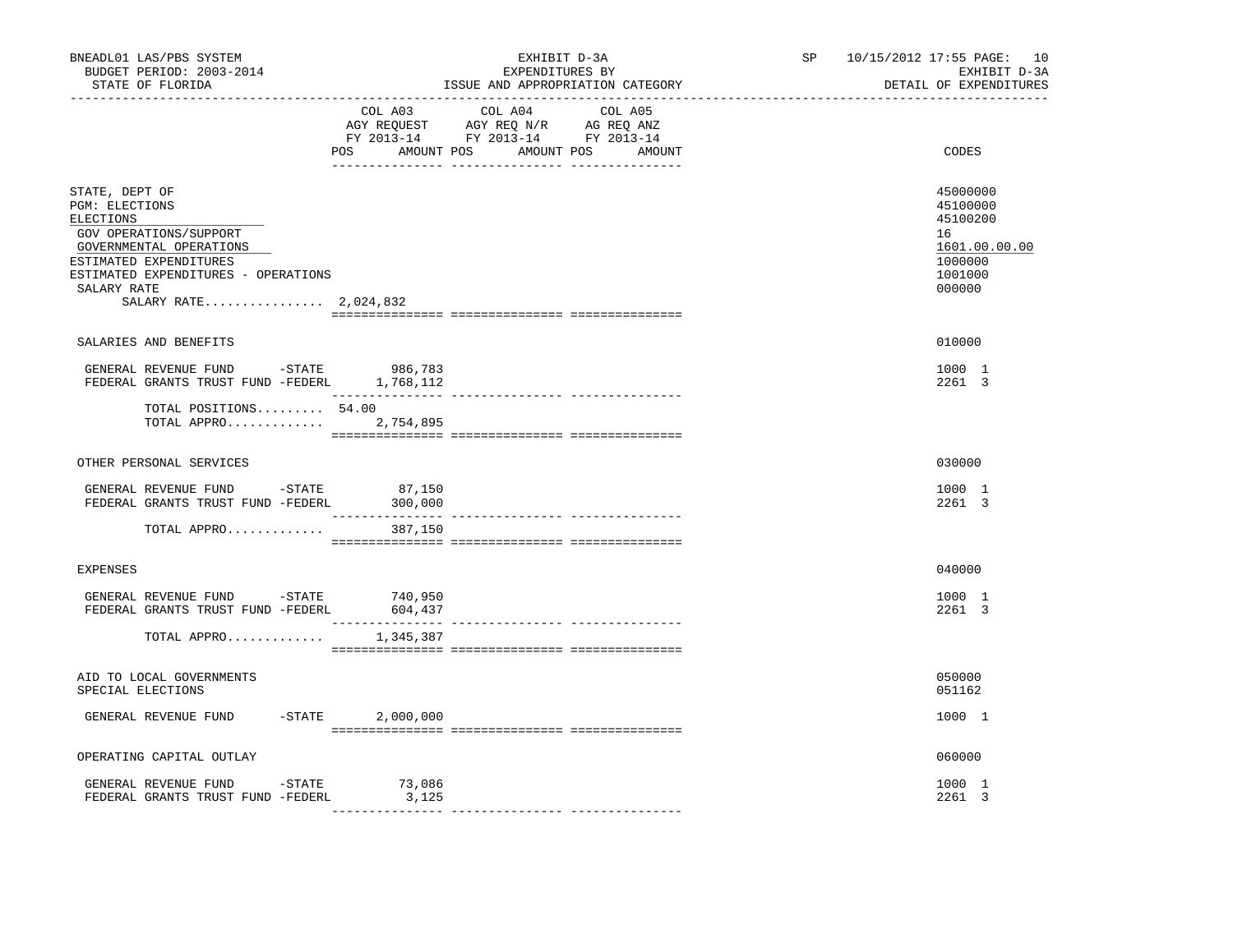| BNEADL01 LAS/PBS SYSTEM<br>BUDGET PERIOD: 2003-2014<br>STATE OF FLORIDA                                                                                                                                     | EXHIBIT D-3A<br>EXPENDITURES BY<br>ISSUE AND APPROPRIATION CATEGORY                                                                   | SP 10/15/2012 17:55 PAGE: 10<br>EXHIBIT D-3A<br>DETAIL OF EXPENDITURES                  |
|-------------------------------------------------------------------------------------------------------------------------------------------------------------------------------------------------------------|---------------------------------------------------------------------------------------------------------------------------------------|-----------------------------------------------------------------------------------------|
|                                                                                                                                                                                                             | COL A03 COL A04 COL A05<br>AGY REQUEST AGY REQ N/R AG REQ ANZ<br>FY 2013-14 FY 2013-14 FY 2013-14<br>POS AMOUNT POS AMOUNT POS AMOUNT | CODES                                                                                   |
| STATE, DEPT OF<br>PGM: ELECTIONS<br>ELECTIONS<br>GOV OPERATIONS/SUPPORT<br>GOVERNMENTAL OPERATIONS<br>ESTIMATED EXPENDITURES<br>ESTIMATED EXPENDITURES - OPERATIONS<br>SALARY RATE<br>SALARY RATE 2,024,832 |                                                                                                                                       | 45000000<br>45100000<br>45100200<br>16<br>1601.00.00.00<br>1000000<br>1001000<br>000000 |
| SALARIES AND BENEFITS                                                                                                                                                                                       |                                                                                                                                       | 010000                                                                                  |
| GENERAL REVENUE FUND -STATE<br>FEDERAL GRANTS TRUST FUND -FEDERL 1,768,112                                                                                                                                  | 986,783                                                                                                                               | 1000 1<br>2261 3                                                                        |
| TOTAL POSITIONS 54.00<br>TOTAL APPRO 2,754,895                                                                                                                                                              |                                                                                                                                       |                                                                                         |
| OTHER PERSONAL SERVICES                                                                                                                                                                                     |                                                                                                                                       | 030000                                                                                  |
| GENERAL REVENUE FUND -STATE<br>FEDERAL GRANTS TRUST FUND -FEDERL                                                                                                                                            | 87,150<br>300,000                                                                                                                     | 1000 1<br>2261 3                                                                        |
| TOTAL APPRO                                                                                                                                                                                                 | 387,150                                                                                                                               |                                                                                         |
| <b>EXPENSES</b>                                                                                                                                                                                             |                                                                                                                                       | 040000                                                                                  |
| GENERAL REVENUE FUND -STATE 740,950<br>FEDERAL GRANTS TRUST FUND -FEDERL                                                                                                                                    | 604,437                                                                                                                               | 1000 1<br>2261 3                                                                        |
| TOTAL APPRO                                                                                                                                                                                                 | 1,345,387                                                                                                                             |                                                                                         |
| AID TO LOCAL GOVERNMENTS<br>SPECIAL ELECTIONS                                                                                                                                                               |                                                                                                                                       | 050000<br>051162                                                                        |
| GENERAL REVENUE FUND                                                                                                                                                                                        | $-$ STATE $2,000,000$                                                                                                                 | 1000 1                                                                                  |
| OPERATING CAPITAL OUTLAY                                                                                                                                                                                    |                                                                                                                                       | 060000                                                                                  |
| GENERAL REVENUE FUND -STATE<br>FEDERAL GRANTS TRUST FUND -FEDERL                                                                                                                                            | 73,086<br>3,125                                                                                                                       | 1000 1<br>2261 3                                                                        |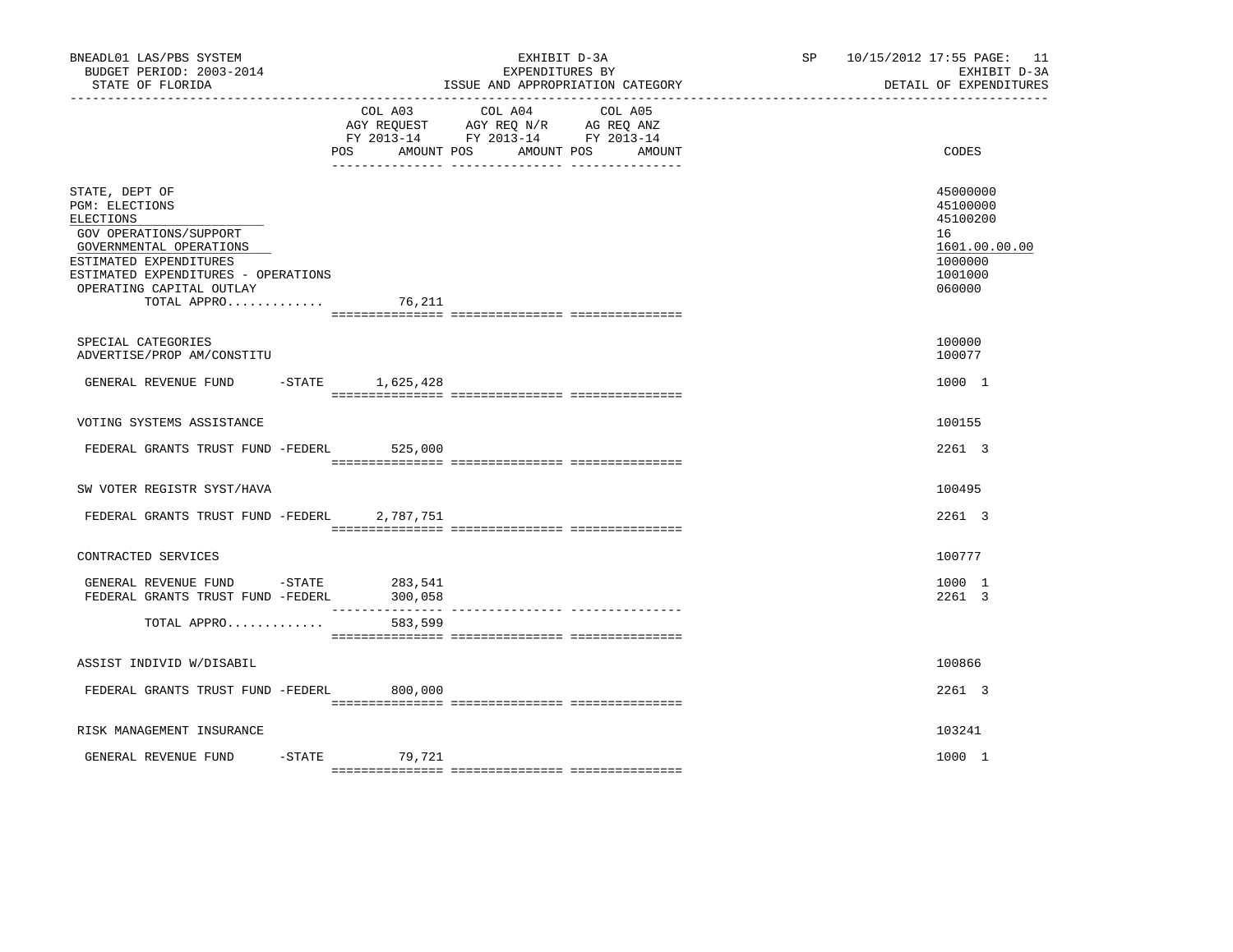| BNEADL01 LAS/PBS SYSTEM<br>BUDGET PERIOD: 2003-2014<br>STATE OF FLORIDA                                                                                                                                               |                    | EXHIBIT D-3A<br>EXPENDITURES BY<br>ISSUE AND APPROPRIATION CATEGORY                                                       | SP and the set of the set of the set of the set of the set of the set of the set of the set of the set of the set of the set of the set of the set of the set of the set of the set of the set of the set of the set of the se | 10/15/2012 17:55 PAGE: 11<br>EXHIBIT D-3A<br>DETAIL OF EXPENDITURES                     |
|-----------------------------------------------------------------------------------------------------------------------------------------------------------------------------------------------------------------------|--------------------|---------------------------------------------------------------------------------------------------------------------------|--------------------------------------------------------------------------------------------------------------------------------------------------------------------------------------------------------------------------------|-----------------------------------------------------------------------------------------|
|                                                                                                                                                                                                                       | POS AMOUNT POS     | COL A03 COL A04 COL A05<br>AGY REQUEST AGY REQ N/R AG REQ ANZ<br>FY 2013-14 FY 2013-14 FY 2013-14<br>AMOUNT POS<br>AMOUNT |                                                                                                                                                                                                                                | CODES                                                                                   |
| STATE, DEPT OF<br><b>PGM: ELECTIONS</b><br>ELECTIONS<br>GOV OPERATIONS/SUPPORT<br>GOVERNMENTAL OPERATIONS<br>ESTIMATED EXPENDITURES<br>ESTIMATED EXPENDITURES - OPERATIONS<br>OPERATING CAPITAL OUTLAY<br>TOTAL APPRO | 76,211             |                                                                                                                           |                                                                                                                                                                                                                                | 45000000<br>45100000<br>45100200<br>16<br>1601.00.00.00<br>1000000<br>1001000<br>060000 |
| SPECIAL CATEGORIES<br>ADVERTISE/PROP AM/CONSTITU                                                                                                                                                                      |                    |                                                                                                                           |                                                                                                                                                                                                                                | 100000<br>100077                                                                        |
| GENERAL REVENUE FUND                                                                                                                                                                                                  | -STATE 1,625,428   |                                                                                                                           |                                                                                                                                                                                                                                | 1000 1                                                                                  |
| VOTING SYSTEMS ASSISTANCE                                                                                                                                                                                             |                    |                                                                                                                           |                                                                                                                                                                                                                                | 100155                                                                                  |
| FEDERAL GRANTS TRUST FUND -FEDERL                                                                                                                                                                                     | 525,000            |                                                                                                                           |                                                                                                                                                                                                                                | 2261 3                                                                                  |
| SW VOTER REGISTR SYST/HAVA                                                                                                                                                                                            |                    |                                                                                                                           |                                                                                                                                                                                                                                | 100495                                                                                  |
| FEDERAL GRANTS TRUST FUND -FEDERL                                                                                                                                                                                     | 2,787,751          |                                                                                                                           |                                                                                                                                                                                                                                | 2261 3                                                                                  |
| CONTRACTED SERVICES                                                                                                                                                                                                   |                    |                                                                                                                           |                                                                                                                                                                                                                                | 100777                                                                                  |
| GENERAL REVENUE FUND -STATE<br>FEDERAL GRANTS TRUST FUND -FEDERL                                                                                                                                                      | 283,541<br>300,058 |                                                                                                                           |                                                                                                                                                                                                                                | 1000 1<br>2261 3                                                                        |
| TOTAL APPRO                                                                                                                                                                                                           | 583,599            |                                                                                                                           |                                                                                                                                                                                                                                |                                                                                         |
| ASSIST INDIVID W/DISABIL                                                                                                                                                                                              |                    |                                                                                                                           |                                                                                                                                                                                                                                | 100866                                                                                  |
| FEDERAL GRANTS TRUST FUND -FEDERL 800,000                                                                                                                                                                             |                    |                                                                                                                           |                                                                                                                                                                                                                                | 2261 3                                                                                  |
| RISK MANAGEMENT INSURANCE                                                                                                                                                                                             |                    |                                                                                                                           |                                                                                                                                                                                                                                | 103241                                                                                  |
| GENERAL REVENUE FUND                                                                                                                                                                                                  | -STATE 79,721      |                                                                                                                           |                                                                                                                                                                                                                                | 1000 1                                                                                  |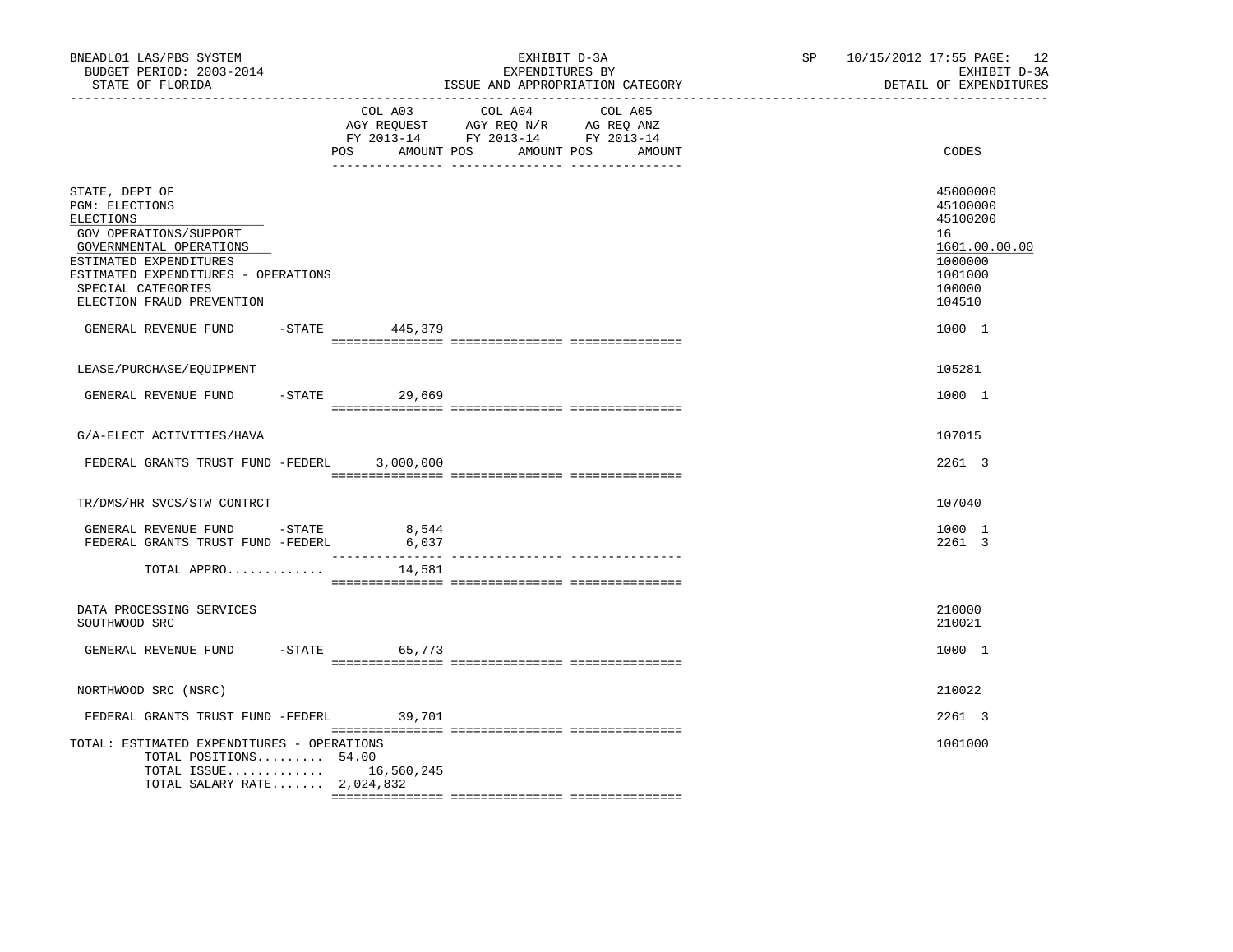| BNEADL01 LAS/PBS SYSTEM<br>BUDGET PERIOD: 2003-2014<br>STATE OF FLORIDA<br>----------------                                                                                                                                                                   |                        | EXHIBIT D-3A<br>EXPENDITURES BY<br>ISSUE AND APPROPRIATION CATEGORY                                                                   | SP | 10/15/2012 17:55 PAGE: 12<br>EXHIBIT D-3A<br>DETAIL OF EXPENDITURES                                         |
|---------------------------------------------------------------------------------------------------------------------------------------------------------------------------------------------------------------------------------------------------------------|------------------------|---------------------------------------------------------------------------------------------------------------------------------------|----|-------------------------------------------------------------------------------------------------------------|
|                                                                                                                                                                                                                                                               |                        | COL A03 COL A04 COL A05<br>AGY REQUEST AGY REQ N/R AG REQ ANZ<br>FY 2013-14 FY 2013-14 FY 2013-14<br>POS AMOUNT POS AMOUNT POS AMOUNT |    | CODES                                                                                                       |
| STATE, DEPT OF<br>PGM: ELECTIONS<br>ELECTIONS<br>GOV OPERATIONS/SUPPORT<br>GOVERNMENTAL OPERATIONS<br>ESTIMATED EXPENDITURES<br>ESTIMATED EXPENDITURES - OPERATIONS<br>SPECIAL CATEGORIES<br>ELECTION FRAUD PREVENTION<br>GENERAL REVENUE FUND -STATE 445,379 |                        |                                                                                                                                       |    | 45000000<br>45100000<br>45100200<br>16<br>1601.00.00.00<br>1000000<br>1001000<br>100000<br>104510<br>1000 1 |
| LEASE/PURCHASE/EQUIPMENT                                                                                                                                                                                                                                      |                        |                                                                                                                                       |    | 105281                                                                                                      |
| GENERAL REVENUE FUND                                                                                                                                                                                                                                          | $-$ STATE 29,669       |                                                                                                                                       |    | 1000 1                                                                                                      |
| G/A-ELECT ACTIVITIES/HAVA                                                                                                                                                                                                                                     |                        |                                                                                                                                       |    | 107015                                                                                                      |
| FEDERAL GRANTS TRUST FUND -FEDERL 3,000,000                                                                                                                                                                                                                   |                        |                                                                                                                                       |    | 2261 3                                                                                                      |
| TR/DMS/HR SVCS/STW CONTRCT                                                                                                                                                                                                                                    |                        |                                                                                                                                       |    | 107040                                                                                                      |
| GENERAL REVENUE FUND -STATE<br>FEDERAL GRANTS TRUST FUND -FEDERL                                                                                                                                                                                              | 8,544<br>6,037         |                                                                                                                                       |    | 1000 1<br>2261 3                                                                                            |
| TOTAL APPRO                                                                                                                                                                                                                                                   | 14,581                 |                                                                                                                                       |    |                                                                                                             |
| DATA PROCESSING SERVICES<br>SOUTHWOOD SRC                                                                                                                                                                                                                     |                        |                                                                                                                                       |    | 210000<br>210021                                                                                            |
| GENERAL REVENUE FUND                                                                                                                                                                                                                                          | -STATE 65,773          |                                                                                                                                       |    | 1000 1                                                                                                      |
| NORTHWOOD SRC (NSRC)                                                                                                                                                                                                                                          |                        |                                                                                                                                       |    | 210022                                                                                                      |
| FEDERAL GRANTS TRUST FUND -FEDERL 39,701                                                                                                                                                                                                                      |                        |                                                                                                                                       |    | 2261 3                                                                                                      |
| TOTAL: ESTIMATED EXPENDITURES - OPERATIONS<br>TOTAL POSITIONS 54.00<br>TOTAL SALARY RATE 2,024,832                                                                                                                                                            | TOTAL ISSUE 16,560,245 |                                                                                                                                       |    | 1001000                                                                                                     |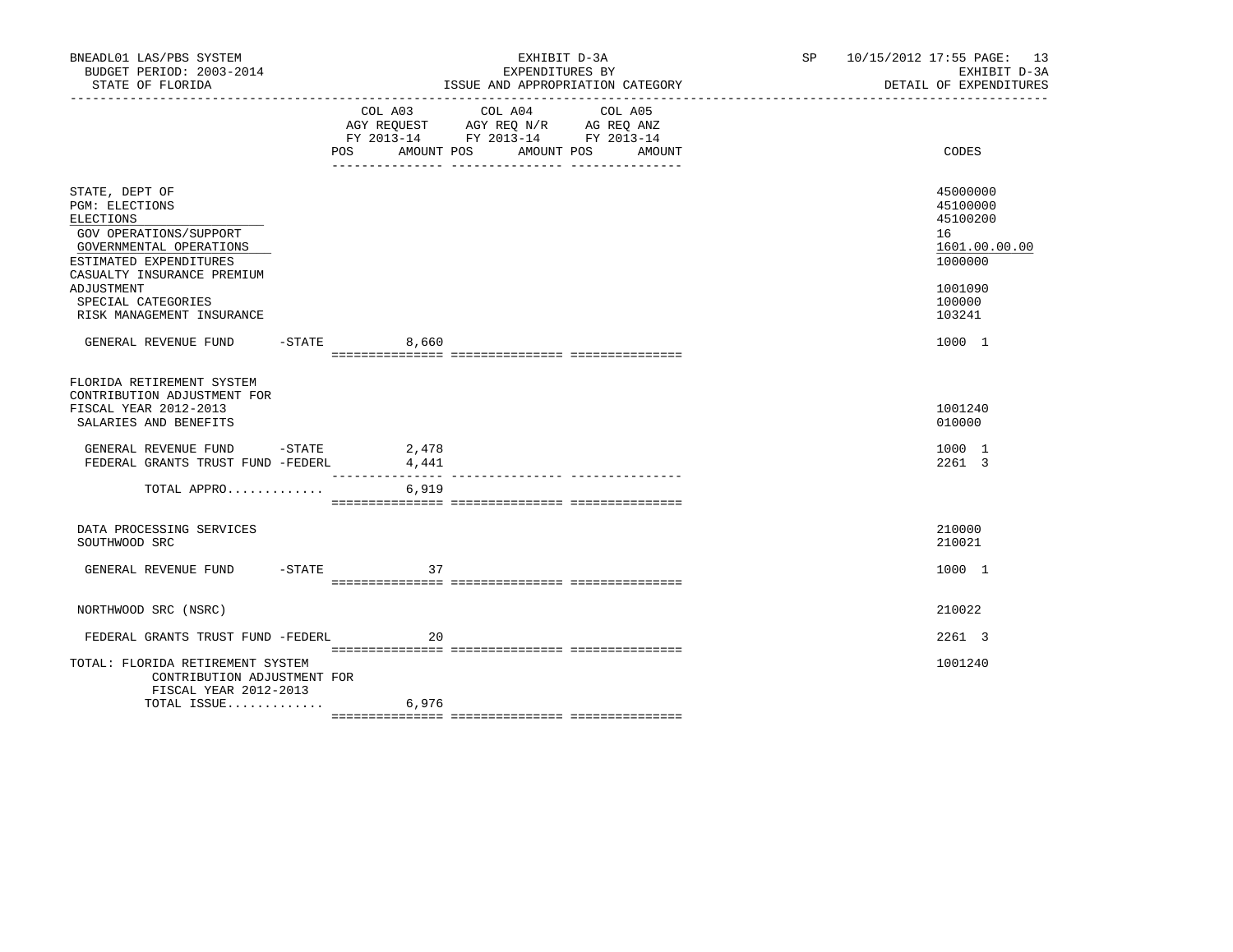| BNEADL01 LAS/PBS SYSTEM<br>BUDGET PERIOD: 2003-2014<br>STATE OF FLORIDA                                                                                    |                              | EXHIBIT D-3A<br>EXPENDITURES BY<br>ISSUE AND APPROPRIATION CATEGORY<br>____________________________________                                 | SP 10/15/2012 17:55 PAGE: 13                      | EXHIBIT D-3A<br>DETAIL OF EXPENDITURES |  |
|------------------------------------------------------------------------------------------------------------------------------------------------------------|------------------------------|---------------------------------------------------------------------------------------------------------------------------------------------|---------------------------------------------------|----------------------------------------|--|
|                                                                                                                                                            |                              | COL A03 COL A04<br>COL A05<br>AGY REQUEST AGY REQ N/R AG REQ ANZ<br>FY 2013-14 FY 2013-14 FY 2013-14<br>POS AMOUNT POS AMOUNT POS<br>AMOUNT | CODES                                             |                                        |  |
| STATE, DEPT OF<br>PGM: ELECTIONS<br>ELECTIONS<br>GOV OPERATIONS/SUPPORT<br>GOVERNMENTAL OPERATIONS<br>ESTIMATED EXPENDITURES<br>CASUALTY INSURANCE PREMIUM |                              |                                                                                                                                             | 45000000<br>45100000<br>45100200<br>16<br>1000000 | 1601.00.00.00                          |  |
| ADJUSTMENT<br>SPECIAL CATEGORIES<br>RISK MANAGEMENT INSURANCE                                                                                              |                              |                                                                                                                                             | 1001090<br>100000<br>103241                       |                                        |  |
| GENERAL REVENUE FUND -STATE 6,660                                                                                                                          |                              |                                                                                                                                             | 1000 1                                            |                                        |  |
| FLORIDA RETIREMENT SYSTEM<br>CONTRIBUTION ADJUSTMENT FOR<br>FISCAL YEAR 2012-2013<br>SALARIES AND BENEFITS                                                 |                              |                                                                                                                                             | 1001240<br>010000                                 |                                        |  |
| GENERAL REVENUE FUND -STATE 2,478<br>FEDERAL GRANTS TRUST FUND -FEDERL                                                                                     | 4,441<br>$- - - - - - - - -$ |                                                                                                                                             | 1000 1<br>2261 3                                  |                                        |  |
| TOTAL APPRO                                                                                                                                                | 6,919                        |                                                                                                                                             |                                                   |                                        |  |
| DATA PROCESSING SERVICES<br>SOUTHWOOD SRC                                                                                                                  |                              |                                                                                                                                             | 210000<br>210021                                  |                                        |  |
| GENERAL REVENUE FUND - STATE                                                                                                                               | 37                           |                                                                                                                                             | 1000 1                                            |                                        |  |
| NORTHWOOD SRC (NSRC)                                                                                                                                       |                              |                                                                                                                                             | 210022                                            |                                        |  |
| FEDERAL GRANTS TRUST FUND -FEDERL                                                                                                                          | 20                           |                                                                                                                                             | 2261 3                                            |                                        |  |
| TOTAL: FLORIDA RETIREMENT SYSTEM<br>CONTRIBUTION ADJUSTMENT FOR<br>FISCAL YEAR 2012-2013                                                                   |                              |                                                                                                                                             | 1001240                                           |                                        |  |
| TOTAL ISSUE                                                                                                                                                | 6,976                        |                                                                                                                                             |                                                   |                                        |  |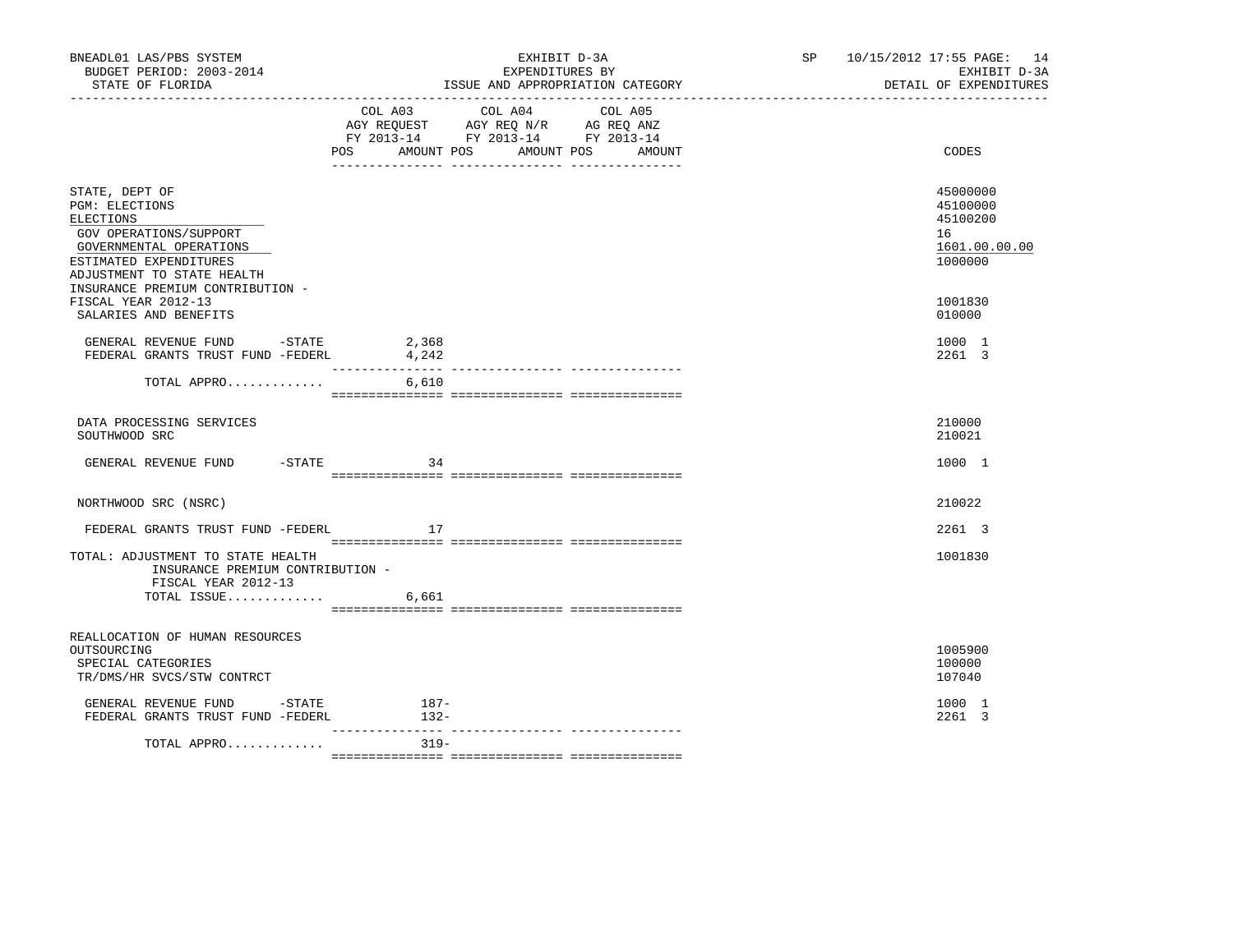| BNEADL01 LAS/PBS SYSTEM<br>BUDGET PERIOD: 2003-2014<br>STATE OF FLORIDA                                                                                                                               |                           | EXHIBIT D-3A<br>EXPENDITURES BY<br>ISSUE AND APPROPRIATION CATEGORY                               | SP and the set of the set of the set of the set of the set of the set of the set of the set of the set of the set of the set of the set of the set of the set of the set of the set of the set of the set of the set of the se | 10/15/2012 17:55 PAGE: 14<br>EXHIBIT D-3A<br>DETAIL OF EXPENDITURES |                                                                    |
|-------------------------------------------------------------------------------------------------------------------------------------------------------------------------------------------------------|---------------------------|---------------------------------------------------------------------------------------------------|--------------------------------------------------------------------------------------------------------------------------------------------------------------------------------------------------------------------------------|---------------------------------------------------------------------|--------------------------------------------------------------------|
|                                                                                                                                                                                                       | POS AMOUNT POS AMOUNT POS | COL A03 COL A04 COL A05<br>AGY REQUEST AGY REQ N/R AG REQ ANZ<br>FY 2013-14 FY 2013-14 FY 2013-14 | AMOUNT                                                                                                                                                                                                                         |                                                                     | CODES                                                              |
| STATE, DEPT OF<br><b>PGM: ELECTIONS</b><br>ELECTIONS<br>GOV OPERATIONS/SUPPORT<br>GOVERNMENTAL OPERATIONS<br>ESTIMATED EXPENDITURES<br>ADJUSTMENT TO STATE HEALTH<br>INSURANCE PREMIUM CONTRIBUTION - |                           |                                                                                                   |                                                                                                                                                                                                                                |                                                                     | 45000000<br>45100000<br>45100200<br>16<br>1601.00.00.00<br>1000000 |
| FISCAL YEAR 2012-13<br>SALARIES AND BENEFITS                                                                                                                                                          |                           |                                                                                                   |                                                                                                                                                                                                                                |                                                                     | 1001830<br>010000                                                  |
| GENERAL REVENUE FUND -STATE 2,368<br>FEDERAL GRANTS TRUST FUND -FEDERL                                                                                                                                | 4,242                     |                                                                                                   |                                                                                                                                                                                                                                |                                                                     | 1000 1<br>2261 3                                                   |
| TOTAL APPRO                                                                                                                                                                                           | 6,610                     |                                                                                                   |                                                                                                                                                                                                                                |                                                                     |                                                                    |
| DATA PROCESSING SERVICES<br>SOUTHWOOD SRC                                                                                                                                                             |                           |                                                                                                   |                                                                                                                                                                                                                                |                                                                     | 210000<br>210021                                                   |
| GENERAL REVENUE FUND<br>$-$ STATE                                                                                                                                                                     | 34                        |                                                                                                   |                                                                                                                                                                                                                                |                                                                     | 1000 1                                                             |
| NORTHWOOD SRC (NSRC)                                                                                                                                                                                  |                           |                                                                                                   |                                                                                                                                                                                                                                |                                                                     | 210022                                                             |
| FEDERAL GRANTS TRUST FUND -FEDERL                                                                                                                                                                     | 17                        |                                                                                                   |                                                                                                                                                                                                                                |                                                                     | 2261 3                                                             |
| TOTAL: ADJUSTMENT TO STATE HEALTH<br>INSURANCE PREMIUM CONTRIBUTION -<br>FISCAL YEAR 2012-13                                                                                                          |                           |                                                                                                   |                                                                                                                                                                                                                                |                                                                     | 1001830                                                            |
| TOTAL ISSUE                                                                                                                                                                                           | 6,661                     |                                                                                                   |                                                                                                                                                                                                                                |                                                                     |                                                                    |
| REALLOCATION OF HUMAN RESOURCES<br>OUTSOURCING<br>SPECIAL CATEGORIES<br>TR/DMS/HR SVCS/STW CONTRCT                                                                                                    |                           |                                                                                                   |                                                                                                                                                                                                                                |                                                                     | 1005900<br>100000<br>107040                                        |
| GENERAL REVENUE FUND -STATE 187-<br>FEDERAL GRANTS TRUST FUND -FEDERL                                                                                                                                 | $132-$                    |                                                                                                   |                                                                                                                                                                                                                                |                                                                     | 1000 1<br>2261 3                                                   |
| TOTAL APPRO                                                                                                                                                                                           | $319 -$                   |                                                                                                   |                                                                                                                                                                                                                                |                                                                     |                                                                    |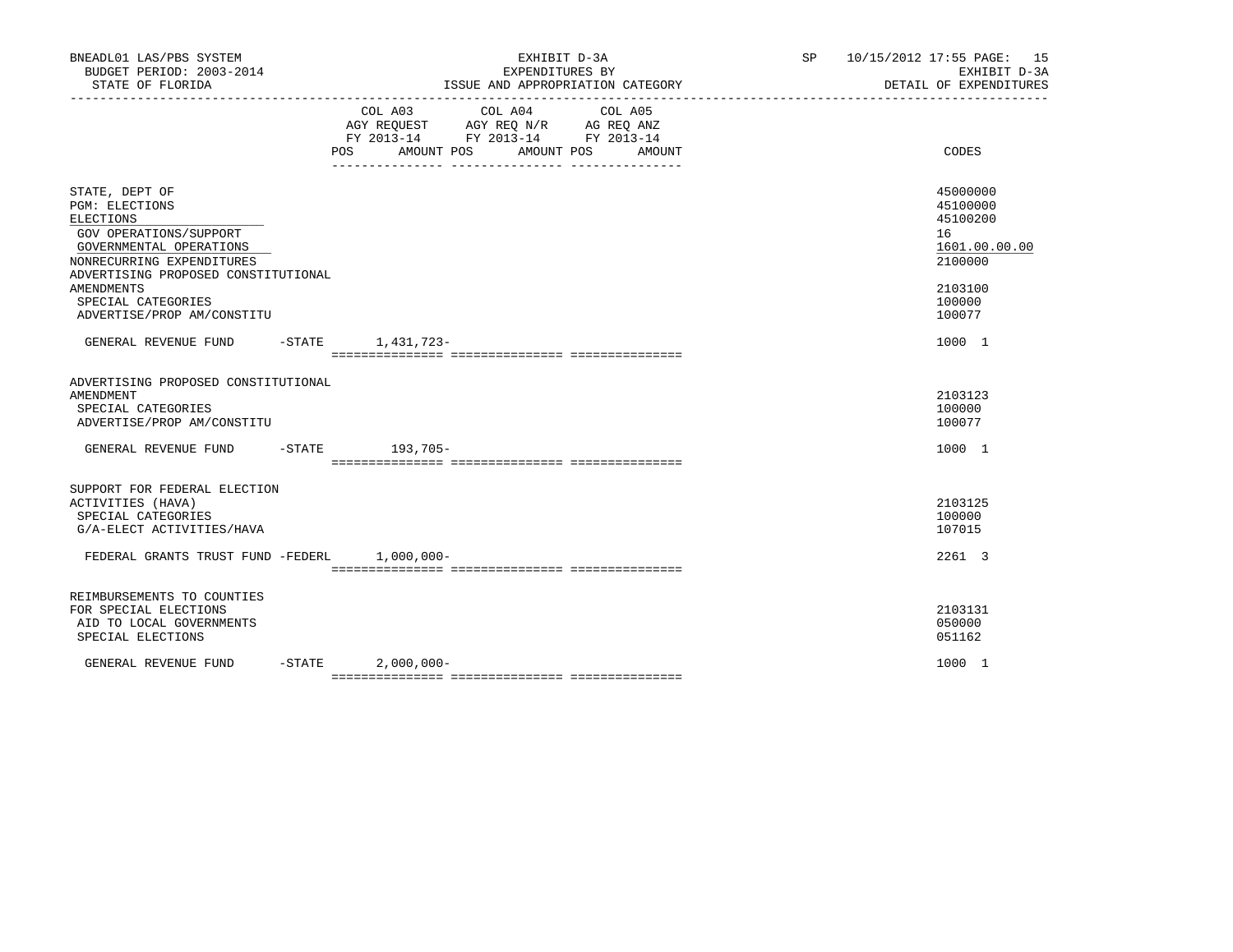| BNEADL01 LAS/PBS SYSTEM<br>BUDGET PERIOD: 2003-2014<br>STATE OF FLORIDA                                                                                                                                                                                | EXHIBIT D-3A<br>EXPENDITURES BY<br>ISSUE AND APPROPRIATION CATEGORY |                                                                                                                                       |  | SP 10/15/2012 17:55 PAGE: 15<br>EXHIBIT D-3A<br>DETAIL OF EXPENDITURES                            |
|--------------------------------------------------------------------------------------------------------------------------------------------------------------------------------------------------------------------------------------------------------|---------------------------------------------------------------------|---------------------------------------------------------------------------------------------------------------------------------------|--|---------------------------------------------------------------------------------------------------|
|                                                                                                                                                                                                                                                        |                                                                     | COL A03 COL A04 COL A05<br>AGY REQUEST AGY REQ N/R AG REQ ANZ<br>FY 2013-14 FY 2013-14 FY 2013-14<br>POS AMOUNT POS AMOUNT POS AMOUNT |  | CODES                                                                                             |
| STATE, DEPT OF<br><b>PGM: ELECTIONS</b><br>ELECTIONS<br>GOV OPERATIONS/SUPPORT<br>GOVERNMENTAL OPERATIONS<br>NONRECURRING EXPENDITURES<br>ADVERTISING PROPOSED CONSTITUTIONAL<br><b>AMENDMENTS</b><br>SPECIAL CATEGORIES<br>ADVERTISE/PROP AM/CONSTITU |                                                                     |                                                                                                                                       |  | 45000000<br>45100000<br>45100200<br>16<br>1601.00.00.00<br>2100000<br>2103100<br>100000<br>100077 |
| GENERAL REVENUE FUND -STATE 1,431,723-                                                                                                                                                                                                                 |                                                                     |                                                                                                                                       |  | 1000 1                                                                                            |
| ADVERTISING PROPOSED CONSTITUTIONAL<br>AMENDMENT<br>SPECIAL CATEGORIES<br>ADVERTISE/PROP AM/CONSTITU                                                                                                                                                   |                                                                     |                                                                                                                                       |  | 2103123<br>100000<br>100077                                                                       |
| GENERAL REVENUE FUND                                                                                                                                                                                                                                   | -STATE 193,705-                                                     |                                                                                                                                       |  | 1000 1                                                                                            |
| SUPPORT FOR FEDERAL ELECTION<br>ACTIVITIES (HAVA)<br>SPECIAL CATEGORIES<br>G/A-ELECT ACTIVITIES/HAVA<br>FEDERAL GRANTS TRUST FUND -FEDERL 1,000,000-                                                                                                   |                                                                     |                                                                                                                                       |  | 2103125<br>100000<br>107015<br>2261 3                                                             |
|                                                                                                                                                                                                                                                        |                                                                     |                                                                                                                                       |  |                                                                                                   |
| REIMBURSEMENTS TO COUNTIES<br>FOR SPECIAL ELECTIONS<br>AID TO LOCAL GOVERNMENTS<br>SPECIAL ELECTIONS                                                                                                                                                   |                                                                     |                                                                                                                                       |  | 2103131<br>050000<br>051162                                                                       |
| GENERAL REVENUE FUND                                                                                                                                                                                                                                   | $-STATE$ 2,000,000-                                                 |                                                                                                                                       |  | 1000 1                                                                                            |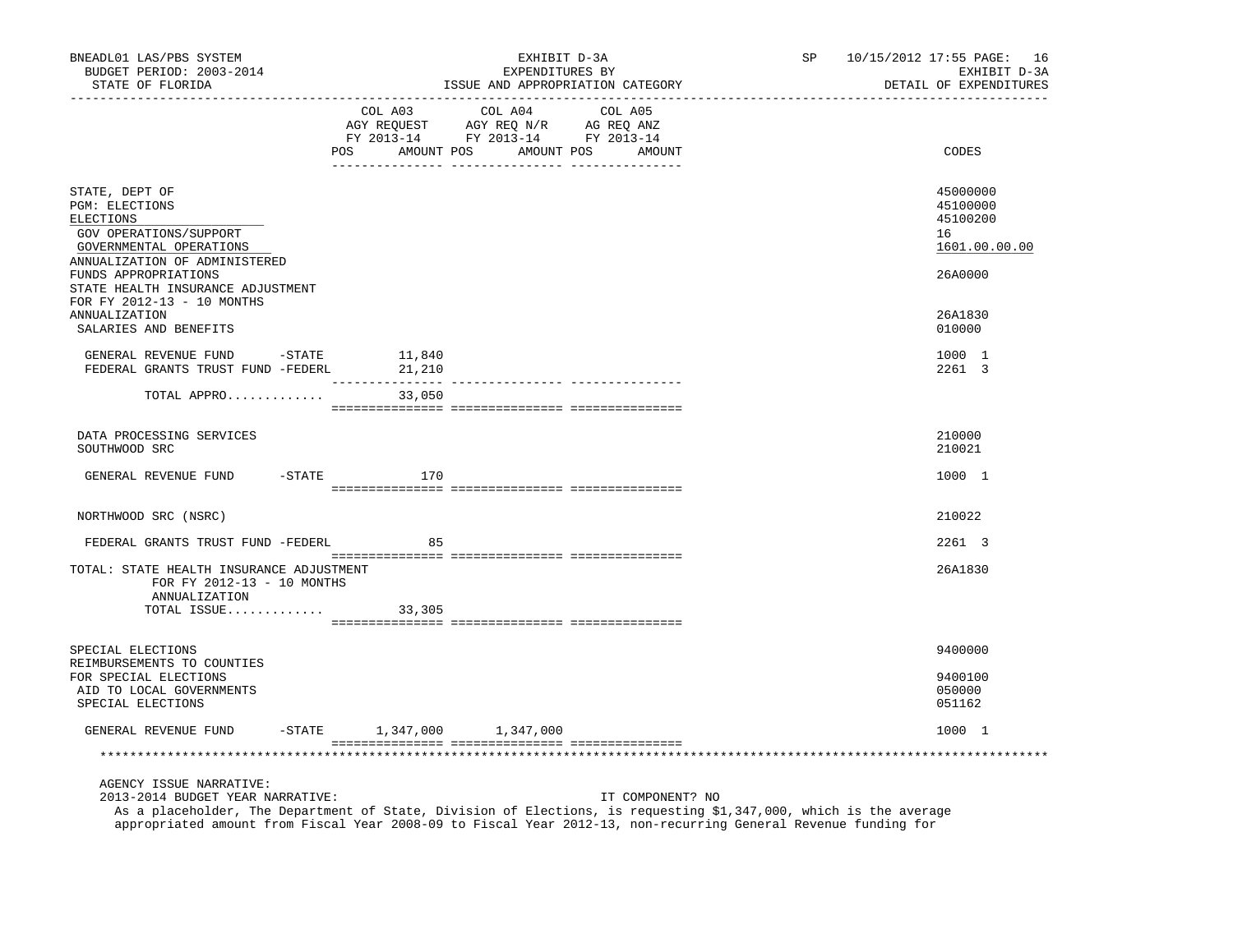| BNEADL01 LAS/PBS SYSTEM<br>BUDGET PERIOD: 2003-2014<br>STATE OF FLORIDA                                                                                                                                                                                                         |                                              | EXHIBIT D-3A<br>EXPENDITURES BY<br>ISSUE AND APPROPRIATION CATEGORY                                                                                                                                                                                     | SP<br>10/15/2012 17:55 PAGE: 16<br>EXHIBIT D-3A<br>DETAIL OF EXPENDITURES               |
|---------------------------------------------------------------------------------------------------------------------------------------------------------------------------------------------------------------------------------------------------------------------------------|----------------------------------------------|---------------------------------------------------------------------------------------------------------------------------------------------------------------------------------------------------------------------------------------------------------|-----------------------------------------------------------------------------------------|
|                                                                                                                                                                                                                                                                                 | ---------------------------------<br>COL A03 | COL A04<br>COL A05<br>CO AGY REQUEST AGY REQ N/R AG REQ ANZ<br>FY 2013-14 FY 2013-14 FY 2013-14<br>POS AMOUNT POS AMOUNT POS AMOUNT                                                                                                                     | CODES                                                                                   |
| STATE, DEPT OF<br><b>PGM: ELECTIONS</b><br>ELECTIONS<br>GOV OPERATIONS/SUPPORT<br>GOVERNMENTAL OPERATIONS<br>ANNUALIZATION OF ADMINISTERED<br>FUNDS APPROPRIATIONS<br>STATE HEALTH INSURANCE ADJUSTMENT<br>FOR FY 2012-13 - 10 MONTHS<br>ANNUALIZATION<br>SALARIES AND BENEFITS |                                              |                                                                                                                                                                                                                                                         | 45000000<br>45100000<br>45100200<br>16<br>1601.00.00.00<br>26A0000<br>26A1830<br>010000 |
| GENERAL REVENUE FUND<br>$-$ STATE<br>FEDERAL GRANTS TRUST FUND -FEDERL                                                                                                                                                                                                          | 11,840<br>21,210                             |                                                                                                                                                                                                                                                         | 1000 1<br>2261 3                                                                        |
| TOTAL APPRO                                                                                                                                                                                                                                                                     | 33,050                                       |                                                                                                                                                                                                                                                         |                                                                                         |
| DATA PROCESSING SERVICES<br>SOUTHWOOD SRC                                                                                                                                                                                                                                       |                                              |                                                                                                                                                                                                                                                         | 210000<br>210021                                                                        |
| GENERAL REVENUE FUND -STATE                                                                                                                                                                                                                                                     | 170                                          |                                                                                                                                                                                                                                                         | 1000 1                                                                                  |
| NORTHWOOD SRC (NSRC)                                                                                                                                                                                                                                                            |                                              |                                                                                                                                                                                                                                                         | 210022                                                                                  |
| FEDERAL GRANTS TRUST FUND -FEDERL                                                                                                                                                                                                                                               | 85                                           |                                                                                                                                                                                                                                                         | 2261 3                                                                                  |
| TOTAL: STATE HEALTH INSURANCE ADJUSTMENT<br>FOR FY 2012-13 - 10 MONTHS<br>ANNUALIZATION<br>TOTAL ISSUE                                                                                                                                                                          | 33,305                                       |                                                                                                                                                                                                                                                         | 26A1830                                                                                 |
|                                                                                                                                                                                                                                                                                 |                                              |                                                                                                                                                                                                                                                         |                                                                                         |
| SPECIAL ELECTIONS<br>REIMBURSEMENTS TO COUNTIES<br>FOR SPECIAL ELECTIONS<br>AID TO LOCAL GOVERNMENTS<br>SPECIAL ELECTIONS                                                                                                                                                       |                                              |                                                                                                                                                                                                                                                         | 9400000<br>9400100<br>050000<br>051162                                                  |
| GENERAL REVENUE FUND                                                                                                                                                                                                                                                            | -STATE 1,347,000 1,347,000                   |                                                                                                                                                                                                                                                         | 1000 1                                                                                  |
|                                                                                                                                                                                                                                                                                 |                                              |                                                                                                                                                                                                                                                         |                                                                                         |
| AGENCY ISSUE NARRATIVE:<br>2013-2014 BUDGET YEAR NARRATIVE:                                                                                                                                                                                                                     |                                              | IT COMPONENT? NO<br>As a placeholder, The Department of State, Division of Elections, is requesting \$1,347,000, which is the average<br>appropriated amount from Fiscal Year 2008-09 to Fiscal Year 2012-13, non-recurring General Revenue funding for |                                                                                         |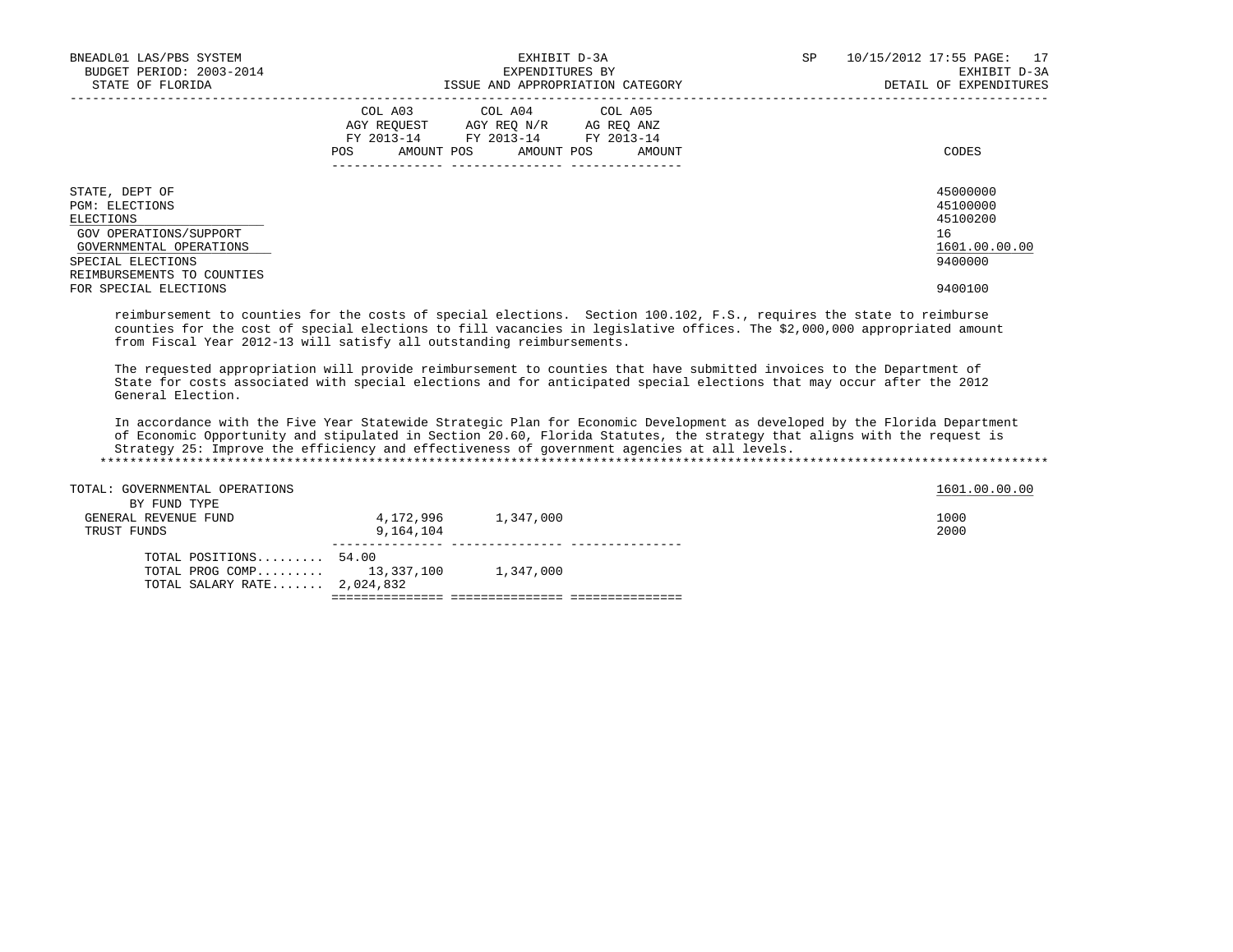| BNEADL01 LAS/PBS SYSTEM<br>BUDGET PERIOD: 2003-2014<br>STATE OF FLORIDA                                                                               | EXHIBIT D-3A<br>EXPENDITURES BY<br>ISSUE AND APPROPRIATION CATEGORY                                                                            | SP<br>10/15/2012 17:55 PAGE: 17<br>EXHIBIT D-3A<br>DETAIL OF EXPENDITURES |
|-------------------------------------------------------------------------------------------------------------------------------------------------------|------------------------------------------------------------------------------------------------------------------------------------------------|---------------------------------------------------------------------------|
|                                                                                                                                                       | COL A03 COL A04 COL A05<br>AGY REOUEST AGY REO N/R AG REO ANZ<br>FY 2013-14 FY 2013-14 FY 2013-14<br>AMOUNT POS<br>POS<br>AMOUNT POS<br>AMOUNT | CODES                                                                     |
| STATE, DEPT OF<br>PGM: ELECTIONS<br>ELECTIONS<br>GOV OPERATIONS/SUPPORT<br>GOVERNMENTAL OPERATIONS<br>SPECIAL ELECTIONS<br>REIMBURSEMENTS TO COUNTIES |                                                                                                                                                | 45000000<br>45100000<br>45100200<br>16<br>1601.00.00.00<br>9400000        |
| FOR SPECIAL ELECTIONS                                                                                                                                 |                                                                                                                                                | 9400100                                                                   |

 reimbursement to counties for the costs of special elections. Section 100.102, F.S., requires the state to reimburse counties for the cost of special elections to fill vacancies in legislative offices. The \$2,000,000 appropriated amount from Fiscal Year 2012-13 will satisfy all outstanding reimbursements.

 The requested appropriation will provide reimbursement to counties that have submitted invoices to the Department of State for costs associated with special elections and for anticipated special elections that may occur after the 2012 General Election.

 In accordance with the Five Year Statewide Strategic Plan for Economic Development as developed by the Florida Department of Economic Opportunity and stipulated in Section 20.60, Florida Statutes, the strategy that aligns with the request is Strategy 25: Improve the efficiency and effectiveness of government agencies at all levels. \*\*\*\*\*\*\*\*\*\*\*\*\*\*\*\*\*\*\*\*\*\*\*\*\*\*\*\*\*\*\*\*\*\*\*\*\*\*\*\*\*\*\*\*\*\*\*\*\*\*\*\*\*\*\*\*\*\*\*\*\*\*\*\*\*\*\*\*\*\*\*\*\*\*\*\*\*\*\*\*\*\*\*\*\*\*\*\*\*\*\*\*\*\*\*\*\*\*\*\*\*\*\*\*\*\*\*\*\*\*\*\*\*\*\*\*\*\*\*\*\*\*\*\*\*\*\*

| TOTAL: GOVERNMENTAL OPERATIONS |           |           | 1601.00.00.00 |
|--------------------------------|-----------|-----------|---------------|
| BY FUND TYPE                   |           |           |               |
| GENERAL REVENUE FUND           | 4,172,996 | 1,347,000 | 1000          |
| TRUST FUNDS                    | 9,164,104 |           | 2000          |
| TOTAL POSITIONS $54.00$        |           |           |               |
| TOTAL PROG COMP 13,337,100     |           | 1,347,000 |               |
| TOTAL SALARY RATE $2,024,832$  |           |           |               |
|                                |           |           |               |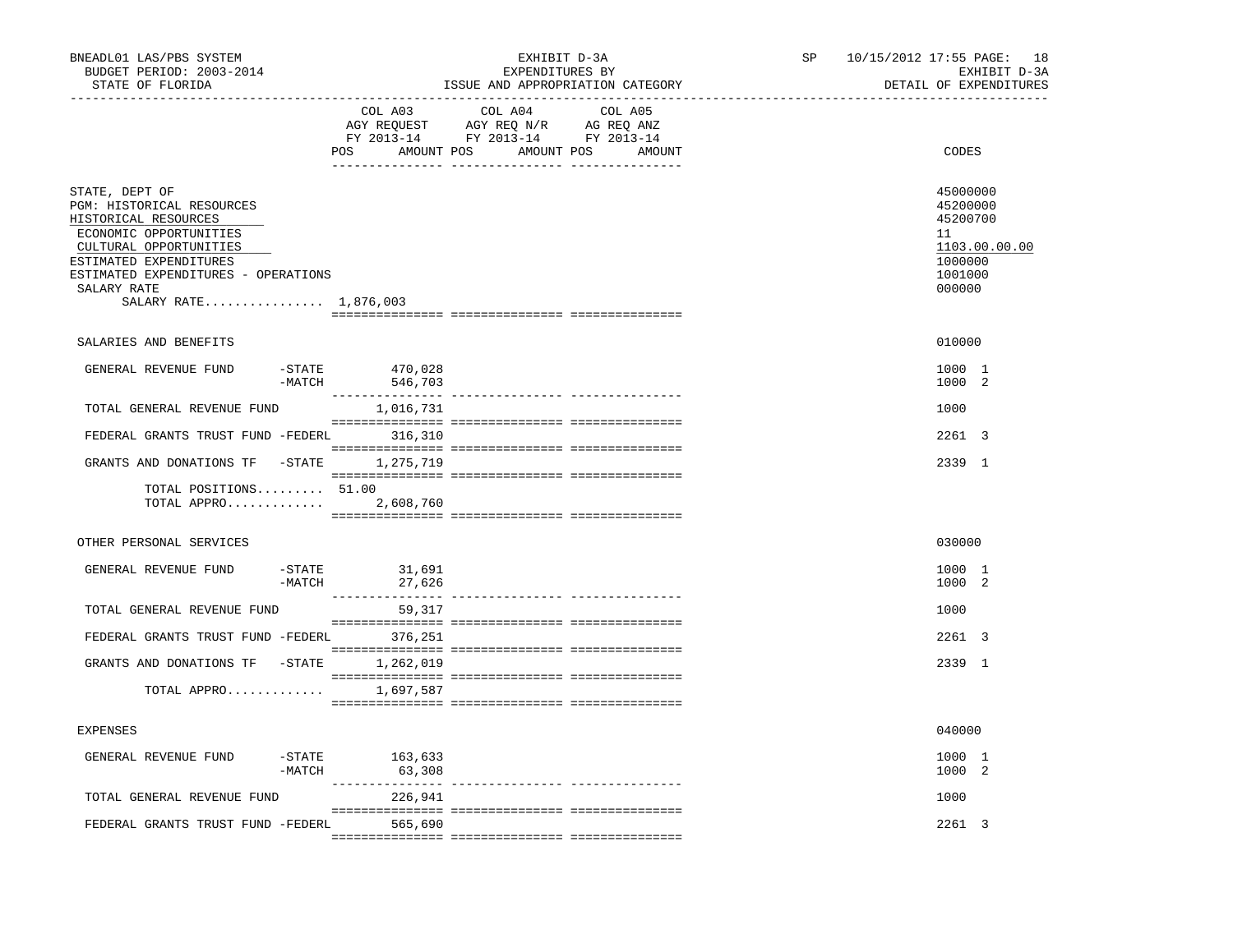| BNEADL01 LAS/PBS SYSTEM<br>BUDGET PERIOD: 2003-2014<br>STATE OF FLORIDA                                                                                                                                                          |                       | EXHIBIT D-3A<br>EXPENDITURES BY<br>ISSUE AND APPROPRIATION CATEGORY |                                                                                                                                                                                                                                                                                                                                                                                                                                                                 |                   |  | 10/15/2012 17:55 PAGE: 18<br>EXHIBIT D-3A<br>DETAIL OF EXPENDITURES                     |
|----------------------------------------------------------------------------------------------------------------------------------------------------------------------------------------------------------------------------------|-----------------------|---------------------------------------------------------------------|-----------------------------------------------------------------------------------------------------------------------------------------------------------------------------------------------------------------------------------------------------------------------------------------------------------------------------------------------------------------------------------------------------------------------------------------------------------------|-------------------|--|-----------------------------------------------------------------------------------------|
|                                                                                                                                                                                                                                  |                       | COL A03                                                             | COL A04<br>AGY REQUEST AGY REQ N/R AG REQ ANZ<br>FY 2013-14 FY 2013-14 FY 2013-14<br>POS AMOUNT POS AMOUNT POS                                                                                                                                                                                                                                                                                                                                                  | COL A05<br>AMOUNT |  | CODES                                                                                   |
| STATE, DEPT OF<br>PGM: HISTORICAL RESOURCES<br>HISTORICAL RESOURCES<br>ECONOMIC OPPORTUNITIES<br>CULTURAL OPPORTUNITIES<br>ESTIMATED EXPENDITURES<br>ESTIMATED EXPENDITURES - OPERATIONS<br>SALARY RATE<br>SALARY RATE 1,876,003 |                       |                                                                     |                                                                                                                                                                                                                                                                                                                                                                                                                                                                 |                   |  | 45000000<br>45200000<br>45200700<br>11<br>1103.00.00.00<br>1000000<br>1001000<br>000000 |
| SALARIES AND BENEFITS                                                                                                                                                                                                            |                       |                                                                     |                                                                                                                                                                                                                                                                                                                                                                                                                                                                 |                   |  | 010000                                                                                  |
| GENERAL REVENUE FUND                                                                                                                                                                                                             | $-$ STATE<br>$-MATCH$ | 470,028<br>546,703                                                  |                                                                                                                                                                                                                                                                                                                                                                                                                                                                 |                   |  | 1000 1<br>1000 2                                                                        |
| TOTAL GENERAL REVENUE FUND                                                                                                                                                                                                       |                       | 1,016,731                                                           |                                                                                                                                                                                                                                                                                                                                                                                                                                                                 |                   |  | 1000                                                                                    |
| FEDERAL GRANTS TRUST FUND -FEDERL 316,310                                                                                                                                                                                        |                       |                                                                     |                                                                                                                                                                                                                                                                                                                                                                                                                                                                 |                   |  | 2261 3                                                                                  |
| GRANTS AND DONATIONS TF -STATE 1,275,719<br>TOTAL POSITIONS 51.00<br>TOTAL APPRO 2,608,760                                                                                                                                       |                       |                                                                     |                                                                                                                                                                                                                                                                                                                                                                                                                                                                 |                   |  | 2339 1                                                                                  |
|                                                                                                                                                                                                                                  |                       |                                                                     |                                                                                                                                                                                                                                                                                                                                                                                                                                                                 |                   |  |                                                                                         |
| OTHER PERSONAL SERVICES                                                                                                                                                                                                          |                       |                                                                     |                                                                                                                                                                                                                                                                                                                                                                                                                                                                 |                   |  | 030000                                                                                  |
| GENERAL REVENUE FUND                                                                                                                                                                                                             | $-MATCH$              | $-STATE$ 31,691<br>27,626                                           |                                                                                                                                                                                                                                                                                                                                                                                                                                                                 |                   |  | 1000 1<br>1000 2                                                                        |
| TOTAL GENERAL REVENUE FUND                                                                                                                                                                                                       |                       | 59,317                                                              |                                                                                                                                                                                                                                                                                                                                                                                                                                                                 |                   |  | 1000                                                                                    |
| FEDERAL GRANTS TRUST FUND -FEDERL 376,251                                                                                                                                                                                        |                       |                                                                     |                                                                                                                                                                                                                                                                                                                                                                                                                                                                 |                   |  | 2261 3                                                                                  |
| GRANTS AND DONATIONS TF -STATE 1,262,019                                                                                                                                                                                         |                       |                                                                     |                                                                                                                                                                                                                                                                                                                                                                                                                                                                 |                   |  | 2339 1                                                                                  |
| TOTAL APPRO 1,697,587                                                                                                                                                                                                            |                       |                                                                     |                                                                                                                                                                                                                                                                                                                                                                                                                                                                 |                   |  |                                                                                         |
| <b>EXPENSES</b>                                                                                                                                                                                                                  |                       |                                                                     |                                                                                                                                                                                                                                                                                                                                                                                                                                                                 |                   |  | 040000                                                                                  |
| GENERAL REVENUE FUND                                                                                                                                                                                                             | $-MATCH$              | -STATE 163,633<br>63,308                                            |                                                                                                                                                                                                                                                                                                                                                                                                                                                                 |                   |  | 1000 1<br>1000 2                                                                        |
| TOTAL GENERAL REVENUE FUND                                                                                                                                                                                                       |                       | 226,941                                                             |                                                                                                                                                                                                                                                                                                                                                                                                                                                                 |                   |  | 1000                                                                                    |
| FEDERAL GRANTS TRUST FUND -FEDERL 565,690                                                                                                                                                                                        |                       |                                                                     | $\begin{minipage}{0.03\textwidth} \begin{tabular}{l} \textbf{0.04\textwidth} \textbf{0.04\textwidth} \textbf{0.04\textwidth} \textbf{0.04\textwidth} \textbf{0.04\textwidth} \textbf{0.04\textwidth} \textbf{0.04\textwidth} \textbf{0.04\textwidth} \textbf{0.04\textwidth} \textbf{0.04\textwidth} \textbf{0.04\textwidth} \textbf{0.04\textwidth} \textbf{0.04\textwidth} \textbf{0.04\textwidth} \textbf{0.04\textwidth} \textbf{0.04\textwidth} \textbf{0$ |                   |  | 2261 3                                                                                  |
|                                                                                                                                                                                                                                  |                       |                                                                     |                                                                                                                                                                                                                                                                                                                                                                                                                                                                 |                   |  |                                                                                         |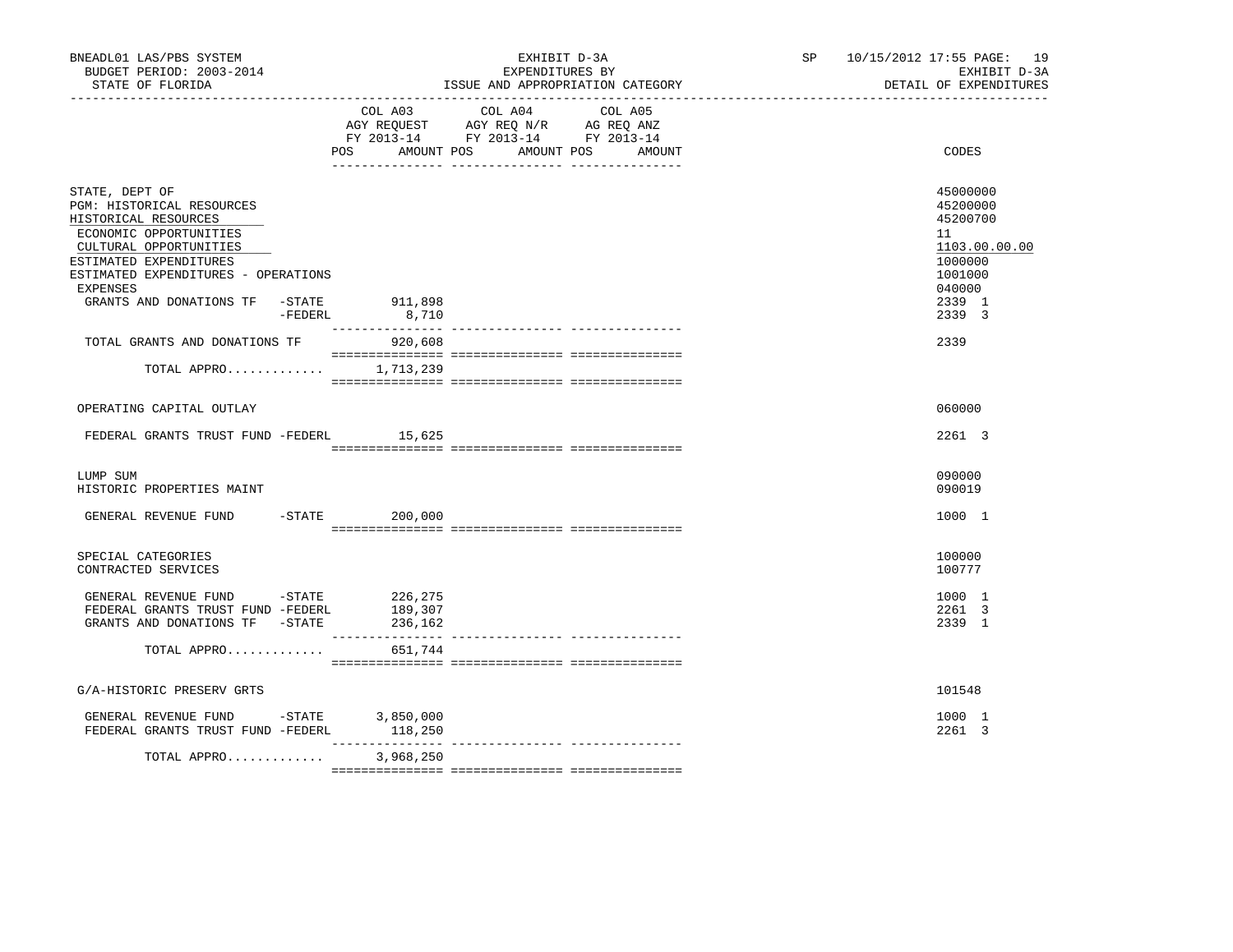| BNEADL01 LAS/PBS SYSTEM<br>BUDGET PERIOD: 2003-2014<br>STATE OF FLORIDA                                                                                                                                                                |         | EXHIBIT D-3A<br>EXPENDITURES BY<br>ISSUE AND APPROPRIATION CATEGORY |                                                                                                   |                      | SP <sub>2</sub> | 10/15/2012 17:55 PAGE: 19<br>EXHIBIT D-3A<br>DETAIL OF EXPENDITURES                               |
|----------------------------------------------------------------------------------------------------------------------------------------------------------------------------------------------------------------------------------------|---------|---------------------------------------------------------------------|---------------------------------------------------------------------------------------------------|----------------------|-----------------|---------------------------------------------------------------------------------------------------|
|                                                                                                                                                                                                                                        |         | POS AMOUNT POS                                                      | COL A03 COL A04 COL A05<br>AGY REQUEST AGY REQ N/R AG REQ ANZ<br>FY 2013-14 FY 2013-14 FY 2013-14 | AMOUNT POS<br>AMOUNT |                 | CODES                                                                                             |
| STATE, DEPT OF<br>PGM: HISTORICAL RESOURCES<br>HISTORICAL RESOURCES<br>ECONOMIC OPPORTUNITIES<br>CULTURAL OPPORTUNITIES<br>ESTIMATED EXPENDITURES<br>ESTIMATED EXPENDITURES - OPERATIONS<br>EXPENSES<br>GRANTS AND DONATIONS TF -STATE |         | 911,898                                                             |                                                                                                   |                      |                 | 45000000<br>45200000<br>45200700<br>11<br>1103.00.00.00<br>1000000<br>1001000<br>040000<br>2339 1 |
| TOTAL GRANTS AND DONATIONS TF                                                                                                                                                                                                          | -FEDERL | 8,710<br>920,608                                                    |                                                                                                   |                      |                 | 2339 3<br>2339                                                                                    |
| TOTAL APPRO 1,713,239                                                                                                                                                                                                                  |         |                                                                     |                                                                                                   |                      |                 |                                                                                                   |
| OPERATING CAPITAL OUTLAY                                                                                                                                                                                                               |         |                                                                     |                                                                                                   |                      |                 | 060000                                                                                            |
| FEDERAL GRANTS TRUST FUND -FEDERL 15,625                                                                                                                                                                                               |         |                                                                     |                                                                                                   |                      |                 | 2261 3                                                                                            |
| LUMP SUM<br>HISTORIC PROPERTIES MAINT                                                                                                                                                                                                  |         |                                                                     |                                                                                                   |                      |                 | 090000<br>090019                                                                                  |
| GENERAL REVENUE FUND                                                                                                                                                                                                                   |         | $-STATE$ 200,000                                                    |                                                                                                   |                      |                 | 1000 1                                                                                            |
| SPECIAL CATEGORIES<br>CONTRACTED SERVICES                                                                                                                                                                                              |         |                                                                     |                                                                                                   |                      |                 | 100000<br>100777                                                                                  |
| GENERAL REVENUE FUND -STATE 226,275<br>FEDERAL GRANTS TRUST FUND -FEDERL<br>GRANTS AND DONATIONS TF -STATE 236,162                                                                                                                     |         | 189,307                                                             |                                                                                                   |                      |                 | 1000 1<br>2261 3<br>2339 1                                                                        |
| TOTAL APPRO                                                                                                                                                                                                                            |         | 651,744                                                             |                                                                                                   |                      |                 |                                                                                                   |
| G/A-HISTORIC PRESERV GRTS                                                                                                                                                                                                              |         |                                                                     |                                                                                                   |                      |                 | 101548                                                                                            |
| GENERAL REVENUE FUND -STATE 3,850,000<br>FEDERAL GRANTS TRUST FUND -FEDERL 118,250                                                                                                                                                     |         |                                                                     |                                                                                                   |                      |                 | 1000 1<br>2261 3                                                                                  |
| TOTAL APPRO                                                                                                                                                                                                                            |         | 3,968,250                                                           |                                                                                                   |                      |                 |                                                                                                   |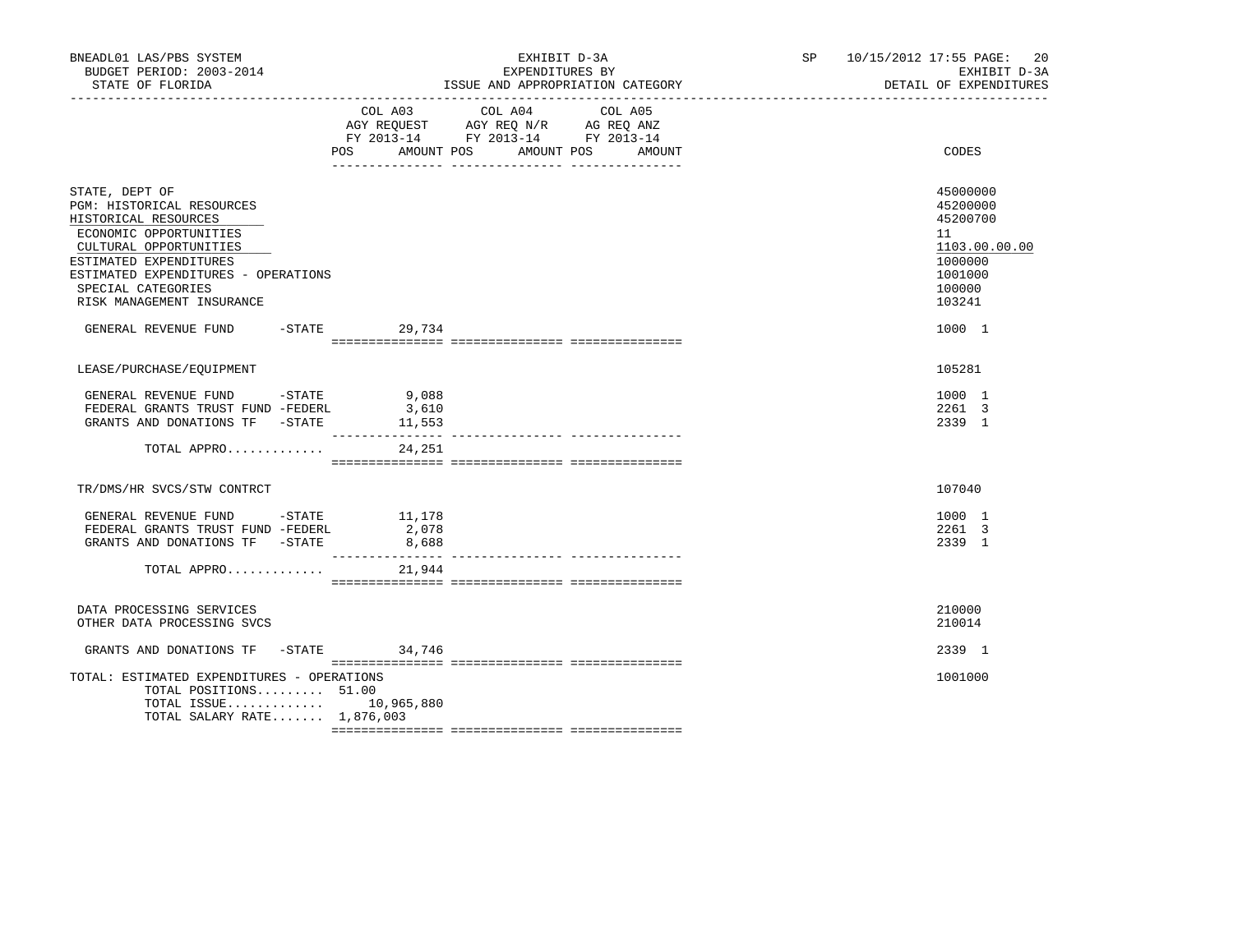| BNEADL01 LAS/PBS SYSTEM<br>BUDGET PERIOD: 2003-2014<br>STATE OF FLORIDA                                                                                                                                                                     | EXHIBIT D-3A<br>EXPENDITURES BY<br>ISSUE AND APPROPRIATION CATEGORY |                                                                                                                                                                                                           |                                                  |                               | SP 10/15/2012 17:55 PAGE:<br>20<br>EXHIBIT D-3A<br>DETAIL OF EXPENDITURES                         |
|---------------------------------------------------------------------------------------------------------------------------------------------------------------------------------------------------------------------------------------------|---------------------------------------------------------------------|-----------------------------------------------------------------------------------------------------------------------------------------------------------------------------------------------------------|--------------------------------------------------|-------------------------------|---------------------------------------------------------------------------------------------------|
|                                                                                                                                                                                                                                             |                                                                     | $\begin{tabular}{lllllll} \bf AGY & \bf REQUEST & \bf AGY & \bf REQ & \tt N/R & \bf AG & \tt REQ & \tt ANZ \\ \bf FY & \tt 2013-14 & \tt FY & \tt 2013-14 & \tt FY & \tt 2013-14 \\ \end{tabular}$<br>POS | COL A03 COL A04 COL A05<br>AMOUNT POS AMOUNT POS | AMOUNT                        | CODES                                                                                             |
| STATE, DEPT OF<br>PGM: HISTORICAL RESOURCES<br>HISTORICAL RESOURCES<br>ECONOMIC OPPORTUNITIES<br>CULTURAL OPPORTUNITIES<br>ESTIMATED EXPENDITURES<br>ESTIMATED EXPENDITURES - OPERATIONS<br>SPECIAL CATEGORIES<br>RISK MANAGEMENT INSURANCE |                                                                     |                                                                                                                                                                                                           |                                                  |                               | 45000000<br>45200000<br>45200700<br>11<br>1103.00.00.00<br>1000000<br>1001000<br>100000<br>103241 |
| GENERAL REVENUE FUND -STATE 29,734                                                                                                                                                                                                          |                                                                     |                                                                                                                                                                                                           |                                                  |                               | 1000 1                                                                                            |
| LEASE/PURCHASE/EQUIPMENT                                                                                                                                                                                                                    |                                                                     |                                                                                                                                                                                                           |                                                  |                               | 105281                                                                                            |
| GENERAL REVENUE FUND -STATE 9,088<br>FEDERAL GRANTS TRUST FUND -FEDERL<br>GRANTS AND DONATIONS TF -STATE<br>TOTAL APPRO                                                                                                                     |                                                                     | 3,610<br>11,553<br>24,251                                                                                                                                                                                 |                                                  |                               | 1000 1<br>2261 3<br>2339 1                                                                        |
| TR/DMS/HR SVCS/STW CONTRCT                                                                                                                                                                                                                  |                                                                     |                                                                                                                                                                                                           |                                                  |                               | 107040                                                                                            |
| GENERAL REVENUE FUND -STATE 11,178<br>FEDERAL GRANTS TRUST FUND -FEDERL<br>GRANTS AND DONATIONS TF -STATE<br>TOTAL APPRO                                                                                                                    |                                                                     | 2,078<br>8,688<br>_________________<br>21,944                                                                                                                                                             |                                                  | ------------- --------------- | 1000 1<br>2261 3<br>2339 1                                                                        |
| DATA PROCESSING SERVICES                                                                                                                                                                                                                    |                                                                     |                                                                                                                                                                                                           |                                                  |                               | 210000                                                                                            |
| OTHER DATA PROCESSING SVCS                                                                                                                                                                                                                  |                                                                     |                                                                                                                                                                                                           |                                                  |                               | 210014                                                                                            |
| GRANTS AND DONATIONS TF - STATE 34,746                                                                                                                                                                                                      |                                                                     |                                                                                                                                                                                                           |                                                  |                               | 2339 1                                                                                            |
| TOTAL: ESTIMATED EXPENDITURES - OPERATIONS<br>TOTAL POSITIONS 51.00<br>TOTAL ISSUE 10,965,880<br>TOTAL SALARY RATE 1,876,003                                                                                                                |                                                                     |                                                                                                                                                                                                           |                                                  |                               | 1001000                                                                                           |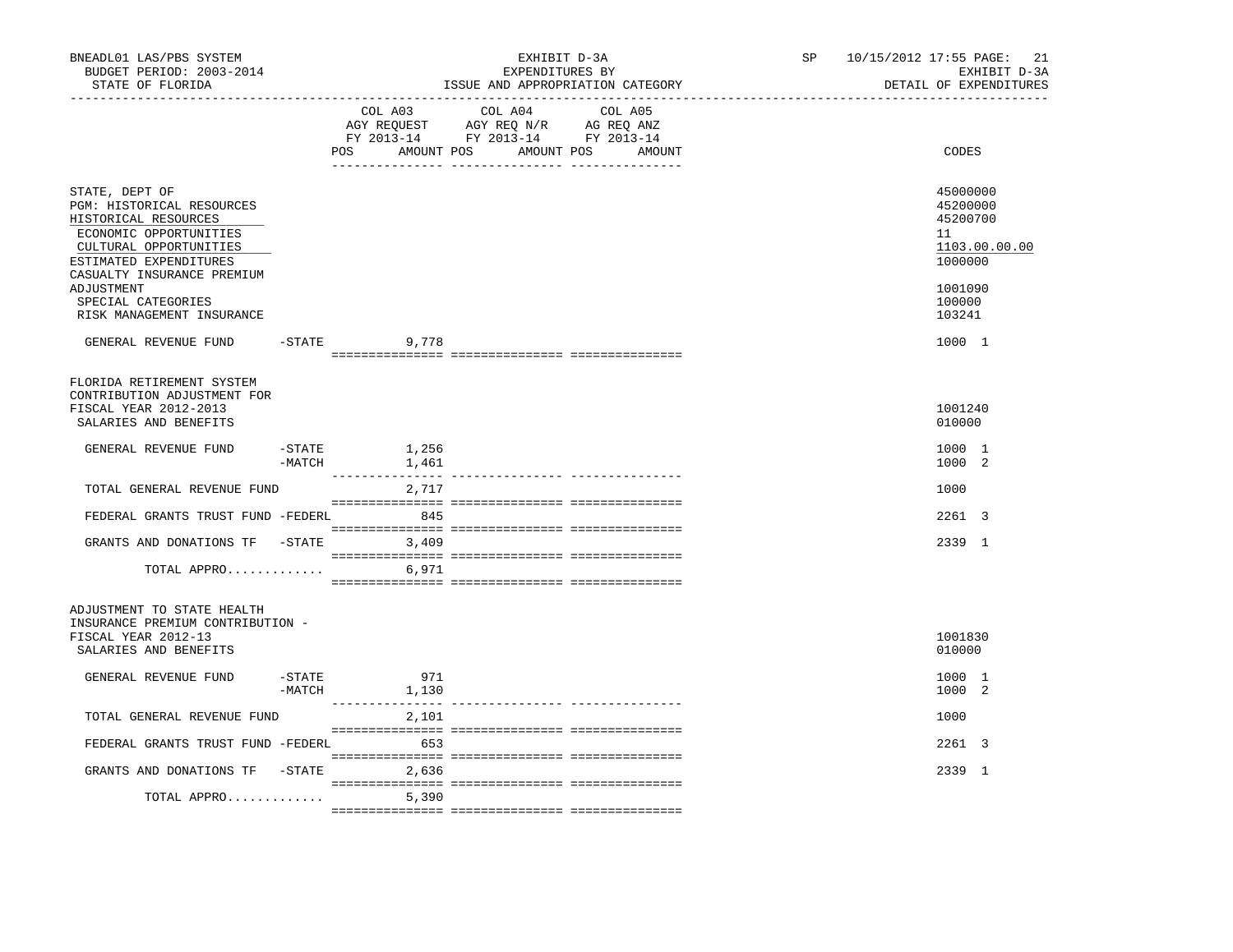| BNEADL01 LAS/PBS SYSTEM<br>BUDGET PERIOD: 2003-2014<br>STATE OF FLORIDA                                                                                                                                             |                       |                       | EXHIBIT D-3A<br>EXPENDITURES BY<br>ISSUE AND APPROPRIATION CATEGORY                                                                   | SP and the set of the set of the set of the set of the set of the set of the set of the set of the set of the set of the set of the set of the set of the set of the set of the set of the set of the set of the set of the se | 10/15/2012 17:55 PAGE: 21<br>EXHIBIT D-3A<br>DETAIL OF EXPENDITURES                     |
|---------------------------------------------------------------------------------------------------------------------------------------------------------------------------------------------------------------------|-----------------------|-----------------------|---------------------------------------------------------------------------------------------------------------------------------------|--------------------------------------------------------------------------------------------------------------------------------------------------------------------------------------------------------------------------------|-----------------------------------------------------------------------------------------|
|                                                                                                                                                                                                                     |                       |                       | COL A03 COL A04 COL A05<br>AGY REQUEST AGY REQ N/R AG REQ ANZ<br>FY 2013-14 FY 2013-14 FY 2013-14<br>POS AMOUNT POS AMOUNT POS AMOUNT |                                                                                                                                                                                                                                | CODES                                                                                   |
| STATE, DEPT OF<br>PGM: HISTORICAL RESOURCES<br>HISTORICAL RESOURCES<br>ECONOMIC OPPORTUNITIES<br>CULTURAL OPPORTUNITIES<br>ESTIMATED EXPENDITURES<br>CASUALTY INSURANCE PREMIUM<br>ADJUSTMENT<br>SPECIAL CATEGORIES |                       |                       |                                                                                                                                       |                                                                                                                                                                                                                                | 45000000<br>45200000<br>45200700<br>11<br>1103.00.00.00<br>1000000<br>1001090<br>100000 |
| RISK MANAGEMENT INSURANCE<br>GENERAL REVENUE FUND                                                                                                                                                                   |                       | $-STATE$ 9,778        |                                                                                                                                       |                                                                                                                                                                                                                                | 103241<br>1000 1                                                                        |
| FLORIDA RETIREMENT SYSTEM<br>CONTRIBUTION ADJUSTMENT FOR<br>FISCAL YEAR 2012-2013<br>SALARIES AND BENEFITS                                                                                                          |                       |                       |                                                                                                                                       |                                                                                                                                                                                                                                | 1001240<br>010000                                                                       |
| GENERAL REVENUE FUND                                                                                                                                                                                                | $-$ STATE<br>$-MATCH$ | 1,256<br>1,461        |                                                                                                                                       |                                                                                                                                                                                                                                | 1000 1<br>1000 2                                                                        |
| TOTAL GENERAL REVENUE FUND                                                                                                                                                                                          |                       | 2,717                 |                                                                                                                                       |                                                                                                                                                                                                                                | 1000                                                                                    |
| FEDERAL GRANTS TRUST FUND -FEDERL 845                                                                                                                                                                               |                       |                       |                                                                                                                                       |                                                                                                                                                                                                                                | 2261 3                                                                                  |
| GRANTS AND DONATIONS TF -STATE 3,409                                                                                                                                                                                |                       |                       |                                                                                                                                       |                                                                                                                                                                                                                                | 2339 1                                                                                  |
| TOTAL APPRO                                                                                                                                                                                                         |                       | 6,971                 |                                                                                                                                       |                                                                                                                                                                                                                                |                                                                                         |
| ADJUSTMENT TO STATE HEALTH<br>INSURANCE PREMIUM CONTRIBUTION -<br>FISCAL YEAR 2012-13<br>SALARIES AND BENEFITS                                                                                                      |                       |                       |                                                                                                                                       |                                                                                                                                                                                                                                | 1001830<br>010000                                                                       |
| GENERAL REVENUE FUND                                                                                                                                                                                                | -STATE                | 971<br>$-MATCH$ 1,130 |                                                                                                                                       |                                                                                                                                                                                                                                | 1000 1<br>1000 2                                                                        |
| TOTAL GENERAL REVENUE FUND                                                                                                                                                                                          |                       | 2,101                 |                                                                                                                                       |                                                                                                                                                                                                                                | 1000                                                                                    |
| FEDERAL GRANTS TRUST FUND -FEDERL 653                                                                                                                                                                               |                       |                       |                                                                                                                                       |                                                                                                                                                                                                                                | 2261 3                                                                                  |
| GRANTS AND DONATIONS TF -STATE 2,636                                                                                                                                                                                |                       |                       |                                                                                                                                       |                                                                                                                                                                                                                                | 2339 1                                                                                  |
| TOTAL APPRO                                                                                                                                                                                                         |                       | 5,390                 |                                                                                                                                       |                                                                                                                                                                                                                                |                                                                                         |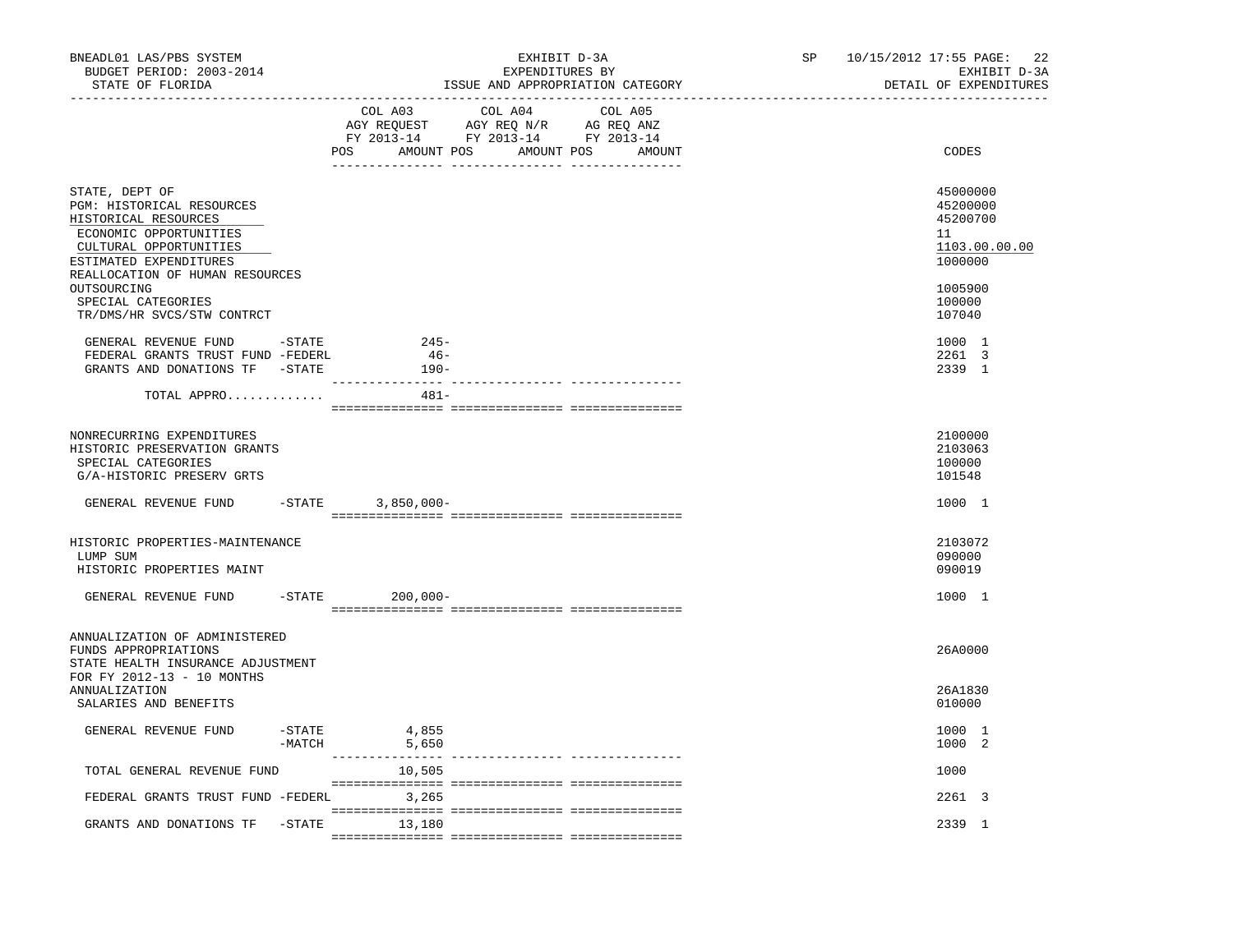| BNEADL01 LAS/PBS SYSTEM<br>BUDGET PERIOD: 2003-2014<br>STATE OF FLORIDA<br>. _ _ _ _ _ _ _ _ _ _ _ _ _ _ _ _ _                                                                       |                       |                                    | EXHIBIT D-3A<br>EXPENDITURES BY<br>ISSUE AND APPROPRIATION CATEGORY                                                                   | SP | 10/15/2012 17:55 PAGE:<br>22<br>EXHIBIT D-3A<br>DETAIL OF EXPENDITURES |
|--------------------------------------------------------------------------------------------------------------------------------------------------------------------------------------|-----------------------|------------------------------------|---------------------------------------------------------------------------------------------------------------------------------------|----|------------------------------------------------------------------------|
|                                                                                                                                                                                      |                       |                                    | COL A03 COL A04 COL A05<br>AGY REQUEST AGY REQ N/R AG REQ ANZ<br>FY 2013-14 FY 2013-14 FY 2013-14<br>POS AMOUNT POS AMOUNT POS AMOUNT |    | CODES                                                                  |
| STATE, DEPT OF<br>PGM: HISTORICAL RESOURCES<br>HISTORICAL RESOURCES<br>ECONOMIC OPPORTUNITIES<br>CULTURAL OPPORTUNITIES<br>ESTIMATED EXPENDITURES<br>REALLOCATION OF HUMAN RESOURCES |                       |                                    |                                                                                                                                       |    | 45000000<br>45200000<br>45200700<br>11<br>1103.00.00.00<br>1000000     |
| OUTSOURCING<br>SPECIAL CATEGORIES<br>TR/DMS/HR SVCS/STW CONTRCT                                                                                                                      |                       |                                    |                                                                                                                                       |    | 1005900<br>100000<br>107040                                            |
| GENERAL REVENUE FUND -STATE<br>FEDERAL GRANTS TRUST FUND -FEDERL<br>GRANTS AND DONATIONS TF -STATE                                                                                   |                       | $245-$<br>$46-$<br>190-<br>2222 SS |                                                                                                                                       |    | 1000 1<br>2261 3<br>2339 1                                             |
| TOTAL APPRO                                                                                                                                                                          |                       | $481-$                             |                                                                                                                                       |    |                                                                        |
| NONRECURRING EXPENDITURES<br>HISTORIC PRESERVATION GRANTS<br>SPECIAL CATEGORIES<br>G/A-HISTORIC PRESERV GRTS                                                                         |                       |                                    |                                                                                                                                       |    | 2100000<br>2103063<br>100000<br>101548                                 |
| GENERAL REVENUE FUND                                                                                                                                                                 |                       | $-STATE$ 3,850,000-                |                                                                                                                                       |    | 1000 1                                                                 |
| HISTORIC PROPERTIES-MAINTENANCE<br>LUMP SUM<br>HISTORIC PROPERTIES MAINT                                                                                                             |                       |                                    |                                                                                                                                       |    | 2103072<br>090000<br>090019                                            |
| GENERAL REVENUE FUND                                                                                                                                                                 |                       | $-STATE$<br>$200,000 -$            |                                                                                                                                       |    | 1000 1                                                                 |
| ANNUALIZATION OF ADMINISTERED<br>FUNDS APPROPRIATIONS<br>STATE HEALTH INSURANCE ADJUSTMENT<br>FOR FY 2012-13 - 10 MONTHS                                                             |                       |                                    |                                                                                                                                       |    | 26A0000                                                                |
| <b>ANNUALIZATION</b><br>SALARIES AND BENEFITS                                                                                                                                        |                       |                                    |                                                                                                                                       |    | 26A1830<br>010000                                                      |
| GENERAL REVENUE FUND                                                                                                                                                                 | $-$ STATE<br>$-MATCH$ | 4,855<br>5,650                     |                                                                                                                                       |    | 1000 1<br>1000 2                                                       |
| TOTAL GENERAL REVENUE FUND                                                                                                                                                           |                       | 10,505                             |                                                                                                                                       |    | 1000                                                                   |
| FEDERAL GRANTS TRUST FUND -FEDERL 3,265                                                                                                                                              |                       |                                    |                                                                                                                                       |    | 2261 3                                                                 |
| GRANTS AND DONATIONS TF                                                                                                                                                              | $-$ STATE             | 13,180                             |                                                                                                                                       |    | 2339 1                                                                 |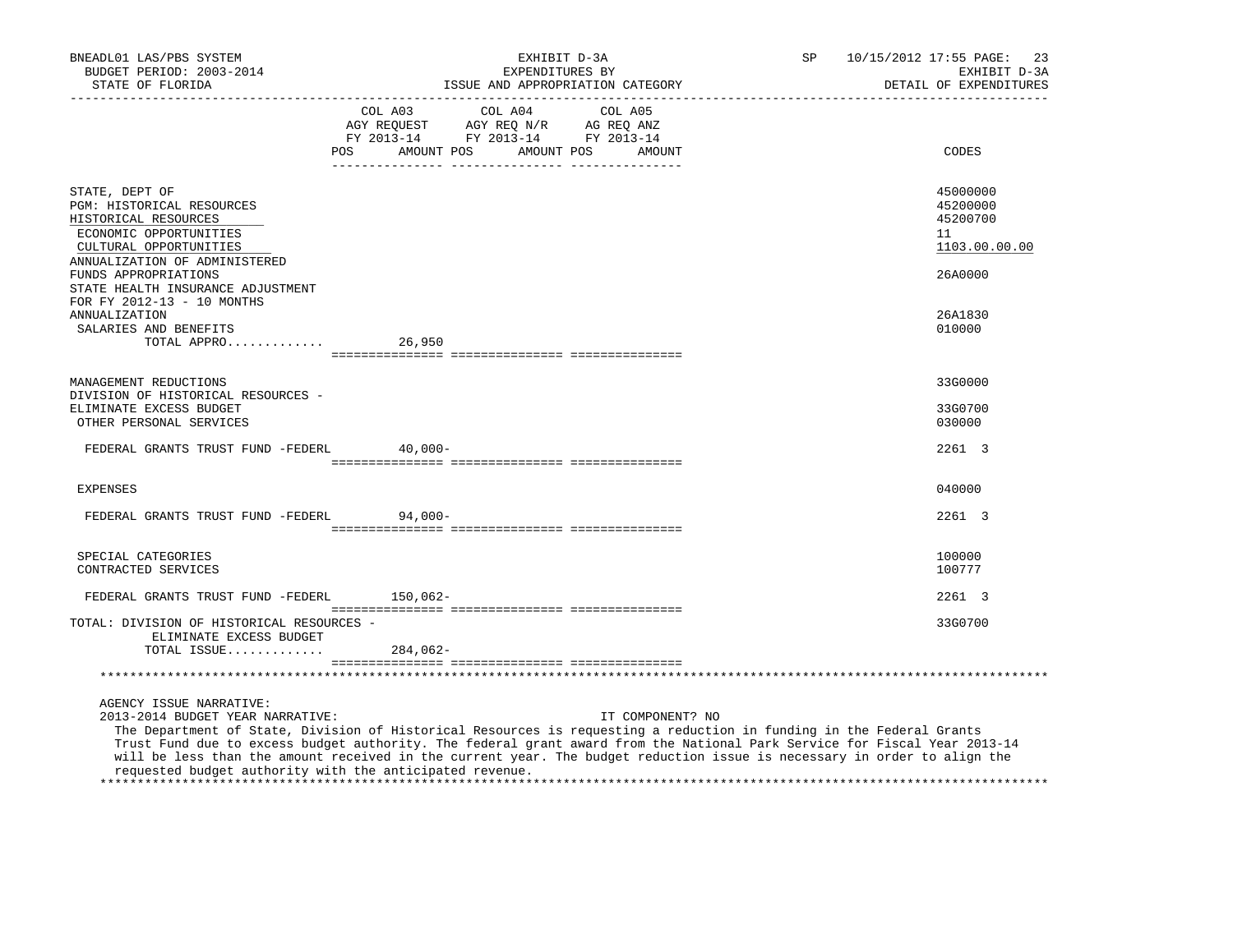| BNEADL01 LAS/PBS SYSTEM<br>BUDGET PERIOD: 2003-2014<br>STATE OF FLORIDA                                                  | EXHIBIT D-3A<br>EXPENDITURES BY<br>ISSUE AND APPROPRIATION CATEGORY                                                                                                                                                                                                                                                                                                           | SP               | 10/15/2012 17:55 PAGE: 23<br>EXHIBIT D-3A<br>DETAIL OF EXPENDITURES |
|--------------------------------------------------------------------------------------------------------------------------|-------------------------------------------------------------------------------------------------------------------------------------------------------------------------------------------------------------------------------------------------------------------------------------------------------------------------------------------------------------------------------|------------------|---------------------------------------------------------------------|
|                                                                                                                          | COL A03 COL A04 COL A05<br>AGY REQUEST AGY REQ N/R AG REQ ANZ<br>FY 2013-14 FY 2013-14 FY 2013-14<br><b>POS</b><br>AMOUNT POS<br>AMOUNT POS                                                                                                                                                                                                                                   | AMOUNT           | CODES                                                               |
| STATE, DEPT OF<br>PGM: HISTORICAL RESOURCES<br>HISTORICAL RESOURCES<br>ECONOMIC OPPORTUNITIES<br>CULTURAL OPPORTUNITIES  |                                                                                                                                                                                                                                                                                                                                                                               |                  | 45000000<br>45200000<br>45200700<br>11<br>1103.00.00.00             |
| ANNUALIZATION OF ADMINISTERED<br>FUNDS APPROPRIATIONS<br>STATE HEALTH INSURANCE ADJUSTMENT<br>FOR FY 2012-13 - 10 MONTHS |                                                                                                                                                                                                                                                                                                                                                                               |                  | 26A0000                                                             |
| ANNUALIZATION<br>SALARIES AND BENEFITS<br>TOTAL APPRO                                                                    | 26,950                                                                                                                                                                                                                                                                                                                                                                        |                  | 26A1830<br>010000                                                   |
|                                                                                                                          |                                                                                                                                                                                                                                                                                                                                                                               |                  | 33G0000                                                             |
| MANAGEMENT REDUCTIONS<br>DIVISION OF HISTORICAL RESOURCES -<br>ELIMINATE EXCESS BUDGET<br>OTHER PERSONAL SERVICES        |                                                                                                                                                                                                                                                                                                                                                                               |                  | 33G0700<br>030000                                                   |
| FEDERAL GRANTS TRUST FUND -FEDERL 40,000-                                                                                |                                                                                                                                                                                                                                                                                                                                                                               |                  | 2261 3                                                              |
| <b>EXPENSES</b>                                                                                                          |                                                                                                                                                                                                                                                                                                                                                                               |                  | 040000                                                              |
| FEDERAL GRANTS TRUST FUND -FEDERL                                                                                        | $94.000 -$                                                                                                                                                                                                                                                                                                                                                                    |                  | 2261 3                                                              |
| SPECIAL CATEGORIES<br>CONTRACTED SERVICES                                                                                |                                                                                                                                                                                                                                                                                                                                                                               |                  | 100000<br>100777                                                    |
| FEDERAL GRANTS TRUST FUND -FEDERL 150,062-                                                                               |                                                                                                                                                                                                                                                                                                                                                                               |                  | 2261 3                                                              |
| TOTAL: DIVISION OF HISTORICAL RESOURCES -<br>ELIMINATE EXCESS BUDGET                                                     |                                                                                                                                                                                                                                                                                                                                                                               |                  | 33G0700                                                             |
| TOTAL ISSUE $284,062-$                                                                                                   |                                                                                                                                                                                                                                                                                                                                                                               |                  |                                                                     |
|                                                                                                                          |                                                                                                                                                                                                                                                                                                                                                                               |                  |                                                                     |
| AGENCY ISSUE NARRATIVE:<br>2013-2014 BUDGET YEAR NARRATIVE:                                                              | The Department of State, Division of Historical Resources is requesting a reduction in funding in the Federal Grants<br>Trust Fund due to excess budget authority. The federal grant award from the National Park Service for Fiscal Year 2013-14<br>will be less than the amount received in the current year. The budget reduction issue is necessary in order to align the | IT COMPONENT? NO |                                                                     |

 requested budget authority with the anticipated revenue. \*\*\*\*\*\*\*\*\*\*\*\*\*\*\*\*\*\*\*\*\*\*\*\*\*\*\*\*\*\*\*\*\*\*\*\*\*\*\*\*\*\*\*\*\*\*\*\*\*\*\*\*\*\*\*\*\*\*\*\*\*\*\*\*\*\*\*\*\*\*\*\*\*\*\*\*\*\*\*\*\*\*\*\*\*\*\*\*\*\*\*\*\*\*\*\*\*\*\*\*\*\*\*\*\*\*\*\*\*\*\*\*\*\*\*\*\*\*\*\*\*\*\*\*\*\*\*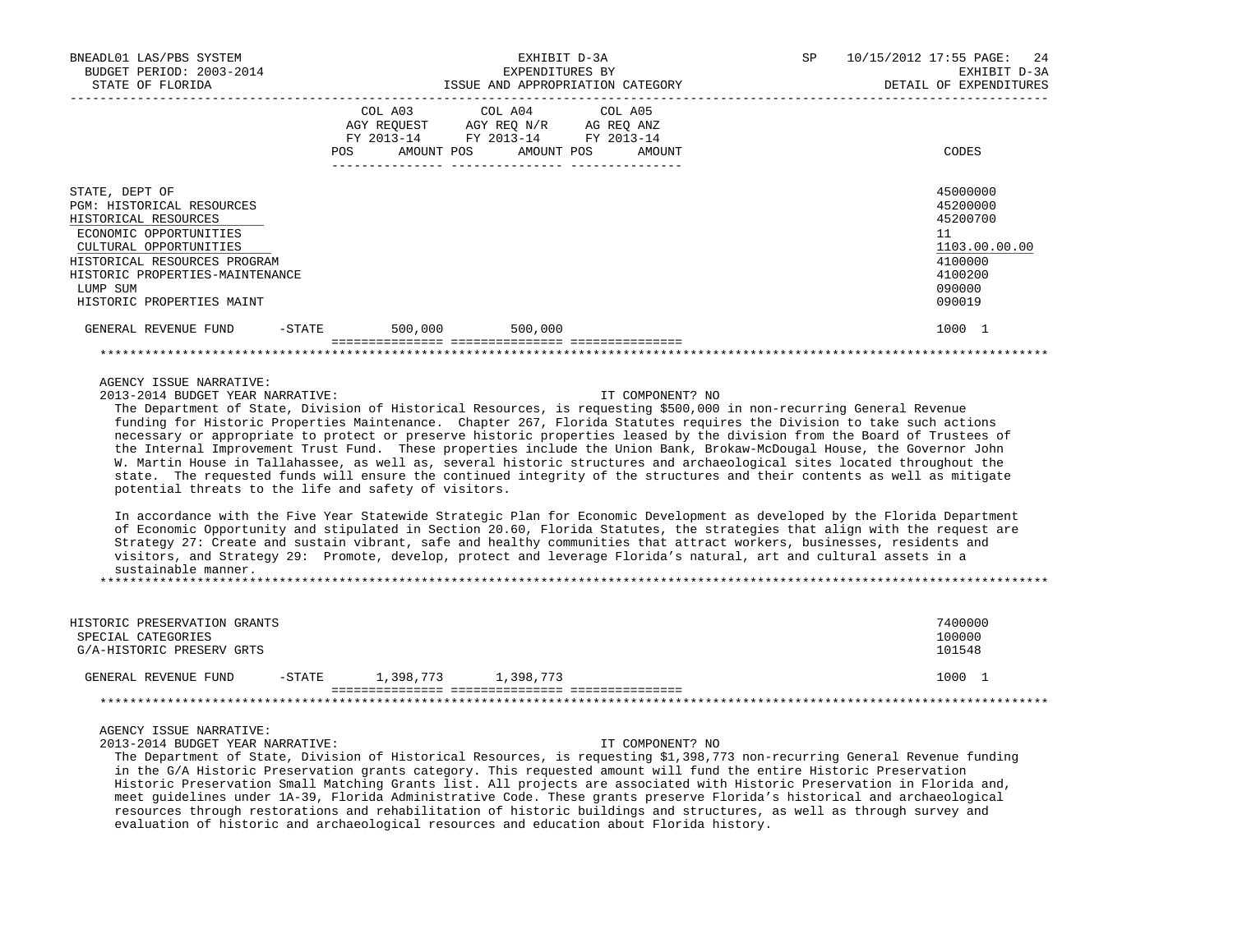| BNEADL01 LAS/PBS SYSTEM<br>BUDGET PERIOD: 2003-2014<br>STATE OF FLORIDA                                                                                                                                                                    |         | EXHIBIT D-3A<br>EXPENDITURES BY<br>ISSUE AND APPROPRIATION CATEGORY                                                                  | 10/15/2012 17:55 PAGE: 24<br>SP<br>EXHIBIT D-3A<br>DETAIL OF EXPENDITURES                         |
|--------------------------------------------------------------------------------------------------------------------------------------------------------------------------------------------------------------------------------------------|---------|--------------------------------------------------------------------------------------------------------------------------------------|---------------------------------------------------------------------------------------------------|
|                                                                                                                                                                                                                                            | POS     | COL A03 COL A04 COL A05<br>AGY REQUEST AGY REQ N/R AG REQ ANZ<br>FY 2013-14 FY 2013-14 FY 2013-14<br>AMOUNT POS AMOUNT POS<br>AMOUNT | CODES                                                                                             |
| STATE, DEPT OF<br><b>PGM: HISTORICAL RESOURCES</b><br>HISTORICAL RESOURCES<br>ECONOMIC OPPORTUNITIES<br>CULTURAL OPPORTUNITIES<br>HISTORICAL RESOURCES PROGRAM<br>HISTORIC PROPERTIES-MAINTENANCE<br>LUMP SUM<br>HISTORIC PROPERTIES MAINT |         |                                                                                                                                      | 45000000<br>45200000<br>45200700<br>11<br>1103.00.00.00<br>4100000<br>4100200<br>090000<br>090019 |
| GENERAL REVENUE FUND<br>$-$ STATE                                                                                                                                                                                                          | 500,000 | 500,000                                                                                                                              | 1000 1                                                                                            |
|                                                                                                                                                                                                                                            |         |                                                                                                                                      |                                                                                                   |

AGENCY ISSUE NARRATIVE:

2013-2014 BUDGET YEAR NARRATIVE: IT COMPONENT? NO

 The Department of State, Division of Historical Resources, is requesting \$500,000 in non-recurring General Revenue funding for Historic Properties Maintenance. Chapter 267, Florida Statutes requires the Division to take such actions necessary or appropriate to protect or preserve historic properties leased by the division from the Board of Trustees of the Internal Improvement Trust Fund. These properties include the Union Bank, Brokaw-McDougal House, the Governor John W. Martin House in Tallahassee, as well as, several historic structures and archaeological sites located throughout the state. The requested funds will ensure the continued integrity of the structures and their contents as well as mitigate potential threats to the life and safety of visitors.

 In accordance with the Five Year Statewide Strategic Plan for Economic Development as developed by the Florida Department of Economic Opportunity and stipulated in Section 20.60, Florida Statutes, the strategies that align with the request are Strategy 27: Create and sustain vibrant, safe and healthy communities that attract workers, businesses, residents and visitors, and Strategy 29: Promote, develop, protect and leverage Florida's natural, art and cultural assets in a sustainable manner. \*\*\*\*\*\*\*\*\*\*\*\*\*\*\*\*\*\*\*\*\*\*\*\*\*\*\*\*\*\*\*\*\*\*\*\*\*\*\*\*\*\*\*\*\*\*\*\*\*\*\*\*\*\*\*\*\*\*\*\*\*\*\*\*\*\*\*\*\*\*\*\*\*\*\*\*\*\*\*\*\*\*\*\*\*\*\*\*\*\*\*\*\*\*\*\*\*\*\*\*\*\*\*\*\*\*\*\*\*\*\*\*\*\*\*\*\*\*\*\*\*\*\*\*\*\*\*

| HISTORIC PRESERVATION GRANTS<br>SPECIAL CATEGORIES<br>G/A-HISTORIC PRESERV GRTS |           |           |           | 7400000<br>100000<br>101548 |
|---------------------------------------------------------------------------------|-----------|-----------|-----------|-----------------------------|
| GENERAL REVENUE FUND                                                            | $-$ STATE | 1,398,773 | 1,398,773 | 1000                        |
|                                                                                 |           |           |           |                             |

AGENCY ISSUE NARRATIVE:

2013-2014 BUDGET YEAR NARRATIVE: IT COMPONENT? NO

 The Department of State, Division of Historical Resources, is requesting \$1,398,773 non-recurring General Revenue funding in the G/A Historic Preservation grants category. This requested amount will fund the entire Historic Preservation Historic Preservation Small Matching Grants list. All projects are associated with Historic Preservation in Florida and, meet guidelines under 1A-39, Florida Administrative Code. These grants preserve Florida's historical and archaeological resources through restorations and rehabilitation of historic buildings and structures, as well as through survey and evaluation of historic and archaeological resources and education about Florida history.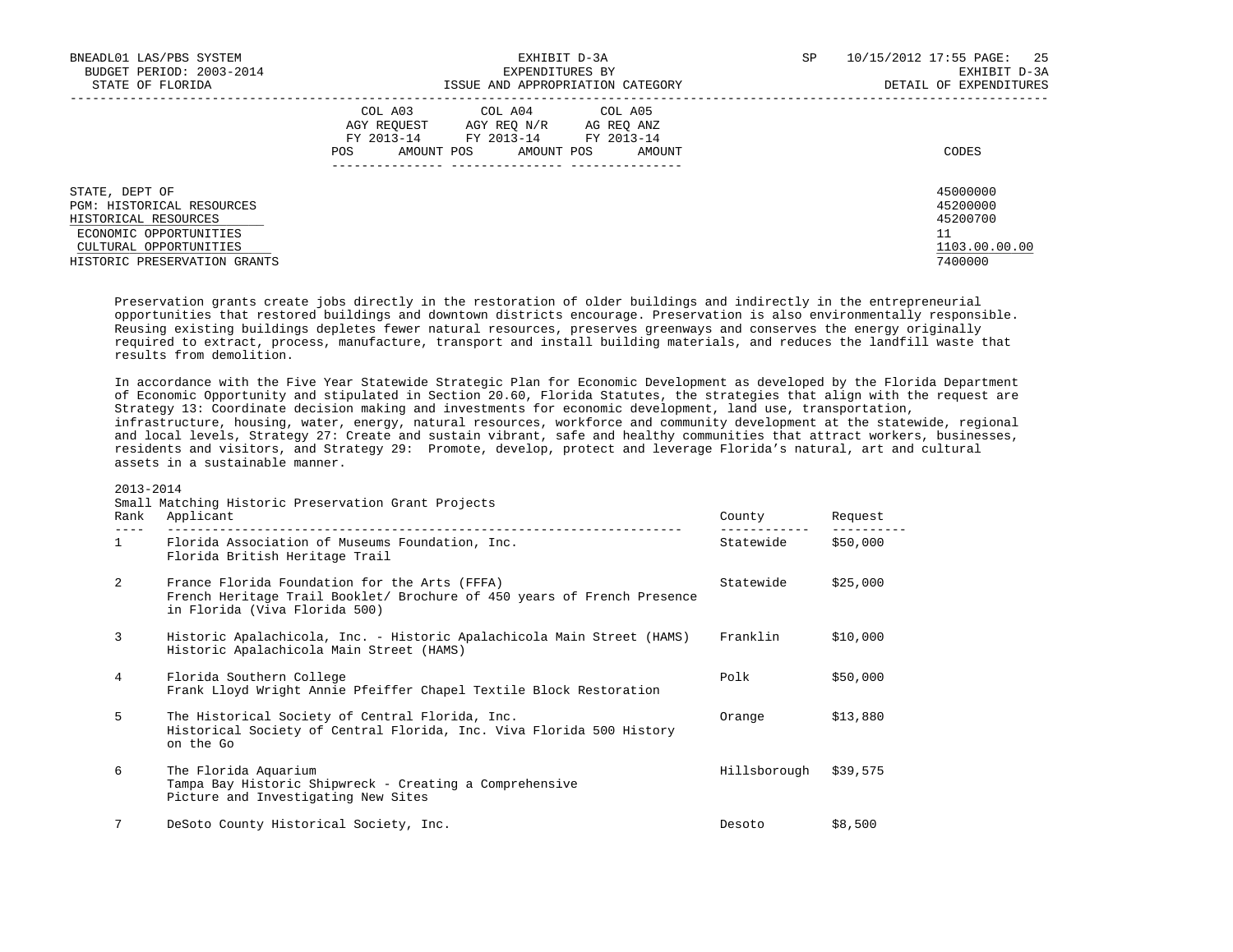| BNEADL01 LAS/PBS SYSTEM<br>BUDGET PERIOD: 2003-2014<br>STATE OF FLORIDA                                                                                 | EXHIBIT D-3A<br>EXPENDITURES BY<br>ISSUE AND APPROPRIATION CATEGORY                                                                                        | SP<br>10/15/2012 17:55 PAGE:<br>25<br>EXHIBIT D-3A<br>DETAIL OF EXPENDITURES |
|---------------------------------------------------------------------------------------------------------------------------------------------------------|------------------------------------------------------------------------------------------------------------------------------------------------------------|------------------------------------------------------------------------------|
|                                                                                                                                                         | COL A03<br>COL A04 COL A05<br>AGY REOUEST<br>AGY REO N/R<br>AG REO ANZ<br>FY 2013-14<br>FY 2013-14 FY 2013-14<br>AMOUNT POS<br>AMOUNT POS<br>AMOUNT<br>POS | CODES                                                                        |
| STATE, DEPT OF<br>PGM: HISTORICAL RESOURCES<br>HISTORICAL RESOURCES<br>ECONOMIC OPPORTUNITIES<br>CULTURAL OPPORTUNITIES<br>HISTORIC PRESERVATION GRANTS |                                                                                                                                                            | 45000000<br>45200000<br>45200700<br>11<br>1103.00.00.00<br>7400000           |

 Preservation grants create jobs directly in the restoration of older buildings and indirectly in the entrepreneurial opportunities that restored buildings and downtown districts encourage. Preservation is also environmentally responsible. Reusing existing buildings depletes fewer natural resources, preserves greenways and conserves the energy originally required to extract, process, manufacture, transport and install building materials, and reduces the landfill waste that results from demolition.

 In accordance with the Five Year Statewide Strategic Plan for Economic Development as developed by the Florida Department of Economic Opportunity and stipulated in Section 20.60, Florida Statutes, the strategies that align with the request are Strategy 13: Coordinate decision making and investments for economic development, land use, transportation, infrastructure, housing, water, energy, natural resources, workforce and community development at the statewide, regional and local levels, Strategy 27: Create and sustain vibrant, safe and healthy communities that attract workers, businesses, residents and visitors, and Strategy 29: Promote, develop, protect and leverage Florida's natural, art and cultural assets in a sustainable manner.

### 2013-2014

## Small Matching Historic Preservation Grant Projects

| Rank         | Applicant                                                                                                                                                 | County       | Request  |
|--------------|-----------------------------------------------------------------------------------------------------------------------------------------------------------|--------------|----------|
| $\mathbf{1}$ | Florida Association of Museums Foundation, Inc.<br>Florida British Heritage Trail                                                                         | Statewide    | \$50,000 |
| 2            | France Florida Foundation for the Arts (FFFA)<br>French Heritage Trail Booklet/ Brochure of 450 years of French Presence<br>in Florida (Viva Florida 500) | Statewide    | \$25,000 |
| 3            | Historic Apalachicola, Inc. - Historic Apalachicola Main Street (HAMS)<br>Historic Apalachicola Main Street (HAMS)                                        | Franklin     | \$10,000 |
| 4            | Florida Southern College<br>Frank Lloyd Wright Annie Pfeiffer Chapel Textile Block Restoration                                                            | Polk         | \$50,000 |
| 5            | The Historical Society of Central Florida, Inc.<br>Historical Society of Central Florida, Inc. Viva Florida 500 History<br>on the Go                      | Orange       | \$13,880 |
| 6            | The Florida Aquarium<br>Tampa Bay Historic Shipwreck - Creating a Comprehensive<br>Picture and Investigating New Sites                                    | Hillsborough | \$39,575 |
| 7            | DeSoto County Historical Society, Inc.                                                                                                                    | Desoto       | \$8,500  |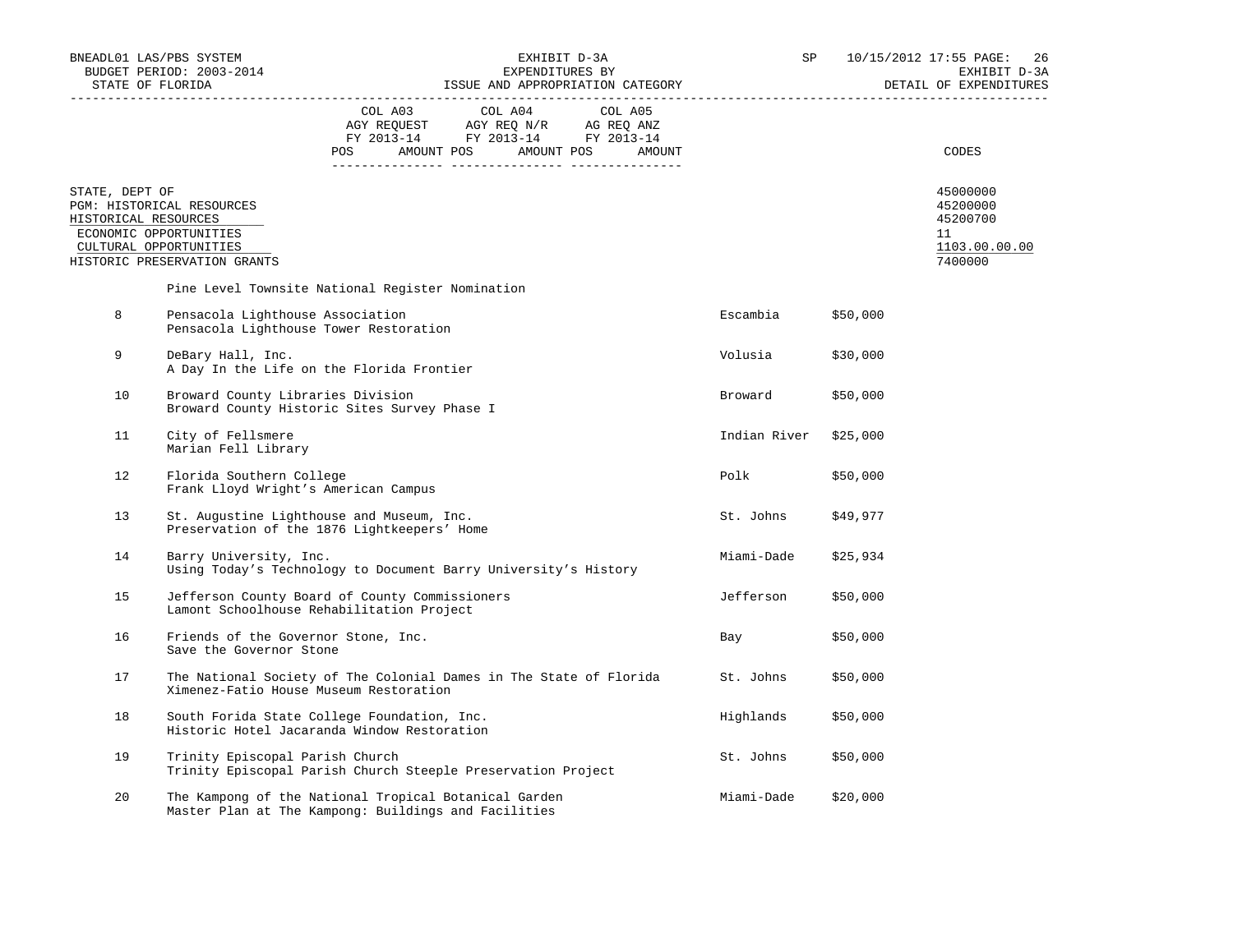|                                        | BNEADL01 LAS/PBS SYSTEM<br>BUDGET PERIOD: 2003-2014<br>STATE OF FLORIDA                                       |                                  | EXHIBIT D-3A<br>EXPENDITURES BY<br>ISSUE AND APPROPRIATION CATEGORY                                                                                        |  |  | SP         |                       | 10/15/2012 17:55 PAGE:<br>26<br>EXHIBIT D-3A<br>DETAIL OF EXPENDITURES |  |
|----------------------------------------|---------------------------------------------------------------------------------------------------------------|----------------------------------|------------------------------------------------------------------------------------------------------------------------------------------------------------|--|--|------------|-----------------------|------------------------------------------------------------------------|--|
|                                        |                                                                                                               | POS AMOUNT POS AMOUNT POS AMOUNT | $\begin{tabular}{lcccc} COL A03 & COL A04 & COL A05 \\ AGY REQUEST & AGY REQ N/R & AG REQ ANZ \\ FY & 2013-14 & FY & 2013-14 & FY & 2013-14 \end{tabular}$ |  |  |            |                       | CODES                                                                  |  |
| STATE, DEPT OF<br>HISTORICAL RESOURCES | PGM: HISTORICAL RESOURCES<br>ECONOMIC OPPORTUNITIES<br>CULTURAL OPPORTUNITIES<br>HISTORIC PRESERVATION GRANTS |                                  |                                                                                                                                                            |  |  |            |                       | 45000000<br>45200000<br>45200700<br>11<br>1103.00.00.00<br>7400000     |  |
|                                        | Pine Level Townsite National Register Nomination                                                              |                                  |                                                                                                                                                            |  |  |            |                       |                                                                        |  |
| 8                                      | Pensacola Lighthouse Association<br>Pensacola Lighthouse Tower Restoration                                    |                                  |                                                                                                                                                            |  |  | Escambia   | \$50,000              |                                                                        |  |
| 9                                      | DeBary Hall, Inc.<br>A Day In the Life on the Florida Frontier                                                |                                  |                                                                                                                                                            |  |  | Volusia    | \$30,000              |                                                                        |  |
| 10                                     | Broward County Libraries Division<br>Broward County Historic Sites Survey Phase I                             | Broward                          | \$50,000                                                                                                                                                   |  |  |            |                       |                                                                        |  |
| 11                                     | City of Fellsmere<br>Marian Fell Library                                                                      |                                  |                                                                                                                                                            |  |  |            | Indian River \$25,000 |                                                                        |  |
| 12                                     | Florida Southern College<br>Frank Lloyd Wright's American Campus                                              |                                  |                                                                                                                                                            |  |  | Polk       | \$50,000              |                                                                        |  |
| 13                                     | St. Augustine Lighthouse and Museum, Inc.<br>Preservation of the 1876 Lightkeepers' Home                      |                                  |                                                                                                                                                            |  |  | St. Johns  | \$49,977              |                                                                        |  |
| 14                                     | Barry University, Inc.<br>Using Today's Technology to Document Barry University's History                     |                                  |                                                                                                                                                            |  |  | Miami-Dade | \$25,934              |                                                                        |  |
| 15                                     | Jefferson County Board of County Commissioners<br>Lamont Schoolhouse Rehabilitation Project                   |                                  |                                                                                                                                                            |  |  | Jefferson  | \$50,000              |                                                                        |  |
| 16                                     | Friends of the Governor Stone, Inc.<br>Save the Governor Stone                                                |                                  |                                                                                                                                                            |  |  | Bay        | \$50,000              |                                                                        |  |
| 17                                     | The National Society of The Colonial Dames in The State of Florida<br>Ximenez-Fatio House Museum Restoration  |                                  |                                                                                                                                                            |  |  | St. Johns  | \$50,000              |                                                                        |  |
| 18                                     | South Forida State College Foundation, Inc.<br>Historic Hotel Jacaranda Window Restoration                    |                                  |                                                                                                                                                            |  |  | Highlands  | \$50,000              |                                                                        |  |
| 19                                     | Trinity Episcopal Parish Church<br>Trinity Episcopal Parish Church Steeple Preservation Project               |                                  |                                                                                                                                                            |  |  | St. Johns  | \$50,000              |                                                                        |  |
| 20                                     | The Kampong of the National Tropical Botanical Garden<br>Master Plan at The Kampong: Buildings and Facilities |                                  |                                                                                                                                                            |  |  | Miami-Dade | \$20,000              |                                                                        |  |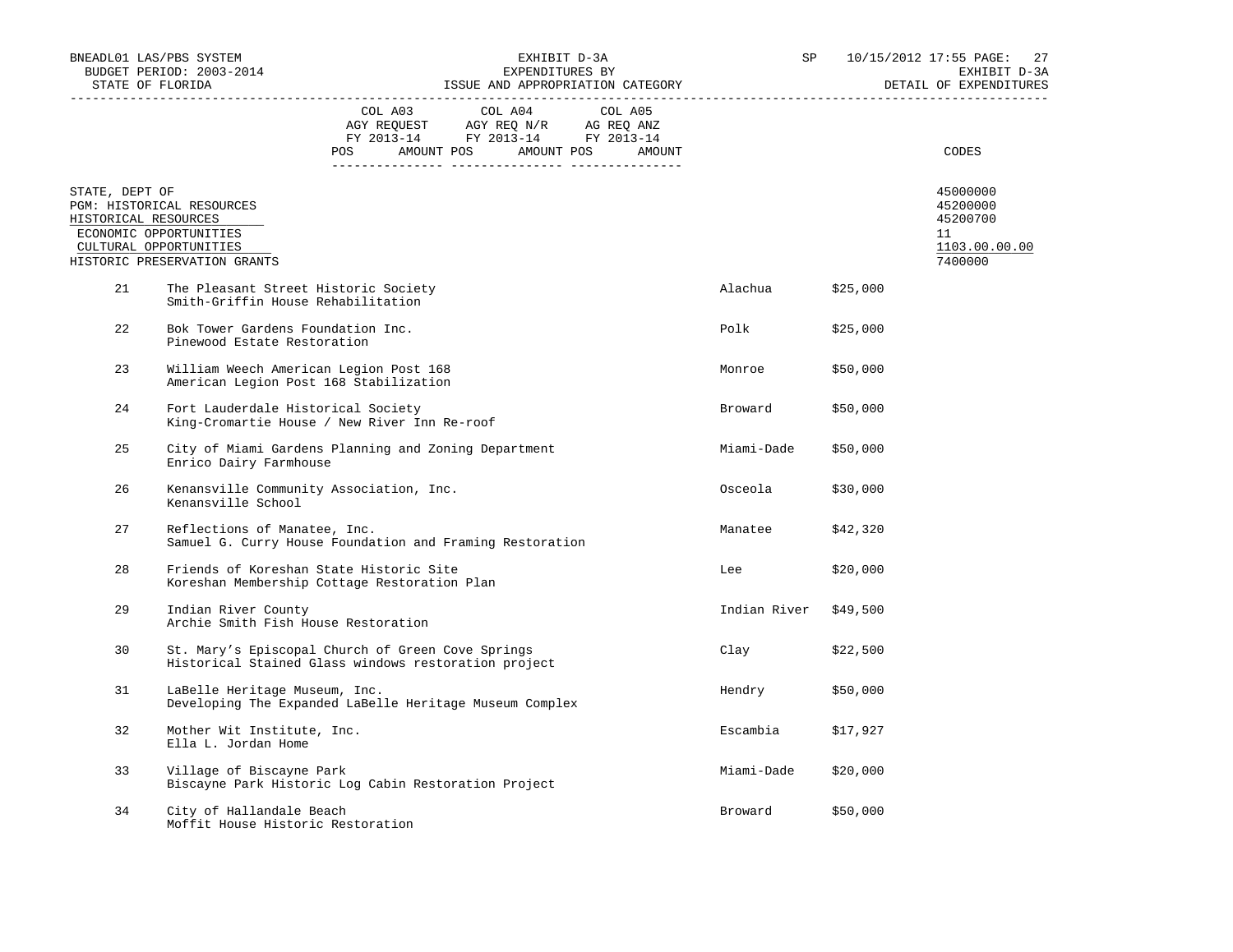|                                        | BNEADL01 LAS/PBS SYSTEM<br>BUDGET PERIOD: 2003-2014                                                           |                                                                                    | EXHIBIT D-3A<br>EXPENDITURES BY |  |                                                                                   |  | SP      |                       | 10/15/2012 17:55 PAGE: 27<br>EXHIBIT D-3A<br>DETAIL OF EXPENDITURES |                                                                    |
|----------------------------------------|---------------------------------------------------------------------------------------------------------------|------------------------------------------------------------------------------------|---------------------------------|--|-----------------------------------------------------------------------------------|--|---------|-----------------------|---------------------------------------------------------------------|--------------------------------------------------------------------|
|                                        |                                                                                                               | POS AMOUNT POS AMOUNT POS AMOUNT                                                   | COL A03                         |  | COL A04<br>AGY REQUEST AGY REQ N/R AG REQ ANZ<br>FY 2013-14 FY 2013-14 FY 2013-14 |  | COL A05 |                       |                                                                     | CODES                                                              |
| STATE, DEPT OF<br>HISTORICAL RESOURCES | PGM: HISTORICAL RESOURCES<br>ECONOMIC OPPORTUNITIES<br>CULTURAL OPPORTUNITIES<br>HISTORIC PRESERVATION GRANTS |                                                                                    |                                 |  |                                                                                   |  |         |                       |                                                                     | 45000000<br>45200000<br>45200700<br>11<br>1103.00.00.00<br>7400000 |
| 21                                     | The Pleasant Street Historic Society<br>Smith-Griffin House Rehabilitation                                    |                                                                                    |                                 |  |                                                                                   |  |         | Alachua               | \$25,000                                                            |                                                                    |
| 22                                     |                                                                                                               | Bok Tower Gardens Foundation Inc.<br>Pinewood Estate Restoration                   |                                 |  |                                                                                   |  |         | Polk                  | \$25,000                                                            |                                                                    |
| 23                                     | William Weech American Legion Post 168<br>American Legion Post 168 Stabilization                              |                                                                                    |                                 |  |                                                                                   |  |         | Monroe                | \$50,000                                                            |                                                                    |
| 24                                     |                                                                                                               | Fort Lauderdale Historical Society<br>King-Cromartie House / New River Inn Re-roof |                                 |  |                                                                                   |  |         | Broward               | \$50,000                                                            |                                                                    |
| 25                                     | City of Miami Gardens Planning and Zoning Department<br>Enrico Dairy Farmhouse                                |                                                                                    |                                 |  |                                                                                   |  |         | Miami-Dade            | \$50,000                                                            |                                                                    |
| 26                                     | Kenansville Community Association, Inc.<br>Kenansville School                                                 |                                                                                    |                                 |  |                                                                                   |  |         | Osceola               | \$30,000                                                            |                                                                    |
| 27                                     | Reflections of Manatee, Inc.<br>Samuel G. Curry House Foundation and Framing Restoration                      |                                                                                    |                                 |  |                                                                                   |  |         | Manatee               | \$42,320                                                            |                                                                    |
| 28                                     | Friends of Koreshan State Historic Site<br>Koreshan Membership Cottage Restoration Plan                       |                                                                                    |                                 |  |                                                                                   |  |         | Lee                   | \$20,000                                                            |                                                                    |
| 29                                     | Indian River County<br>Archie Smith Fish House Restoration                                                    |                                                                                    |                                 |  |                                                                                   |  |         | Indian River \$49,500 |                                                                     |                                                                    |
| 30                                     | St. Mary's Episcopal Church of Green Cove Springs<br>Historical Stained Glass windows restoration project     |                                                                                    |                                 |  |                                                                                   |  |         | Clay                  | \$22,500                                                            |                                                                    |
| 31                                     | LaBelle Heritage Museum, Inc.<br>Developing The Expanded LaBelle Heritage Museum Complex                      |                                                                                    |                                 |  |                                                                                   |  |         | Hendry                | \$50,000                                                            |                                                                    |
| 32                                     | Mother Wit Institute, Inc.<br>Ella L. Jordan Home                                                             |                                                                                    |                                 |  |                                                                                   |  |         | Escambia              | \$17,927                                                            |                                                                    |
| 33                                     | Village of Biscayne Park<br>Biscayne Park Historic Log Cabin Restoration Project                              |                                                                                    |                                 |  |                                                                                   |  |         | Miami-Dade            | \$20,000                                                            |                                                                    |
| 34                                     | City of Hallandale Beach<br>Moffit House Historic Restoration                                                 |                                                                                    |                                 |  |                                                                                   |  |         | Broward               | \$50,000                                                            |                                                                    |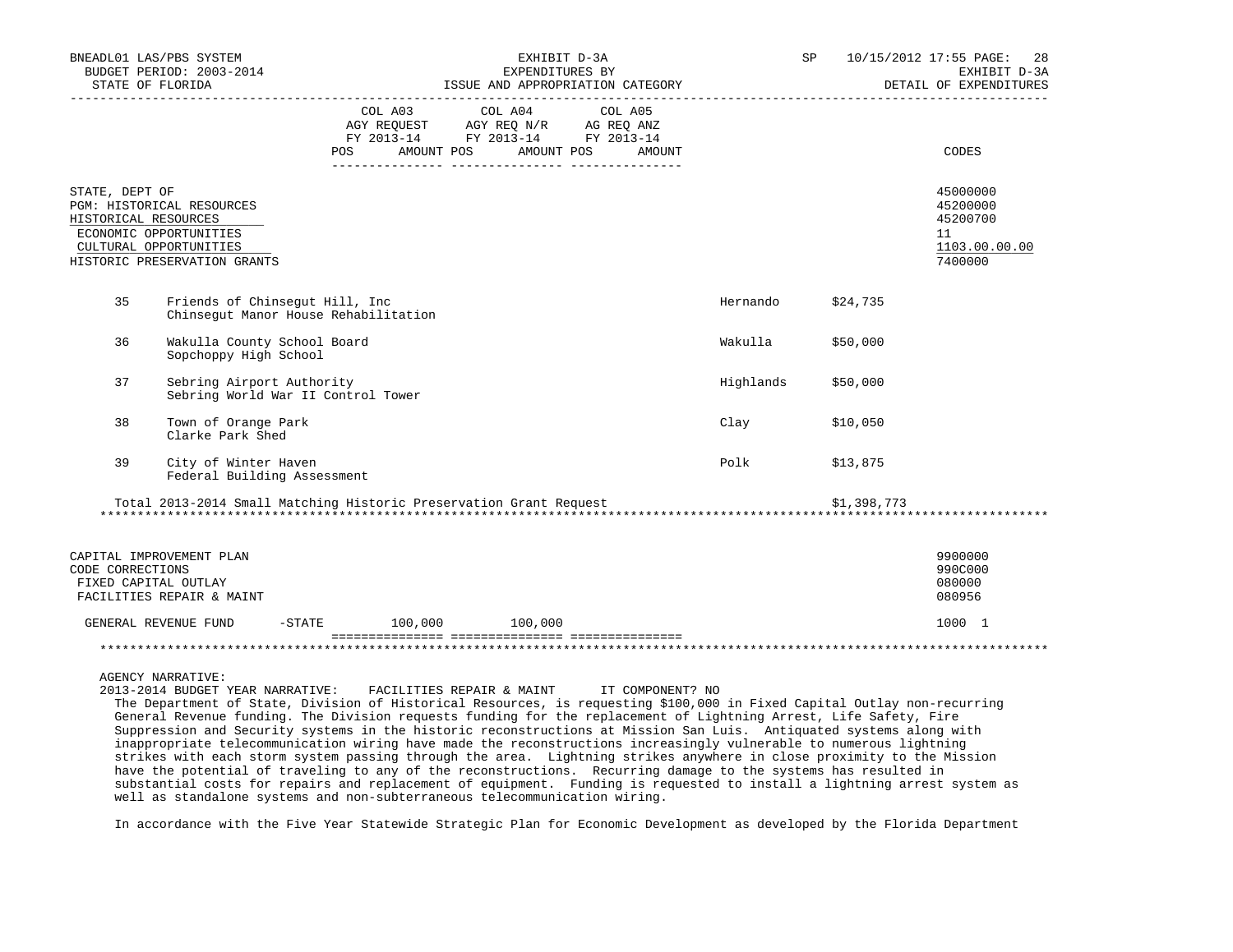|                                          | BNEADL01 LAS/PBS SYSTEM<br>BUDGET PERIOD: 2003-2014<br>TASUE AND APPROPRIATION CATEGORY PERPENDING DETAIL OF EXPENDING DESCRIPTION CATEGORY PERPENDING DETAIL OF EXPENDING DETAIL OF EXPENDING DETAIL OF EXPENDING DETAIL OF EXPENDING DETAIL OF EXPENDING DETAIL OF EXPENDING DETAIL |                                      |            | EXHIBIT D-3A | EXPENDITURES BY                                                                                                                                                                                                                                                                 |        |           | SP |             | 10/15/2012 17:55 PAGE: 28<br>EXHIBIT D-3A<br>DETAIL OF EXPENDITURES |
|------------------------------------------|---------------------------------------------------------------------------------------------------------------------------------------------------------------------------------------------------------------------------------------------------------------------------------------|--------------------------------------|------------|--------------|---------------------------------------------------------------------------------------------------------------------------------------------------------------------------------------------------------------------------------------------------------------------------------|--------|-----------|----|-------------|---------------------------------------------------------------------|
|                                          |                                                                                                                                                                                                                                                                                       | POS                                  | AMOUNT POS | AMOUNT POS   | COL A03 COL A04 COL A05<br>$\begin{tabular}{lllllll} \bf AGY \,\, &\bf REQUEST \,\, &\bf AGY \,\, &\bf REQ \,\, &\bf N/R \,\, &\bf AG \,\, &\bf REQ \,\, &\bf ANZ \,\, \\ \bf FY \,\, &\bf 2013-14 \,\, &\bf FY \,\, &\bf 2013-14 \,\, &\bf FY \,\, &\bf 2013-14 \end{tabular}$ | AMOUNT |           |    |             | CODES                                                               |
| STATE, DEPT OF<br>HISTORICAL RESOURCES   | PGM: HISTORICAL RESOURCES<br>ECONOMIC OPPORTUNITIES<br>CULTURAL OPPORTUNITIES<br>HISTORIC PRESERVATION GRANTS                                                                                                                                                                         |                                      |            |              |                                                                                                                                                                                                                                                                                 |        |           |    |             | 45000000<br>45200000<br>45200700<br>11<br>1103.00.00.00<br>7400000  |
| 35                                       | Friends of Chinsegut Hill, Inc                                                                                                                                                                                                                                                        | Chinsequt Manor House Rehabilitation |            |              |                                                                                                                                                                                                                                                                                 |        | Hernando  |    | \$24,735    |                                                                     |
| 36                                       | Wakulla County School Board<br>Sopchoppy High School                                                                                                                                                                                                                                  |                                      |            |              |                                                                                                                                                                                                                                                                                 |        | Wakulla   |    | \$50,000    |                                                                     |
| 37                                       | Sebring Airport Authority                                                                                                                                                                                                                                                             | Sebring World War II Control Tower   |            |              |                                                                                                                                                                                                                                                                                 |        | Highlands |    | \$50,000    |                                                                     |
| 38                                       | Town of Orange Park<br>Clarke Park Shed                                                                                                                                                                                                                                               |                                      |            |              |                                                                                                                                                                                                                                                                                 |        | Clay      |    | \$10,050    |                                                                     |
| 39                                       | City of Winter Haven<br>Federal Building Assessment                                                                                                                                                                                                                                   |                                      |            |              |                                                                                                                                                                                                                                                                                 |        | Polk      |    | \$13,875    |                                                                     |
|                                          | Total 2013-2014 Small Matching Historic Preservation Grant Request                                                                                                                                                                                                                    |                                      |            |              |                                                                                                                                                                                                                                                                                 |        |           |    | \$1,398,773 |                                                                     |
| CODE CORRECTIONS<br>FIXED CAPITAL OUTLAY | CAPITAL IMPROVEMENT PLAN<br>FACILITIES REPAIR & MAINT                                                                                                                                                                                                                                 |                                      |            |              |                                                                                                                                                                                                                                                                                 |        |           |    |             | 9900000<br>990C000<br>080000<br>080956                              |
|                                          | GENERAL REVENUE FUND                                                                                                                                                                                                                                                                  | $-STATE$ 100,000 100,000             |            |              |                                                                                                                                                                                                                                                                                 |        |           |    |             | 1000 1                                                              |
|                                          |                                                                                                                                                                                                                                                                                       |                                      |            |              |                                                                                                                                                                                                                                                                                 |        |           |    |             |                                                                     |

AGENCY NARRATIVE:

 2013-2014 BUDGET YEAR NARRATIVE: FACILITIES REPAIR & MAINT IT COMPONENT? NO The Department of State, Division of Historical Resources, is requesting \$100,000 in Fixed Capital Outlay non-recurring General Revenue funding. The Division requests funding for the replacement of Lightning Arrest, Life Safety, Fire Suppression and Security systems in the historic reconstructions at Mission San Luis. Antiquated systems along with inappropriate telecommunication wiring have made the reconstructions increasingly vulnerable to numerous lightning strikes with each storm system passing through the area. Lightning strikes anywhere in close proximity to the Mission have the potential of traveling to any of the reconstructions. Recurring damage to the systems has resulted in substantial costs for repairs and replacement of equipment. Funding is requested to install a lightning arrest system as well as standalone systems and non-subterraneous telecommunication wiring.

In accordance with the Five Year Statewide Strategic Plan for Economic Development as developed by the Florida Department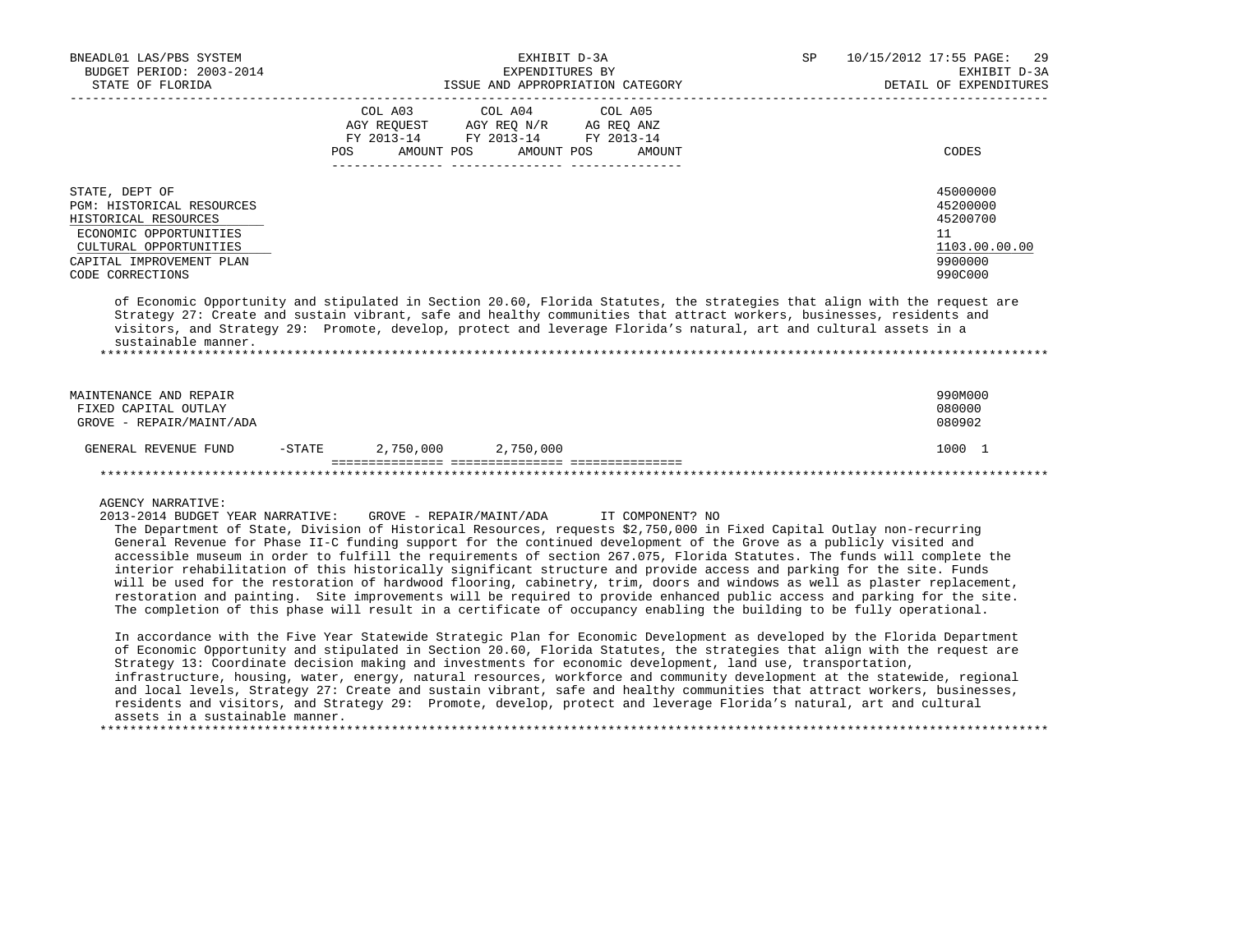| BNEADL01 LAS/PBS SYSTEM<br>BUDGET PERIOD: 2003-2014                                                                                                                                                                                                                                                                                                                                                                                                                                                                                                                                                                                                                                                                                                                                                                        |                    | EXHIBIT D-3A<br>EXPENDITURES BY                                                                               |                   | SP | 10/15/2012 17:55 PAGE: 29<br>EXHIBIT D-3A                                     |
|----------------------------------------------------------------------------------------------------------------------------------------------------------------------------------------------------------------------------------------------------------------------------------------------------------------------------------------------------------------------------------------------------------------------------------------------------------------------------------------------------------------------------------------------------------------------------------------------------------------------------------------------------------------------------------------------------------------------------------------------------------------------------------------------------------------------------|--------------------|---------------------------------------------------------------------------------------------------------------|-------------------|----|-------------------------------------------------------------------------------|
| STATE OF FLORIDA                                                                                                                                                                                                                                                                                                                                                                                                                                                                                                                                                                                                                                                                                                                                                                                                           |                    | ISSUE AND APPROPRIATION CATEGORY                                                                              |                   |    | DETAIL OF EXPENDITURES                                                        |
|                                                                                                                                                                                                                                                                                                                                                                                                                                                                                                                                                                                                                                                                                                                                                                                                                            | COL A03<br>POS FOR | COL A04<br>AGY REQUEST AGY REQ N/R AG REQ ANZ<br>FY 2013-14 FY 2013-14 FY 2013-14<br>AMOUNT POS<br>AMOUNT POS | COL A05<br>AMOUNT |    | CODES                                                                         |
| STATE, DEPT OF<br>PGM: HISTORICAL RESOURCES<br>HISTORICAL RESOURCES<br>ECONOMIC OPPORTUNITIES<br>CULTURAL OPPORTUNITIES<br>CAPITAL IMPROVEMENT PLAN<br>CODE CORRECTIONS                                                                                                                                                                                                                                                                                                                                                                                                                                                                                                                                                                                                                                                    |                    |                                                                                                               |                   |    | 45000000<br>45200000<br>45200700<br>11<br>1103.00.00.00<br>9900000<br>990C000 |
| of Economic Opportunity and stipulated in Section 20.60, Florida Statutes, the strategies that align with the request are<br>Strategy 27: Create and sustain vibrant, safe and healthy communities that attract workers, businesses, residents and<br>visitors, and Strategy 29: Promote, develop, protect and leverage Florida's natural, art and cultural assets in a<br>sustainable manner.<br>****************************                                                                                                                                                                                                                                                                                                                                                                                             |                    |                                                                                                               |                   |    |                                                                               |
| MAINTENANCE AND REPAIR<br>FIXED CAPITAL OUTLAY<br>GROVE - REPAIR/MAINT/ADA                                                                                                                                                                                                                                                                                                                                                                                                                                                                                                                                                                                                                                                                                                                                                 |                    |                                                                                                               |                   |    | 990M000<br>080000<br>080902                                                   |
| GENERAL REVENUE FUND                                                                                                                                                                                                                                                                                                                                                                                                                                                                                                                                                                                                                                                                                                                                                                                                       | $-$ STATE          | 2,750,000 2,750,000                                                                                           |                   |    | 1000 1                                                                        |
|                                                                                                                                                                                                                                                                                                                                                                                                                                                                                                                                                                                                                                                                                                                                                                                                                            |                    |                                                                                                               |                   |    |                                                                               |
| <b>AGENCY NARRATIVE:</b><br>2013-2014 BUDGET YEAR NARRATIVE:<br>The Department of State, Division of Historical Resources, requests \$2,750,000 in Fixed Capital Outlay non-recurring<br>General Revenue for Phase II-C funding support for the continued development of the Grove as a publicly visited and<br>accessible museum in order to fulfill the requirements of section 267.075, Florida Statutes. The funds will complete the<br>interior rehabilitation of this historically significant structure and provide access and parking for the site. Funds<br>will be used for the restoration of hardwood flooring, cabinetry, trim, doors and windows as well as plaster replacement,<br>restoration and painting. Site improvements will be required to provide enhanced public access and parking for the site. |                    | GROVE - REPAIR/MAINT/ADA      IT COMPONENT? NO                                                                |                   |    |                                                                               |

 In accordance with the Five Year Statewide Strategic Plan for Economic Development as developed by the Florida Department of Economic Opportunity and stipulated in Section 20.60, Florida Statutes, the strategies that align with the request are Strategy 13: Coordinate decision making and investments for economic development, land use, transportation, infrastructure, housing, water, energy, natural resources, workforce and community development at the statewide, regional and local levels, Strategy 27: Create and sustain vibrant, safe and healthy communities that attract workers, businesses, residents and visitors, and Strategy 29: Promote, develop, protect and leverage Florida's natural, art and cultural assets in a sustainable manner. \*\*\*\*\*\*\*\*\*\*\*\*\*\*\*\*\*\*\*\*\*\*\*\*\*\*\*\*\*\*\*\*\*\*\*\*\*\*\*\*\*\*\*\*\*\*\*\*\*\*\*\*\*\*\*\*\*\*\*\*\*\*\*\*\*\*\*\*\*\*\*\*\*\*\*\*\*\*\*\*\*\*\*\*\*\*\*\*\*\*\*\*\*\*\*\*\*\*\*\*\*\*\*\*\*\*\*\*\*\*\*\*\*\*\*\*\*\*\*\*\*\*\*\*\*\*\*

The completion of this phase will result in a certificate of occupancy enabling the building to be fully operational.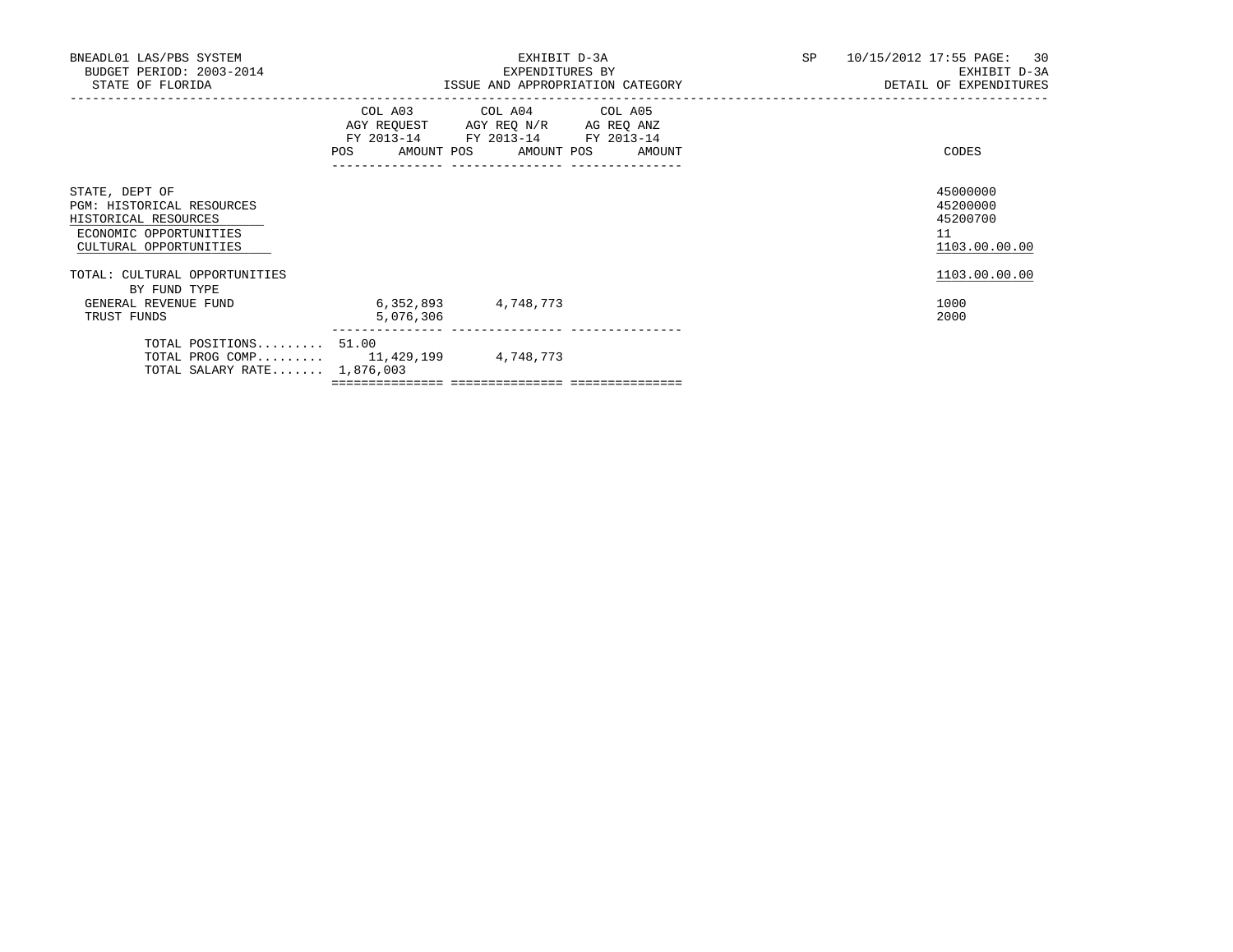| BNEADL01 LAS/PBS SYSTEM<br>BUDGET PERIOD: 2003-2014<br>STATE OF FLORIDA                                                 |                        | EXHIBIT D-3A<br>EXPENDITURES BY<br>ISSUE AND APPROPRIATION CATEGORY                                                                   | SP <sub>2</sub> | 10/15/2012 17:55 PAGE: 30<br>EXHIBIT D-3A<br>DETAIL OF EXPENDITURES |  |
|-------------------------------------------------------------------------------------------------------------------------|------------------------|---------------------------------------------------------------------------------------------------------------------------------------|-----------------|---------------------------------------------------------------------|--|
|                                                                                                                         |                        | COL A03 COL A04 COL A05<br>AGY REQUEST AGY REQ N/R AG REQ ANZ<br>FY 2013-14 FY 2013-14 FY 2013-14<br>POS AMOUNT POS AMOUNT POS AMOUNT |                 | CODES                                                               |  |
| STATE, DEPT OF<br>PGM: HISTORICAL RESOURCES<br>HISTORICAL RESOURCES<br>ECONOMIC OPPORTUNITIES<br>CULTURAL OPPORTUNITIES |                        |                                                                                                                                       |                 | 45000000<br>45200000<br>45200700<br>11<br>1103.00.00.00             |  |
| TOTAL: CULTURAL OPPORTUNITIES<br>BY FUND TYPE                                                                           |                        |                                                                                                                                       |                 | 1103.00.00.00                                                       |  |
| GENERAL REVENUE FUND<br>TRUST FUNDS                                                                                     | 6,352,893<br>5,076,306 | 4,748,773                                                                                                                             |                 | 1000<br>2000                                                        |  |
| TOTAL POSITIONS 51.00<br>TOTAL PROG COMP 11,429,199 4,748,773<br>TOTAL SALARY RATE $1,876,003$                          |                        |                                                                                                                                       |                 |                                                                     |  |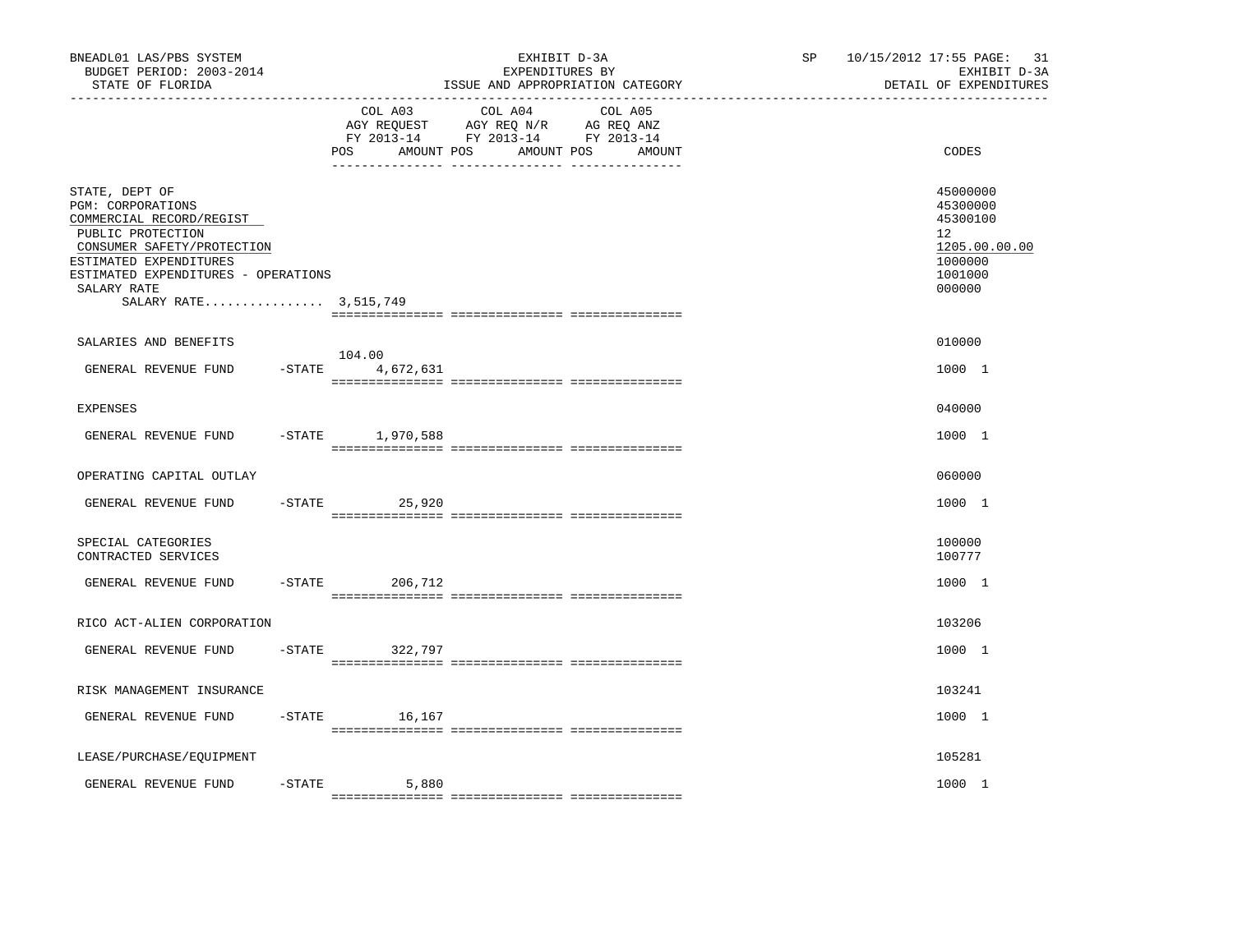| BNEADL01 LAS/PBS SYSTEM<br>BUDGET PERIOD: 2003-2014<br>STATE OF FLORIDA                                                                                                                                                     |           |                               | EXHIBIT D-3A<br>EXPENDITURES BY<br>ISSUE AND APPROPRIATION CATEGORY                                                  | SP | 31<br>10/15/2012 17:55 PAGE:<br>EXHIBIT D-3A<br>DETAIL OF EXPENDITURES                  |
|-----------------------------------------------------------------------------------------------------------------------------------------------------------------------------------------------------------------------------|-----------|-------------------------------|----------------------------------------------------------------------------------------------------------------------|----|-----------------------------------------------------------------------------------------|
|                                                                                                                                                                                                                             |           | COL A03<br>AMOUNT POS<br>POS. | COL A04<br>COL A05<br>AGY REQUEST AGY REQ N/R AG REQ ANZ<br>FY 2013-14 FY 2013-14 FY 2013-14<br>AMOUNT POS<br>AMOUNT |    | CODES                                                                                   |
| STATE, DEPT OF<br>PGM: CORPORATIONS<br>COMMERCIAL RECORD/REGIST<br>PUBLIC PROTECTION<br>CONSUMER SAFETY/PROTECTION<br>ESTIMATED EXPENDITURES<br>ESTIMATED EXPENDITURES - OPERATIONS<br>SALARY RATE<br>SALARY RATE 3,515,749 |           |                               |                                                                                                                      |    | 45000000<br>45300000<br>45300100<br>12<br>1205.00.00.00<br>1000000<br>1001000<br>000000 |
| SALARIES AND BENEFITS                                                                                                                                                                                                       |           |                               |                                                                                                                      |    | 010000                                                                                  |
| GENERAL REVENUE FUND                                                                                                                                                                                                        | $-$ STATE | 104.00<br>4,672,631           |                                                                                                                      |    | 1000 1                                                                                  |
| <b>EXPENSES</b>                                                                                                                                                                                                             |           |                               |                                                                                                                      |    | 040000                                                                                  |
| GENERAL REVENUE FUND                                                                                                                                                                                                        |           | -STATE 1,970,588              |                                                                                                                      |    | 1000 1                                                                                  |
| OPERATING CAPITAL OUTLAY                                                                                                                                                                                                    |           |                               |                                                                                                                      |    | 060000                                                                                  |
| GENERAL REVENUE FUND                                                                                                                                                                                                        | $-$ STATE | 25,920                        |                                                                                                                      |    | 1000 1                                                                                  |
| SPECIAL CATEGORIES<br>CONTRACTED SERVICES                                                                                                                                                                                   |           |                               |                                                                                                                      |    | 100000<br>100777                                                                        |
| GENERAL REVENUE FUND                                                                                                                                                                                                        | $-$ STATE | 206,712                       |                                                                                                                      |    | 1000 1                                                                                  |
| RICO ACT-ALIEN CORPORATION                                                                                                                                                                                                  |           |                               |                                                                                                                      |    | 103206                                                                                  |
| GENERAL REVENUE FUND                                                                                                                                                                                                        | $-STATE$  | 322,797                       |                                                                                                                      |    | 1000 1                                                                                  |
| RISK MANAGEMENT INSURANCE                                                                                                                                                                                                   |           |                               |                                                                                                                      |    | 103241                                                                                  |
| GENERAL REVENUE FUND                                                                                                                                                                                                        | -STATE    | 16,167                        |                                                                                                                      |    | 1000 1                                                                                  |
| LEASE/PURCHASE/EQUIPMENT                                                                                                                                                                                                    |           |                               |                                                                                                                      |    | 105281                                                                                  |
| GENERAL REVENUE FUND                                                                                                                                                                                                        | $-STATE$  | 5,880                         |                                                                                                                      |    | 1000 1                                                                                  |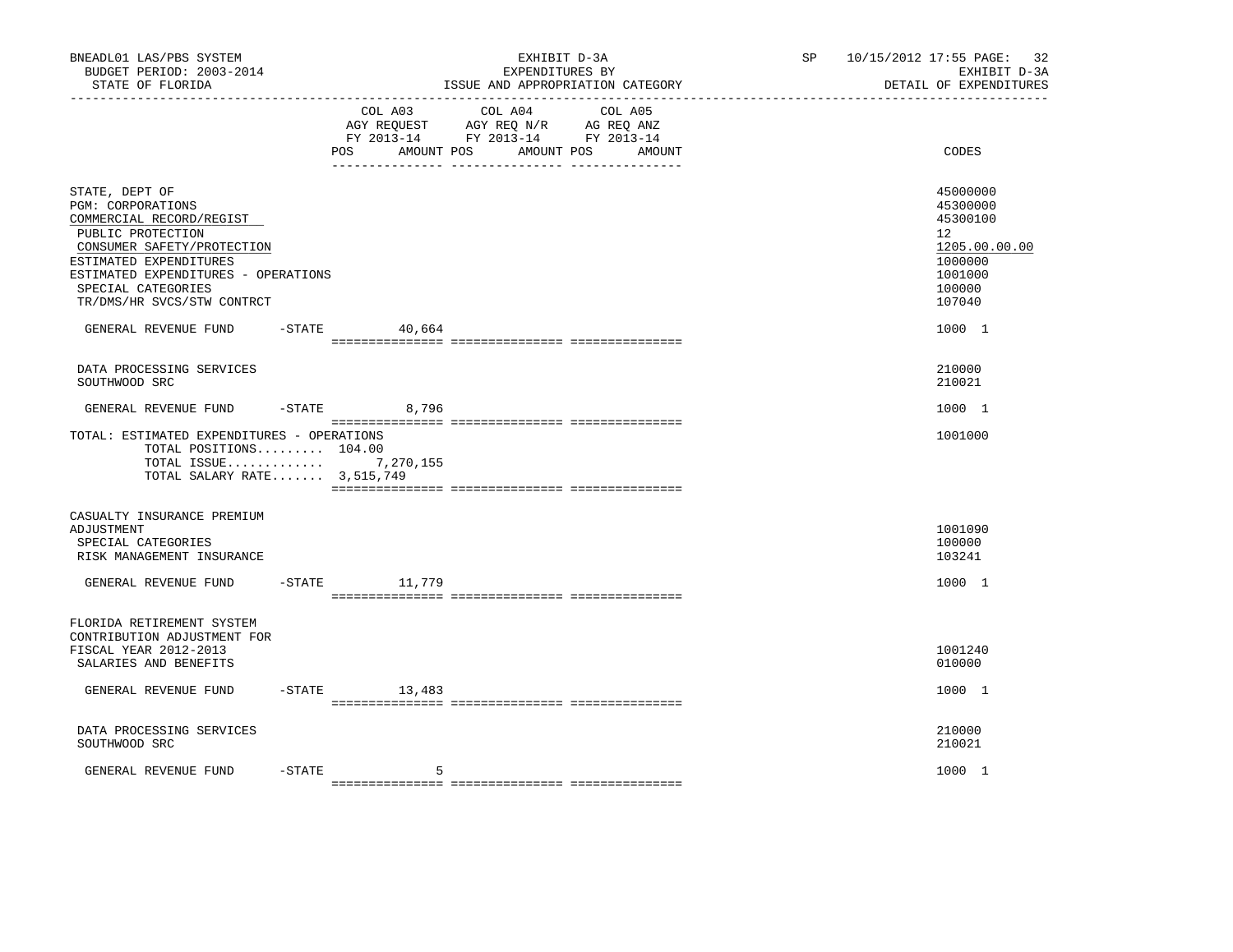| BNEADL01 LAS/PBS SYSTEM<br>BUDGET PERIOD: 2003-2014<br>STATE OF FLORIDA                                                                                                                                                                 |           |                     | EXHIBIT D-3A<br>EXPENDITURES BY<br>ISSUE AND APPROPRIATION CATEGORY                                             |        | SP <sub>2</sub> | 10/15/2012 17:55 PAGE: 32<br>EXHIBIT D-3A<br>DETAIL OF EXPENDITURES                               |
|-----------------------------------------------------------------------------------------------------------------------------------------------------------------------------------------------------------------------------------------|-----------|---------------------|-----------------------------------------------------------------------------------------------------------------|--------|-----------------|---------------------------------------------------------------------------------------------------|
|                                                                                                                                                                                                                                         |           | AMOUNT POS<br>POS   | COL A03 COL A04 COL A05<br>AGY REQUEST AGY REQ N/R AG REQ ANZ<br>FY 2013-14 FY 2013-14 FY 2013-14<br>AMOUNT POS | AMOUNT |                 | CODES                                                                                             |
| STATE, DEPT OF<br>PGM: CORPORATIONS<br>COMMERCIAL RECORD/REGIST<br>PUBLIC PROTECTION<br>CONSUMER SAFETY/PROTECTION<br>ESTIMATED EXPENDITURES<br>ESTIMATED EXPENDITURES - OPERATIONS<br>SPECIAL CATEGORIES<br>TR/DMS/HR SVCS/STW CONTRCT |           |                     |                                                                                                                 |        |                 | 45000000<br>45300000<br>45300100<br>12<br>1205.00.00.00<br>1000000<br>1001000<br>100000<br>107040 |
| GENERAL REVENUE FUND                                                                                                                                                                                                                    | $-$ STATE | 40,664              |                                                                                                                 |        |                 | 1000 1                                                                                            |
| DATA PROCESSING SERVICES<br>SOUTHWOOD SRC                                                                                                                                                                                               |           |                     |                                                                                                                 |        |                 | 210000<br>210021                                                                                  |
| GENERAL REVENUE FUND                                                                                                                                                                                                                    |           | $-STATE$<br>8,796   |                                                                                                                 |        |                 | 1000 1                                                                                            |
| TOTAL: ESTIMATED EXPENDITURES - OPERATIONS<br>TOTAL POSITIONS 104.00<br>TOTAL ISSUE $7,270,155$<br>TOTAL SALARY RATE 3,515,749                                                                                                          |           |                     |                                                                                                                 |        |                 | 1001000                                                                                           |
| CASUALTY INSURANCE PREMIUM<br>ADJUSTMENT<br>SPECIAL CATEGORIES<br>RISK MANAGEMENT INSURANCE                                                                                                                                             |           |                     |                                                                                                                 |        |                 | 1001090<br>100000<br>103241                                                                       |
| GENERAL REVENUE FUND                                                                                                                                                                                                                    |           | $-$ STATE $11, 779$ |                                                                                                                 |        |                 | 1000 1                                                                                            |
| FLORIDA RETIREMENT SYSTEM<br>CONTRIBUTION ADJUSTMENT FOR<br>FISCAL YEAR 2012-2013<br>SALARIES AND BENEFITS                                                                                                                              |           |                     |                                                                                                                 |        |                 | 1001240<br>010000                                                                                 |
| GENERAL REVENUE FUND                                                                                                                                                                                                                    |           | $-STATE$ 13,483     |                                                                                                                 |        |                 | 1000 1                                                                                            |
| DATA PROCESSING SERVICES<br>SOUTHWOOD SRC                                                                                                                                                                                               |           |                     |                                                                                                                 |        |                 | 210000<br>210021                                                                                  |
| GENERAL REVENUE FUND                                                                                                                                                                                                                    | $-$ STATE | 5                   |                                                                                                                 |        |                 | 1000 1                                                                                            |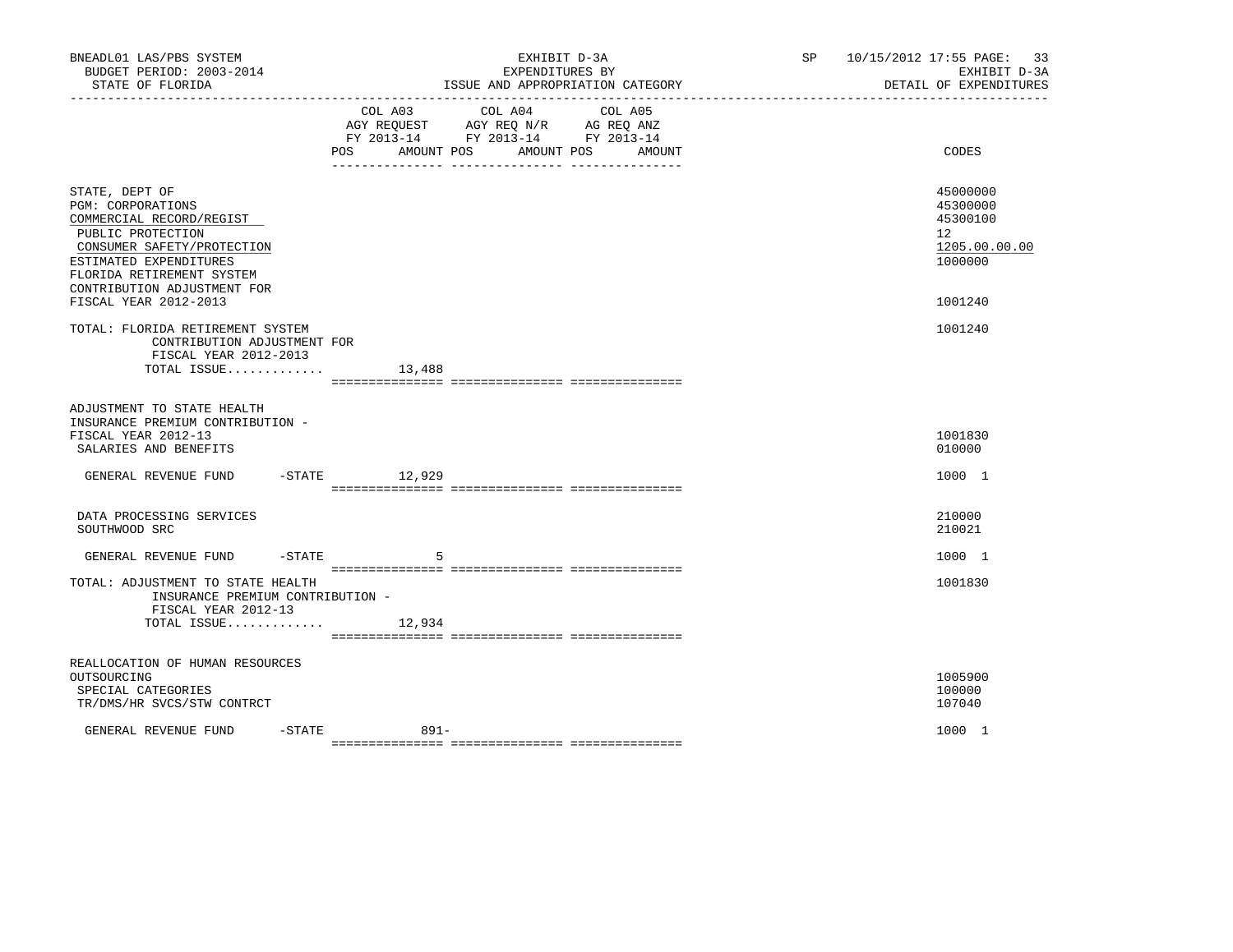| BNEADL01 LAS/PBS SYSTEM<br>BUDGET PERIOD: 2003-2014<br>STATE OF FLORIDA                                                                                                                                                                  | EXHIBIT D-3A<br>EXPENDITURES BY<br>ISSUE AND APPROPRIATION CATEGORY                                                                                                                    | 10/15/2012 17:55 PAGE: 33<br>SP and the set of the set of the set of the set of the set of the set of the set of the set of the set of the set of the set of the set of the set of the set of the set of the set of the set of the set of the set of the se<br>EXHIBIT D-3A<br>DETAIL OF EXPENDITURES |
|------------------------------------------------------------------------------------------------------------------------------------------------------------------------------------------------------------------------------------------|----------------------------------------------------------------------------------------------------------------------------------------------------------------------------------------|-------------------------------------------------------------------------------------------------------------------------------------------------------------------------------------------------------------------------------------------------------------------------------------------------------|
|                                                                                                                                                                                                                                          | COL A04<br>COL A03<br>COL A05<br>AGY REQUEST AGY REQ N/R AG REQ ANZ<br>FY 2013-14 FY 2013-14 FY 2013-14<br>AMOUNT POS<br>POS<br>AMOUNT POS<br>AMOUNT<br>__ ________________ __________ | CODES                                                                                                                                                                                                                                                                                                 |
| STATE, DEPT OF<br><b>PGM: CORPORATIONS</b><br>COMMERCIAL RECORD/REGIST<br>PUBLIC PROTECTION<br>CONSUMER SAFETY/PROTECTION<br>ESTIMATED EXPENDITURES<br>FLORIDA RETIREMENT SYSTEM<br>CONTRIBUTION ADJUSTMENT FOR<br>FISCAL YEAR 2012-2013 |                                                                                                                                                                                        | 45000000<br>45300000<br>45300100<br>12 <sup>12</sup><br>1205.00.00.00<br>1000000<br>1001240                                                                                                                                                                                                           |
| TOTAL: FLORIDA RETIREMENT SYSTEM<br>CONTRIBUTION ADJUSTMENT FOR<br>FISCAL YEAR 2012-2013<br>TOTAL ISSUE $13,488$                                                                                                                         |                                                                                                                                                                                        | 1001240                                                                                                                                                                                                                                                                                               |
| ADJUSTMENT TO STATE HEALTH<br>INSURANCE PREMIUM CONTRIBUTION -<br>FISCAL YEAR 2012-13<br>SALARIES AND BENEFITS                                                                                                                           |                                                                                                                                                                                        | 1001830<br>010000                                                                                                                                                                                                                                                                                     |
| GENERAL REVENUE FUND                                                                                                                                                                                                                     | -STATE 12,929                                                                                                                                                                          | 1000 1                                                                                                                                                                                                                                                                                                |
| DATA PROCESSING SERVICES<br>SOUTHWOOD SRC                                                                                                                                                                                                |                                                                                                                                                                                        | 210000<br>210021                                                                                                                                                                                                                                                                                      |
| $-$ STATE<br>GENERAL REVENUE FUND                                                                                                                                                                                                        | 5                                                                                                                                                                                      | 1000 1                                                                                                                                                                                                                                                                                                |
| TOTAL: ADJUSTMENT TO STATE HEALTH<br>INSURANCE PREMIUM CONTRIBUTION -<br>FISCAL YEAR 2012-13                                                                                                                                             |                                                                                                                                                                                        | 1001830                                                                                                                                                                                                                                                                                               |
| TOTAL ISSUE                                                                                                                                                                                                                              | 12,934                                                                                                                                                                                 |                                                                                                                                                                                                                                                                                                       |
| REALLOCATION OF HUMAN RESOURCES<br>OUTSOURCING<br>SPECIAL CATEGORIES<br>TR/DMS/HR SVCS/STW CONTRCT                                                                                                                                       |                                                                                                                                                                                        | 1005900<br>100000<br>107040                                                                                                                                                                                                                                                                           |
| GENERAL REVENUE FUND<br>$-$ STATE                                                                                                                                                                                                        | $891 -$                                                                                                                                                                                | 1000 1                                                                                                                                                                                                                                                                                                |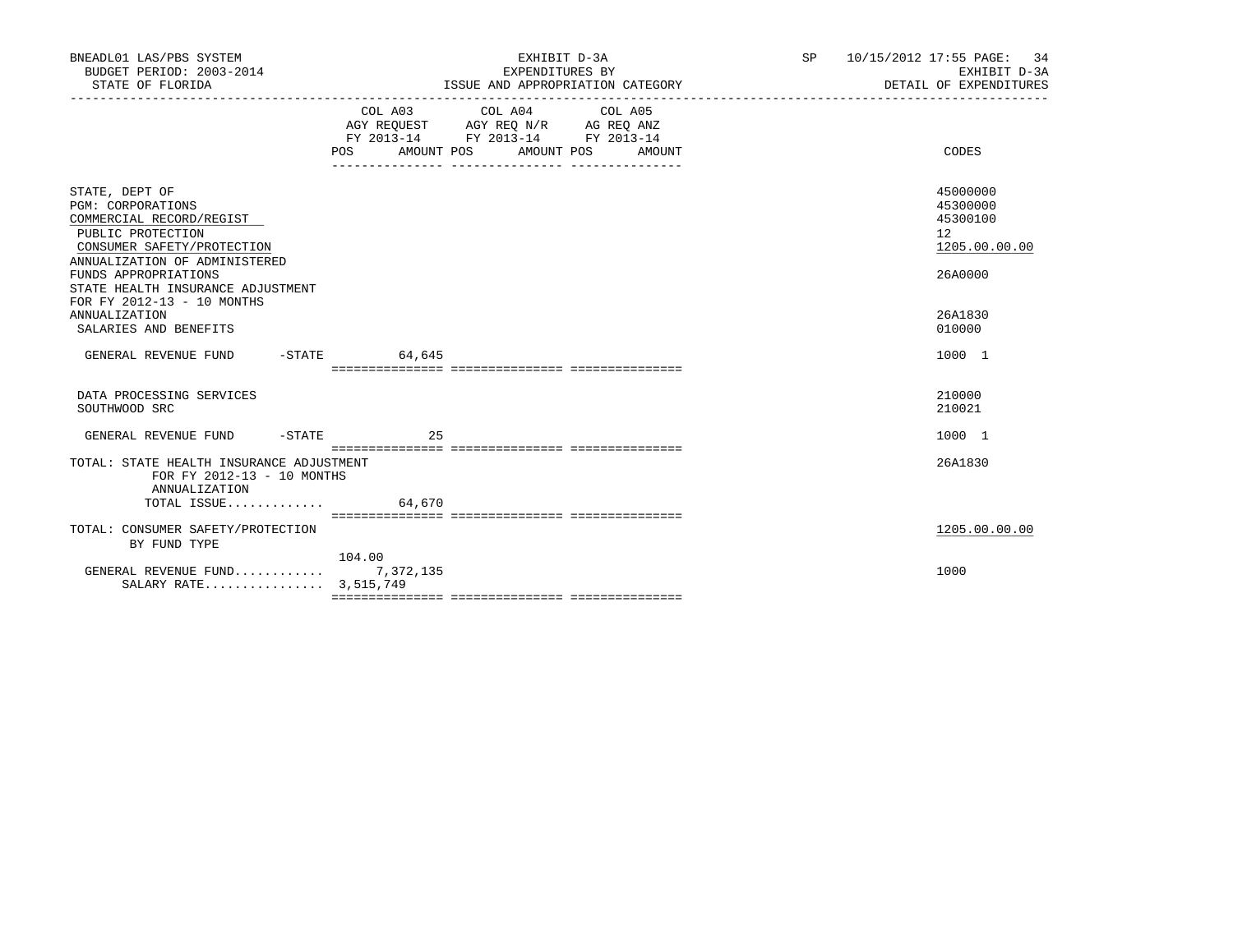| BNEADL01 LAS/PBS SYSTEM<br>BUDGET PERIOD: 2003-2014<br>STATE OF FLORIDA                                                                             |        | EXHIBIT D-3A<br>EXPENDITURES BY<br>ISSUE AND APPROPRIATION CATEGORY                                                                   | SP 10/15/2012 17:55 PAGE: 34<br>EXHIBIT D-3A<br>DETAIL OF EXPENDITURES |
|-----------------------------------------------------------------------------------------------------------------------------------------------------|--------|---------------------------------------------------------------------------------------------------------------------------------------|------------------------------------------------------------------------|
|                                                                                                                                                     |        | COL A03 COL A04 COL A05<br>AGY REQUEST AGY REQ N/R AG REQ ANZ<br>FY 2013-14 FY 2013-14 FY 2013-14<br>POS AMOUNT POS AMOUNT POS AMOUNT | CODES                                                                  |
| STATE, DEPT OF<br>PGM: CORPORATIONS<br>COMMERCIAL RECORD/REGIST<br>PUBLIC PROTECTION<br>CONSUMER SAFETY/PROTECTION<br>ANNUALIZATION OF ADMINISTERED |        |                                                                                                                                       | 45000000<br>45300000<br>45300100<br>12<br>1205.00.00.00                |
| FUNDS APPROPRIATIONS<br>STATE HEALTH INSURANCE ADJUSTMENT<br>FOR FY 2012-13 - 10 MONTHS<br><b>ANNUALIZATION</b><br>SALARIES AND BENEFITS            |        |                                                                                                                                       | 26A0000<br>26A1830<br>010000                                           |
| GENERAL REVENUE FUND -STATE                                                                                                                         | 64,645 |                                                                                                                                       | 1000 1                                                                 |
| DATA PROCESSING SERVICES<br>SOUTHWOOD SRC                                                                                                           |        |                                                                                                                                       | 210000<br>210021                                                       |
| GENERAL REVENUE FUND -STATE                                                                                                                         | 25     |                                                                                                                                       | 1000 1                                                                 |
| TOTAL: STATE HEALTH INSURANCE ADJUSTMENT<br>FOR FY 2012-13 - 10 MONTHS<br>ANNUALIZATION                                                             |        |                                                                                                                                       | 26A1830                                                                |
| TOTAL ISSUE                                                                                                                                         | 64,670 |                                                                                                                                       |                                                                        |
| TOTAL: CONSUMER SAFETY/PROTECTION<br>BY FUND TYPE                                                                                                   |        |                                                                                                                                       | 1205.00.00.00                                                          |
| GENERAL REVENUE FUND $7,372,135$<br>SALARY RATE 3,515,749                                                                                           | 104.00 |                                                                                                                                       | 1000                                                                   |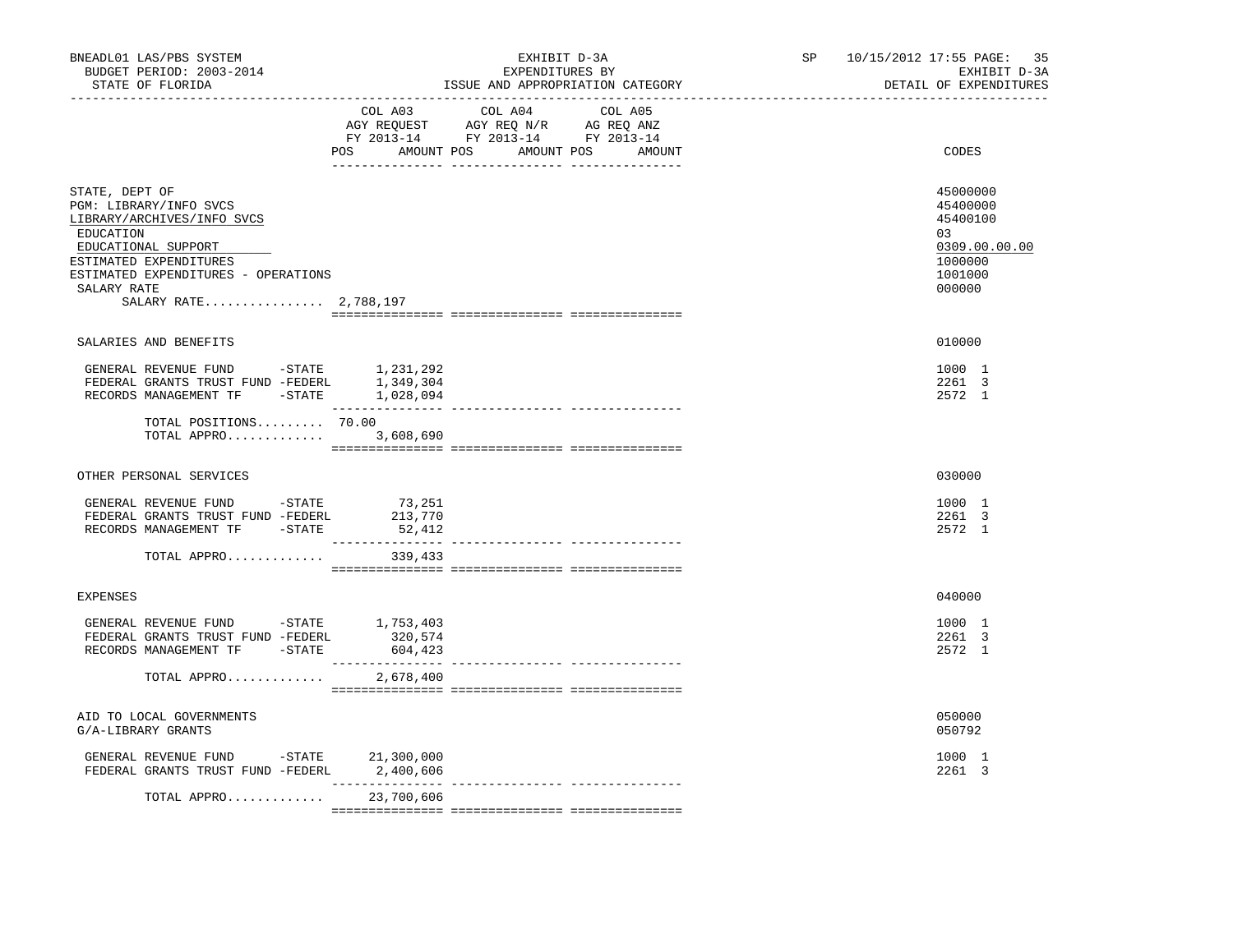| BNEADL01 LAS/PBS SYSTEM<br>BUDGET PERIOD: 2003-2014<br>STATE OF FLORIDA                                                                                                                                             | EXHIBIT D-3A<br>EXPENDITURES BY<br>ISSUE AND APPROPRIATION CATEGORY                                                                   | SP 10/15/2012 17:55 PAGE:<br>35<br>EXHIBIT D-3A<br>DETAIL OF EXPENDITURES               |
|---------------------------------------------------------------------------------------------------------------------------------------------------------------------------------------------------------------------|---------------------------------------------------------------------------------------------------------------------------------------|-----------------------------------------------------------------------------------------|
|                                                                                                                                                                                                                     | COL A03 COL A04 COL A05<br>AGY REQUEST AGY REQ N/R AG REQ ANZ<br>FY 2013-14 FY 2013-14 FY 2013-14<br>POS AMOUNT POS AMOUNT POS AMOUNT | CODES                                                                                   |
| STATE, DEPT OF<br>PGM: LIBRARY/INFO SVCS<br>LIBRARY/ARCHIVES/INFO SVCS<br>EDUCATION<br>EDUCATIONAL SUPPORT<br>ESTIMATED EXPENDITURES<br>ESTIMATED EXPENDITURES - OPERATIONS<br>SALARY RATE<br>SALARY RATE 2,788,197 |                                                                                                                                       | 45000000<br>45400000<br>45400100<br>03<br>0309.00.00.00<br>1000000<br>1001000<br>000000 |
| SALARIES AND BENEFITS                                                                                                                                                                                               |                                                                                                                                       | 010000                                                                                  |
| GENERAL REVENUE FUND -STATE 1,231,292<br>FEDERAL GRANTS TRUST FUND -FEDERL 1,349,304<br>RECORDS MANAGEMENT TF -STATE 1,028,094                                                                                      |                                                                                                                                       | 1000 1<br>2261 3<br>2572 1                                                              |
| TOTAL POSITIONS 70.00<br>TOTAL APPRO                                                                                                                                                                                | _________________<br>3,608,690                                                                                                        |                                                                                         |
| OTHER PERSONAL SERVICES                                                                                                                                                                                             |                                                                                                                                       | 030000                                                                                  |
| GENERAL REVENUE FUND -STATE<br>FEDERAL GRANTS TRUST FUND -FEDERL<br>RECORDS MANAGEMENT TF -STATE                                                                                                                    | 73,251<br>213,770<br>52,412                                                                                                           | 1000 1<br>2261 3<br>2572 1                                                              |
| TOTAL APPRO                                                                                                                                                                                                         | 339,433                                                                                                                               |                                                                                         |
| EXPENSES                                                                                                                                                                                                            |                                                                                                                                       | 040000                                                                                  |
| GENERAL REVENUE FUND -STATE 1,753,403<br>FEDERAL GRANTS TRUST FUND -FEDERL<br>RECORDS MANAGEMENT TF -STATE 604,423                                                                                                  | 320,574                                                                                                                               | 1000 1<br>2261 3<br>2572 1                                                              |
| TOTAL APPRO                                                                                                                                                                                                         | 2,678,400                                                                                                                             |                                                                                         |
| AID TO LOCAL GOVERNMENTS<br>G/A-LIBRARY GRANTS                                                                                                                                                                      |                                                                                                                                       | 050000<br>050792                                                                        |
| GENERAL REVENUE FUND -STATE 21,300,000<br>FEDERAL GRANTS TRUST FUND -FEDERL 2,400,606                                                                                                                               |                                                                                                                                       | 1000 1<br>2261 3                                                                        |
| TOTAL APPRO                                                                                                                                                                                                         | ______________<br>23,700,606                                                                                                          |                                                                                         |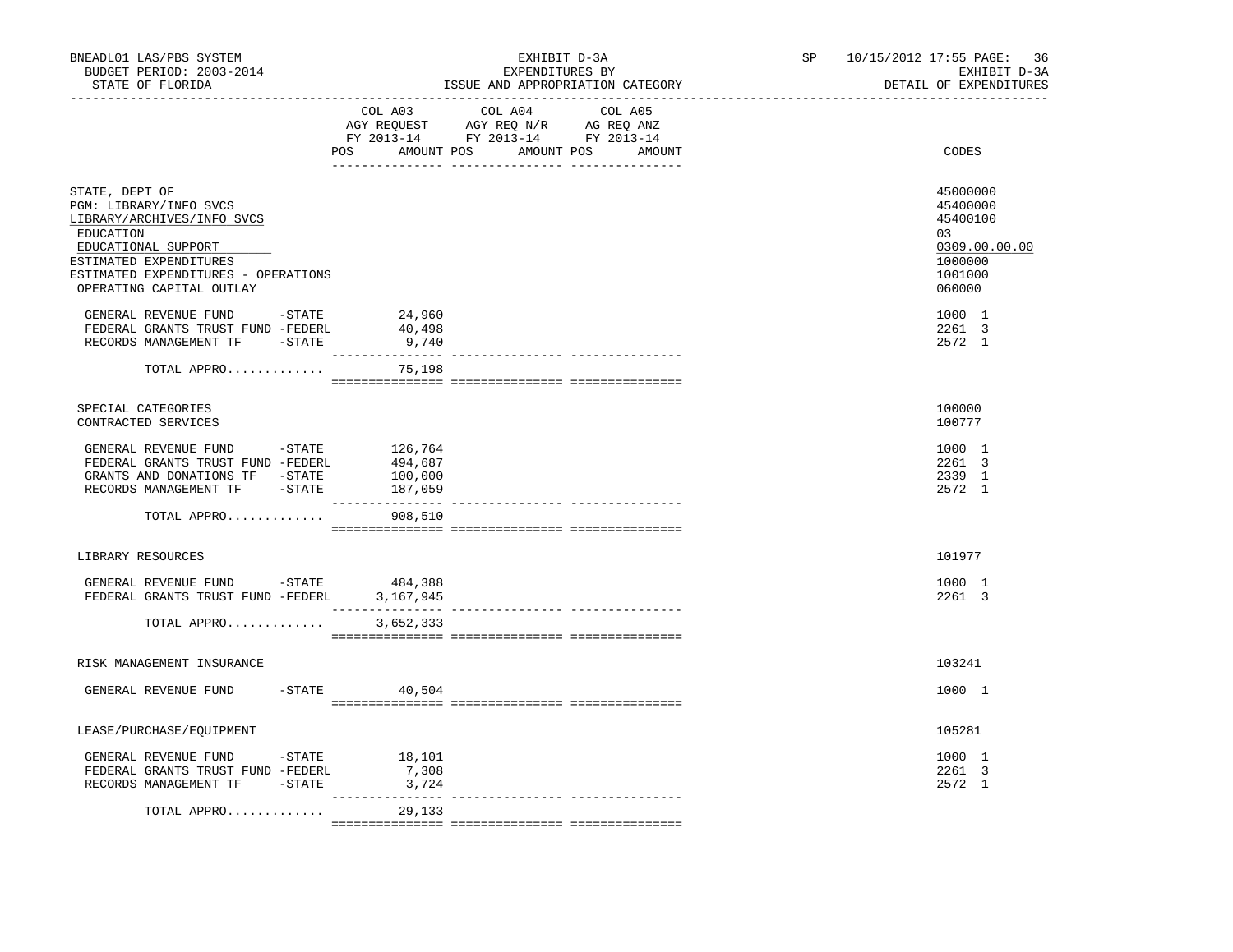| BNEADL01 LAS/PBS SYSTEM<br>BUDGET PERIOD: 2003-2014<br>STATE OF FLORIDA<br>------------------                                                                                                           |                           | EXHIBIT D-3A<br>EXPENDITURES BY<br>ISSUE AND APPROPRIATION CATEGORY                                                                   | 10/15/2012 17:55 PAGE:<br>SP and the set of the set of the set of the set of the set of the set of the set of the set of the set of the set of the set of the set of the set of the set of the set of the set of the set of the set of the set of the se<br>------------------------- | 36<br>EXHIBIT D-3A<br>DETAIL OF EXPENDITURES                                            |
|---------------------------------------------------------------------------------------------------------------------------------------------------------------------------------------------------------|---------------------------|---------------------------------------------------------------------------------------------------------------------------------------|---------------------------------------------------------------------------------------------------------------------------------------------------------------------------------------------------------------------------------------------------------------------------------------|-----------------------------------------------------------------------------------------|
|                                                                                                                                                                                                         |                           | COL A03 COL A04 COL A05<br>AGY REQUEST AGY REQ N/R AG REQ ANZ<br>FY 2013-14 FY 2013-14 FY 2013-14<br>POS AMOUNT POS AMOUNT POS AMOUNT |                                                                                                                                                                                                                                                                                       | CODES                                                                                   |
| STATE, DEPT OF<br>PGM: LIBRARY/INFO SVCS<br>LIBRARY/ARCHIVES/INFO SVCS<br>EDUCATION<br>EDUCATIONAL SUPPORT<br>ESTIMATED EXPENDITURES<br>ESTIMATED EXPENDITURES - OPERATIONS<br>OPERATING CAPITAL OUTLAY |                           |                                                                                                                                       |                                                                                                                                                                                                                                                                                       | 45000000<br>45400000<br>45400100<br>03<br>0309.00.00.00<br>1000000<br>1001000<br>060000 |
| GENERAL REVENUE FUND -STATE<br>FEDERAL GRANTS TRUST FUND -FEDERL<br>RECORDS MANAGEMENT TF -STATE                                                                                                        | 24,960<br>40,498<br>9,740 |                                                                                                                                       |                                                                                                                                                                                                                                                                                       | 1000 1<br>2261 3<br>2572 1                                                              |
| TOTAL APPRO                                                                                                                                                                                             | 75,198                    |                                                                                                                                       |                                                                                                                                                                                                                                                                                       |                                                                                         |
| SPECIAL CATEGORIES<br>CONTRACTED SERVICES                                                                                                                                                               |                           |                                                                                                                                       |                                                                                                                                                                                                                                                                                       | 100000<br>100777                                                                        |
| GENERAL REVENUE FUND -STATE 126,764<br>FEDERAL GRANTS TRUST FUND -FEDERL 494,687<br>GRANTS AND DONATIONS TF -STATE<br>RECORDS MANAGEMENT TF -STATE                                                      | 100,000<br>187,059        |                                                                                                                                       |                                                                                                                                                                                                                                                                                       | 1000 1<br>2261 3<br>2339 1<br>2572 1                                                    |
| TOTAL APPRO                                                                                                                                                                                             | 908,510                   |                                                                                                                                       |                                                                                                                                                                                                                                                                                       |                                                                                         |
| LIBRARY RESOURCES                                                                                                                                                                                       |                           |                                                                                                                                       |                                                                                                                                                                                                                                                                                       | 101977                                                                                  |
| GENERAL REVENUE FUND -STATE<br>FEDERAL GRANTS TRUST FUND -FEDERL 3,167,945                                                                                                                              | 484,388                   |                                                                                                                                       |                                                                                                                                                                                                                                                                                       | 1000 1<br>2261 3                                                                        |
| TOTAL APPRO                                                                                                                                                                                             | 3,652,333                 |                                                                                                                                       |                                                                                                                                                                                                                                                                                       |                                                                                         |
| RISK MANAGEMENT INSURANCE                                                                                                                                                                               |                           |                                                                                                                                       |                                                                                                                                                                                                                                                                                       | 103241                                                                                  |
| GENERAL REVENUE FUND                                                                                                                                                                                    | $-$ STATE 40,504          |                                                                                                                                       |                                                                                                                                                                                                                                                                                       | 1000 1                                                                                  |
| LEASE/PURCHASE/EQUIPMENT                                                                                                                                                                                |                           |                                                                                                                                       |                                                                                                                                                                                                                                                                                       | 105281                                                                                  |
| GENERAL REVENUE FUND -STATE 18,101<br>FEDERAL GRANTS TRUST FUND -FEDERL<br>RECORDS MANAGEMENT TF -STATE                                                                                                 | 7,308<br>3,724            |                                                                                                                                       |                                                                                                                                                                                                                                                                                       | 1000 1<br>2261 3<br>2572 1                                                              |
| TOTAL APPRO                                                                                                                                                                                             | 29,133                    |                                                                                                                                       |                                                                                                                                                                                                                                                                                       |                                                                                         |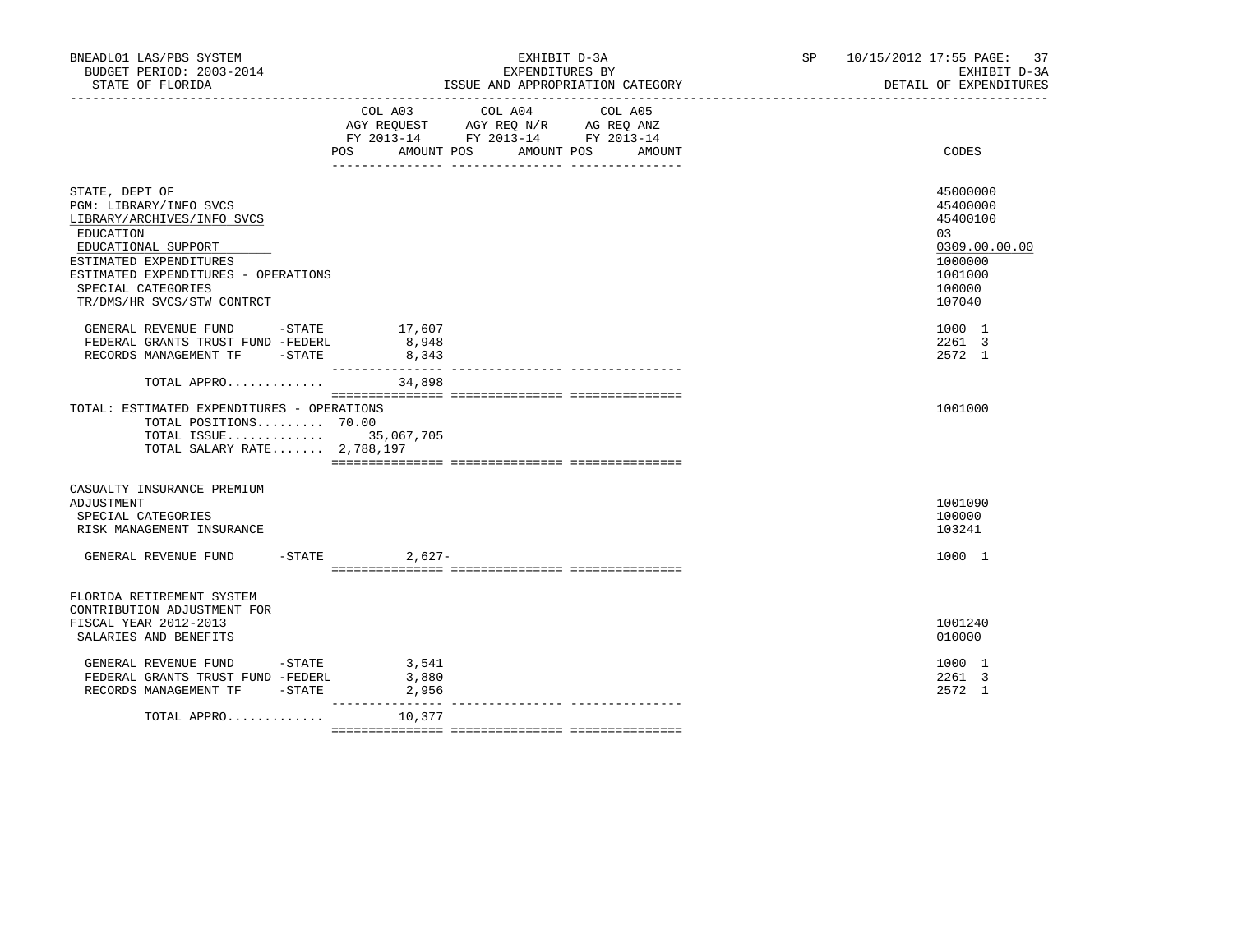| BNEADL01 LAS/PBS SYSTEM<br>BUDGET PERIOD: 2003-2014<br>STATE OF FLORIDA                                                                                                                                                         |                         | EXHIBIT D-3A<br>EXPENDITURES BY<br>ISSUE AND APPROPRIATION CATEGORY                                                                                                            | SP <sub>2</sub> | 10/15/2012 17:55 PAGE:<br>37<br>EXHIBIT D-3A<br>DETAIL OF EXPENDITURES                            |
|---------------------------------------------------------------------------------------------------------------------------------------------------------------------------------------------------------------------------------|-------------------------|--------------------------------------------------------------------------------------------------------------------------------------------------------------------------------|-----------------|---------------------------------------------------------------------------------------------------|
|                                                                                                                                                                                                                                 | POS                     | COL A03 COL A04<br>COL A05<br>AGY REQUEST AGY REQ N/R AG REQ ANZ<br>FY 2013-14 FY 2013-14 FY 2013-14<br>AMOUNT POS AMOUNT POS<br>AMOUNT<br>___ ________________ ______________ |                 | CODES                                                                                             |
| STATE, DEPT OF<br>PGM: LIBRARY/INFO SVCS<br>LIBRARY/ARCHIVES/INFO SVCS<br>EDUCATION<br>EDUCATIONAL SUPPORT<br>ESTIMATED EXPENDITURES<br>ESTIMATED EXPENDITURES - OPERATIONS<br>SPECIAL CATEGORIES<br>TR/DMS/HR SVCS/STW CONTRCT |                         |                                                                                                                                                                                |                 | 45000000<br>45400000<br>45400100<br>03<br>0309.00.00.00<br>1000000<br>1001000<br>100000<br>107040 |
| GENERAL REVENUE FUND $-$ STATE 17,607<br>FEDERAL GRANTS TRUST FUND -FEDERL<br>RECORDS MANAGEMENT TF -STATE                                                                                                                      | 8,948<br>8,343          |                                                                                                                                                                                |                 | 1000 1<br>2261 3<br>2572 1                                                                        |
| TOTAL APPRO<br>TOTAL: ESTIMATED EXPENDITURES - OPERATIONS<br>TOTAL POSITIONS 70.00<br>TOTAL ISSUE 35,067,705<br>TOTAL SALARY RATE 2,788,197                                                                                     | 34,898                  |                                                                                                                                                                                |                 | 1001000                                                                                           |
| CASUALTY INSURANCE PREMIUM<br>ADJUSTMENT<br>SPECIAL CATEGORIES<br>RISK MANAGEMENT INSURANCE                                                                                                                                     |                         |                                                                                                                                                                                |                 | 1001090<br>100000<br>103241                                                                       |
| GENERAL REVENUE FUND                                                                                                                                                                                                            | $-$ STATE 2,627-        |                                                                                                                                                                                |                 | 1000 1                                                                                            |
| FLORIDA RETIREMENT SYSTEM<br>CONTRIBUTION ADJUSTMENT FOR<br>FISCAL YEAR 2012-2013<br>SALARIES AND BENEFITS<br>GENERAL REVENUE FUND -STATE<br>FEDERAL GRANTS TRUST FUND -FEDERL<br>RECORDS MANAGEMENT TF -STATE                  | 3,541<br>3,880<br>2,956 |                                                                                                                                                                                |                 | 1001240<br>010000<br>1000 1<br>2261 3<br>2572 1                                                   |
| TOTAL APPRO                                                                                                                                                                                                                     | _________<br>10,377     |                                                                                                                                                                                |                 |                                                                                                   |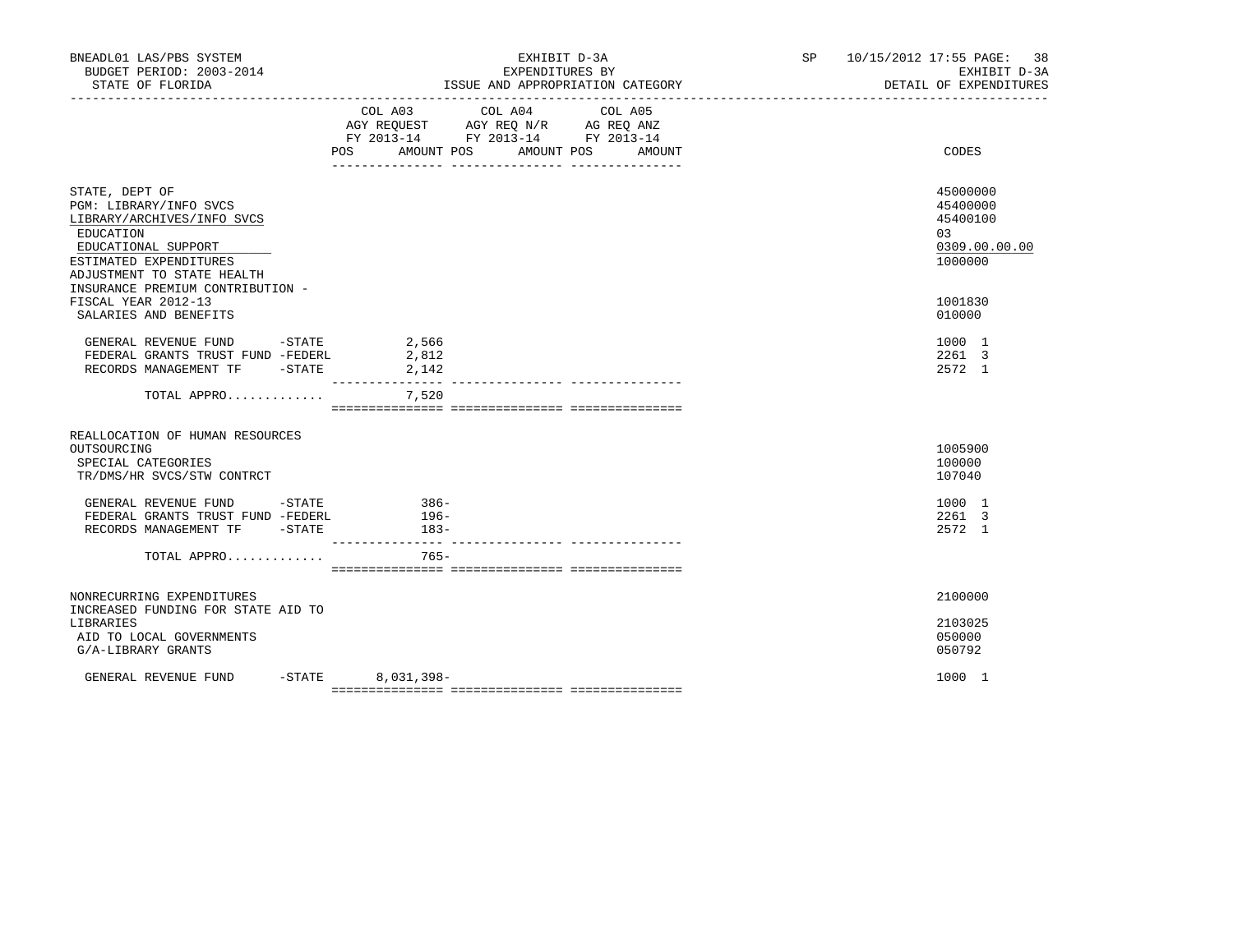| BNEADL01 LAS/PBS SYSTEM<br>BUDGET PERIOD: 2003-2014                                                                                                                |           | EXHIBIT D-3A<br>EXPENDITURES BY                                                                            |                 |         | SP 10/15/2012 17:55 PAGE: 38<br>EXHIBIT D-3A<br>DETAIL OF EXPENDITURES |
|--------------------------------------------------------------------------------------------------------------------------------------------------------------------|-----------|------------------------------------------------------------------------------------------------------------|-----------------|---------|------------------------------------------------------------------------|
|                                                                                                                                                                    |           | AGY REQUEST AGY REQ N/R AG REQ ANZ<br>FY 2013-14 FY 2013-14 FY 2013-14<br>POS AMOUNT POS AMOUNT POS AMOUNT | COL A03 COL A04 | COL A05 | CODES                                                                  |
| STATE, DEPT OF<br>PGM: LIBRARY/INFO SVCS<br>LIBRARY/ARCHIVES/INFO SVCS<br>EDUCATION<br>EDUCATIONAL SUPPORT<br>ESTIMATED EXPENDITURES<br>ADJUSTMENT TO STATE HEALTH |           |                                                                                                            |                 |         | 45000000<br>45400000<br>45400100<br>03<br>0309.00.00.00<br>1000000     |
| INSURANCE PREMIUM CONTRIBUTION -<br>FISCAL YEAR 2012-13<br>SALARIES AND BENEFITS                                                                                   |           |                                                                                                            |                 |         | 1001830<br>010000                                                      |
| GENERAL REVENUE FUND -STATE 2,566<br>FEDERAL GRANTS TRUST FUND -FEDERL<br>RECORDS MANAGEMENT TF -STATE                                                             |           | 2,812<br>2,142                                                                                             |                 |         | 1000 1<br>2261 3<br>2572 1                                             |
| TOTAL APPRO                                                                                                                                                        |           | ________________<br>7,520                                                                                  |                 |         |                                                                        |
| REALLOCATION OF HUMAN RESOURCES<br>OUTSOURCING<br>SPECIAL CATEGORIES<br>TR/DMS/HR SVCS/STW CONTRCT                                                                 |           |                                                                                                            |                 |         | 1005900<br>100000<br>107040                                            |
| GENERAL REVENUE FUND -STATE<br>FEDERAL GRANTS TRUST FUND -FEDERL 196-<br>RECORDS MANAGEMENT TF -STATE                                                              |           | $386-$<br>$183-$                                                                                           |                 |         | 1000 1<br>2261 3<br>2572 1                                             |
| TOTAL APPRO                                                                                                                                                        |           | $765 -$                                                                                                    |                 |         |                                                                        |
| NONRECURRING EXPENDITURES<br>INCREASED FUNDING FOR STATE AID TO<br>LIBRARIES<br>AID TO LOCAL GOVERNMENTS<br>G/A-LIBRARY GRANTS                                     |           |                                                                                                            |                 |         | 2100000<br>2103025<br>050000<br>050792                                 |
| GENERAL REVENUE FUND                                                                                                                                               | $-$ STATE | 8,031,398-                                                                                                 |                 |         | 1000 1                                                                 |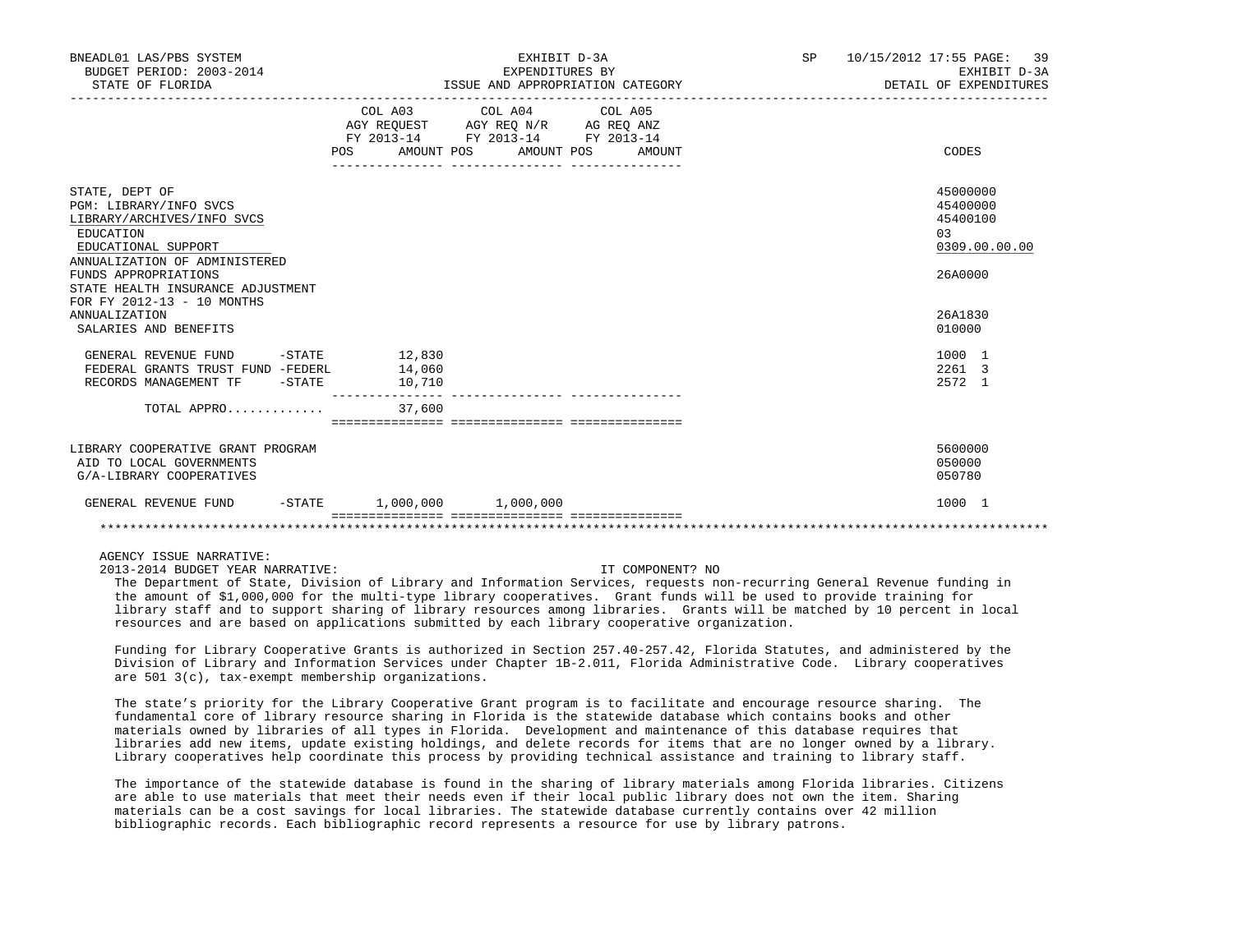| BNEADL01 LAS/PBS SYSTEM<br>BUDGET PERIOD: 2003-2014<br>STATE OF FLORIDA                                                                                                                                                                                        |                                                                  | EXHIBIT D-3A<br>EXPENDITURES BY<br>ISSUE AND APPROPRIATION CATEGORY                                                                   | SP | 10/15/2012 17:55 PAGE: 39<br>EXHIBIT D-3A<br>DETAIL OF EXPENDITURES                     |
|----------------------------------------------------------------------------------------------------------------------------------------------------------------------------------------------------------------------------------------------------------------|------------------------------------------------------------------|---------------------------------------------------------------------------------------------------------------------------------------|----|-----------------------------------------------------------------------------------------|
|                                                                                                                                                                                                                                                                |                                                                  | COL A03 COL A04 COL A05<br>AGY REQUEST AGY REQ N/R AG REQ ANZ<br>FY 2013-14 FY 2013-14 FY 2013-14<br>POS AMOUNT POS AMOUNT POS AMOUNT |    | CODES                                                                                   |
| STATE, DEPT OF<br>PGM: LIBRARY/INFO SVCS<br>LIBRARY/ARCHIVES/INFO SVCS<br>EDUCATION<br>EDUCATIONAL SUPPORT<br>ANNUALIZATION OF ADMINISTERED<br>FUNDS APPROPRIATIONS<br>STATE HEALTH INSURANCE ADJUSTMENT<br>FOR FY 2012-13 - 10 MONTHS<br><b>ANNUALIZATION</b> |                                                                  |                                                                                                                                       |    | 45000000<br>45400000<br>45400100<br>03<br>0309.00.00.00<br>26A0000<br>26A1830<br>010000 |
| SALARIES AND BENEFITS<br>GENERAL REVENUE FUND<br>FEDERAL GRANTS TRUST FUND -FEDERL<br>RECORDS MANAGEMENT TF -STATE<br>TOTAL APPRO                                                                                                                              | $-STATE$ 12,830<br>14,060<br>10,710<br>37,600                    |                                                                                                                                       |    | 1000 1<br>2261 3<br>2572 1                                                              |
| LIBRARY COOPERATIVE GRANT PROGRAM<br>AID TO LOCAL GOVERNMENTS<br>G/A-LIBRARY COOPERATIVES                                                                                                                                                                      |                                                                  |                                                                                                                                       |    | 5600000<br>050000<br>050780                                                             |
| GENERAL REVENUE FUND                                                                                                                                                                                                                                           | $-STATE$ 1,000,000 1,000,000<br>================================ |                                                                                                                                       |    | 1000 1                                                                                  |
|                                                                                                                                                                                                                                                                |                                                                  |                                                                                                                                       |    |                                                                                         |

# AGENCY ISSUE NARRATIVE:

2013-2014 BUDGET YEAR NARRATIVE: IT COMPONENT? NO

 The Department of State, Division of Library and Information Services, requests non-recurring General Revenue funding in the amount of \$1,000,000 for the multi-type library cooperatives. Grant funds will be used to provide training for library staff and to support sharing of library resources among libraries. Grants will be matched by 10 percent in local resources and are based on applications submitted by each library cooperative organization.

 Funding for Library Cooperative Grants is authorized in Section 257.40-257.42, Florida Statutes, and administered by the Division of Library and Information Services under Chapter 1B-2.011, Florida Administrative Code. Library cooperatives are 501 3(c), tax-exempt membership organizations.

 The state's priority for the Library Cooperative Grant program is to facilitate and encourage resource sharing. The fundamental core of library resource sharing in Florida is the statewide database which contains books and other materials owned by libraries of all types in Florida. Development and maintenance of this database requires that libraries add new items, update existing holdings, and delete records for items that are no longer owned by a library. Library cooperatives help coordinate this process by providing technical assistance and training to library staff.

 The importance of the statewide database is found in the sharing of library materials among Florida libraries. Citizens are able to use materials that meet their needs even if their local public library does not own the item. Sharing materials can be a cost savings for local libraries. The statewide database currently contains over 42 million bibliographic records. Each bibliographic record represents a resource for use by library patrons.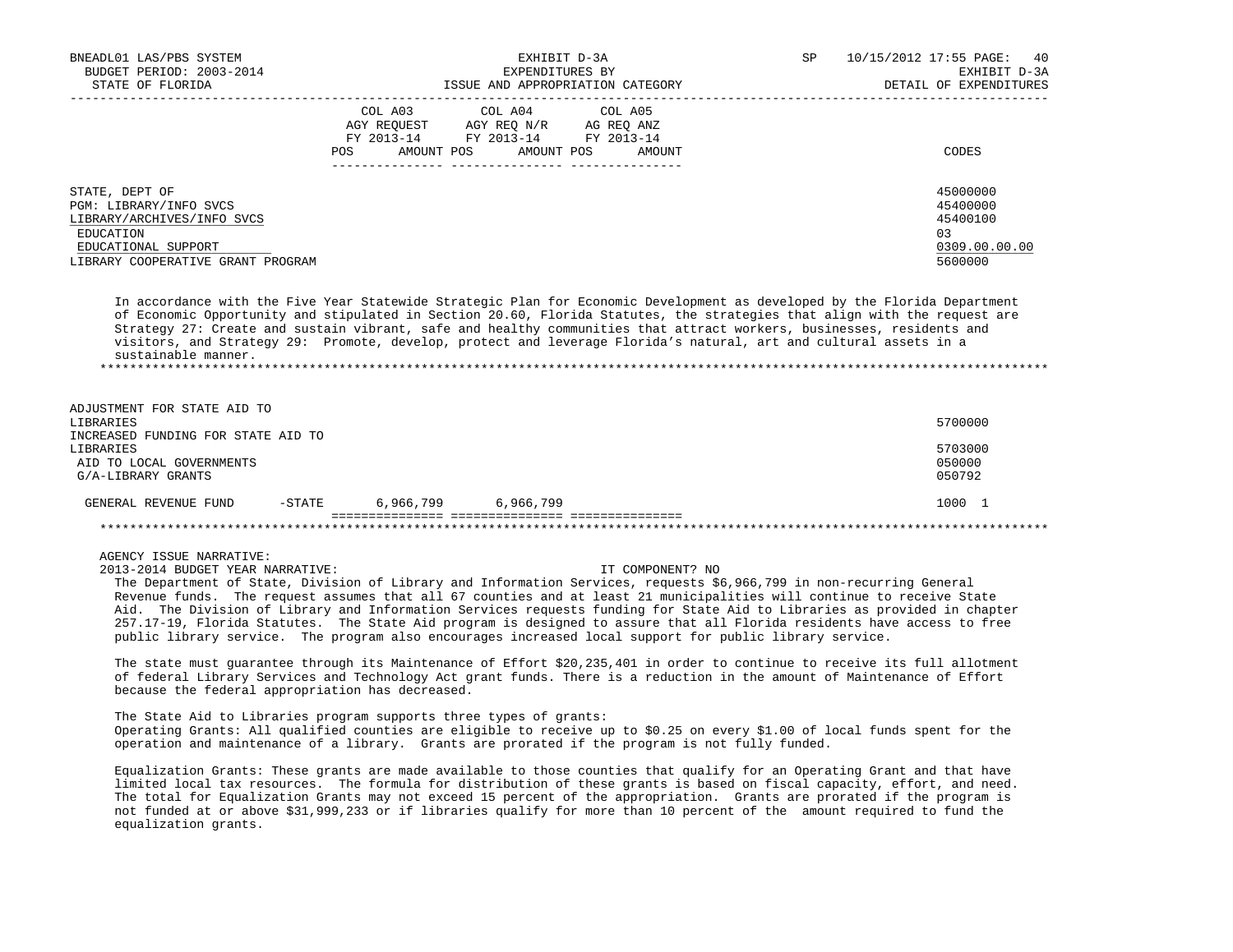| BNEADL01 LAS/PBS SYSTEM<br>BUDGET PERIOD: 2003-2014<br>STATE OF FLORIDA                                                                         | EXHIBIT D-3A<br>EXPENDITURES BY<br>ISSUE AND APPROPRIATION CATEGORY                                                                                        | SP | 10/15/2012 17:55 PAGE: 40<br>EXHIBIT D-3A<br>DETAIL OF EXPENDITURES |
|-------------------------------------------------------------------------------------------------------------------------------------------------|------------------------------------------------------------------------------------------------------------------------------------------------------------|----|---------------------------------------------------------------------|
|                                                                                                                                                 | COL A03<br>COL A04 COL A05<br>AGY REOUEST<br>AGY REO N/R<br>AG REO ANZ<br>FY 2013-14<br>FY 2013-14 FY 2013-14<br>AMOUNT POS<br>POS<br>AMOUNT POS<br>AMOUNT |    | CODES                                                               |
| STATE, DEPT OF<br>PGM: LIBRARY/INFO SVCS<br>LIBRARY/ARCHIVES/INFO SVCS<br>EDUCATION<br>EDUCATIONAL SUPPORT<br>LIBRARY COOPERATIVE GRANT PROGRAM |                                                                                                                                                            |    | 45000000<br>45400000<br>45400100<br>03<br>0309.00.00.00<br>5600000  |

 In accordance with the Five Year Statewide Strategic Plan for Economic Development as developed by the Florida Department of Economic Opportunity and stipulated in Section 20.60, Florida Statutes, the strategies that align with the request are Strategy 27: Create and sustain vibrant, safe and healthy communities that attract workers, businesses, residents and visitors, and Strategy 29: Promote, develop, protect and leverage Florida's natural, art and cultural assets in a sustainable manner. \*\*\*\*\*\*\*\*\*\*\*\*\*\*\*\*\*\*\*\*\*\*\*\*\*\*\*\*\*\*\*\*\*\*\*\*\*\*\*\*\*\*\*\*\*\*\*\*\*\*\*\*\*\*\*\*\*\*\*\*\*\*\*\*\*\*\*\*\*\*\*\*\*\*\*\*\*\*\*\*\*\*\*\*\*\*\*\*\*\*\*\*\*\*\*\*\*\*\*\*\*\*\*\*\*\*\*\*\*\*\*\*\*\*\*\*\*\*\*\*\*\*\*\*\*\*\*

ADJUSTMENT FOR STATE AID TO

| GENERAL REVENUE FUND                           | $-$ STATE | 6,966,799 | 6,966,799 | 1000 1           |
|------------------------------------------------|-----------|-----------|-----------|------------------|
| AID TO LOCAL GOVERNMENTS<br>G/A-LIBRARY GRANTS |           |           |           | 050000<br>050792 |
| LIBRARIES                                      |           |           |           | 5703000          |
| INCREASED FUNDING FOR STATE AID TO             |           |           |           |                  |
| LIBRARIES                                      |           |           |           | 5700000          |

# AGENCY ISSUE NARRATIVE:

2013-2014 BUDGET YEAR NARRATIVE: IT COMPONENT? NO

 The Department of State, Division of Library and Information Services, requests \$6,966,799 in non-recurring General Revenue funds. The request assumes that all 67 counties and at least 21 municipalities will continue to receive State Aid. The Division of Library and Information Services requests funding for State Aid to Libraries as provided in chapter 257.17-19, Florida Statutes. The State Aid program is designed to assure that all Florida residents have access to free public library service. The program also encourages increased local support for public library service.

 The state must guarantee through its Maintenance of Effort \$20,235,401 in order to continue to receive its full allotment of federal Library Services and Technology Act grant funds. There is a reduction in the amount of Maintenance of Effort because the federal appropriation has decreased.

 The State Aid to Libraries program supports three types of grants: Operating Grants: All qualified counties are eligible to receive up to \$0.25 on every \$1.00 of local funds spent for the operation and maintenance of a library. Grants are prorated if the program is not fully funded.

 Equalization Grants: These grants are made available to those counties that qualify for an Operating Grant and that have limited local tax resources. The formula for distribution of these grants is based on fiscal capacity, effort, and need. The total for Equalization Grants may not exceed 15 percent of the appropriation. Grants are prorated if the program is not funded at or above \$31,999,233 or if libraries qualify for more than 10 percent of the amount required to fund the equalization grants.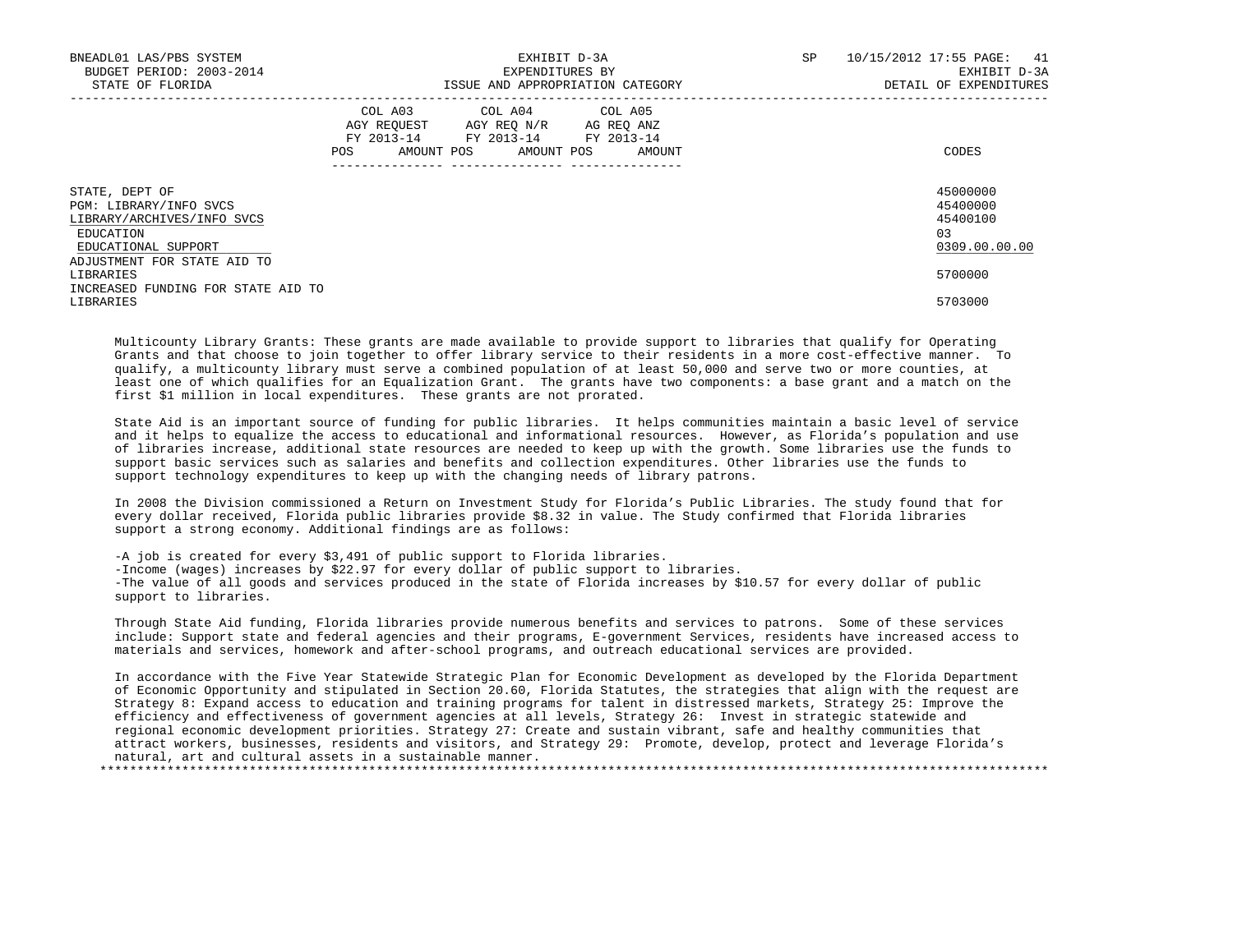| BNEADL01 LAS/PBS SYSTEM<br>BUDGET PERIOD: 2003-2014<br>STATE OF FLORIDA                                    |                                                | EXHIBIT D-3A<br>EXPENDITURES BY<br>ISSUE AND APPROPRIATION CATEGORY                                | SP | 10/15/2012 17:55 PAGE:<br>41<br>EXHIBIT D-3A<br>DETAIL OF EXPENDITURES |
|------------------------------------------------------------------------------------------------------------|------------------------------------------------|----------------------------------------------------------------------------------------------------|----|------------------------------------------------------------------------|
|                                                                                                            | AGY REOUEST<br>FY 2013-14<br>POS<br>AMOUNT POS | COL A03 COL A04 COL A05<br>AGY REO N/R AG REO ANZ<br>FY 2013-14 FY 2013-14<br>AMOUNT POS<br>AMOUNT |    | CODES                                                                  |
| STATE, DEPT OF<br>PGM: LIBRARY/INFO SVCS<br>LIBRARY/ARCHIVES/INFO SVCS<br>EDUCATION<br>EDUCATIONAL SUPPORT |                                                |                                                                                                    |    | 45000000<br>45400000<br>45400100<br>03<br>0309.00.00.00                |
| ADJUSTMENT FOR STATE AID TO<br>LIBRARIES<br>INCREASED FUNDING FOR STATE AID TO<br>LIBRARIES                |                                                |                                                                                                    |    | 5700000<br>5703000                                                     |

 Multicounty Library Grants: These grants are made available to provide support to libraries that qualify for Operating Grants and that choose to join together to offer library service to their residents in a more cost-effective manner. To qualify, a multicounty library must serve a combined population of at least 50,000 and serve two or more counties, at least one of which qualifies for an Equalization Grant. The grants have two components: a base grant and a match on the first \$1 million in local expenditures. These grants are not prorated.

 State Aid is an important source of funding for public libraries. It helps communities maintain a basic level of service and it helps to equalize the access to educational and informational resources. However, as Florida's population and use of libraries increase, additional state resources are needed to keep up with the growth. Some libraries use the funds to support basic services such as salaries and benefits and collection expenditures. Other libraries use the funds to support technology expenditures to keep up with the changing needs of library patrons.

 In 2008 the Division commissioned a Return on Investment Study for Florida's Public Libraries. The study found that for every dollar received, Florida public libraries provide \$8.32 in value. The Study confirmed that Florida libraries support a strong economy. Additional findings are as follows:

 -A job is created for every \$3,491 of public support to Florida libraries. -Income (wages) increases by \$22.97 for every dollar of public support to libraries. -The value of all goods and services produced in the state of Florida increases by \$10.57 for every dollar of public support to libraries.

 Through State Aid funding, Florida libraries provide numerous benefits and services to patrons. Some of these services include: Support state and federal agencies and their programs, E-government Services, residents have increased access to materials and services, homework and after-school programs, and outreach educational services are provided.

 In accordance with the Five Year Statewide Strategic Plan for Economic Development as developed by the Florida Department of Economic Opportunity and stipulated in Section 20.60, Florida Statutes, the strategies that align with the request are Strategy 8: Expand access to education and training programs for talent in distressed markets, Strategy 25: Improve the efficiency and effectiveness of government agencies at all levels, Strategy 26: Invest in strategic statewide and regional economic development priorities. Strategy 27: Create and sustain vibrant, safe and healthy communities that attract workers, businesses, residents and visitors, and Strategy 29: Promote, develop, protect and leverage Florida's natural, art and cultural assets in a sustainable manner.

\*\*\*\*\*\*\*\*\*\*\*\*\*\*\*\*\*\*\*\*\*\*\*\*\*\*\*\*\*\*\*\*\*\*\*\*\*\*\*\*\*\*\*\*\*\*\*\*\*\*\*\*\*\*\*\*\*\*\*\*\*\*\*\*\*\*\*\*\*\*\*\*\*\*\*\*\*\*\*\*\*\*\*\*\*\*\*\*\*\*\*\*\*\*\*\*\*\*\*\*\*\*\*\*\*\*\*\*\*\*\*\*\*\*\*\*\*\*\*\*\*\*\*\*\*\*\*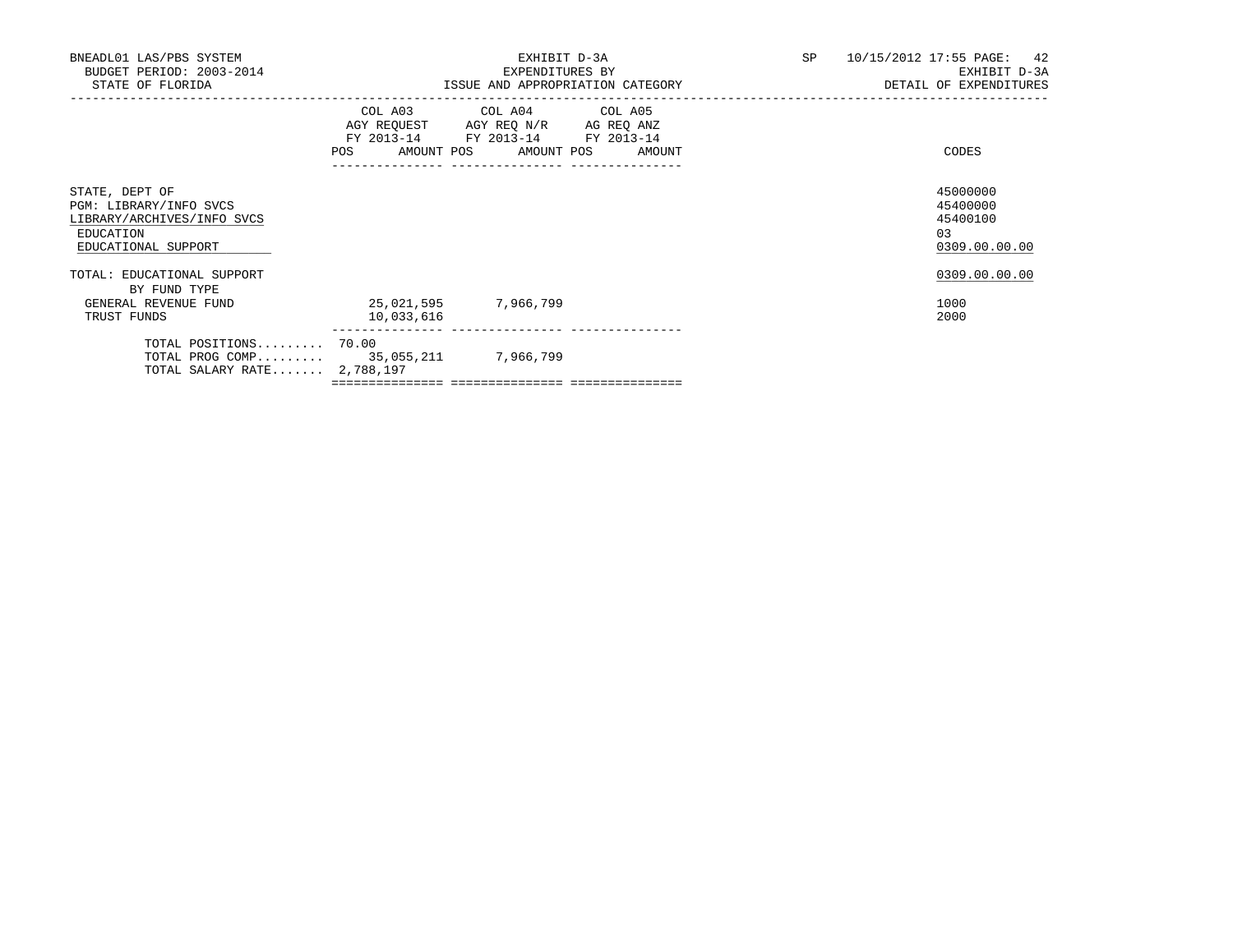| BNEADL01 LAS/PBS SYSTEM<br>BUDGET PERIOD: 2003-2014<br>STATE OF FLORIDA                                    |                                    | EXHIBIT D-3A<br>EXPENDITURES BY<br>ISSUE AND APPROPRIATION CATEGORY                                                                   | SP | 10/15/2012 17:55 PAGE: 42<br>EXHIBIT D-3A<br>DETAIL OF EXPENDITURES |
|------------------------------------------------------------------------------------------------------------|------------------------------------|---------------------------------------------------------------------------------------------------------------------------------------|----|---------------------------------------------------------------------|
|                                                                                                            |                                    | COL A03 COL A04 COL A05<br>AGY REQUEST AGY REQ N/R AG REQ ANZ<br>FY 2013-14 FY 2013-14 FY 2013-14<br>POS AMOUNT POS AMOUNT POS AMOUNT |    | CODES                                                               |
| STATE, DEPT OF<br>PGM: LIBRARY/INFO SVCS<br>LIBRARY/ARCHIVES/INFO SVCS<br>EDUCATION<br>EDUCATIONAL SUPPORT |                                    |                                                                                                                                       |    | 45000000<br>45400000<br>45400100<br>0.3<br>0309.00.00.00            |
| TOTAL: EDUCATIONAL SUPPORT<br>BY FUND TYPE<br>GENERAL REVENUE FUND<br>TRUST FUNDS                          | 25,021,595 7,966,799<br>10,033,616 |                                                                                                                                       |    | 0309.00.00.00<br>1000<br>2000                                       |
| TOTAL POSITIONS 70.00<br>TOTAL PROG COMP 35,055,211 7,966,799<br>TOTAL SALARY RATE 2,788,197               |                                    |                                                                                                                                       |    |                                                                     |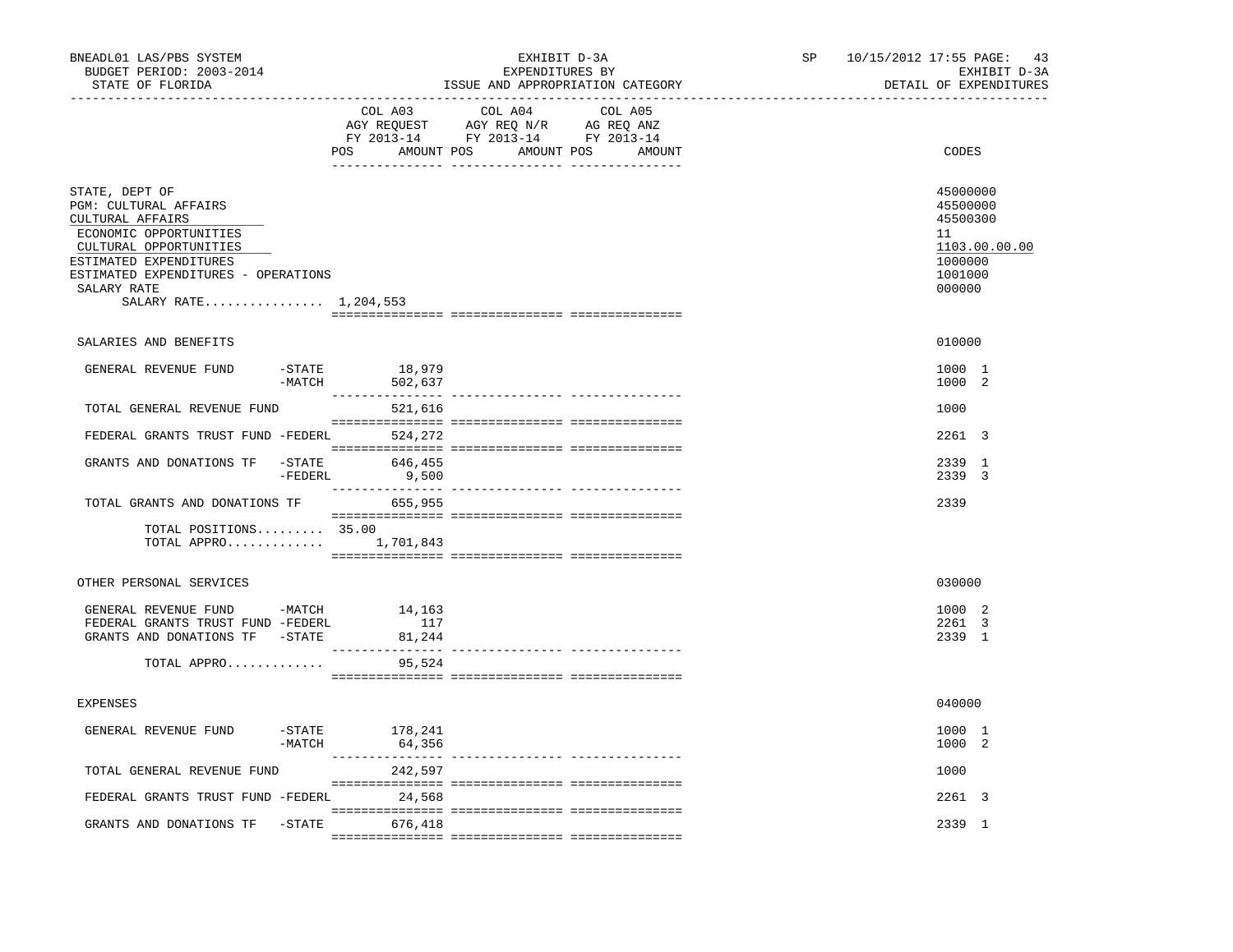| BNEADL01 LAS/PBS SYSTEM<br>BUDGET PERIOD: 2003-2014<br>STATE OF FLORIDA<br>________________                                                                                                                              |                       |                          | EXHIBIT D-3A<br>EXPENDITURES BY                                                   | ISSUE AND APPROPRIATION CATEGORY            | SP <sub>2</sub> | 10/15/2012 17:55 PAGE: 43<br>EXHIBIT D-3A<br>DETAIL OF EXPENDITURES                     |
|--------------------------------------------------------------------------------------------------------------------------------------------------------------------------------------------------------------------------|-----------------------|--------------------------|-----------------------------------------------------------------------------------|---------------------------------------------|-----------------|-----------------------------------------------------------------------------------------|
|                                                                                                                                                                                                                          |                       | COL A03                  | COL A04<br>AGY REQUEST AGY REQ N/R AG REQ ANZ<br>FY 2013-14 FY 2013-14 FY 2013-14 | COL A05<br>POS AMOUNT POS AMOUNT POS AMOUNT |                 | CODES                                                                                   |
| STATE, DEPT OF<br>PGM: CULTURAL AFFAIRS<br>CULTURAL AFFAIRS<br>ECONOMIC OPPORTUNITIES<br>CULTURAL OPPORTUNITIES<br>ESTIMATED EXPENDITURES<br>ESTIMATED EXPENDITURES - OPERATIONS<br>SALARY RATE<br>SALARY RATE 1,204,553 |                       |                          |                                                                                   |                                             |                 | 45000000<br>45500000<br>45500300<br>11<br>1103.00.00.00<br>1000000<br>1001000<br>000000 |
|                                                                                                                                                                                                                          |                       |                          |                                                                                   |                                             |                 |                                                                                         |
| SALARIES AND BENEFITS                                                                                                                                                                                                    |                       |                          |                                                                                   |                                             |                 | 010000                                                                                  |
| GENERAL REVENUE FUND                                                                                                                                                                                                     | $-$ STATE             | 18,979<br>-MATCH 502,637 |                                                                                   |                                             |                 | 1000 1<br>1000 2                                                                        |
| TOTAL GENERAL REVENUE FUND                                                                                                                                                                                               |                       | 521,616                  |                                                                                   |                                             |                 | 1000                                                                                    |
| FEDERAL GRANTS TRUST FUND -FEDERL                                                                                                                                                                                        |                       | 524,272                  |                                                                                   |                                             |                 | 2261 3                                                                                  |
| GRANTS AND DONATIONS TF -STATE                                                                                                                                                                                           | -FEDERL               | 646,455<br>9,500         |                                                                                   |                                             |                 | 2339 1<br>2339 3                                                                        |
| TOTAL GRANTS AND DONATIONS TF                                                                                                                                                                                            |                       | 655,955                  |                                                                                   |                                             |                 | 2339                                                                                    |
| TOTAL POSITIONS $35.00$<br>TOTAL APPRO $1,701,843$                                                                                                                                                                       |                       |                          |                                                                                   |                                             |                 |                                                                                         |
| OTHER PERSONAL SERVICES                                                                                                                                                                                                  |                       |                          |                                                                                   |                                             |                 | 030000                                                                                  |
| GENERAL REVENUE FUND -MATCH 14,163<br>FEDERAL GRANTS TRUST FUND -FEDERL<br>GRANTS AND DONATIONS TF -STATE<br>TOTAL APPRO                                                                                                 |                       | 117<br>81,244<br>95,524  |                                                                                   |                                             |                 | 1000 2<br>2261 3<br>2339 1                                                              |
|                                                                                                                                                                                                                          |                       |                          |                                                                                   |                                             |                 |                                                                                         |
| <b>EXPENSES</b>                                                                                                                                                                                                          |                       |                          |                                                                                   |                                             |                 | 040000                                                                                  |
| GENERAL REVENUE FUND                                                                                                                                                                                                     | $-$ STATE<br>$-MATCH$ | 178,241<br>64,356        |                                                                                   |                                             |                 | 1000 1<br>1000 2                                                                        |
| TOTAL GENERAL REVENUE FUND                                                                                                                                                                                               |                       | 242,597                  |                                                                                   |                                             |                 | 1000                                                                                    |
| FEDERAL GRANTS TRUST FUND -FEDERL 24,568                                                                                                                                                                                 |                       |                          |                                                                                   |                                             |                 | 2261 3                                                                                  |
| GRANTS AND DONATIONS TF - STATE 676,418                                                                                                                                                                                  |                       |                          |                                                                                   |                                             |                 | 2339 1                                                                                  |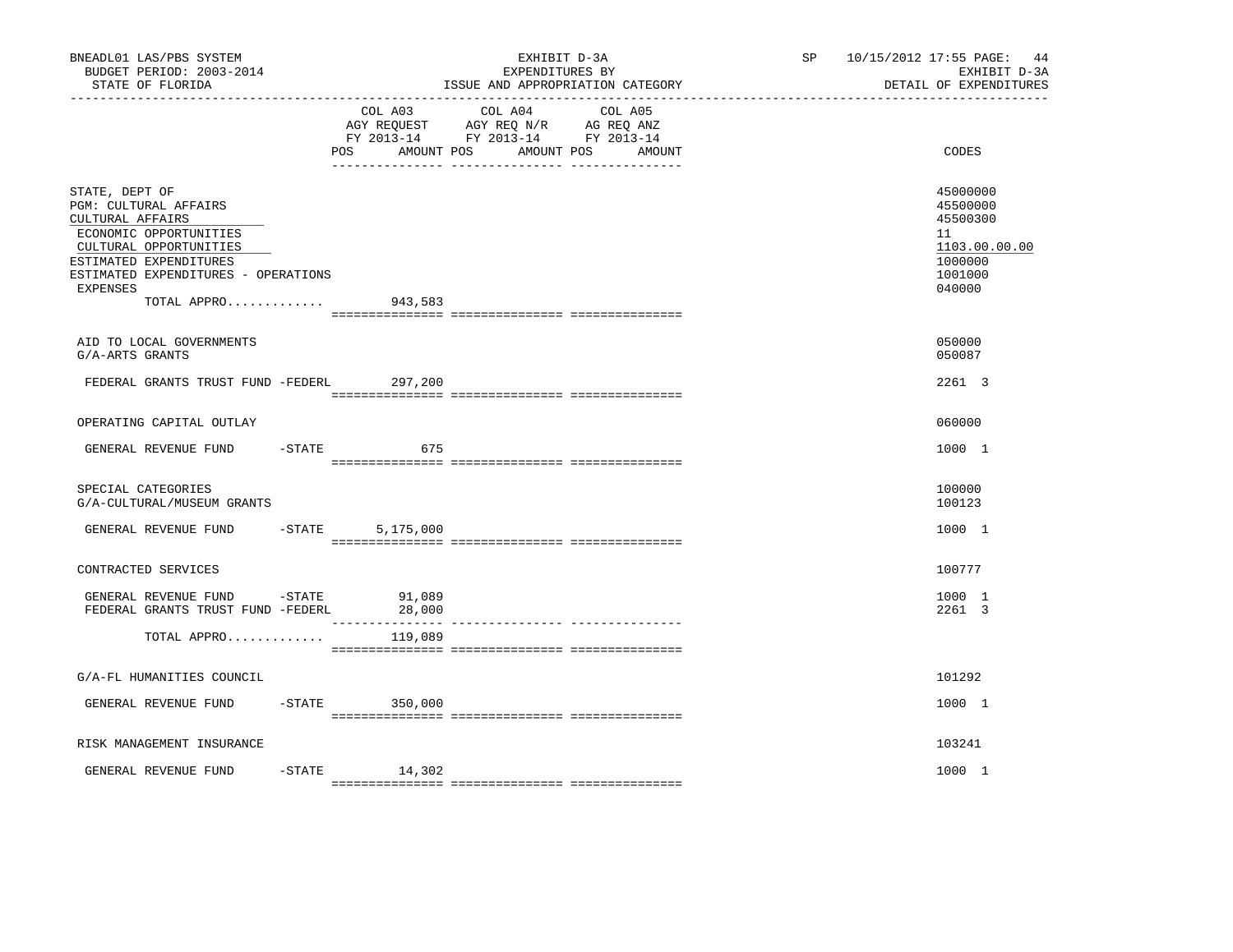| BNEADL01 LAS/PBS SYSTEM<br>BUDGET PERIOD: 2003-2014<br>STATE OF FLORIDA<br>-------------------                                                                                                                     |                     | EXHIBIT D-3A<br>EXPENDITURES BY<br>ISSUE AND APPROPRIATION CATEGORY                                                       | SP <sub>2</sub> | 10/15/2012 17:55 PAGE: 44<br>EXHIBIT D-3A<br>DETAIL OF EXPENDITURES                     |
|--------------------------------------------------------------------------------------------------------------------------------------------------------------------------------------------------------------------|---------------------|---------------------------------------------------------------------------------------------------------------------------|-----------------|-----------------------------------------------------------------------------------------|
|                                                                                                                                                                                                                    | POS<br>AMOUNT POS   | COL A03 COL A04 COL A05<br>AGY REQUEST AGY REQ N/R AG REQ ANZ<br>FY 2013-14 FY 2013-14 FY 2013-14<br>AMOUNT POS<br>AMOUNT |                 | <b>CODES</b>                                                                            |
| STATE, DEPT OF<br><b>PGM: CULTURAL AFFAIRS</b><br>CULTURAL AFFAIRS<br>ECONOMIC OPPORTUNITIES<br>CULTURAL OPPORTUNITIES<br>ESTIMATED EXPENDITURES<br>ESTIMATED EXPENDITURES - OPERATIONS<br>EXPENSES<br>TOTAL APPRO | 943,583             |                                                                                                                           |                 | 45000000<br>45500000<br>45500300<br>11<br>1103.00.00.00<br>1000000<br>1001000<br>040000 |
| AID TO LOCAL GOVERNMENTS                                                                                                                                                                                           |                     |                                                                                                                           |                 | 050000                                                                                  |
| G/A-ARTS GRANTS                                                                                                                                                                                                    |                     |                                                                                                                           |                 | 050087                                                                                  |
| FEDERAL GRANTS TRUST FUND -FEDERL                                                                                                                                                                                  | 297,200             |                                                                                                                           |                 | 2261 3                                                                                  |
| OPERATING CAPITAL OUTLAY                                                                                                                                                                                           |                     |                                                                                                                           |                 | 060000                                                                                  |
| GENERAL REVENUE FUND                                                                                                                                                                                               | $-$ STATE<br>675    |                                                                                                                           |                 | 1000 1                                                                                  |
| SPECIAL CATEGORIES<br>G/A-CULTURAL/MUSEUM GRANTS                                                                                                                                                                   |                     |                                                                                                                           |                 | 100000<br>100123                                                                        |
| GENERAL REVENUE FUND                                                                                                                                                                                               | $-$ STATE 5,175,000 |                                                                                                                           |                 | 1000 1                                                                                  |
| CONTRACTED SERVICES                                                                                                                                                                                                |                     |                                                                                                                           |                 | 100777                                                                                  |
| GENERAL REVENUE FUND<br>$-STATE$<br>FEDERAL GRANTS TRUST FUND -FEDERL                                                                                                                                              | 91,089<br>28,000    |                                                                                                                           |                 | 1000 1<br>2261 3                                                                        |
| TOTAL APPRO                                                                                                                                                                                                        | 119,089             |                                                                                                                           |                 |                                                                                         |
| G/A-FL HUMANITIES COUNCIL                                                                                                                                                                                          |                     |                                                                                                                           |                 | 101292                                                                                  |
| GENERAL REVENUE FUND                                                                                                                                                                                               | $-STATE$ 350,000    |                                                                                                                           |                 | 1000 1                                                                                  |
| RISK MANAGEMENT INSURANCE                                                                                                                                                                                          |                     |                                                                                                                           |                 | 103241                                                                                  |
| GENERAL REVENUE FUND                                                                                                                                                                                               | $-STATE$<br>14,302  |                                                                                                                           |                 | 1000 1                                                                                  |
|                                                                                                                                                                                                                    |                     |                                                                                                                           |                 |                                                                                         |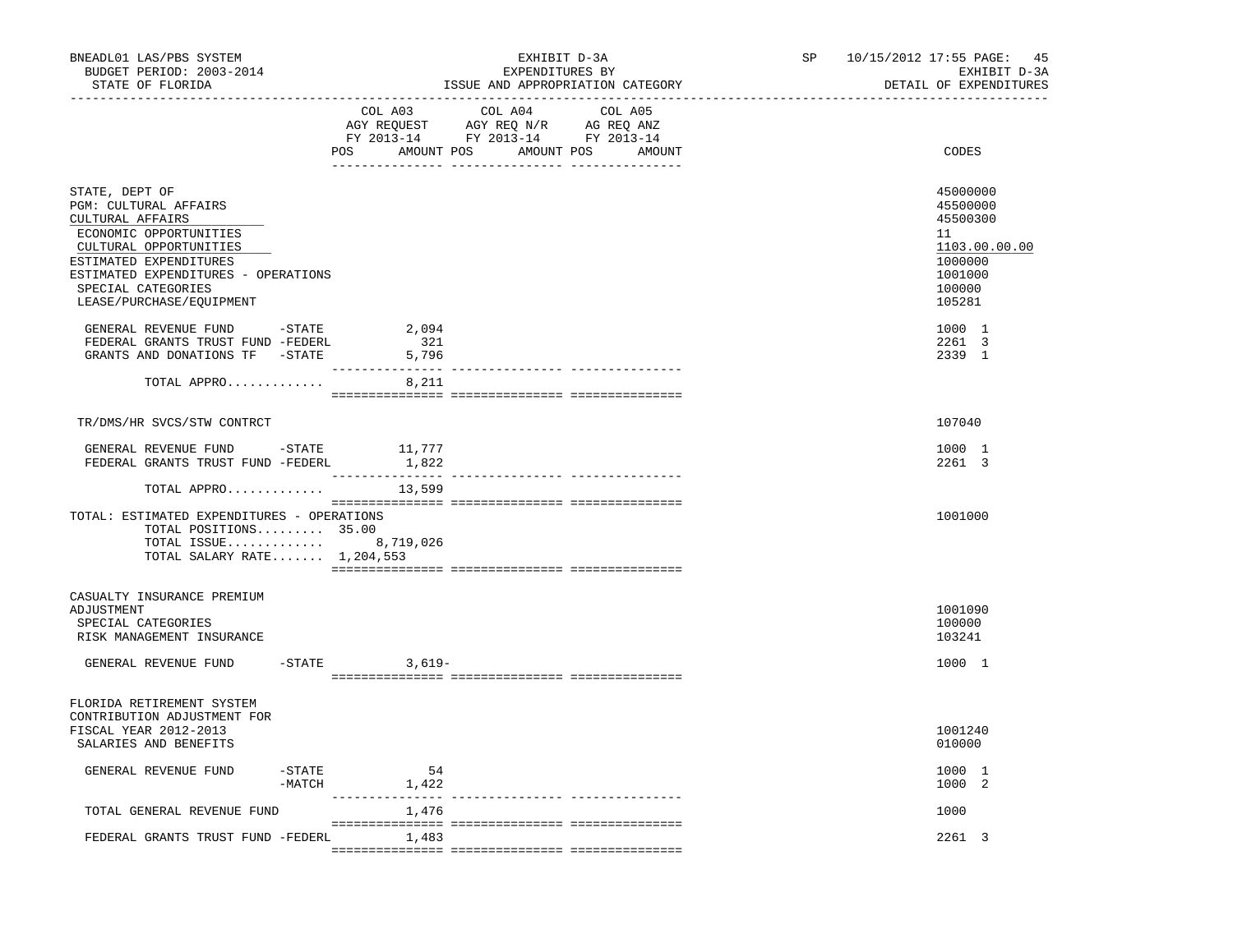| BNEADL01 LAS/PBS SYSTEM<br>BUDGET PERIOD: 2003-2014<br>STATE OF FLORIDA                                                                                                                                                            |                       |                               | EXHIBIT D-3A<br>EXPENDITURES BY<br>ISSUE AND APPROPRIATION CATEGORY<br>-----------------------                       | SP and the set of the set of the set of the set of the set of the set of the set of the set of the set of the set of the set of the set of the set of the set of the set of the set of the set of the set of the set of the se | 10/15/2012 17:55 PAGE: 45<br>EXHIBIT D-3A<br>DETAIL OF EXPENDITURES                               |
|------------------------------------------------------------------------------------------------------------------------------------------------------------------------------------------------------------------------------------|-----------------------|-------------------------------|----------------------------------------------------------------------------------------------------------------------|--------------------------------------------------------------------------------------------------------------------------------------------------------------------------------------------------------------------------------|---------------------------------------------------------------------------------------------------|
|                                                                                                                                                                                                                                    |                       | COL A03<br>POS AMOUNT POS     | COL A04<br>COL A05<br>AGY REQUEST AGY REQ N/R AG REQ ANZ<br>FY 2013-14 FY 2013-14 FY 2013-14<br>AMOUNT POS<br>AMOUNT |                                                                                                                                                                                                                                | CODES                                                                                             |
| STATE, DEPT OF<br>PGM: CULTURAL AFFAIRS<br>CULTURAL AFFAIRS<br>ECONOMIC OPPORTUNITIES<br>CULTURAL OPPORTUNITIES<br>ESTIMATED EXPENDITURES<br>ESTIMATED EXPENDITURES - OPERATIONS<br>SPECIAL CATEGORIES<br>LEASE/PURCHASE/EQUIPMENT |                       |                               |                                                                                                                      |                                                                                                                                                                                                                                | 45000000<br>45500000<br>45500300<br>11<br>1103.00.00.00<br>1000000<br>1001000<br>100000<br>105281 |
| GENERAL REVENUE FUND -STATE 2,094<br>FEDERAL GRANTS TRUST FUND -FEDERL<br>GRANTS AND DONATIONS TF -STATE                                                                                                                           |                       | 321<br>5,796                  |                                                                                                                      |                                                                                                                                                                                                                                | 1000 1<br>2261 3<br>2339 1                                                                        |
| TOTAL APPRO                                                                                                                                                                                                                        |                       | 8,211                         |                                                                                                                      |                                                                                                                                                                                                                                |                                                                                                   |
| TR/DMS/HR SVCS/STW CONTRCT                                                                                                                                                                                                         |                       |                               |                                                                                                                      |                                                                                                                                                                                                                                | 107040                                                                                            |
| ${\small \tt GENERAL REVENUE FUND \hspace{0.3cm} - STATE \hspace{0.3cm} 11,777} \\ {\small \tt FEDERAL \hspace{0.3cm} GRANTS \hspace{0.3cm} TRUST FUND \hspace{0.3cm} -FEDERL \hspace{1.5cm} 1,822}$                               |                       |                               |                                                                                                                      |                                                                                                                                                                                                                                | 1000 1<br>2261 3                                                                                  |
| TOTAL APPRO                                                                                                                                                                                                                        |                       | 13,599                        |                                                                                                                      |                                                                                                                                                                                                                                |                                                                                                   |
| TOTAL: ESTIMATED EXPENDITURES - OPERATIONS<br>TOTAL POSITIONS 35.00<br>TOTAL ISSUE<br>TOTAL SALARY RATE $1,204,553$                                                                                                                |                       | 8,719,026                     |                                                                                                                      |                                                                                                                                                                                                                                | 1001000                                                                                           |
| CASUALTY INSURANCE PREMIUM<br>ADJUSTMENT<br>SPECIAL CATEGORIES<br>RISK MANAGEMENT INSURANCE                                                                                                                                        |                       | $-STATE$ 3,619-               |                                                                                                                      |                                                                                                                                                                                                                                | 1001090<br>100000<br>103241<br>1000 1                                                             |
| GENERAL REVENUE FUND                                                                                                                                                                                                               |                       |                               |                                                                                                                      |                                                                                                                                                                                                                                |                                                                                                   |
| FLORIDA RETIREMENT SYSTEM<br>CONTRIBUTION ADJUSTMENT FOR<br>FISCAL YEAR 2012-2013<br>SALARIES AND BENEFITS                                                                                                                         |                       |                               |                                                                                                                      |                                                                                                                                                                                                                                | 1001240<br>010000                                                                                 |
| GENERAL REVENUE FUND                                                                                                                                                                                                               | $-$ STATE<br>$-MATCH$ | 54<br>1,422<br>______________ |                                                                                                                      |                                                                                                                                                                                                                                | 1000 1<br>1000 2                                                                                  |
| TOTAL GENERAL REVENUE FUND                                                                                                                                                                                                         |                       | 1,476                         | ----------- ----------------                                                                                         |                                                                                                                                                                                                                                | 1000                                                                                              |
| FEDERAL GRANTS TRUST FUND -FEDERL                                                                                                                                                                                                  |                       | 1,483                         |                                                                                                                      |                                                                                                                                                                                                                                | 2261 3                                                                                            |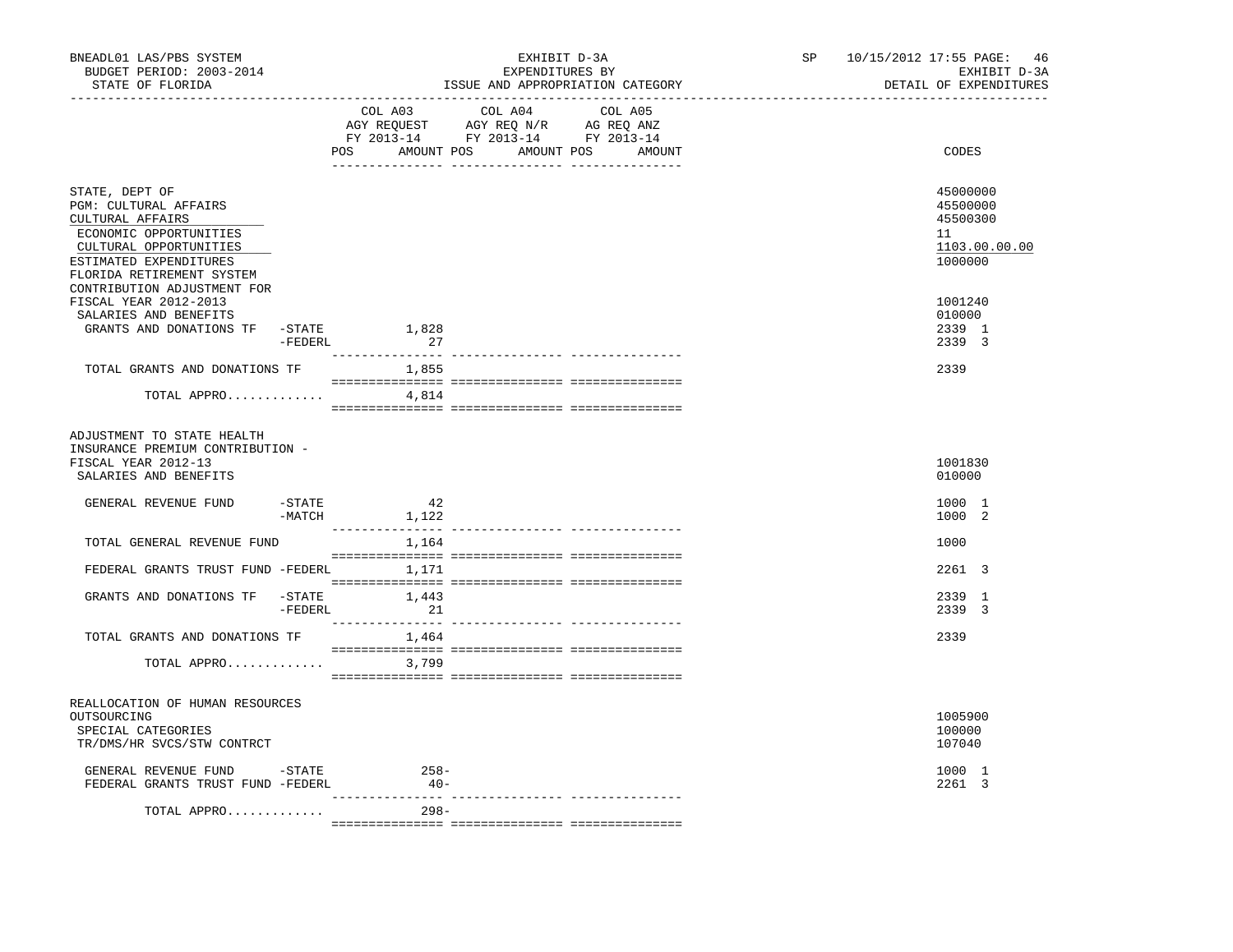| BNEADL01 LAS/PBS SYSTEM<br>BUDGET PERIOD: 2003-2014<br>STATE OF FLORIDA                                                                                                       |                       |                 | EXHIBIT D-3A<br>EXPENDITURES BY<br>ISSUE AND APPROPRIATION CATEGORY                                                                   | SP and the set of the set of the set of the set of the set of the set of the set of the set of the set of the set of the set of the set of the set of the set of the set of the set of the set of the set of the set of the se | 10/15/2012 17:55 PAGE: 46<br>EXHIBIT D-3A<br>DETAIL OF EXPENDITURES |
|-------------------------------------------------------------------------------------------------------------------------------------------------------------------------------|-----------------------|-----------------|---------------------------------------------------------------------------------------------------------------------------------------|--------------------------------------------------------------------------------------------------------------------------------------------------------------------------------------------------------------------------------|---------------------------------------------------------------------|
|                                                                                                                                                                               |                       |                 | COL A03 COL A04 COL A05<br>AGY REQUEST AGY REQ N/R AG REQ ANZ<br>FY 2013-14 FY 2013-14 FY 2013-14<br>POS AMOUNT POS AMOUNT POS AMOUNT |                                                                                                                                                                                                                                | CODES                                                               |
| STATE, DEPT OF<br><b>PGM: CULTURAL AFFAIRS</b><br>CULTURAL AFFAIRS<br>ECONOMIC OPPORTUNITIES<br>CULTURAL OPPORTUNITIES<br>ESTIMATED EXPENDITURES<br>FLORIDA RETIREMENT SYSTEM |                       |                 |                                                                                                                                       |                                                                                                                                                                                                                                | 45000000<br>45500000<br>45500300<br>11<br>1103.00.00.00<br>1000000  |
| CONTRIBUTION ADJUSTMENT FOR<br>FISCAL YEAR 2012-2013<br>SALARIES AND BENEFITS<br>GRANTS AND DONATIONS TF - STATE 1,828                                                        | -FEDERL               | 27              |                                                                                                                                       |                                                                                                                                                                                                                                | 1001240<br>010000<br>2339 1<br>2339 3                               |
| TOTAL GRANTS AND DONATIONS TF                                                                                                                                                 |                       | 1,855           |                                                                                                                                       |                                                                                                                                                                                                                                | 2339                                                                |
| TOTAL APPRO                                                                                                                                                                   |                       | 4,814           |                                                                                                                                       |                                                                                                                                                                                                                                |                                                                     |
| ADJUSTMENT TO STATE HEALTH<br>INSURANCE PREMIUM CONTRIBUTION -<br>FISCAL YEAR 2012-13<br>SALARIES AND BENEFITS                                                                |                       |                 |                                                                                                                                       |                                                                                                                                                                                                                                | 1001830<br>010000                                                   |
| GENERAL REVENUE FUND                                                                                                                                                          | $-$ STATE<br>$-MATCH$ | 42<br>1,122     |                                                                                                                                       |                                                                                                                                                                                                                                | 1000 1<br>1000 2                                                    |
| TOTAL GENERAL REVENUE FUND                                                                                                                                                    |                       | 1,164           |                                                                                                                                       |                                                                                                                                                                                                                                | 1000                                                                |
| FEDERAL GRANTS TRUST FUND -FEDERL 1,171                                                                                                                                       |                       |                 |                                                                                                                                       |                                                                                                                                                                                                                                | 2261 3                                                              |
| GRANTS AND DONATIONS TF -STATE                                                                                                                                                | $-$ FEDERL            | 1,443<br>21     |                                                                                                                                       |                                                                                                                                                                                                                                | 2339 1<br>2339 3                                                    |
| TOTAL GRANTS AND DONATIONS TF                                                                                                                                                 |                       | 1,464           |                                                                                                                                       |                                                                                                                                                                                                                                | 2339                                                                |
| TOTAL APPRO                                                                                                                                                                   |                       | 3,799           |                                                                                                                                       |                                                                                                                                                                                                                                |                                                                     |
| REALLOCATION OF HUMAN RESOURCES<br>OUTSOURCING<br>SPECIAL CATEGORIES<br>TR/DMS/HR SVCS/STW CONTRCT                                                                            |                       |                 |                                                                                                                                       |                                                                                                                                                                                                                                | 1005900<br>100000<br>107040                                         |
| GENERAL REVENUE FUND - STATE<br>FEDERAL GRANTS TRUST FUND -FEDERL                                                                                                             |                       | $258-$<br>$40-$ |                                                                                                                                       |                                                                                                                                                                                                                                | 1000 1<br>2261 3                                                    |
| TOTAL APPRO                                                                                                                                                                   |                       | $298 -$         |                                                                                                                                       |                                                                                                                                                                                                                                |                                                                     |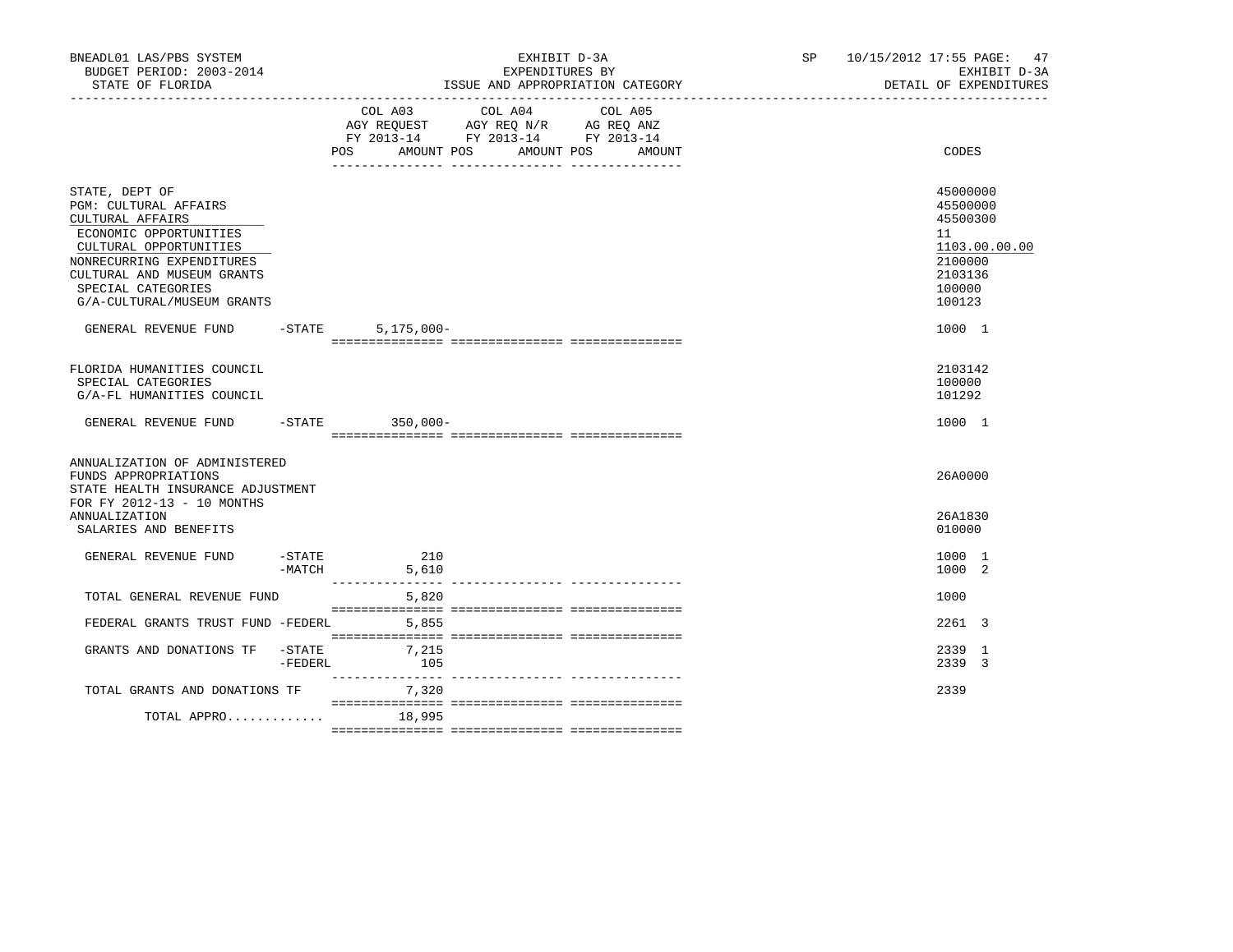| BNEADL01 LAS/PBS SYSTEM<br>BUDGET PERIOD: 2003-2014<br>STATE OF FLORIDA                                                                                                                                                               |                      |               | EXHIBIT D-3A<br>EXPENDITURES BY<br>ISSUE AND APPROPRIATION CATEGORY                                                |                   | SP 10/15/2012 17:55 PAGE: 47<br>EXHIBIT D-3A<br>DETAIL OF EXPENDITURES                            |
|---------------------------------------------------------------------------------------------------------------------------------------------------------------------------------------------------------------------------------------|----------------------|---------------|--------------------------------------------------------------------------------------------------------------------|-------------------|---------------------------------------------------------------------------------------------------|
|                                                                                                                                                                                                                                       |                      | POS           | COL A03 COL A04<br>AGY REQUEST AGY REQ N/R AG REQ ANZ<br>FY 2013-14 FY 2013-14 FY 2013-14<br>AMOUNT POS AMOUNT POS | COL A05<br>AMOUNT | CODES                                                                                             |
| STATE, DEPT OF<br><b>PGM: CULTURAL AFFAIRS</b><br>CULTURAL AFFAIRS<br>ECONOMIC OPPORTUNITIES<br>CULTURAL OPPORTUNITIES<br>NONRECURRING EXPENDITURES<br>CULTURAL AND MUSEUM GRANTS<br>SPECIAL CATEGORIES<br>G/A-CULTURAL/MUSEUM GRANTS |                      |               |                                                                                                                    |                   | 45000000<br>45500000<br>45500300<br>11<br>1103.00.00.00<br>2100000<br>2103136<br>100000<br>100123 |
| GENERAL REVENUE FUND                                                                                                                                                                                                                  | $-$ STATE            | $5,175,000 -$ |                                                                                                                    |                   | 1000 1                                                                                            |
| FLORIDA HUMANITIES COUNCIL<br>SPECIAL CATEGORIES<br>G/A-FL HUMANITIES COUNCIL                                                                                                                                                         |                      |               |                                                                                                                    |                   | 2103142<br>100000<br>101292                                                                       |
| GENERAL REVENUE FUND -STATE 350,000-                                                                                                                                                                                                  |                      |               |                                                                                                                    |                   | 1000 1                                                                                            |
| ANNUALIZATION OF ADMINISTERED<br>FUNDS APPROPRIATIONS<br>STATE HEALTH INSURANCE ADJUSTMENT<br>FOR FY 2012-13 - 10 MONTHS<br>ANNUALIZATION<br>SALARIES AND BENEFITS                                                                    |                      |               |                                                                                                                    |                   | 26A0000<br>26A1830<br>010000                                                                      |
| GENERAL REVENUE FUND                                                                                                                                                                                                                  | -STATE<br>$-MATCH$   | 210<br>5,610  |                                                                                                                    |                   | 1000 1<br>1000 2                                                                                  |
| TOTAL GENERAL REVENUE FUND                                                                                                                                                                                                            |                      | 5,820         |                                                                                                                    |                   | 1000                                                                                              |
| FEDERAL GRANTS TRUST FUND -FEDERL                                                                                                                                                                                                     |                      | 5,855         |                                                                                                                    |                   | 2261 3                                                                                            |
| GRANTS AND DONATIONS TF                                                                                                                                                                                                               | $-$ STATE<br>-FEDERL | 7,215<br>105  |                                                                                                                    |                   | 2339 1<br>2339 3                                                                                  |
| TOTAL GRANTS AND DONATIONS TF                                                                                                                                                                                                         |                      | 7,320         |                                                                                                                    |                   | 2339                                                                                              |
| TOTAL APPRO 18,995                                                                                                                                                                                                                    |                      |               |                                                                                                                    |                   |                                                                                                   |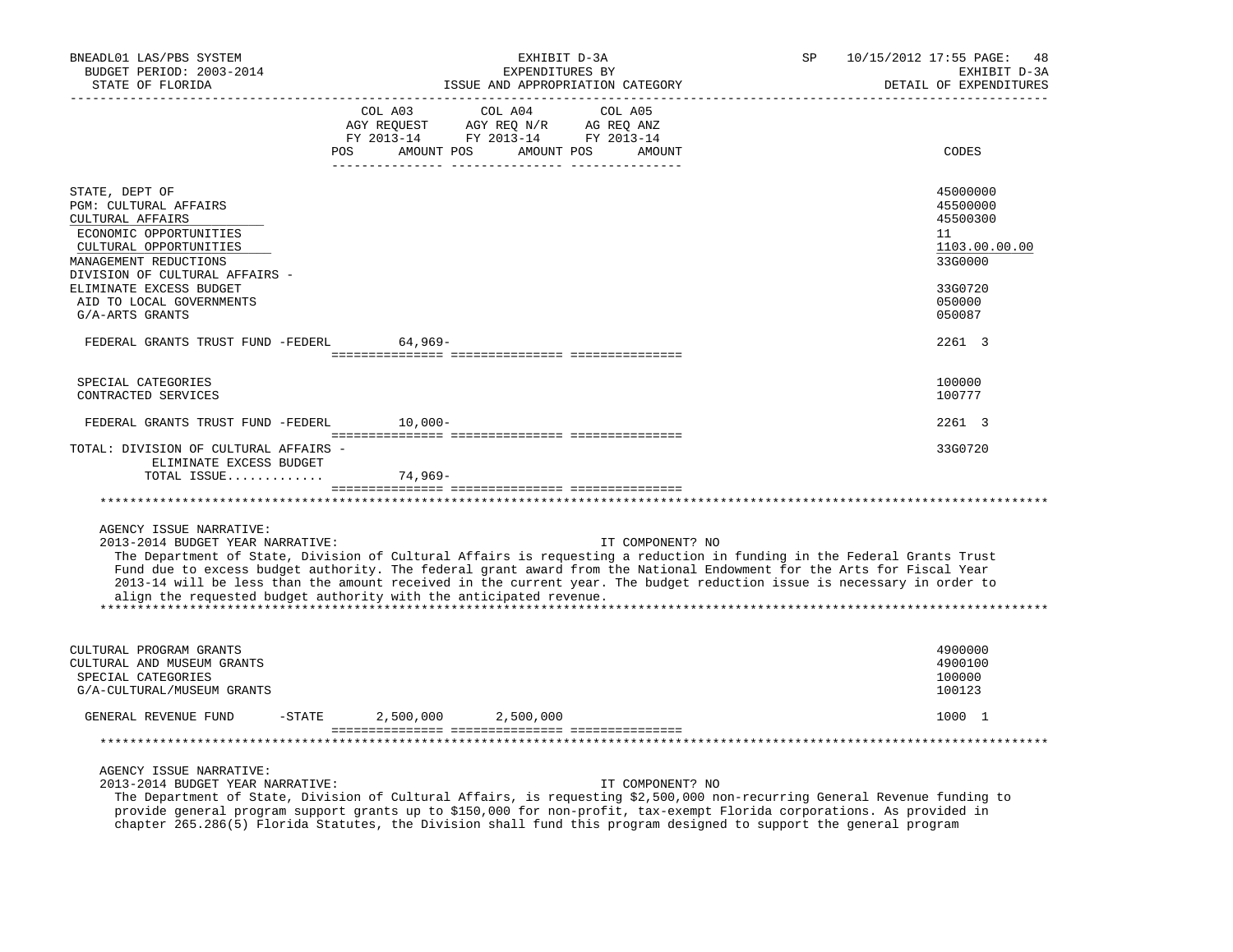| BNEADL01 LAS/PBS SYSTEM<br>BUDGET PERIOD: 2003-2014<br>STATE OF FLORIDA                                                                                                                                                                                                                                                                                                                                                                                                                                        |           |            | EXHIBIT D-3A<br>EXPENDITURES BY<br>ISSUE AND APPROPRIATION CATEGORY                                                                                                                                                                    |         |                  | SP | 10/15/2012 17:55 PAGE:<br>48<br>EXHIBIT D-3A<br>DETAIL OF EXPENDITURES |
|----------------------------------------------------------------------------------------------------------------------------------------------------------------------------------------------------------------------------------------------------------------------------------------------------------------------------------------------------------------------------------------------------------------------------------------------------------------------------------------------------------------|-----------|------------|----------------------------------------------------------------------------------------------------------------------------------------------------------------------------------------------------------------------------------------|---------|------------------|----|------------------------------------------------------------------------|
|                                                                                                                                                                                                                                                                                                                                                                                                                                                                                                                | POS       | COL A03    | COL A04<br>$\begin{tabular}{lllllll} \bf AGY & \bf REQUEST & \bf AGY & \bf REQ & \tt M/R & \tt AG & \tt REQ & \tt ANZ \\ \bf FY & \tt 2013-14 & \tt FY & \tt 2013-14 & \tt FY & \tt 2013-14 \\ \end{tabular}$<br>AMOUNT POS AMOUNT POS | COL A05 | AMOUNT           |    | CODES                                                                  |
|                                                                                                                                                                                                                                                                                                                                                                                                                                                                                                                |           |            |                                                                                                                                                                                                                                        |         |                  |    |                                                                        |
| STATE, DEPT OF<br><b>PGM: CULTURAL AFFAIRS</b><br>CULTURAL AFFAIRS<br>ECONOMIC OPPORTUNITIES<br>CULTURAL OPPORTUNITIES<br>MANAGEMENT REDUCTIONS                                                                                                                                                                                                                                                                                                                                                                |           |            |                                                                                                                                                                                                                                        |         |                  |    | 45000000<br>45500000<br>45500300<br>11<br>1103.00.00.00<br>33G0000     |
| DIVISION OF CULTURAL AFFAIRS -<br>ELIMINATE EXCESS BUDGET<br>AID TO LOCAL GOVERNMENTS<br>G/A-ARTS GRANTS                                                                                                                                                                                                                                                                                                                                                                                                       |           |            |                                                                                                                                                                                                                                        |         |                  |    | 33G0720<br>050000<br>050087                                            |
| FEDERAL GRANTS TRUST FUND -FEDERL                                                                                                                                                                                                                                                                                                                                                                                                                                                                              |           | 64,969-    |                                                                                                                                                                                                                                        |         |                  |    | 2261 3                                                                 |
| SPECIAL CATEGORIES<br>CONTRACTED SERVICES                                                                                                                                                                                                                                                                                                                                                                                                                                                                      |           |            |                                                                                                                                                                                                                                        |         |                  |    | 100000<br>100777                                                       |
| FEDERAL GRANTS TRUST FUND -FEDERL                                                                                                                                                                                                                                                                                                                                                                                                                                                                              |           | $10.000 -$ |                                                                                                                                                                                                                                        |         |                  |    | 2261 3                                                                 |
| TOTAL: DIVISION OF CULTURAL AFFAIRS -<br>ELIMINATE EXCESS BUDGET<br>TOTAL ISSUE                                                                                                                                                                                                                                                                                                                                                                                                                                |           | 74,969-    |                                                                                                                                                                                                                                        |         |                  |    | 33G0720                                                                |
|                                                                                                                                                                                                                                                                                                                                                                                                                                                                                                                |           |            |                                                                                                                                                                                                                                        |         |                  |    |                                                                        |
| AGENCY ISSUE NARRATIVE:<br>2013-2014 BUDGET YEAR NARRATIVE:<br>The Department of State, Division of Cultural Affairs is requesting a reduction in funding in the Federal Grants Trust<br>Fund due to excess budget authority. The federal grant award from the National Endowment for the Arts for Fiscal Year<br>2013-14 will be less than the amount received in the current year. The budget reduction issue is necessary in order to<br>align the requested budget authority with the anticipated revenue. |           |            |                                                                                                                                                                                                                                        |         | IT COMPONENT? NO |    |                                                                        |
| CULTURAL PROGRAM GRANTS<br>CULTURAL AND MUSEUM GRANTS<br>SPECIAL CATEGORIES<br>G/A-CULTURAL/MUSEUM GRANTS                                                                                                                                                                                                                                                                                                                                                                                                      |           |            |                                                                                                                                                                                                                                        |         |                  |    | 4900000<br>4900100<br>100000<br>100123                                 |
| GENERAL REVENUE FUND                                                                                                                                                                                                                                                                                                                                                                                                                                                                                           | $-$ STATE |            | 2,500,000 2,500,000                                                                                                                                                                                                                    |         |                  |    | 1000 1                                                                 |
|                                                                                                                                                                                                                                                                                                                                                                                                                                                                                                                |           |            |                                                                                                                                                                                                                                        |         |                  |    |                                                                        |
| AGENCY ISSUE NARRATIVE:<br>2013-2014 BUDGET YEAR NARRATIVE:<br>The Department of State, Division of Cultural Affairs, is requesting \$2,500,000 non-recurring General Revenue funding to                                                                                                                                                                                                                                                                                                                       |           |            |                                                                                                                                                                                                                                        |         | IT COMPONENT? NO |    |                                                                        |

 provide general program support grants up to \$150,000 for non-profit, tax-exempt Florida corporations. As provided in chapter 265.286(5) Florida Statutes, the Division shall fund this program designed to support the general program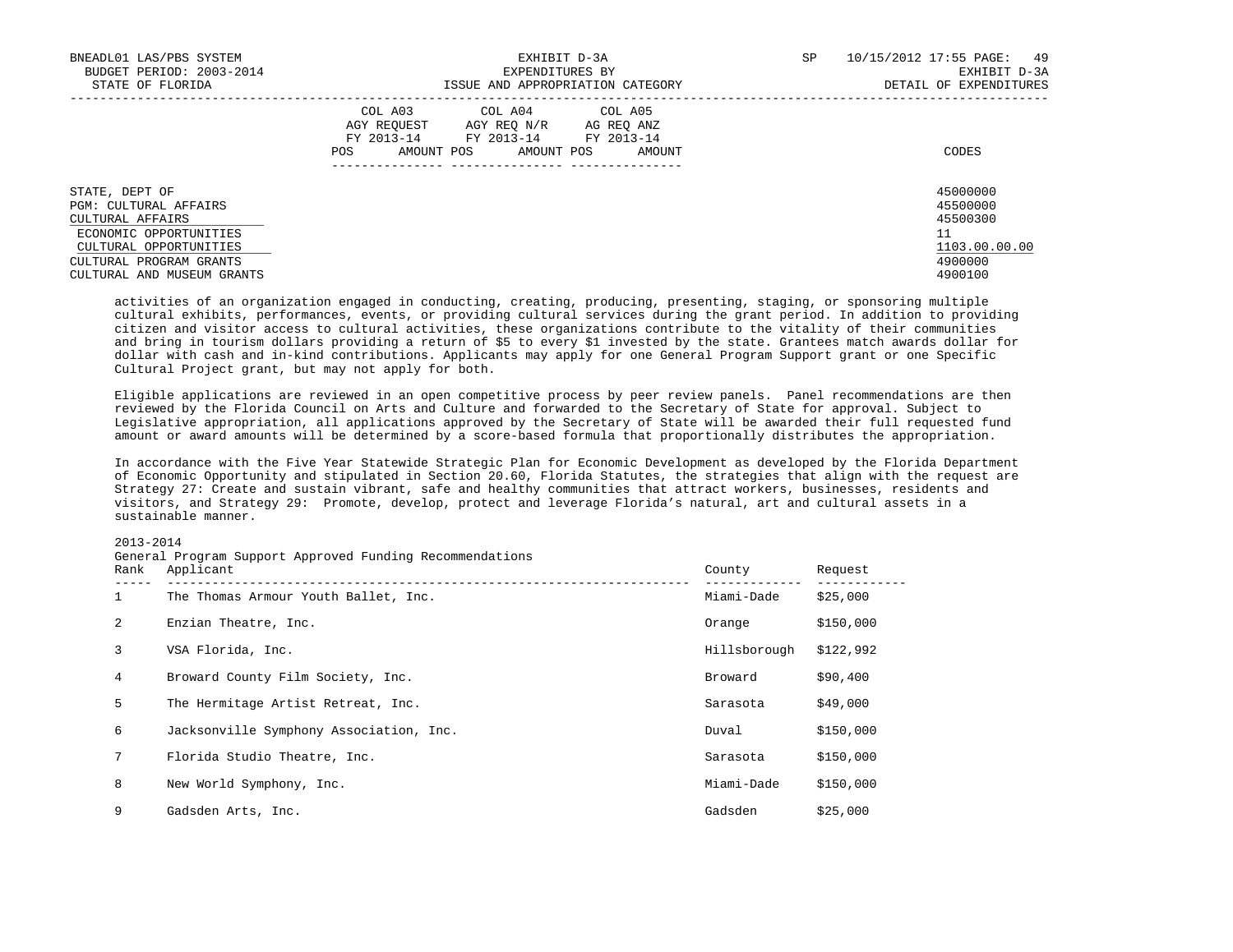| BNEADL01 LAS/PBS SYSTEM<br>BUDGET PERIOD: 2003-2014<br>STATE OF FLORIDA                                                                                                         | EXHIBIT D-3A<br>EXPENDITURES BY<br>ISSUE AND APPROPRIATION CATEGORY                                                                                        | SP<br>10/15/2012 17:55 PAGE:<br>49<br>EXHIBIT D-3A<br>DETAIL OF EXPENDITURES  |
|---------------------------------------------------------------------------------------------------------------------------------------------------------------------------------|------------------------------------------------------------------------------------------------------------------------------------------------------------|-------------------------------------------------------------------------------|
|                                                                                                                                                                                 | COL A03<br>COL A04 COL A05<br>AGY REOUEST<br>AGY REO N/R<br>AG REO ANZ<br>FY 2013-14<br>FY 2013-14 FY 2013-14<br>AMOUNT POS<br>AMOUNT POS<br>POS<br>AMOUNT | CODES                                                                         |
| STATE, DEPT OF<br><b>PGM: CULTURAL AFFAIRS</b><br>CULTURAL AFFAIRS<br>ECONOMIC OPPORTUNITIES<br>CULTURAL OPPORTUNITIES<br>CULTURAL PROGRAM GRANTS<br>CULTURAL AND MUSEUM GRANTS |                                                                                                                                                            | 45000000<br>45500000<br>45500300<br>11<br>1103.00.00.00<br>4900000<br>4900100 |

 activities of an organization engaged in conducting, creating, producing, presenting, staging, or sponsoring multiple cultural exhibits, performances, events, or providing cultural services during the grant period. In addition to providing citizen and visitor access to cultural activities, these organizations contribute to the vitality of their communities and bring in tourism dollars providing a return of \$5 to every \$1 invested by the state. Grantees match awards dollar for dollar with cash and in-kind contributions. Applicants may apply for one General Program Support grant or one Specific Cultural Project grant, but may not apply for both.

 Eligible applications are reviewed in an open competitive process by peer review panels. Panel recommendations are then reviewed by the Florida Council on Arts and Culture and forwarded to the Secretary of State for approval. Subject to Legislative appropriation, all applications approved by the Secretary of State will be awarded their full requested fund amount or award amounts will be determined by a score-based formula that proportionally distributes the appropriation.

 In accordance with the Five Year Statewide Strategic Plan for Economic Development as developed by the Florida Department of Economic Opportunity and stipulated in Section 20.60, Florida Statutes, the strategies that align with the request are Strategy 27: Create and sustain vibrant, safe and healthy communities that attract workers, businesses, residents and visitors, and Strategy 29: Promote, develop, protect and leverage Florida's natural, art and cultural assets in a sustainable manner.

### 2013-2014

| Rank | General Program Support Approved Funding Recommendations<br>Applicant | County       | Request   |
|------|-----------------------------------------------------------------------|--------------|-----------|
| 1    | The Thomas Armour Youth Ballet, Inc.                                  | Miami-Dade   | \$25,000  |
| 2    | Enzian Theatre, Inc.                                                  | Orange       | \$150,000 |
| 3    | VSA Florida, Inc.                                                     | Hillsborough | \$122,992 |
| 4    | Broward County Film Society, Inc.                                     | Broward      | \$90,400  |
| 5    | The Hermitage Artist Retreat, Inc.                                    | Sarasota     | \$49,000  |
| 6    | Jacksonville Symphony Association, Inc.                               | Duval        | \$150,000 |
| 7    | Florida Studio Theatre, Inc.                                          | Sarasota     | \$150,000 |
| 8    | New World Symphony, Inc.                                              | Miami-Dade   | \$150,000 |
| 9    | Gadsden Arts, Inc.                                                    | Gadsden      | \$25,000  |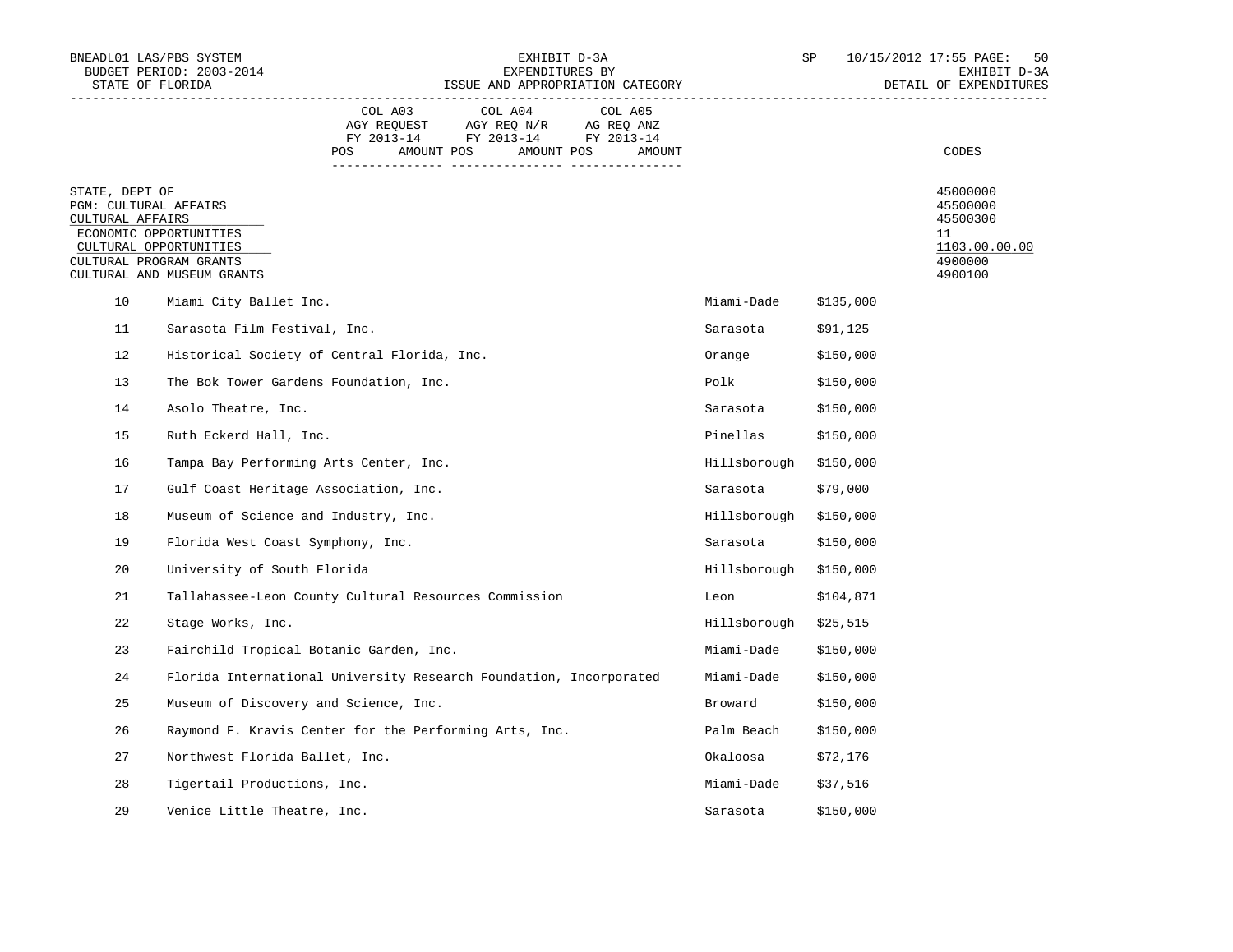| BNEADL01 LAS/PBS SYSTEM<br>STATE OF FLORIDA                                            | BUDGET PERIOD: 2003-2014                                                       |                |                                                                                                 | EXHIBIT D-3A<br>EXPENDITURES BY<br>ISSUE AND APPROPRIATION CATEGORY |                        | SP        | 10/15/2012 17:55 PAGE:<br>50<br>EXHIBIT D-3A<br>DETAIL OF EXPENDITURES        |
|----------------------------------------------------------------------------------------|--------------------------------------------------------------------------------|----------------|-------------------------------------------------------------------------------------------------|---------------------------------------------------------------------|------------------------|-----------|-------------------------------------------------------------------------------|
|                                                                                        |                                                                                | COL A03<br>POS | COL A04<br>AGY REQUEST AGY REQ N/R AG REQ ANZ<br>FY 2013-14 FY 2013-14 FY 2013-14<br>AMOUNT POS | COL A05<br>AMOUNT POS<br>AMOUNT                                     |                        |           | CODES                                                                         |
| STATE, DEPT OF<br>PGM: CULTURAL AFFAIRS<br>CULTURAL AFFAIRS<br>CULTURAL PROGRAM GRANTS | ECONOMIC OPPORTUNITIES<br>CULTURAL OPPORTUNITIES<br>CULTURAL AND MUSEUM GRANTS |                |                                                                                                 |                                                                     |                        |           | 45000000<br>45500000<br>45500300<br>11<br>1103.00.00.00<br>4900000<br>4900100 |
| 10                                                                                     | Miami City Ballet Inc.                                                         |                |                                                                                                 |                                                                     | Miami-Dade             | \$135,000 |                                                                               |
| 11                                                                                     | Sarasota Film Festival, Inc.                                                   |                |                                                                                                 |                                                                     | Sarasota               | \$91,125  |                                                                               |
| 12                                                                                     | Historical Society of Central Florida, Inc.                                    |                |                                                                                                 |                                                                     | Orange                 | \$150,000 |                                                                               |
| 13                                                                                     | The Bok Tower Gardens Foundation, Inc.                                         |                |                                                                                                 |                                                                     | Polk                   | \$150,000 |                                                                               |
| 14                                                                                     | Asolo Theatre, Inc.                                                            |                |                                                                                                 |                                                                     | Sarasota               | \$150,000 |                                                                               |
| 15                                                                                     | Ruth Eckerd Hall, Inc.                                                         |                |                                                                                                 |                                                                     | Pinellas               | \$150,000 |                                                                               |
| 16                                                                                     | Tampa Bay Performing Arts Center, Inc.                                         |                |                                                                                                 |                                                                     | Hillsborough \$150,000 |           |                                                                               |
| 17                                                                                     | Gulf Coast Heritage Association, Inc.                                          |                |                                                                                                 |                                                                     | Sarasota               | \$79,000  |                                                                               |
| 18                                                                                     | Museum of Science and Industry, Inc.                                           |                |                                                                                                 |                                                                     | Hillsborough \$150,000 |           |                                                                               |
| 19                                                                                     | Florida West Coast Symphony, Inc.                                              |                |                                                                                                 |                                                                     | Sarasota               | \$150,000 |                                                                               |
| 20                                                                                     | University of South Florida                                                    |                |                                                                                                 |                                                                     | Hillsborough \$150,000 |           |                                                                               |
| 21                                                                                     | Tallahassee-Leon County Cultural Resources Commission                          |                |                                                                                                 |                                                                     | Leon                   | \$104,871 |                                                                               |
| 22                                                                                     | Stage Works, Inc.                                                              |                |                                                                                                 |                                                                     | Hillsborough \$25,515  |           |                                                                               |
| 23                                                                                     | Fairchild Tropical Botanic Garden, Inc.                                        |                |                                                                                                 |                                                                     | Miami-Dade             | \$150,000 |                                                                               |
| 24                                                                                     | Florida International University Research Foundation, Incorporated             |                |                                                                                                 |                                                                     | Miami-Dade             | \$150,000 |                                                                               |
| 25                                                                                     | Museum of Discovery and Science, Inc.                                          |                |                                                                                                 |                                                                     | Broward                | \$150,000 |                                                                               |
| 26                                                                                     | Raymond F. Kravis Center for the Performing Arts, Inc.                         |                |                                                                                                 |                                                                     | Palm Beach             | \$150,000 |                                                                               |
| 27                                                                                     | Northwest Florida Ballet, Inc.                                                 |                |                                                                                                 |                                                                     | Okaloosa               | \$72,176  |                                                                               |
| 28                                                                                     | Tigertail Productions, Inc.                                                    |                |                                                                                                 |                                                                     | Miami-Dade             | \$37,516  |                                                                               |
| 29                                                                                     | Venice Little Theatre, Inc.                                                    |                |                                                                                                 |                                                                     | Sarasota               | \$150,000 |                                                                               |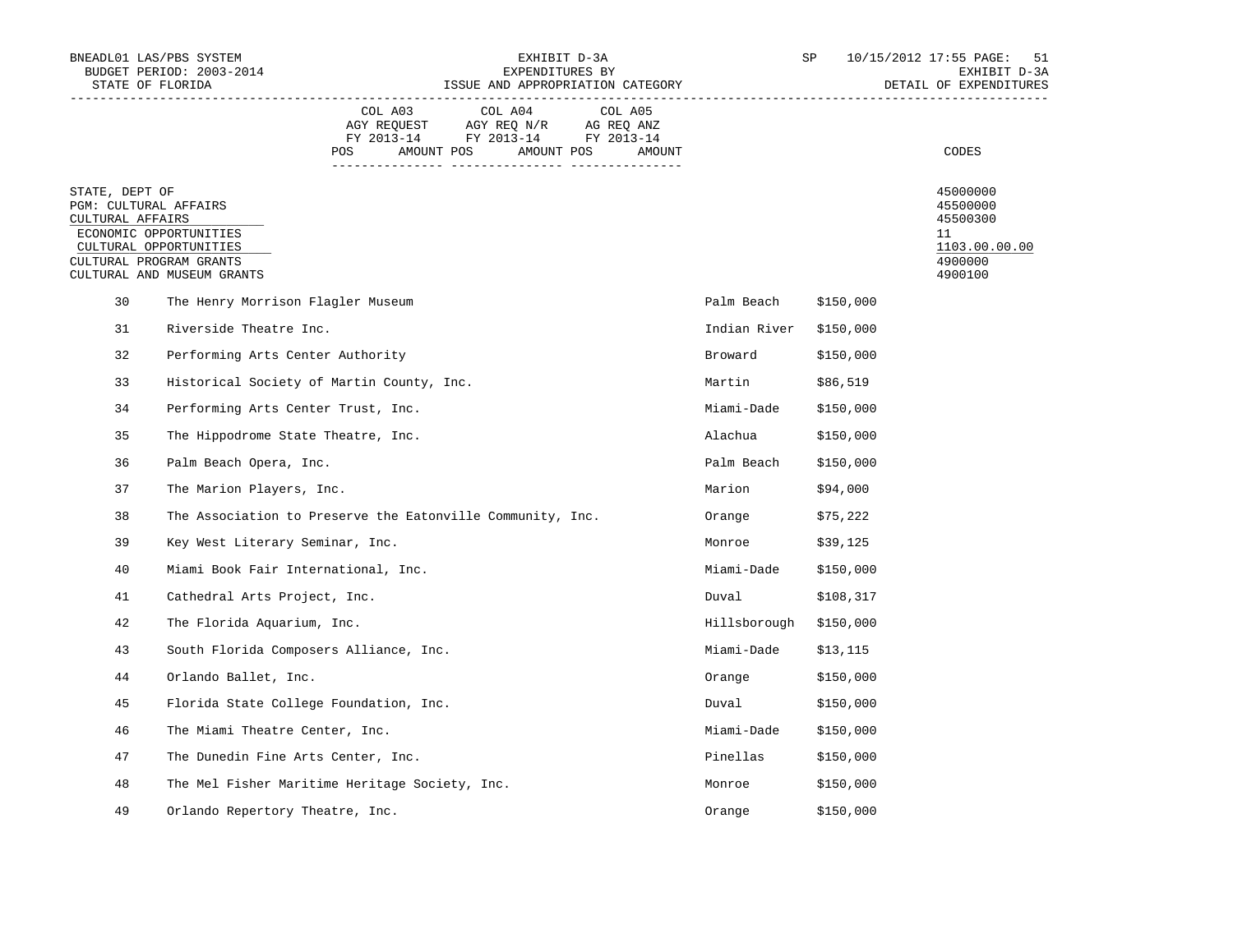| BNEADL01 LAS/PBS SYSTEM<br>STATE OF FLORIDA                                                                      | BUDGET PERIOD: 2003-2014                                   |                | EXPENDITURES BY<br>ISSUE AND APPROPRIATION CATEGORY                                             | EXHIBIT D-3A                    |                        | SP        | 10/15/2012 17:55 PAGE:<br>51<br>EXHIBIT D-3A<br>DETAIL OF EXPENDITURES        |
|------------------------------------------------------------------------------------------------------------------|------------------------------------------------------------|----------------|-------------------------------------------------------------------------------------------------|---------------------------------|------------------------|-----------|-------------------------------------------------------------------------------|
|                                                                                                                  |                                                            | COL A03<br>POS | COL A04<br>AGY REQUEST AGY REQ N/R AG REQ ANZ<br>FY 2013-14 FY 2013-14 FY 2013-14<br>AMOUNT POS | COL A05<br>AMOUNT POS<br>AMOUNT |                        |           | CODES                                                                         |
| STATE, DEPT OF<br>PGM: CULTURAL AFFAIRS<br>CULTURAL AFFAIRS<br>ECONOMIC OPPORTUNITIES<br>CULTURAL PROGRAM GRANTS | CULTURAL OPPORTUNITIES<br>CULTURAL AND MUSEUM GRANTS       |                |                                                                                                 |                                 |                        |           | 45000000<br>45500000<br>45500300<br>11<br>1103.00.00.00<br>4900000<br>4900100 |
| 30                                                                                                               | The Henry Morrison Flagler Museum                          |                |                                                                                                 |                                 | Palm Beach             | \$150,000 |                                                                               |
| 31                                                                                                               | Riverside Theatre Inc.                                     |                |                                                                                                 |                                 | Indian River \$150,000 |           |                                                                               |
| 32                                                                                                               | Performing Arts Center Authority                           |                |                                                                                                 |                                 | Broward                | \$150,000 |                                                                               |
| 33                                                                                                               | Historical Society of Martin County, Inc.                  |                |                                                                                                 |                                 | Martin                 | \$86,519  |                                                                               |
| 34                                                                                                               | Performing Arts Center Trust, Inc.                         |                |                                                                                                 |                                 | Miami-Dade             | \$150,000 |                                                                               |
| 35                                                                                                               | The Hippodrome State Theatre, Inc.                         |                |                                                                                                 |                                 | Alachua                | \$150,000 |                                                                               |
| 36                                                                                                               | Palm Beach Opera, Inc.                                     |                |                                                                                                 |                                 | Palm Beach \$150,000   |           |                                                                               |
| 37                                                                                                               | The Marion Players, Inc.                                   |                |                                                                                                 |                                 | Marion                 | \$94,000  |                                                                               |
| 38                                                                                                               | The Association to Preserve the Eatonville Community, Inc. |                |                                                                                                 |                                 | Orange                 | \$75,222  |                                                                               |
| 39                                                                                                               | Key West Literary Seminar, Inc.                            |                |                                                                                                 |                                 | Monroe                 | \$39,125  |                                                                               |
| 40                                                                                                               | Miami Book Fair International, Inc.                        |                |                                                                                                 |                                 | Miami-Dade             | \$150,000 |                                                                               |
| 41                                                                                                               | Cathedral Arts Project, Inc.                               |                |                                                                                                 |                                 | Duval                  | \$108,317 |                                                                               |
| 42                                                                                                               | The Florida Aquarium, Inc.                                 |                |                                                                                                 |                                 | Hillsborough \$150,000 |           |                                                                               |
| 43                                                                                                               | South Florida Composers Alliance, Inc.                     |                |                                                                                                 |                                 | Miami-Dade             | \$13,115  |                                                                               |
| 44                                                                                                               | Orlando Ballet, Inc.                                       |                |                                                                                                 |                                 | Orange                 | \$150,000 |                                                                               |
| 45                                                                                                               | Florida State College Foundation, Inc.                     |                |                                                                                                 |                                 | Duval                  | \$150,000 |                                                                               |
| 46                                                                                                               | The Miami Theatre Center, Inc.                             |                |                                                                                                 |                                 | Miami-Dade             | \$150,000 |                                                                               |
| 47                                                                                                               | The Dunedin Fine Arts Center, Inc.                         |                |                                                                                                 |                                 | Pinellas               | \$150,000 |                                                                               |
| 48                                                                                                               | The Mel Fisher Maritime Heritage Society, Inc.             |                |                                                                                                 |                                 | Monroe                 | \$150,000 |                                                                               |
| 49                                                                                                               | Orlando Repertory Theatre, Inc.                            |                |                                                                                                 |                                 | Orange                 | \$150,000 |                                                                               |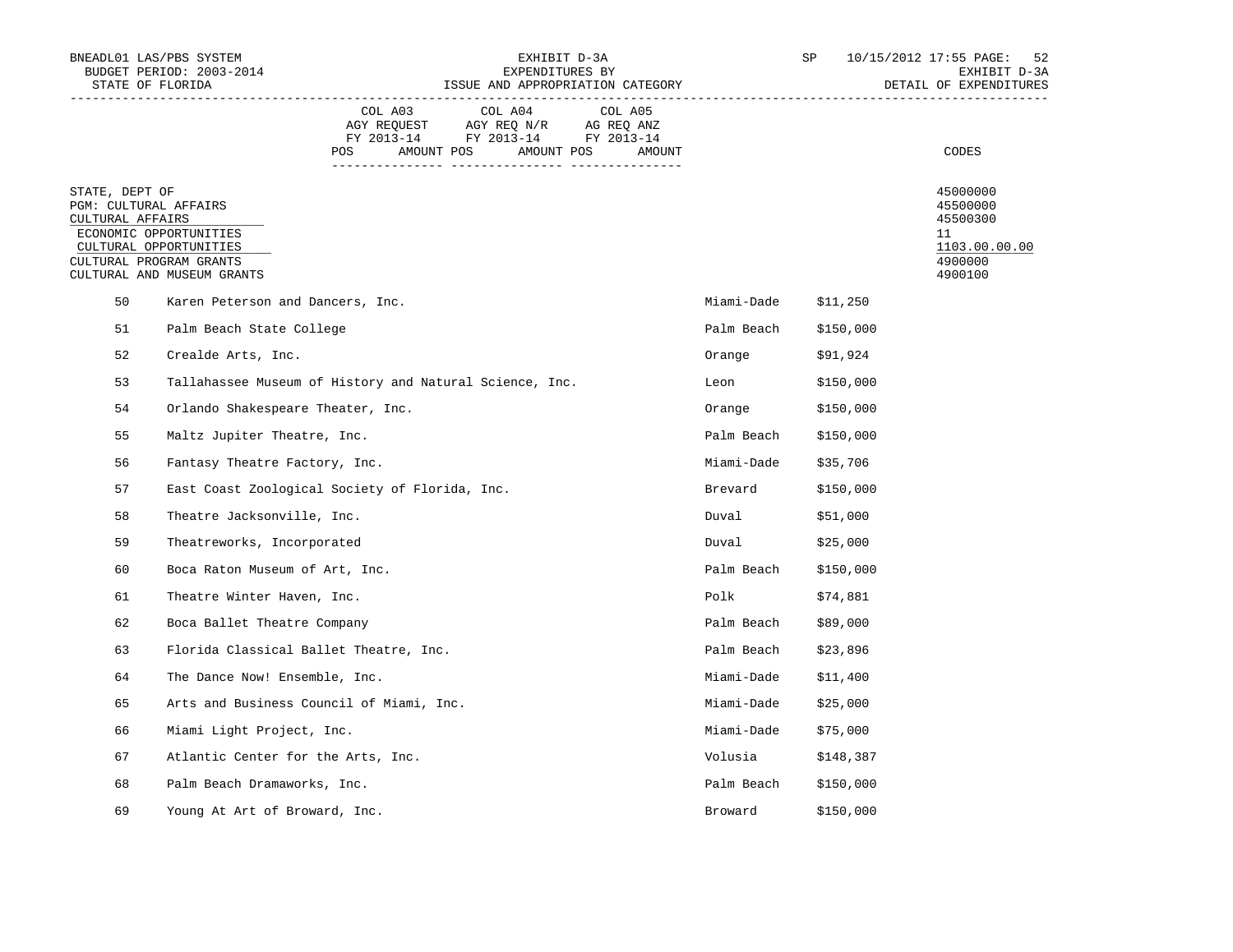|                                                             | BNEADL01 LAS/PBS SYSTEM<br>BUDGET PERIOD: 2003-2014<br>STATE OF FLORIDA                                   |                | EXHIBIT D-3A<br>EXPENDITURES BY<br>ISSUE AND APPROPRIATION CATEGORY                                        |                   |                      | SP        | 10/15/2012 17:55 PAGE:<br>52<br>EXHIBIT D-3A<br>DETAIL OF EXPENDITURES        |
|-------------------------------------------------------------|-----------------------------------------------------------------------------------------------------------|----------------|------------------------------------------------------------------------------------------------------------|-------------------|----------------------|-----------|-------------------------------------------------------------------------------|
|                                                             |                                                                                                           | COL A03<br>POS | COL A04<br>AGY REQUEST AGY REQ N/R AG REQ ANZ<br>FY 2013-14 FY 2013-14 FY 2013-14<br>AMOUNT POS AMOUNT POS | COL A05<br>AMOUNT |                      |           | CODES                                                                         |
| STATE, DEPT OF<br>PGM: CULTURAL AFFAIRS<br>CULTURAL AFFAIRS | ECONOMIC OPPORTUNITIES<br>CULTURAL OPPORTUNITIES<br>CULTURAL PROGRAM GRANTS<br>CULTURAL AND MUSEUM GRANTS |                |                                                                                                            |                   |                      |           | 45000000<br>45500000<br>45500300<br>11<br>1103.00.00.00<br>4900000<br>4900100 |
| 50                                                          | Karen Peterson and Dancers, Inc.                                                                          |                |                                                                                                            |                   | Miami-Dade \$11,250  |           |                                                                               |
| 51                                                          | Palm Beach State College                                                                                  |                |                                                                                                            |                   | Palm Beach \$150,000 |           |                                                                               |
| 52                                                          | Crealde Arts, Inc.                                                                                        |                |                                                                                                            |                   | Orange               | \$91,924  |                                                                               |
| 53                                                          | Tallahassee Museum of History and Natural Science, Inc.                                                   |                |                                                                                                            |                   | Leon                 | \$150,000 |                                                                               |
| 54                                                          | Orlando Shakespeare Theater, Inc.                                                                         |                |                                                                                                            |                   | Orange               | \$150,000 |                                                                               |
| 55                                                          | Maltz Jupiter Theatre, Inc.                                                                               |                |                                                                                                            |                   | Palm Beach           | \$150,000 |                                                                               |
| 56                                                          | Fantasy Theatre Factory, Inc.                                                                             |                |                                                                                                            |                   | Miami-Dade \$35,706  |           |                                                                               |
| 57                                                          | East Coast Zoological Society of Florida, Inc.                                                            |                |                                                                                                            |                   | Brevard              | \$150,000 |                                                                               |
| 58                                                          | Theatre Jacksonville, Inc.                                                                                |                |                                                                                                            |                   | Duval                | \$51,000  |                                                                               |
| 59                                                          | Theatreworks, Incorporated                                                                                |                |                                                                                                            |                   | Duval                | \$25,000  |                                                                               |
| 60                                                          | Boca Raton Museum of Art, Inc.                                                                            |                |                                                                                                            |                   | Palm Beach \$150,000 |           |                                                                               |
| 61                                                          | Theatre Winter Haven, Inc.                                                                                |                |                                                                                                            |                   | Polk                 | \$74,881  |                                                                               |
| 62                                                          | Boca Ballet Theatre Company                                                                               |                |                                                                                                            |                   | Palm Beach \$89,000  |           |                                                                               |
| 63                                                          | Florida Classical Ballet Theatre, Inc.                                                                    |                |                                                                                                            |                   | Palm Beach \$23,896  |           |                                                                               |
| 64                                                          | The Dance Now! Ensemble, Inc.                                                                             |                |                                                                                                            |                   | Miami-Dade           | \$11,400  |                                                                               |
| 65                                                          | Arts and Business Council of Miami, Inc.                                                                  |                |                                                                                                            |                   | Miami-Dade           | \$25,000  |                                                                               |
| 66                                                          | Miami Light Project, Inc.                                                                                 |                |                                                                                                            |                   | Miami-Dade \$75,000  |           |                                                                               |
| 67                                                          | Atlantic Center for the Arts, Inc.                                                                        |                |                                                                                                            |                   | Volusia              | \$148,387 |                                                                               |
| 68                                                          | Palm Beach Dramaworks, Inc.                                                                               |                |                                                                                                            |                   | Palm Beach           | \$150,000 |                                                                               |
| 69                                                          | Young At Art of Broward, Inc.                                                                             |                |                                                                                                            |                   | Broward              | \$150,000 |                                                                               |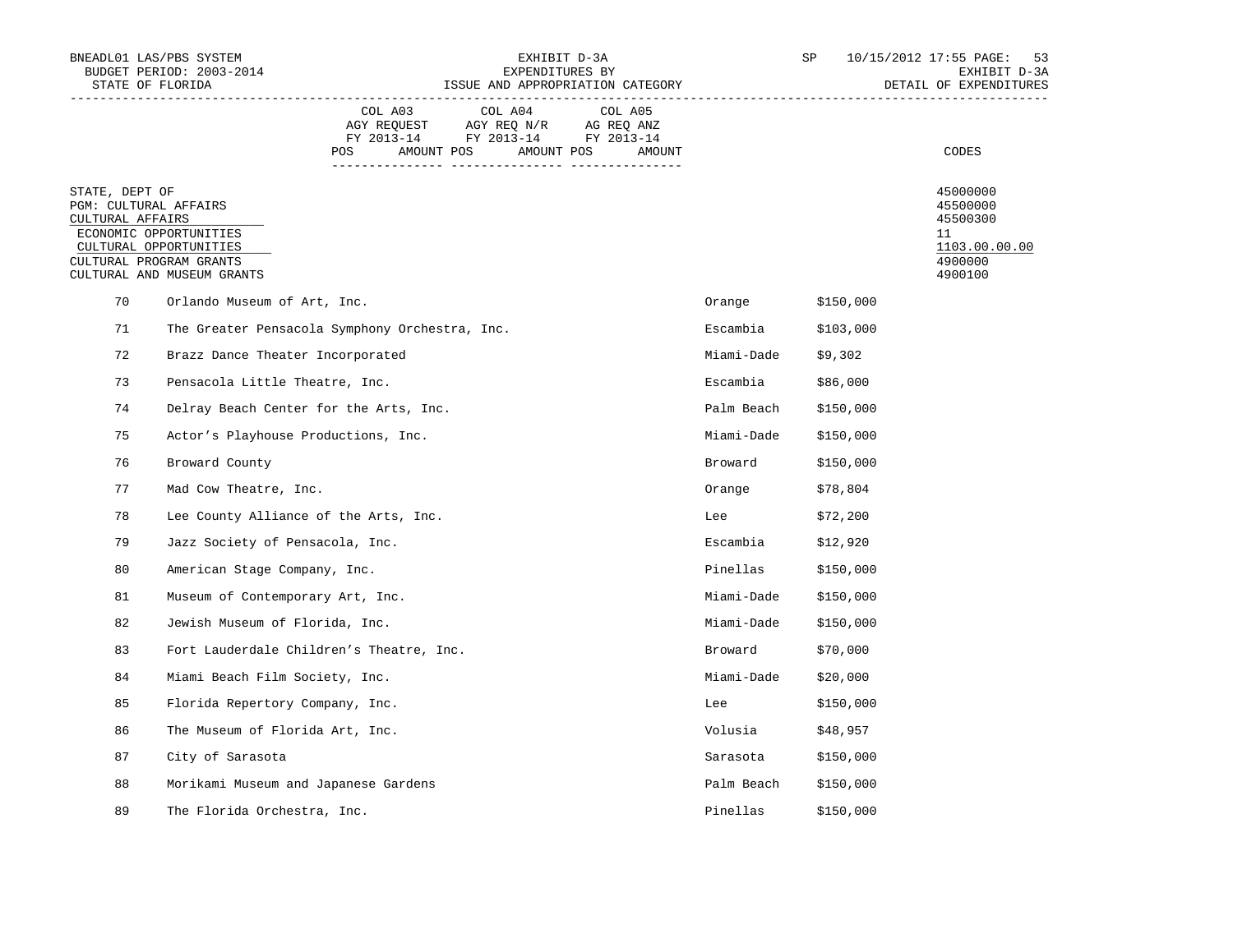| BNEADL01 LAS/PBS SYSTEM<br>BUDGET PERIOD: 2003-2014<br>STATE OF FLORIDA |                                                                                                           |                                                | EXHIBIT D-3A<br>EXPENDITURES BY<br>ISSUE AND APPROPRIATION CATEGORY                                           |                   |            | SP        | 10/15/2012 17:55 PAGE:<br>53<br>EXHIBIT D-3A<br>DETAIL OF EXPENDITURES        |
|-------------------------------------------------------------------------|-----------------------------------------------------------------------------------------------------------|------------------------------------------------|---------------------------------------------------------------------------------------------------------------|-------------------|------------|-----------|-------------------------------------------------------------------------------|
|                                                                         |                                                                                                           | COL A03<br>POS                                 | COL A04<br>AGY REQUEST AGY REQ N/R AG REQ ANZ<br>FY 2013-14 FY 2013-14 FY 2013-14<br>AMOUNT POS<br>AMOUNT POS | COL A05<br>AMOUNT |            |           | CODES                                                                         |
| STATE, DEPT OF<br>PGM: CULTURAL AFFAIRS<br>CULTURAL AFFAIRS             | ECONOMIC OPPORTUNITIES<br>CULTURAL OPPORTUNITIES<br>CULTURAL PROGRAM GRANTS<br>CULTURAL AND MUSEUM GRANTS |                                                |                                                                                                               |                   |            |           | 45000000<br>45500000<br>45500300<br>11<br>1103.00.00.00<br>4900000<br>4900100 |
| 70                                                                      | Orlando Museum of Art, Inc.                                                                               |                                                |                                                                                                               |                   | Orange     | \$150,000 |                                                                               |
| 71                                                                      |                                                                                                           | The Greater Pensacola Symphony Orchestra, Inc. |                                                                                                               |                   | Escambia   | \$103,000 |                                                                               |
| 72                                                                      | Brazz Dance Theater Incorporated                                                                          |                                                |                                                                                                               |                   | Miami-Dade | \$9,302   |                                                                               |
| 73                                                                      | Pensacola Little Theatre, Inc.                                                                            |                                                |                                                                                                               |                   | Escambia   | \$86,000  |                                                                               |
| 74                                                                      |                                                                                                           | Delray Beach Center for the Arts, Inc.         |                                                                                                               |                   | Palm Beach | \$150,000 |                                                                               |
| 75                                                                      | Actor's Playhouse Productions, Inc.                                                                       |                                                |                                                                                                               |                   | Miami-Dade | \$150,000 |                                                                               |
| 76                                                                      | Broward County                                                                                            |                                                |                                                                                                               |                   | Broward    | \$150,000 |                                                                               |
| 77                                                                      | Mad Cow Theatre, Inc.                                                                                     |                                                |                                                                                                               |                   | Orange     | \$78,804  |                                                                               |
| 78                                                                      |                                                                                                           | Lee County Alliance of the Arts, Inc.          |                                                                                                               |                   | Lee        | \$72,200  |                                                                               |
| 79                                                                      | Jazz Society of Pensacola, Inc.                                                                           |                                                |                                                                                                               |                   | Escambia   | \$12,920  |                                                                               |
| 80                                                                      | American Stage Company, Inc.                                                                              |                                                |                                                                                                               |                   | Pinellas   | \$150,000 |                                                                               |
| 81                                                                      | Museum of Contemporary Art, Inc.                                                                          |                                                |                                                                                                               |                   | Miami-Dade | \$150,000 |                                                                               |
| 82                                                                      | Jewish Museum of Florida, Inc.                                                                            |                                                |                                                                                                               |                   | Miami-Dade | \$150,000 |                                                                               |
| 83                                                                      |                                                                                                           | Fort Lauderdale Children's Theatre, Inc.       |                                                                                                               |                   | Broward    | \$70,000  |                                                                               |
| 84                                                                      | Miami Beach Film Society, Inc.                                                                            |                                                |                                                                                                               |                   | Miami-Dade | \$20,000  |                                                                               |
| 85                                                                      | Florida Repertory Company, Inc.                                                                           |                                                |                                                                                                               |                   | Lee        | \$150,000 |                                                                               |
| 86                                                                      | The Museum of Florida Art, Inc.                                                                           |                                                |                                                                                                               |                   | Volusia    | \$48,957  |                                                                               |
| 87                                                                      | City of Sarasota                                                                                          |                                                |                                                                                                               |                   | Sarasota   | \$150,000 |                                                                               |
| 88                                                                      |                                                                                                           | Morikami Museum and Japanese Gardens           |                                                                                                               |                   | Palm Beach | \$150,000 |                                                                               |
| 89                                                                      | The Florida Orchestra, Inc.                                                                               |                                                |                                                                                                               |                   | Pinellas   | \$150,000 |                                                                               |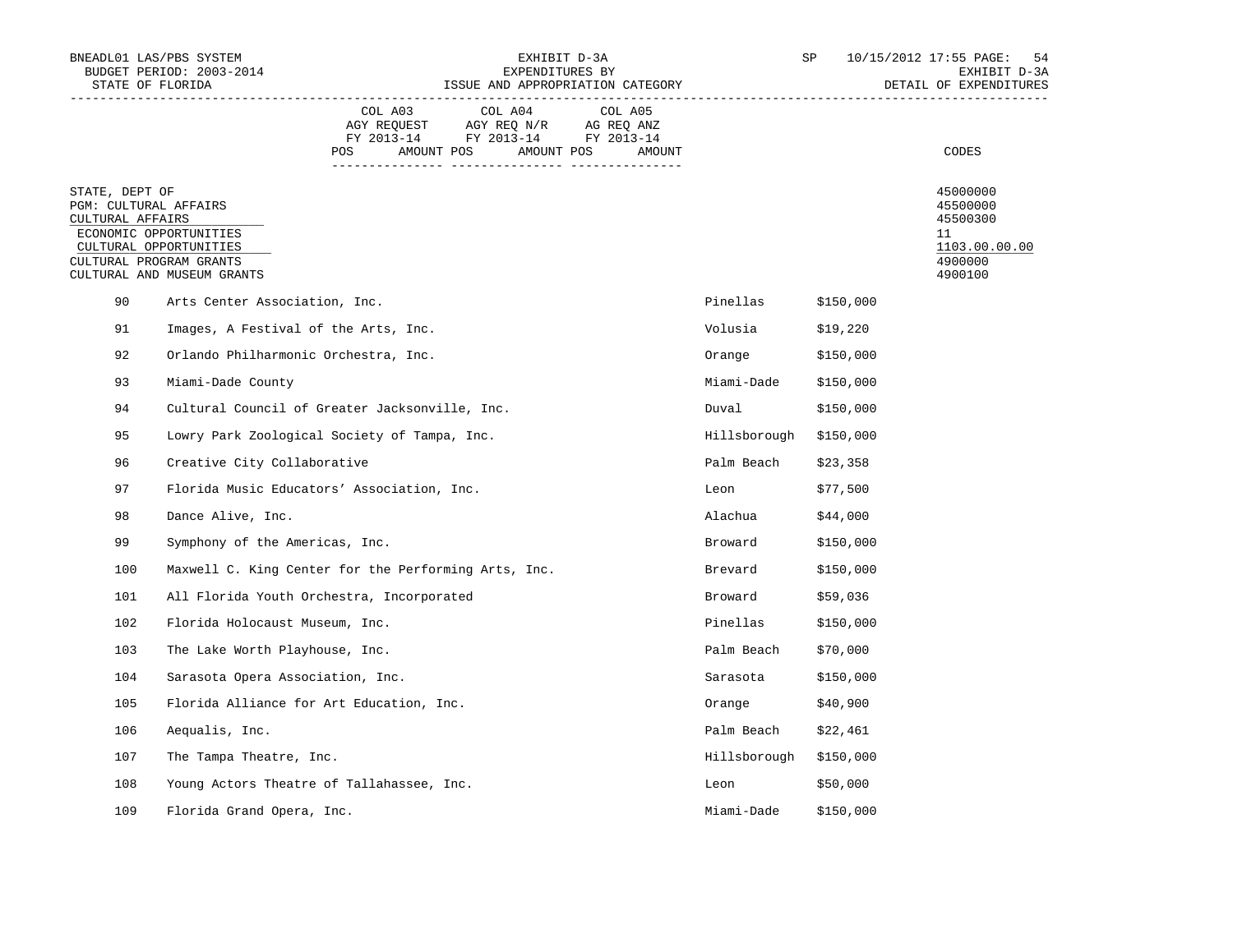| BNEADL01 LAS/PBS SYSTEM<br>BUDGET PERIOD: 2003-2014<br>STATE OF FLORIDA                |                                                                                |                                                      | EXPENDITURES BY                                                                                            | EXHIBIT D-3A<br>ISSUE AND APPROPRIATION CATEGORY |                        | SP        | 10/15/2012 17:55 PAGE:<br>54<br>EXHIBIT D-3A<br>DETAIL OF EXPENDITURES        |
|----------------------------------------------------------------------------------------|--------------------------------------------------------------------------------|------------------------------------------------------|------------------------------------------------------------------------------------------------------------|--------------------------------------------------|------------------------|-----------|-------------------------------------------------------------------------------|
|                                                                                        |                                                                                | COL A03<br>POS                                       | COL A04<br>AGY REQUEST AGY REQ N/R AG REQ ANZ<br>FY 2013-14 FY 2013-14 FY 2013-14<br>AMOUNT POS AMOUNT POS | COL A05<br>AMOUNT                                |                        |           | CODES                                                                         |
| STATE, DEPT OF<br>PGM: CULTURAL AFFAIRS<br>CULTURAL AFFAIRS<br>CULTURAL PROGRAM GRANTS | ECONOMIC OPPORTUNITIES<br>CULTURAL OPPORTUNITIES<br>CULTURAL AND MUSEUM GRANTS |                                                      |                                                                                                            |                                                  |                        |           | 45000000<br>45500000<br>45500300<br>11<br>1103.00.00.00<br>4900000<br>4900100 |
| 90                                                                                     | Arts Center Association, Inc.                                                  |                                                      |                                                                                                            |                                                  | Pinellas               | \$150,000 |                                                                               |
| 91                                                                                     | Images, A Festival of the Arts, Inc.                                           |                                                      |                                                                                                            |                                                  | Volusia                | \$19,220  |                                                                               |
| 92                                                                                     | Orlando Philharmonic Orchestra, Inc.                                           |                                                      |                                                                                                            |                                                  | Orange                 | \$150,000 |                                                                               |
| 93                                                                                     | Miami-Dade County                                                              |                                                      |                                                                                                            |                                                  | Miami-Dade             | \$150,000 |                                                                               |
| 94                                                                                     |                                                                                | Cultural Council of Greater Jacksonville, Inc.       |                                                                                                            |                                                  | Duval                  | \$150,000 |                                                                               |
| 95                                                                                     |                                                                                | Lowry Park Zoological Society of Tampa, Inc.         |                                                                                                            |                                                  | Hillsborough \$150,000 |           |                                                                               |
| 96                                                                                     | Creative City Collaborative                                                    |                                                      |                                                                                                            |                                                  | Palm Beach             | \$23,358  |                                                                               |
| 97                                                                                     |                                                                                | Florida Music Educators' Association, Inc.           |                                                                                                            |                                                  | Leon                   | \$77,500  |                                                                               |
| 98                                                                                     | Dance Alive, Inc.                                                              |                                                      |                                                                                                            |                                                  | Alachua                | \$44,000  |                                                                               |
| 99                                                                                     | Symphony of the Americas, Inc.                                                 |                                                      |                                                                                                            |                                                  | Broward                | \$150,000 |                                                                               |
| 100                                                                                    |                                                                                | Maxwell C. King Center for the Performing Arts, Inc. |                                                                                                            |                                                  | Brevard                | \$150,000 |                                                                               |
| 101                                                                                    |                                                                                | All Florida Youth Orchestra, Incorporated            |                                                                                                            |                                                  | Broward                | \$59,036  |                                                                               |
| 102                                                                                    | Florida Holocaust Museum, Inc.                                                 |                                                      |                                                                                                            |                                                  | Pinellas               | \$150,000 |                                                                               |
| 103                                                                                    | The Lake Worth Playhouse, Inc.                                                 |                                                      |                                                                                                            |                                                  | Palm Beach             | \$70,000  |                                                                               |
| 104                                                                                    | Sarasota Opera Association, Inc.                                               |                                                      |                                                                                                            |                                                  | Sarasota               | \$150,000 |                                                                               |
| 105                                                                                    |                                                                                | Florida Alliance for Art Education, Inc.             |                                                                                                            |                                                  | Orange                 | \$40,900  |                                                                               |
| 106                                                                                    | Aequalis, Inc.                                                                 |                                                      |                                                                                                            |                                                  | Palm Beach             | \$22,461  |                                                                               |
| 107                                                                                    | The Tampa Theatre, Inc.                                                        |                                                      |                                                                                                            |                                                  | Hillsborough \$150,000 |           |                                                                               |
| 108                                                                                    |                                                                                | Young Actors Theatre of Tallahassee, Inc.            |                                                                                                            |                                                  | Leon                   | \$50,000  |                                                                               |
| 109                                                                                    | Florida Grand Opera, Inc.                                                      |                                                      |                                                                                                            |                                                  | Miami-Dade             | \$150,000 |                                                                               |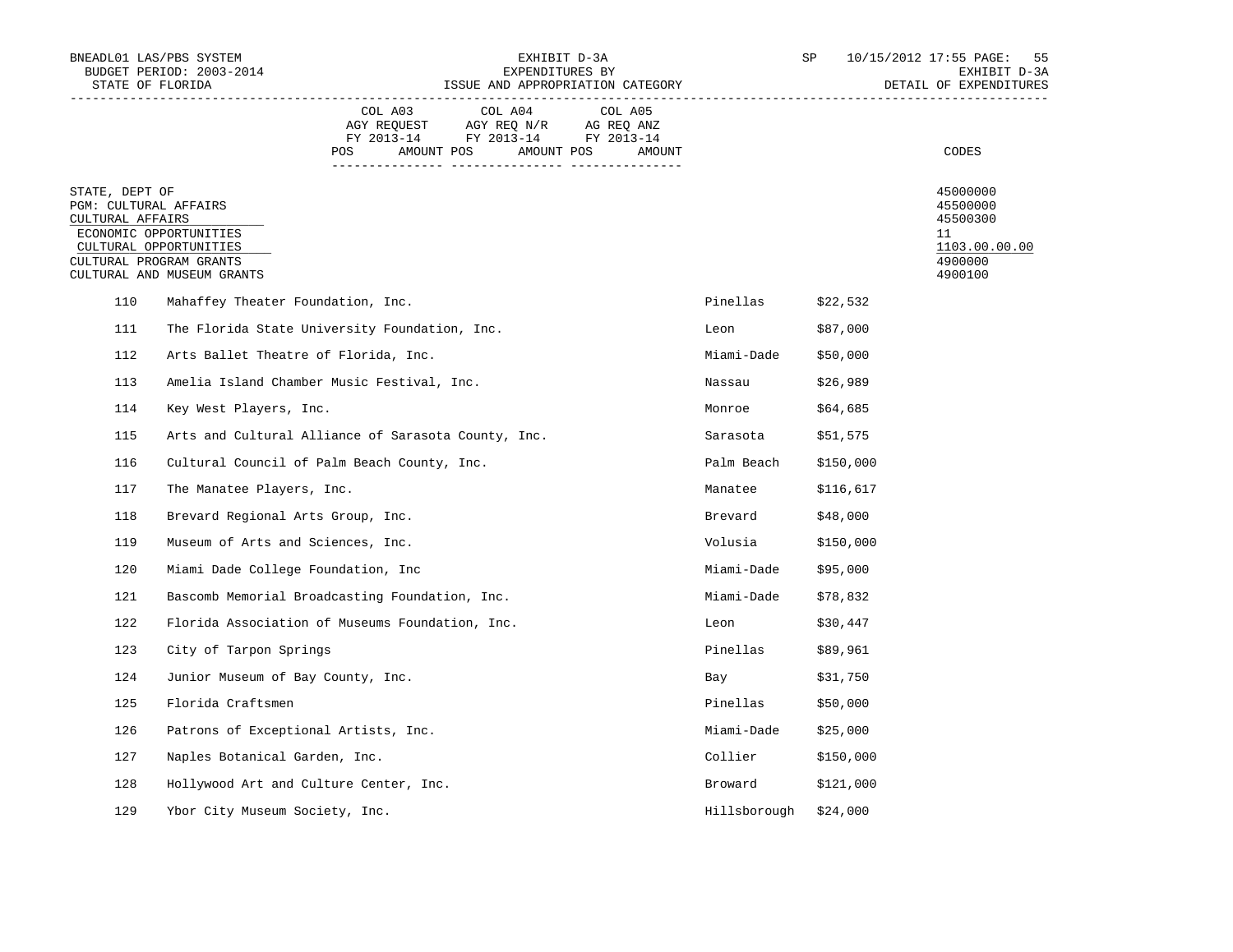| STATE OF FLORIDA                                            | BNEADL01 LAS/PBS SYSTEM<br>BUDGET PERIOD: 2003-2014                                                       |                                                     | EXPENDITURES BY                                                                                            | EXHIBIT D-3A<br>ISSUE AND APPROPRIATION CATEGORY |                      | SP        | 10/15/2012 17:55 PAGE:<br>55<br>EXHIBIT D-3A<br>DETAIL OF EXPENDITURES        |
|-------------------------------------------------------------|-----------------------------------------------------------------------------------------------------------|-----------------------------------------------------|------------------------------------------------------------------------------------------------------------|--------------------------------------------------|----------------------|-----------|-------------------------------------------------------------------------------|
|                                                             |                                                                                                           | COL A03<br>POS                                      | COL A04<br>AGY REQUEST AGY REQ N/R AG REQ ANZ<br>FY 2013-14 FY 2013-14 FY 2013-14<br>AMOUNT POS AMOUNT POS | COL A05<br>AMOUNT                                |                      |           | CODES                                                                         |
| STATE, DEPT OF<br>PGM: CULTURAL AFFAIRS<br>CULTURAL AFFAIRS | ECONOMIC OPPORTUNITIES<br>CULTURAL OPPORTUNITIES<br>CULTURAL PROGRAM GRANTS<br>CULTURAL AND MUSEUM GRANTS |                                                     |                                                                                                            |                                                  |                      |           | 45000000<br>45500000<br>45500300<br>11<br>1103.00.00.00<br>4900000<br>4900100 |
| 110                                                         | Mahaffey Theater Foundation, Inc.                                                                         |                                                     |                                                                                                            |                                                  | Pinellas \$22,532    |           |                                                                               |
| 111                                                         |                                                                                                           | The Florida State University Foundation, Inc.       |                                                                                                            |                                                  | Leon                 | \$87,000  |                                                                               |
| 112                                                         |                                                                                                           | Arts Ballet Theatre of Florida, Inc.                |                                                                                                            |                                                  | Miami-Dade           | \$50,000  |                                                                               |
| 113                                                         |                                                                                                           | Amelia Island Chamber Music Festival, Inc.          |                                                                                                            |                                                  | Nassau               | \$26,989  |                                                                               |
| 114                                                         | Key West Players, Inc.                                                                                    |                                                     |                                                                                                            |                                                  | Monroe               | \$64,685  |                                                                               |
| 115                                                         |                                                                                                           | Arts and Cultural Alliance of Sarasota County, Inc. |                                                                                                            |                                                  | Sarasota             | \$51,575  |                                                                               |
| 116                                                         |                                                                                                           | Cultural Council of Palm Beach County, Inc.         |                                                                                                            |                                                  | Palm Beach \$150,000 |           |                                                                               |
| 117                                                         | The Manatee Players, Inc.                                                                                 |                                                     |                                                                                                            |                                                  | Manatee              | \$116,617 |                                                                               |
| 118                                                         | Brevard Regional Arts Group, Inc.                                                                         |                                                     |                                                                                                            |                                                  | Brevard              | \$48,000  |                                                                               |
| 119                                                         | Museum of Arts and Sciences, Inc.                                                                         |                                                     |                                                                                                            |                                                  | Volusia \$150,000    |           |                                                                               |
| 120                                                         | Miami Dade College Foundation, Inc                                                                        |                                                     |                                                                                                            |                                                  | Miami-Dade \$95,000  |           |                                                                               |
| 121                                                         |                                                                                                           | Bascomb Memorial Broadcasting Foundation, Inc.      |                                                                                                            |                                                  | Miami-Dade \$78,832  |           |                                                                               |
| 122                                                         |                                                                                                           | Florida Association of Museums Foundation, Inc.     |                                                                                                            |                                                  | Leon                 | \$30,447  |                                                                               |
| 123                                                         | City of Tarpon Springs                                                                                    |                                                     |                                                                                                            |                                                  | Pinellas             | \$89,961  |                                                                               |
| 124                                                         | Junior Museum of Bay County, Inc.                                                                         |                                                     |                                                                                                            |                                                  | Bay                  | \$31,750  |                                                                               |
| 125                                                         | Florida Craftsmen                                                                                         |                                                     |                                                                                                            |                                                  | Pinellas             | \$50,000  |                                                                               |
| 126                                                         |                                                                                                           | Patrons of Exceptional Artists, Inc.                |                                                                                                            |                                                  | Miami-Dade \$25,000  |           |                                                                               |
| 127                                                         | Naples Botanical Garden, Inc.                                                                             |                                                     |                                                                                                            |                                                  | Collier              | \$150,000 |                                                                               |
| 128                                                         |                                                                                                           | Hollywood Art and Culture Center, Inc.              |                                                                                                            |                                                  | Broward              | \$121,000 |                                                                               |
| 129                                                         | Ybor City Museum Society, Inc.                                                                            |                                                     |                                                                                                            |                                                  | Hillsborough         | \$24,000  |                                                                               |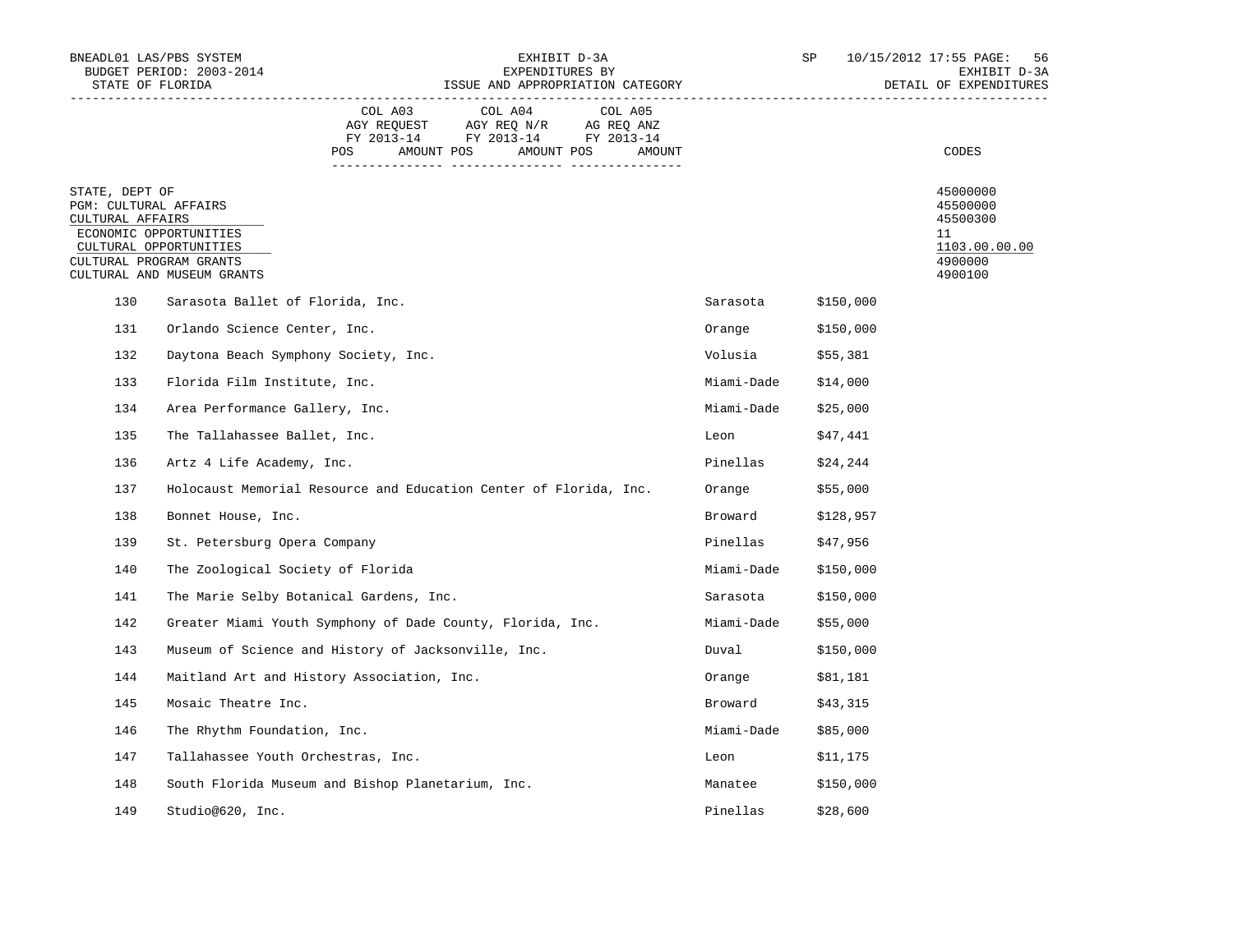|                                                             | BNEADL01 LAS/PBS SYSTEM<br>BUDGET PERIOD: 2003-2014<br>STATE OF FLORIDA                                   |         | EXHIBIT D-3A<br>EXPENDITURES BY<br>ISSUE AND APPROPRIATION CATEGORY                                            |                   |                     | SP        | 10/15/2012 17:55 PAGE:<br>-56<br>EXHIBIT D-3A<br>DETAIL OF EXPENDITURES       |
|-------------------------------------------------------------|-----------------------------------------------------------------------------------------------------------|---------|----------------------------------------------------------------------------------------------------------------|-------------------|---------------------|-----------|-------------------------------------------------------------------------------|
|                                                             |                                                                                                           | COL A03 | COL A04<br>AGY REQUEST AGY REQ N/R AG REQ ANZ<br>FY 2013-14 FY 2013-14 FY 2013-14<br>POS AMOUNT POS AMOUNT POS | COL A05<br>AMOUNT |                     |           | CODES                                                                         |
| STATE, DEPT OF<br>PGM: CULTURAL AFFAIRS<br>CULTURAL AFFAIRS | ECONOMIC OPPORTUNITIES<br>CULTURAL OPPORTUNITIES<br>CULTURAL PROGRAM GRANTS<br>CULTURAL AND MUSEUM GRANTS |         |                                                                                                                |                   |                     |           | 45000000<br>45500000<br>45500300<br>11<br>1103.00.00.00<br>4900000<br>4900100 |
| 130                                                         | Sarasota Ballet of Florida, Inc.                                                                          |         |                                                                                                                |                   | Sarasota            | \$150,000 |                                                                               |
| 131                                                         | Orlando Science Center, Inc.                                                                              |         |                                                                                                                |                   | Orange              | \$150,000 |                                                                               |
| 132                                                         | Daytona Beach Symphony Society, Inc.                                                                      |         |                                                                                                                |                   | Volusia $$55,381$   |           |                                                                               |
| 133                                                         | Florida Film Institute, Inc.                                                                              |         |                                                                                                                |                   | Miami-Dade \$14,000 |           |                                                                               |
| 134                                                         | Area Performance Gallery, Inc.                                                                            |         |                                                                                                                |                   | Miami-Dade          | \$25,000  |                                                                               |
| 135                                                         | The Tallahassee Ballet, Inc.                                                                              |         |                                                                                                                |                   | Leon                | \$47,441  |                                                                               |
| 136                                                         | Artz 4 Life Academy, Inc.                                                                                 |         |                                                                                                                |                   | Pinellas            | \$24,244  |                                                                               |
| 137                                                         | Holocaust Memorial Resource and Education Center of Florida, Inc.                                         |         |                                                                                                                |                   | Orange              | \$55,000  |                                                                               |
| 138                                                         | Bonnet House, Inc.                                                                                        |         |                                                                                                                |                   | Broward             | \$128,957 |                                                                               |
| 139                                                         | St. Petersburg Opera Company                                                                              |         |                                                                                                                |                   | Pinellas            | \$47,956  |                                                                               |
| 140                                                         | The Zoological Society of Florida                                                                         |         |                                                                                                                |                   | Miami-Dade          | \$150,000 |                                                                               |
| 141                                                         | The Marie Selby Botanical Gardens, Inc.                                                                   |         |                                                                                                                |                   | Sarasota            | \$150,000 |                                                                               |
| 142                                                         | Greater Miami Youth Symphony of Dade County, Florida, Inc.                                                |         |                                                                                                                |                   | Miami-Dade          | \$55,000  |                                                                               |
| 143                                                         | Museum of Science and History of Jacksonville, Inc.                                                       |         |                                                                                                                |                   | Duval               | \$150,000 |                                                                               |
| 144                                                         | Maitland Art and History Association, Inc.                                                                |         |                                                                                                                |                   | Orange              | \$81,181  |                                                                               |
| 145                                                         | Mosaic Theatre Inc.                                                                                       |         |                                                                                                                |                   | Broward             | \$43,315  |                                                                               |
| 146                                                         | The Rhythm Foundation, Inc.                                                                               |         |                                                                                                                |                   | Miami-Dade \$85,000 |           |                                                                               |
| 147                                                         | Tallahassee Youth Orchestras, Inc.                                                                        |         |                                                                                                                |                   | Leon                | \$11,175  |                                                                               |
| 148                                                         | South Florida Museum and Bishop Planetarium, Inc.                                                         |         |                                                                                                                |                   | Manatee \$150,000   |           |                                                                               |
| 149                                                         | Studio@620, Inc.                                                                                          |         |                                                                                                                |                   | Pinellas            | \$28,600  |                                                                               |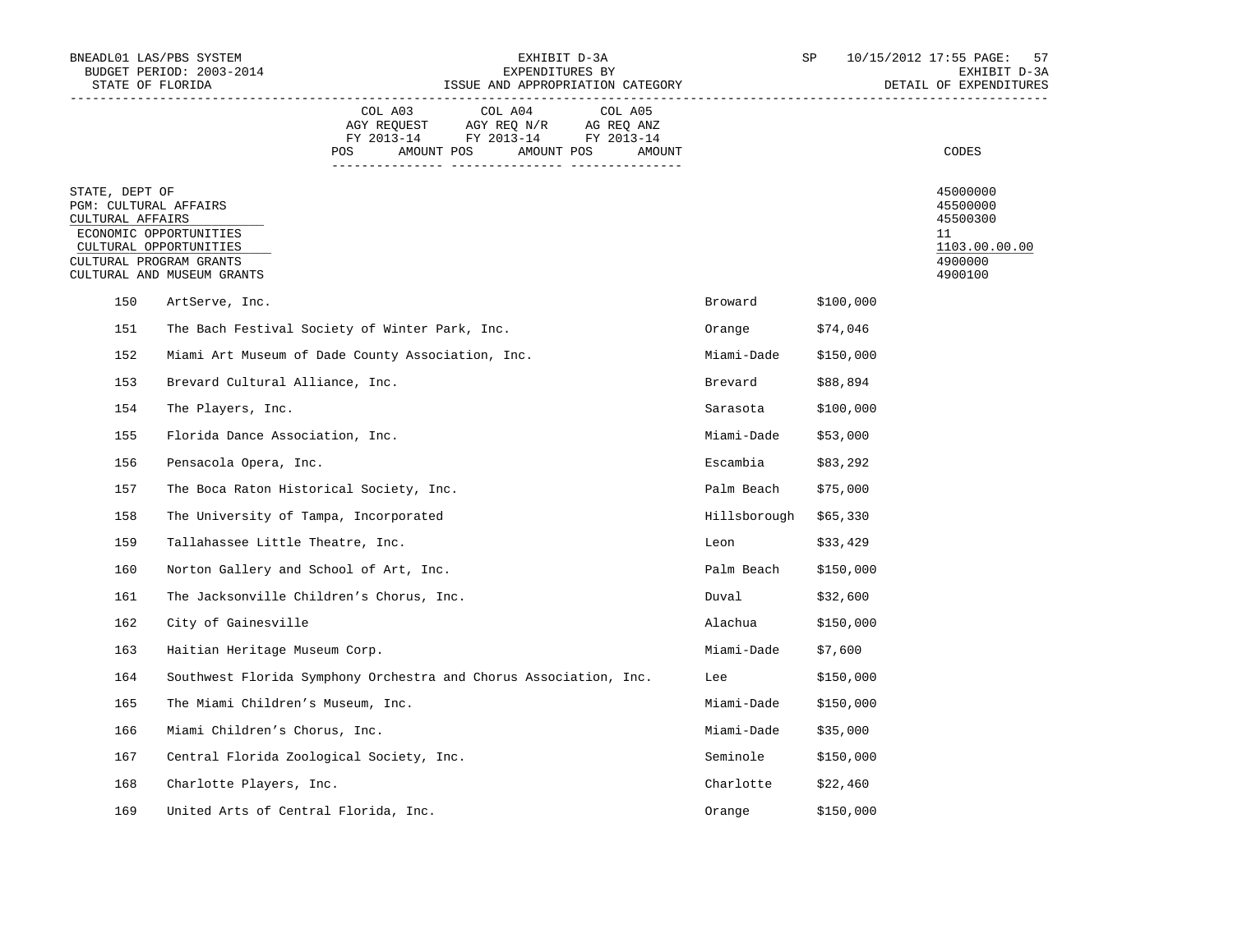|                                                             | BNEADL01 LAS/PBS SYSTEM<br>BUDGET PERIOD: 2003-2014<br>STATE OF FLORIDA                                   |                                                                   |                                                                                                            | EXHIBIT D-3A<br>EXPENDITURES BY<br>ISSUE AND APPROPRIATION CATEGORY |                       | SP        | 10/15/2012 17:55 PAGE:<br>57<br>EXHIBIT D-3A<br>DETAIL OF EXPENDITURES        |
|-------------------------------------------------------------|-----------------------------------------------------------------------------------------------------------|-------------------------------------------------------------------|------------------------------------------------------------------------------------------------------------|---------------------------------------------------------------------|-----------------------|-----------|-------------------------------------------------------------------------------|
|                                                             |                                                                                                           | COL A03<br>POS                                                    | COL A04<br>AGY REQUEST AGY REQ N/R AG REQ ANZ<br>FY 2013-14 FY 2013-14 FY 2013-14<br>AMOUNT POS AMOUNT POS | COL A05<br>AMOUNT                                                   |                       |           | CODES                                                                         |
| STATE, DEPT OF<br>PGM: CULTURAL AFFAIRS<br>CULTURAL AFFAIRS | ECONOMIC OPPORTUNITIES<br>CULTURAL OPPORTUNITIES<br>CULTURAL PROGRAM GRANTS<br>CULTURAL AND MUSEUM GRANTS |                                                                   |                                                                                                            |                                                                     |                       |           | 45000000<br>45500000<br>45500300<br>11<br>1103.00.00.00<br>4900000<br>4900100 |
| 150                                                         | ArtServe, Inc.                                                                                            |                                                                   |                                                                                                            |                                                                     | Broward               | \$100,000 |                                                                               |
| 151                                                         |                                                                                                           | The Bach Festival Society of Winter Park, Inc.                    |                                                                                                            |                                                                     | Orange                | \$74,046  |                                                                               |
| 152                                                         |                                                                                                           | Miami Art Museum of Dade County Association, Inc.                 |                                                                                                            |                                                                     | Miami-Dade \$150,000  |           |                                                                               |
| 153                                                         | Brevard Cultural Alliance, Inc.                                                                           |                                                                   |                                                                                                            |                                                                     | Brevard               | \$88,894  |                                                                               |
| 154                                                         | The Players, Inc.                                                                                         |                                                                   |                                                                                                            |                                                                     | Sarasota              | \$100,000 |                                                                               |
| 155                                                         | Florida Dance Association, Inc.                                                                           |                                                                   |                                                                                                            |                                                                     | Miami-Dade            | \$53,000  |                                                                               |
| 156                                                         | Pensacola Opera, Inc.                                                                                     |                                                                   |                                                                                                            |                                                                     | Escambia              | \$83,292  |                                                                               |
| 157                                                         |                                                                                                           | The Boca Raton Historical Society, Inc.                           |                                                                                                            |                                                                     | Palm Beach            | \$75,000  |                                                                               |
| 158                                                         |                                                                                                           | The University of Tampa, Incorporated                             |                                                                                                            |                                                                     | Hillsborough \$65,330 |           |                                                                               |
| 159                                                         | Tallahassee Little Theatre, Inc.                                                                          |                                                                   |                                                                                                            |                                                                     | Leon                  | \$33,429  |                                                                               |
| 160                                                         |                                                                                                           | Norton Gallery and School of Art, Inc.                            |                                                                                                            |                                                                     | Palm Beach \$150,000  |           |                                                                               |
| 161                                                         |                                                                                                           | The Jacksonville Children's Chorus, Inc.                          |                                                                                                            |                                                                     | Duval                 | \$32,600  |                                                                               |
| 162                                                         | City of Gainesville                                                                                       |                                                                   |                                                                                                            |                                                                     | Alachua               | \$150,000 |                                                                               |
| 163                                                         | Haitian Heritage Museum Corp.                                                                             |                                                                   |                                                                                                            |                                                                     | Miami-Dade            | \$7,600   |                                                                               |
| 164                                                         |                                                                                                           | Southwest Florida Symphony Orchestra and Chorus Association, Inc. |                                                                                                            |                                                                     | Lee                   | \$150,000 |                                                                               |
| 165                                                         | The Miami Children's Museum, Inc.                                                                         |                                                                   |                                                                                                            |                                                                     | Miami-Dade            | \$150,000 |                                                                               |
| 166                                                         | Miami Children's Chorus, Inc.                                                                             |                                                                   |                                                                                                            |                                                                     | Miami-Dade            | \$35,000  |                                                                               |
| 167                                                         |                                                                                                           | Central Florida Zoological Society, Inc.                          |                                                                                                            |                                                                     | Seminole              | \$150,000 |                                                                               |
| 168                                                         | Charlotte Players, Inc.                                                                                   |                                                                   |                                                                                                            |                                                                     | Charlotte             | \$22,460  |                                                                               |
| 169                                                         |                                                                                                           | United Arts of Central Florida, Inc.                              |                                                                                                            |                                                                     | Orange                | \$150,000 |                                                                               |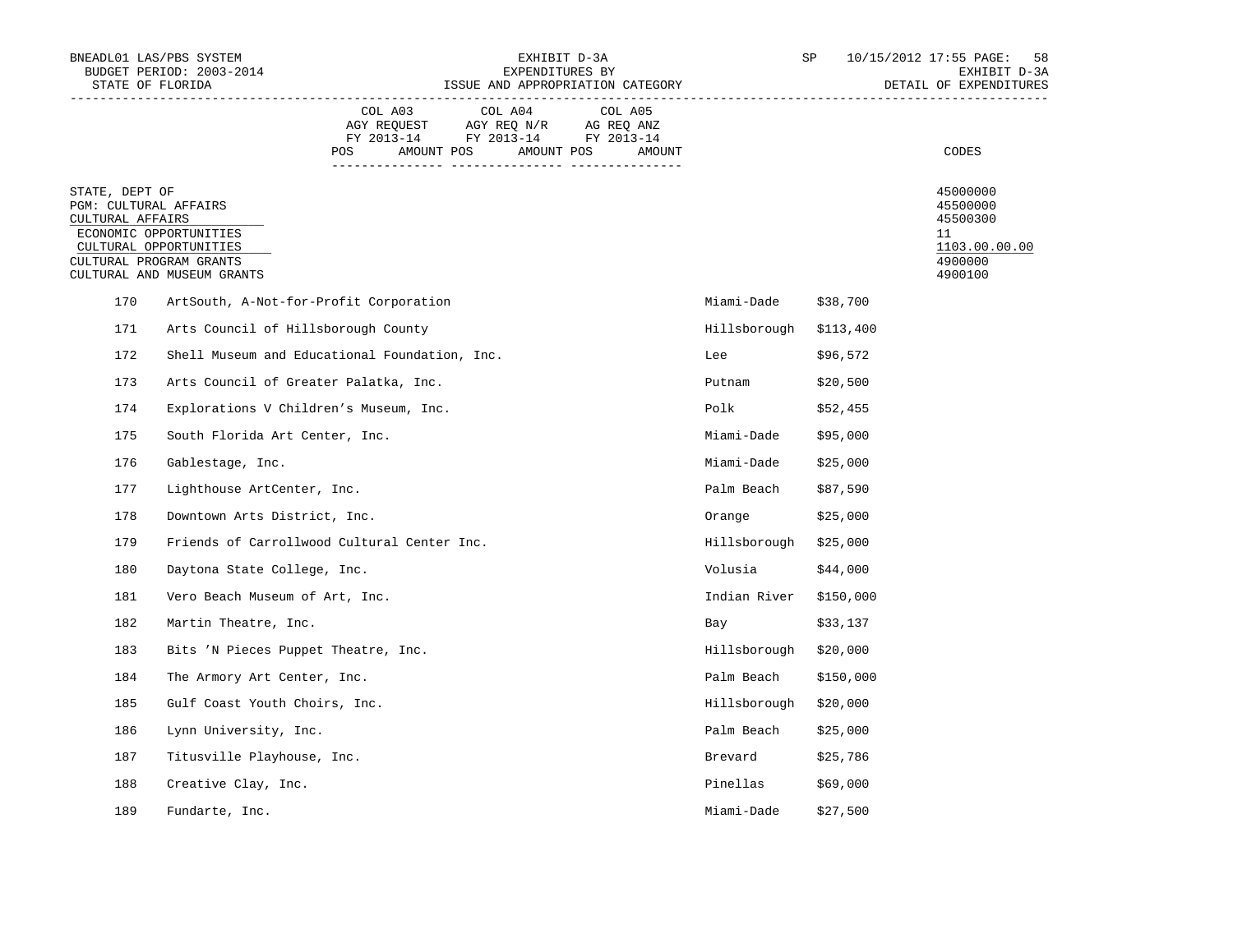| STATE OF FLORIDA                                            | BNEADL01 LAS/PBS SYSTEM<br>BUDGET PERIOD: 2003-2014                                                       |                |                                                                                                            | EXHIBIT D-3A<br>EXPENDITURES BY<br>ISSUE AND APPROPRIATION CATEGORY |                        | SP        | 10/15/2012 17:55 PAGE:<br>58<br>EXHIBIT D-3A<br>DETAIL OF EXPENDITURES        |
|-------------------------------------------------------------|-----------------------------------------------------------------------------------------------------------|----------------|------------------------------------------------------------------------------------------------------------|---------------------------------------------------------------------|------------------------|-----------|-------------------------------------------------------------------------------|
|                                                             |                                                                                                           | COL A03<br>POS | COL A04<br>AGY REQUEST AGY REQ N/R AG REQ ANZ<br>FY 2013-14 FY 2013-14 FY 2013-14<br>AMOUNT POS AMOUNT POS | COL A05<br>AMOUNT                                                   |                        |           | CODES                                                                         |
| STATE, DEPT OF<br>PGM: CULTURAL AFFAIRS<br>CULTURAL AFFAIRS | ECONOMIC OPPORTUNITIES<br>CULTURAL OPPORTUNITIES<br>CULTURAL PROGRAM GRANTS<br>CULTURAL AND MUSEUM GRANTS |                |                                                                                                            |                                                                     |                        |           | 45000000<br>45500000<br>45500300<br>11<br>1103.00.00.00<br>4900000<br>4900100 |
| 170                                                         | ArtSouth, A-Not-for-Profit Corporation                                                                    |                |                                                                                                            |                                                                     | Miami-Dade             | \$38,700  |                                                                               |
| 171                                                         | Arts Council of Hillsborough County                                                                       |                |                                                                                                            |                                                                     | Hillsborough \$113,400 |           |                                                                               |
| 172                                                         | Shell Museum and Educational Foundation, Inc.                                                             |                |                                                                                                            |                                                                     | Lee                    | \$96,572  |                                                                               |
| 173                                                         | Arts Council of Greater Palatka, Inc.                                                                     |                |                                                                                                            |                                                                     | Putnam \$20,500        |           |                                                                               |
| 174                                                         | Explorations V Children's Museum, Inc.                                                                    |                |                                                                                                            |                                                                     | Polk                   | \$52,455  |                                                                               |
| 175                                                         | South Florida Art Center, Inc.                                                                            |                |                                                                                                            |                                                                     | Miami-Dade \$95,000    |           |                                                                               |
| 176                                                         | Gablestage, Inc.                                                                                          |                |                                                                                                            |                                                                     | Miami-Dade \$25,000    |           |                                                                               |
| 177                                                         | Lighthouse ArtCenter, Inc.                                                                                |                |                                                                                                            |                                                                     | Palm Beach             | \$87,590  |                                                                               |
| 178                                                         | Downtown Arts District, Inc.                                                                              |                |                                                                                                            |                                                                     | Orange \$25,000        |           |                                                                               |
| 179                                                         | Friends of Carrollwood Cultural Center Inc.                                                               |                |                                                                                                            |                                                                     | Hillsborough \$25,000  |           |                                                                               |
| 180                                                         | Daytona State College, Inc.                                                                               |                |                                                                                                            |                                                                     | Volusia                | \$44,000  |                                                                               |
| 181                                                         | Vero Beach Museum of Art, Inc.                                                                            |                |                                                                                                            |                                                                     | Indian River \$150,000 |           |                                                                               |
| 182                                                         | Martin Theatre, Inc.                                                                                      |                |                                                                                                            |                                                                     | <b>Bay</b>             | \$33,137  |                                                                               |
| 183                                                         | Bits 'N Pieces Puppet Theatre, Inc.                                                                       |                |                                                                                                            |                                                                     | Hillsborough \$20,000  |           |                                                                               |
| 184                                                         | The Armory Art Center, Inc.                                                                               |                |                                                                                                            |                                                                     | Palm Beach             | \$150,000 |                                                                               |
| 185                                                         | Gulf Coast Youth Choirs, Inc.                                                                             |                |                                                                                                            |                                                                     | Hillsborough \$20,000  |           |                                                                               |
| 186                                                         | Lynn University, Inc.                                                                                     |                |                                                                                                            |                                                                     | Palm Beach             | \$25,000  |                                                                               |
| 187                                                         | Titusville Playhouse, Inc.                                                                                |                |                                                                                                            |                                                                     | Brevard                | \$25,786  |                                                                               |
| 188                                                         | Creative Clay, Inc.                                                                                       |                |                                                                                                            |                                                                     | Pinellas \$69,000      |           |                                                                               |
| 189                                                         | Fundarte, Inc.                                                                                            |                |                                                                                                            |                                                                     | Miami-Dade             | \$27,500  |                                                                               |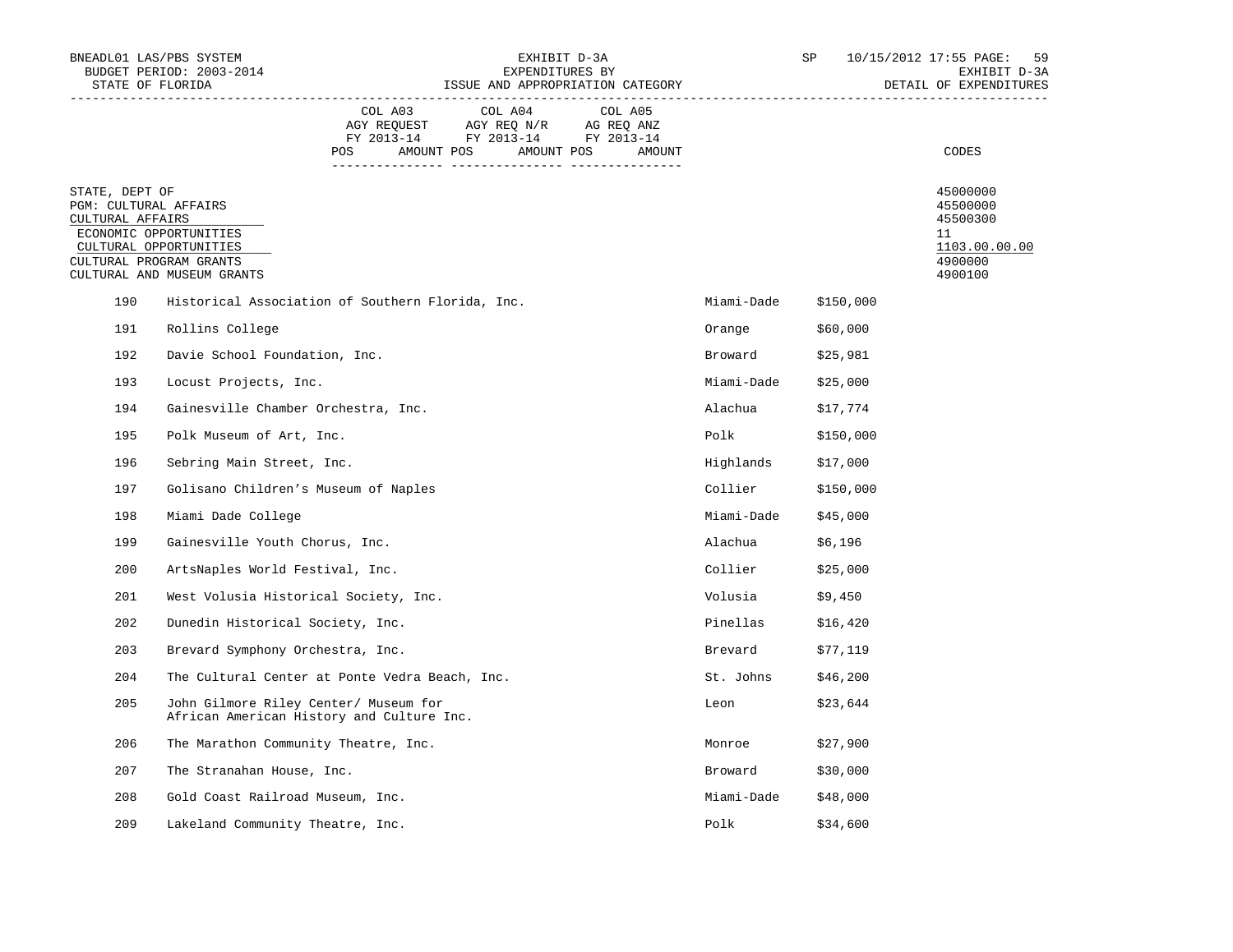| BNEADL01 LAS/PBS SYSTEM<br>STATE OF FLORIDA                                                                                                                              | BUDGET PERIOD: 2003-2014                                                           |         | EXHIBIT D-3A<br>EXPENDITURES BY<br>ISSUE AND APPROPRIATION CATEGORY |                           | SP                 | 10/15/2012 17:55 PAGE:<br>59<br>EXHIBIT D-3A<br>DETAIL OF EXPENDITURES |                                                                               |
|--------------------------------------------------------------------------------------------------------------------------------------------------------------------------|------------------------------------------------------------------------------------|---------|---------------------------------------------------------------------|---------------------------|--------------------|------------------------------------------------------------------------|-------------------------------------------------------------------------------|
|                                                                                                                                                                          |                                                                                    | COL A03 | POS AMOUNT POS AMOUNT POS                                           | COL A04 COL A05<br>AMOUNT |                    |                                                                        | CODES                                                                         |
| STATE, DEPT OF<br>PGM: CULTURAL AFFAIRS<br>CULTURAL AFFAIRS<br>ECONOMIC OPPORTUNITIES<br>CULTURAL OPPORTUNITIES<br>CULTURAL PROGRAM GRANTS<br>CULTURAL AND MUSEUM GRANTS |                                                                                    |         |                                                                     |                           |                    |                                                                        | 45000000<br>45500000<br>45500300<br>11<br>1103.00.00.00<br>4900000<br>4900100 |
| 190                                                                                                                                                                      | Historical Association of Southern Florida, Inc.                                   |         |                                                                     |                           | Miami-Dade         | \$150,000                                                              |                                                                               |
| 191                                                                                                                                                                      | Rollins College                                                                    |         |                                                                     |                           | Orange             | \$60,000                                                               |                                                                               |
| 192                                                                                                                                                                      | Davie School Foundation, Inc.                                                      |         |                                                                     |                           | Broward \$25,981   |                                                                        |                                                                               |
| 193                                                                                                                                                                      | Locust Projects, Inc.                                                              |         |                                                                     |                           | Miami-Dade         | \$25,000                                                               |                                                                               |
| 194                                                                                                                                                                      | Gainesville Chamber Orchestra, Inc.                                                |         |                                                                     |                           | Alachua            | \$17,774                                                               |                                                                               |
| 195                                                                                                                                                                      | Polk Museum of Art, Inc.                                                           |         |                                                                     |                           | Polk               | \$150,000                                                              |                                                                               |
| 196                                                                                                                                                                      | Sebring Main Street, Inc.                                                          |         |                                                                     |                           | Highlands          | \$17,000                                                               |                                                                               |
| 197                                                                                                                                                                      | Golisano Children's Museum of Naples                                               |         |                                                                     |                           | Collier            | \$150,000                                                              |                                                                               |
| 198                                                                                                                                                                      | Miami Dade College                                                                 |         |                                                                     |                           | Miami-Dade         | \$45,000                                                               |                                                                               |
| 199                                                                                                                                                                      | Gainesville Youth Chorus, Inc.                                                     |         |                                                                     |                           | Alachua            | \$6,196                                                                |                                                                               |
| 200                                                                                                                                                                      | ArtsNaples World Festival, Inc.                                                    |         |                                                                     |                           | Collier            | \$25,000                                                               |                                                                               |
| 201                                                                                                                                                                      | West Volusia Historical Society, Inc.                                              |         |                                                                     |                           | Volusia            | \$9,450                                                                |                                                                               |
| 202                                                                                                                                                                      | Dunedin Historical Society, Inc.                                                   |         |                                                                     |                           | Pinellas           | \$16,420                                                               |                                                                               |
| 203                                                                                                                                                                      | Brevard Symphony Orchestra, Inc.                                                   |         |                                                                     |                           | Brevard            | \$77,119                                                               |                                                                               |
| 204                                                                                                                                                                      | The Cultural Center at Ponte Vedra Beach, Inc.                                     |         |                                                                     |                           | St. Johns \$46,200 |                                                                        |                                                                               |
| 205                                                                                                                                                                      | John Gilmore Riley Center/ Museum for<br>African American History and Culture Inc. |         |                                                                     |                           | Leon               | \$23,644                                                               |                                                                               |
| 206                                                                                                                                                                      | The Marathon Community Theatre, Inc.                                               |         |                                                                     |                           | Monroe             | \$27,900                                                               |                                                                               |
| 207                                                                                                                                                                      | The Stranahan House, Inc.                                                          |         |                                                                     |                           | Broward            | \$30,000                                                               |                                                                               |
| 208                                                                                                                                                                      | Gold Coast Railroad Museum, Inc.                                                   |         |                                                                     |                           | Miami-Dade         | \$48,000                                                               |                                                                               |
| 209                                                                                                                                                                      | Lakeland Community Theatre, Inc.                                                   |         |                                                                     |                           | Polk               | \$34,600                                                               |                                                                               |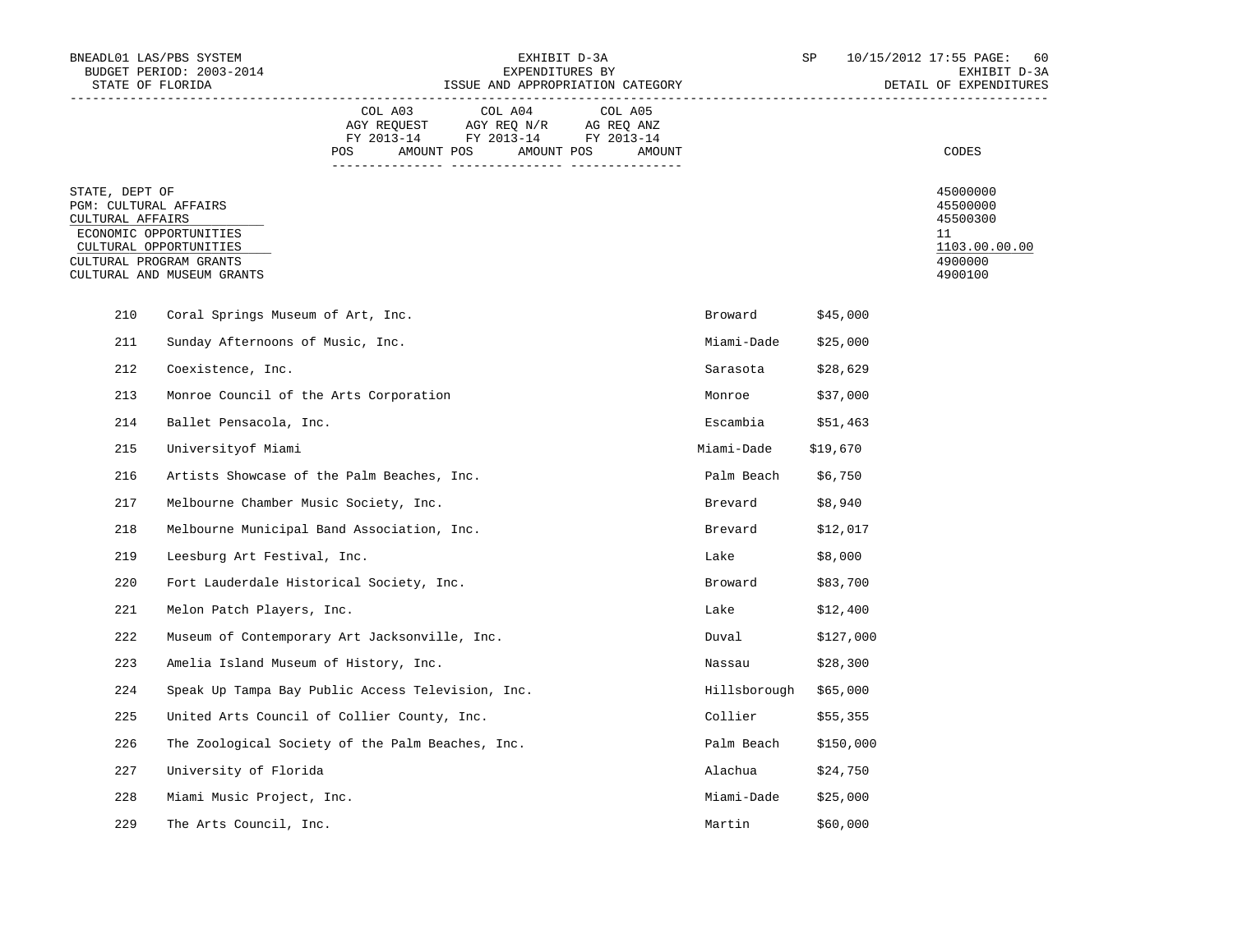| BNEADL01 LAS/PBS SYSTEM<br>STATE OF FLORIDA                                            | BUDGET PERIOD: 2003-2014                                                       | EXHIBIT D-3A<br>EXPENDITURES BY<br>ISSUE AND APPROPRIATION CATEGORY                                                                                                                                                                  |                                  |         |        | SP                    | 10/15/2012 17:55 PAGE: 60<br>EXHIBIT D-3A<br>DETAIL OF EXPENDITURES |                                                                               |
|----------------------------------------------------------------------------------------|--------------------------------------------------------------------------------|--------------------------------------------------------------------------------------------------------------------------------------------------------------------------------------------------------------------------------------|----------------------------------|---------|--------|-----------------------|---------------------------------------------------------------------|-------------------------------------------------------------------------------|
|                                                                                        |                                                                                | COL A03<br>$\begin{tabular}{lllllllll} \bf{AGY} & \bf{REQUEST} & \bf{AGY} & \bf{REQ} & \bf{N/R} & \bf{AG} & \bf{REQ} & \bf{ANZ} \\ \bf{FY} & \bf{2013-14} & \bf{FY} & \bf{2013-14} & \bf{FY} & \bf{2013-14} \\ \end{tabular}$<br>POS | COL A04<br>AMOUNT POS AMOUNT POS | COL A05 | AMOUNT |                       |                                                                     | CODES                                                                         |
| STATE, DEPT OF<br>PGM: CULTURAL AFFAIRS<br>CULTURAL AFFAIRS<br>CULTURAL PROGRAM GRANTS | ECONOMIC OPPORTUNITIES<br>CULTURAL OPPORTUNITIES<br>CULTURAL AND MUSEUM GRANTS |                                                                                                                                                                                                                                      |                                  |         |        |                       |                                                                     | 45000000<br>45500000<br>45500300<br>11<br>1103.00.00.00<br>4900000<br>4900100 |
| 210                                                                                    | Coral Springs Museum of Art, Inc.                                              |                                                                                                                                                                                                                                      |                                  |         |        | Broward \$45,000      |                                                                     |                                                                               |
| 211                                                                                    | Sunday Afternoons of Music, Inc.                                               |                                                                                                                                                                                                                                      |                                  |         |        | Miami-Dade \$25,000   |                                                                     |                                                                               |
| 212                                                                                    | Coexistence, Inc.                                                              |                                                                                                                                                                                                                                      |                                  |         |        | Sarasota              | \$28,629                                                            |                                                                               |
| 213                                                                                    | Monroe Council of the Arts Corporation                                         |                                                                                                                                                                                                                                      |                                  |         |        | Monroe                | \$37,000                                                            |                                                                               |
| 214                                                                                    | Ballet Pensacola, Inc.                                                         |                                                                                                                                                                                                                                      |                                  |         |        | Escambia $$51,463$    |                                                                     |                                                                               |
| 215                                                                                    | Universityof Miami                                                             |                                                                                                                                                                                                                                      |                                  |         |        | Miami-Dade            | \$19,670                                                            |                                                                               |
| 216                                                                                    | Artists Showcase of the Palm Beaches, Inc.                                     |                                                                                                                                                                                                                                      |                                  |         |        | Palm Beach \$6,750    |                                                                     |                                                                               |
| 217                                                                                    | Melbourne Chamber Music Society, Inc.                                          |                                                                                                                                                                                                                                      |                                  |         |        | Brevard \$8,940       |                                                                     |                                                                               |
| 218                                                                                    | Melbourne Municipal Band Association, Inc.                                     |                                                                                                                                                                                                                                      |                                  |         |        | Brevard \$12,017      |                                                                     |                                                                               |
| 219                                                                                    | Leesburg Art Festival, Inc.                                                    |                                                                                                                                                                                                                                      |                                  |         |        | Lake \$8,000          |                                                                     |                                                                               |
| 220                                                                                    | Fort Lauderdale Historical Society, Inc.                                       |                                                                                                                                                                                                                                      |                                  |         |        | Broward               | \$83,700                                                            |                                                                               |
| 221                                                                                    | Melon Patch Players, Inc.                                                      |                                                                                                                                                                                                                                      |                                  |         |        | Lake                  | \$12,400                                                            |                                                                               |
| 222                                                                                    | Museum of Contemporary Art Jacksonville, Inc.                                  |                                                                                                                                                                                                                                      |                                  |         |        | Duval                 | \$127,000                                                           |                                                                               |
| 223                                                                                    | Amelia Island Museum of History, Inc.                                          |                                                                                                                                                                                                                                      |                                  |         |        | Nassau                | \$28,300                                                            |                                                                               |
| 224                                                                                    | Speak Up Tampa Bay Public Access Television, Inc.                              |                                                                                                                                                                                                                                      |                                  |         |        | Hillsborough \$65,000 |                                                                     |                                                                               |
| 225                                                                                    | United Arts Council of Collier County, Inc.                                    |                                                                                                                                                                                                                                      |                                  |         |        | Collier               | \$55,355                                                            |                                                                               |
| 226                                                                                    | The Zoological Society of the Palm Beaches, Inc.                               |                                                                                                                                                                                                                                      |                                  |         |        | Palm Beach \$150,000  |                                                                     |                                                                               |
| 227                                                                                    | University of Florida                                                          |                                                                                                                                                                                                                                      |                                  |         |        | Alachua               | \$24,750                                                            |                                                                               |
| 228                                                                                    | Miami Music Project, Inc.                                                      |                                                                                                                                                                                                                                      |                                  |         |        | Miami-Dade \$25,000   |                                                                     |                                                                               |
| 229                                                                                    | The Arts Council, Inc.                                                         |                                                                                                                                                                                                                                      |                                  |         |        | Martin                | \$60,000                                                            |                                                                               |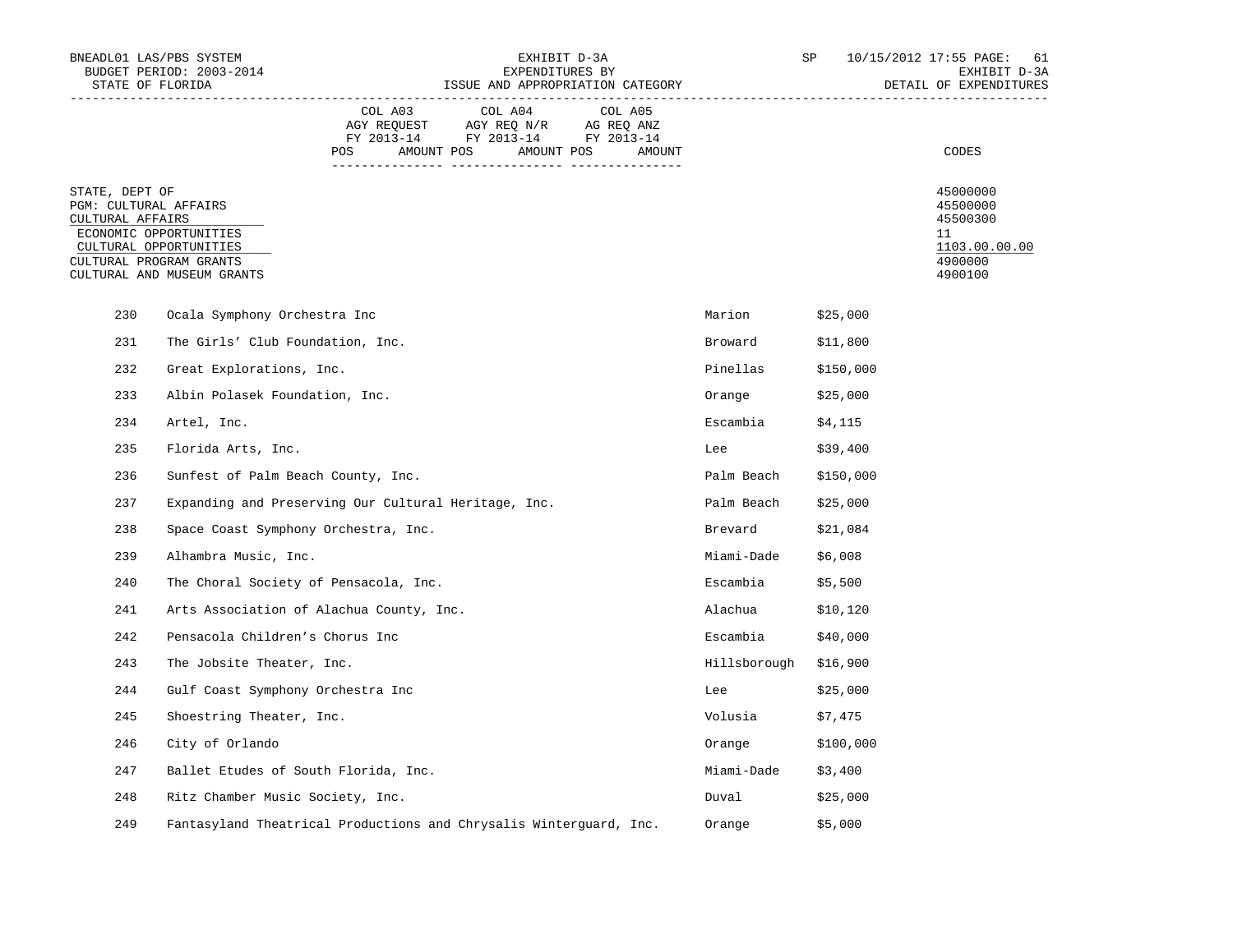| BNEADL01 LAS/PBS SYSTEM                                                                                          | BUDGET PERIOD: 2003-2014                                           | EXHIBIT D-3A<br>EXPENDITURES BY |                                                                                                 |                       |        |                       | SP        | 10/15/2012 17:55 PAGE: 61<br>EXHIBIT D-3A |                                                                               |
|------------------------------------------------------------------------------------------------------------------|--------------------------------------------------------------------|---------------------------------|-------------------------------------------------------------------------------------------------|-----------------------|--------|-----------------------|-----------|-------------------------------------------|-------------------------------------------------------------------------------|
| STATE OF FLORIDA                                                                                                 |                                                                    |                                 | ISSUE AND APPROPRIATION CATEGORY                                                                |                       |        |                       |           |                                           | DETAIL OF EXPENDITURES                                                        |
|                                                                                                                  |                                                                    | COL A03<br>POS                  | COL A04<br>AGY REQUEST AGY REQ N/R AG REQ ANZ<br>FY 2013-14 FY 2013-14 FY 2013-14<br>AMOUNT POS | COL A05<br>AMOUNT POS | AMOUNT |                       |           |                                           | CODES                                                                         |
| STATE, DEPT OF<br>PGM: CULTURAL AFFAIRS<br>CULTURAL AFFAIRS<br>ECONOMIC OPPORTUNITIES<br>CULTURAL PROGRAM GRANTS | CULTURAL OPPORTUNITIES<br>CULTURAL AND MUSEUM GRANTS               |                                 |                                                                                                 |                       |        |                       |           |                                           | 45000000<br>45500000<br>45500300<br>11<br>1103.00.00.00<br>4900000<br>4900100 |
| 230                                                                                                              | Ocala Symphony Orchestra Inc                                       |                                 |                                                                                                 |                       |        | Marion \$25,000       |           |                                           |                                                                               |
| 231                                                                                                              | The Girls' Club Foundation, Inc.                                   |                                 |                                                                                                 |                       |        | Broward               | \$11,800  |                                           |                                                                               |
| 232                                                                                                              | Great Explorations, Inc.                                           |                                 |                                                                                                 |                       |        | Pinellas              | \$150,000 |                                           |                                                                               |
| 233                                                                                                              | Albin Polasek Foundation, Inc.                                     |                                 |                                                                                                 |                       |        | Orange                | \$25,000  |                                           |                                                                               |
| 234                                                                                                              | Artel, Inc.                                                        |                                 |                                                                                                 |                       |        | Escambia $$4,115$     |           |                                           |                                                                               |
| 235                                                                                                              | Florida Arts, Inc.                                                 |                                 |                                                                                                 |                       |        | Lee                   | \$39,400  |                                           |                                                                               |
| 236                                                                                                              | Sunfest of Palm Beach County, Inc.                                 |                                 |                                                                                                 |                       |        | Palm Beach            | \$150,000 |                                           |                                                                               |
| 237                                                                                                              | Expanding and Preserving Our Cultural Heritage, Inc.               |                                 |                                                                                                 |                       |        | Palm Beach \$25,000   |           |                                           |                                                                               |
| 238                                                                                                              | Space Coast Symphony Orchestra, Inc.                               |                                 |                                                                                                 |                       |        | Brevard               | \$21,084  |                                           |                                                                               |
| 239                                                                                                              | Alhambra Music, Inc.                                               |                                 |                                                                                                 |                       |        | Miami-Dade            | \$6,008   |                                           |                                                                               |
| 240                                                                                                              | The Choral Society of Pensacola, Inc.                              |                                 |                                                                                                 |                       |        | Escambia              | \$5,500   |                                           |                                                                               |
| 241                                                                                                              | Arts Association of Alachua County, Inc.                           |                                 |                                                                                                 |                       |        | Alachua \$10,120      |           |                                           |                                                                               |
| 242                                                                                                              | Pensacola Children's Chorus Inc                                    |                                 |                                                                                                 |                       |        | Escambia $$40,000$    |           |                                           |                                                                               |
| 243                                                                                                              | The Jobsite Theater, Inc.                                          |                                 |                                                                                                 |                       |        | Hillsborough \$16,900 |           |                                           |                                                                               |
| 244                                                                                                              | Gulf Coast Symphony Orchestra Inc                                  |                                 |                                                                                                 |                       |        | Lee                   | \$25,000  |                                           |                                                                               |
| 245                                                                                                              | Shoestring Theater, Inc.                                           |                                 |                                                                                                 |                       |        | Volusia               | \$7,475   |                                           |                                                                               |
| 246                                                                                                              | City of Orlando                                                    |                                 |                                                                                                 |                       |        | Orange \$100,000      |           |                                           |                                                                               |
| 247                                                                                                              | Ballet Etudes of South Florida, Inc.                               |                                 |                                                                                                 |                       |        | Miami-Dade            | \$3,400   |                                           |                                                                               |
| 248                                                                                                              | Ritz Chamber Music Society, Inc.                                   |                                 |                                                                                                 |                       |        | Duval \$25,000        |           |                                           |                                                                               |
| 249                                                                                                              | Fantasyland Theatrical Productions and Chrysalis Winterguard, Inc. |                                 |                                                                                                 |                       |        | Orange                | \$5,000   |                                           |                                                                               |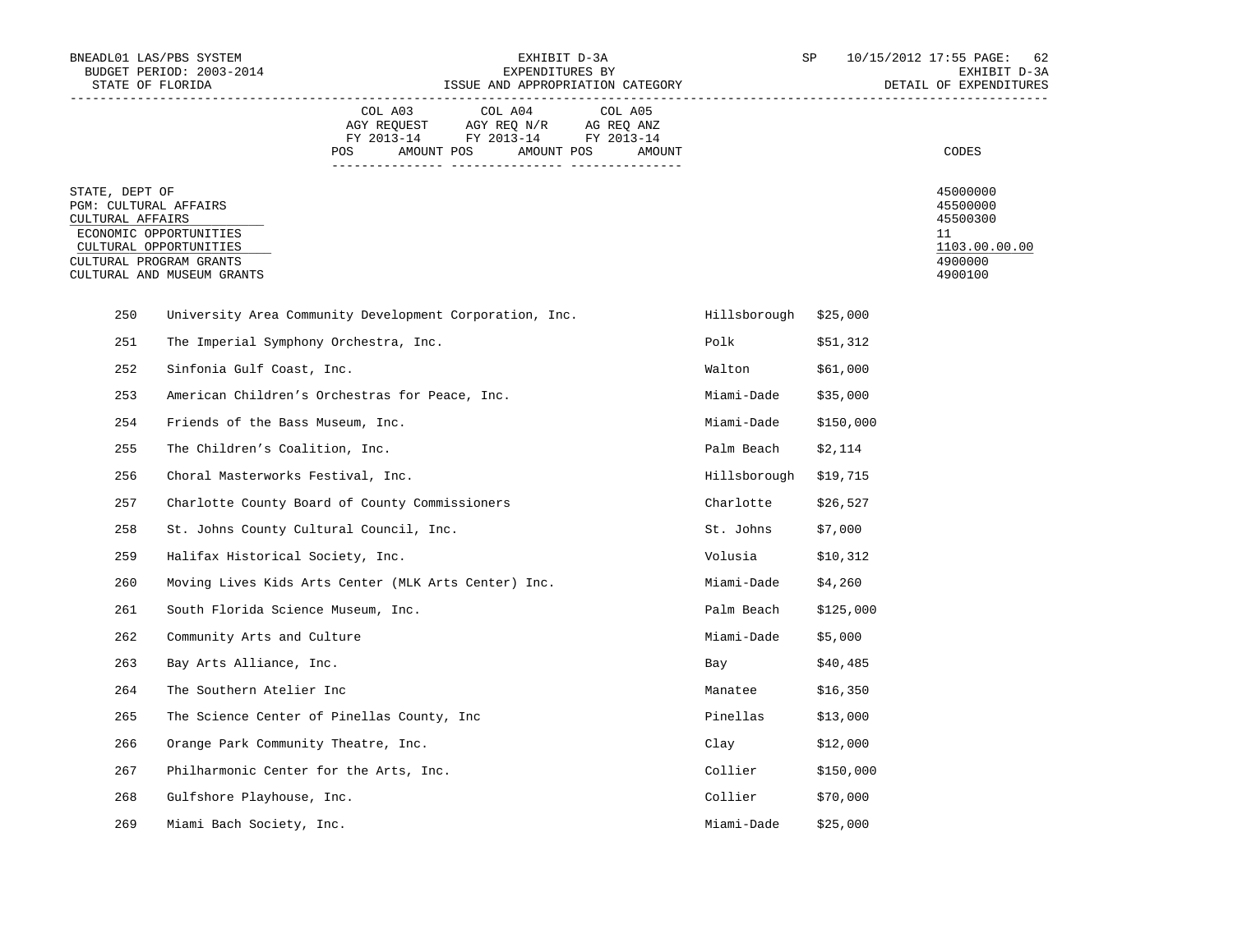| BNEADL01 LAS/PBS SYSTEM<br>BUDGET PERIOD: 2003-2014<br>STATE OF FLORIDA |                                                                                                           |                | EXHIBIT D-3A<br>EXPENDITURES BY<br>ISSUE AND APPROPRIATION CATEGORY                                           |                   | SP                    | 10/15/2012 17:55 PAGE: 62<br>EXHIBIT D-3A<br>DETAIL OF EXPENDITURES |                                                                               |
|-------------------------------------------------------------------------|-----------------------------------------------------------------------------------------------------------|----------------|---------------------------------------------------------------------------------------------------------------|-------------------|-----------------------|---------------------------------------------------------------------|-------------------------------------------------------------------------------|
|                                                                         |                                                                                                           | COL A03<br>POS | COL A04<br>AGY REQUEST AGY REQ N/R AG REQ ANZ<br>FY 2013-14 FY 2013-14 FY 2013-14<br>AMOUNT POS<br>AMOUNT POS | COL A05<br>AMOUNT |                       |                                                                     | CODES                                                                         |
| STATE, DEPT OF<br>PGM: CULTURAL AFFAIRS<br>CULTURAL AFFAIRS             | ECONOMIC OPPORTUNITIES<br>CULTURAL OPPORTUNITIES<br>CULTURAL PROGRAM GRANTS<br>CULTURAL AND MUSEUM GRANTS |                |                                                                                                               |                   |                       |                                                                     | 45000000<br>45500000<br>45500300<br>11<br>1103.00.00.00<br>4900000<br>4900100 |
| 250                                                                     | University Area Community Development Corporation, Inc.                                                   |                |                                                                                                               |                   | Hillsborough \$25,000 |                                                                     |                                                                               |
| 251                                                                     | The Imperial Symphony Orchestra, Inc.                                                                     |                |                                                                                                               |                   | Polk                  | \$51,312                                                            |                                                                               |
| 252                                                                     | Sinfonia Gulf Coast, Inc.                                                                                 |                |                                                                                                               |                   | Walton                | \$61,000                                                            |                                                                               |
| 253                                                                     | American Children's Orchestras for Peace, Inc.                                                            |                |                                                                                                               |                   | Miami-Dade            | \$35,000                                                            |                                                                               |
| 254                                                                     | Friends of the Bass Museum, Inc.                                                                          |                |                                                                                                               |                   | Miami-Dade            | \$150,000                                                           |                                                                               |
| 255                                                                     | The Children's Coalition, Inc.                                                                            |                |                                                                                                               |                   | Palm Beach            | \$2,114                                                             |                                                                               |
| 256                                                                     | Choral Masterworks Festival, Inc.                                                                         |                |                                                                                                               |                   | Hillsborough \$19,715 |                                                                     |                                                                               |
| 257                                                                     | Charlotte County Board of County Commissioners                                                            |                |                                                                                                               |                   | Charlotte             | \$26,527                                                            |                                                                               |
| 258                                                                     | St. Johns County Cultural Council, Inc.                                                                   |                |                                                                                                               |                   | St. Johns             | \$7,000                                                             |                                                                               |
| 259                                                                     | Halifax Historical Society, Inc.                                                                          |                |                                                                                                               |                   | Volusia \$10,312      |                                                                     |                                                                               |
| 260                                                                     | Moving Lives Kids Arts Center (MLK Arts Center) Inc.                                                      |                |                                                                                                               |                   | Miami-Dade            | \$4,260                                                             |                                                                               |
| 261                                                                     | South Florida Science Museum, Inc.                                                                        |                |                                                                                                               |                   | Palm Beach            | \$125,000                                                           |                                                                               |
| 262                                                                     | Community Arts and Culture                                                                                |                |                                                                                                               |                   | Miami-Dade            | \$5,000                                                             |                                                                               |
| 263                                                                     | Bay Arts Alliance, Inc.                                                                                   |                |                                                                                                               |                   | Bay                   | \$40,485                                                            |                                                                               |
| 264                                                                     | The Southern Atelier Inc                                                                                  |                |                                                                                                               |                   | Manatee               | \$16,350                                                            |                                                                               |
| 265                                                                     | The Science Center of Pinellas County, Inc                                                                |                |                                                                                                               |                   | Pinellas              | \$13,000                                                            |                                                                               |
| 266                                                                     | Orange Park Community Theatre, Inc.                                                                       |                |                                                                                                               |                   | $\ell$ lay \$12,000   |                                                                     |                                                                               |
| 267                                                                     | Philharmonic Center for the Arts, Inc.                                                                    |                |                                                                                                               |                   | Collier               | \$150,000                                                           |                                                                               |
| 268                                                                     | Gulfshore Playhouse, Inc.                                                                                 |                |                                                                                                               |                   | Collier \$70,000      |                                                                     |                                                                               |
| 269                                                                     | Miami Bach Society, Inc.                                                                                  |                |                                                                                                               |                   | Miami-Dade            | \$25,000                                                            |                                                                               |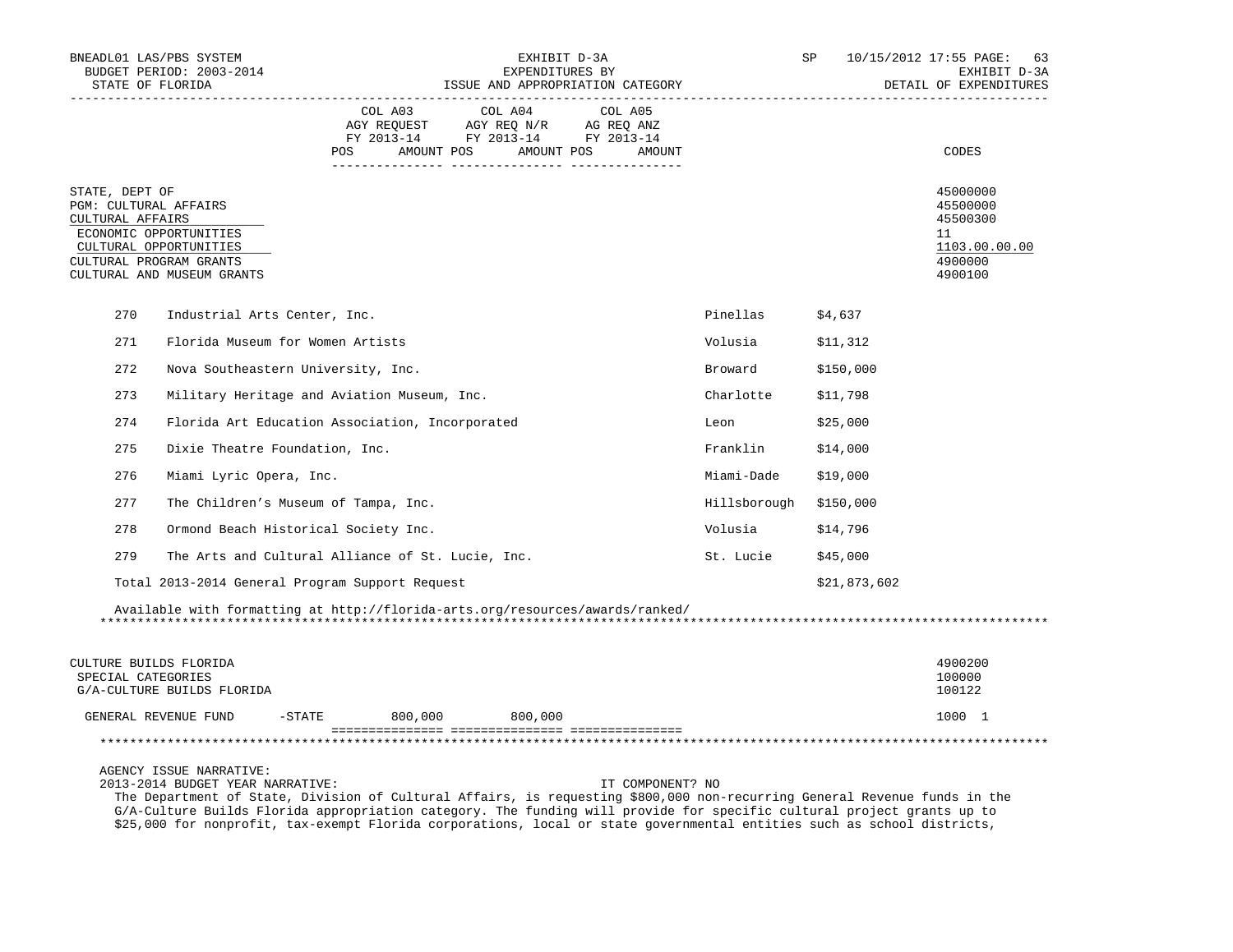|                                                             | BNEADL01 LAS/PBS SYSTEM<br>BUDGET PERIOD: 2003-2014<br>STATE OF FLORIDA<br>------------------------------------ |                      |                                                                                                 | EXHIBIT D-3A<br>EXPENDITURES BY<br>ISSUE AND APPROPRIATION CATEGORY |                        | SP           | 10/15/2012 17:55 PAGE:<br>63<br>EXHIBIT D-3A<br>DETAIL OF EXPENDITURES        |
|-------------------------------------------------------------|-----------------------------------------------------------------------------------------------------------------|----------------------|-------------------------------------------------------------------------------------------------|---------------------------------------------------------------------|------------------------|--------------|-------------------------------------------------------------------------------|
|                                                             |                                                                                                                 | COL A03<br>POS FOR   | COL A04<br>AGY REQUEST AGY REQ N/R AG REQ ANZ<br>FY 2013-14 FY 2013-14 FY 2013-14<br>AMOUNT POS | COL A05<br>AMOUNT POS<br>AMOUNT                                     |                        |              | CODES                                                                         |
| STATE, DEPT OF<br>PGM: CULTURAL AFFAIRS<br>CULTURAL AFFAIRS | ECONOMIC OPPORTUNITIES<br>CULTURAL OPPORTUNITIES<br>CULTURAL PROGRAM GRANTS<br>CULTURAL AND MUSEUM GRANTS       |                      |                                                                                                 |                                                                     |                        |              | 45000000<br>45500000<br>45500300<br>11<br>1103.00.00.00<br>4900000<br>4900100 |
| 270                                                         | Industrial Arts Center, Inc.                                                                                    |                      |                                                                                                 |                                                                     | Pinellas               | \$4,637      |                                                                               |
| 271                                                         | Florida Museum for Women Artists                                                                                |                      |                                                                                                 |                                                                     | Volusia                | \$11,312     |                                                                               |
| 272                                                         | Nova Southeastern University, Inc.                                                                              |                      |                                                                                                 |                                                                     | Broward                | \$150,000    |                                                                               |
| 273                                                         | Military Heritage and Aviation Museum, Inc.                                                                     |                      |                                                                                                 |                                                                     | Charlotte              | \$11,798     |                                                                               |
| 274                                                         | Florida Art Education Association, Incorporated                                                                 |                      |                                                                                                 |                                                                     | Leon                   | \$25,000     |                                                                               |
| 275                                                         | Dixie Theatre Foundation, Inc.                                                                                  |                      |                                                                                                 |                                                                     | Franklin               | \$14,000     |                                                                               |
| 276                                                         | Miami Lyric Opera, Inc.                                                                                         |                      |                                                                                                 |                                                                     | Miami-Dade             | \$19,000     |                                                                               |
| 277                                                         | The Children's Museum of Tampa, Inc.                                                                            |                      |                                                                                                 |                                                                     | Hillsborough \$150,000 |              |                                                                               |
| 278                                                         | Ormond Beach Historical Society Inc.                                                                            |                      |                                                                                                 |                                                                     | Volusia                | \$14,796     |                                                                               |
| 279                                                         | The Arts and Cultural Alliance of St. Lucie, Inc.                                                               |                      |                                                                                                 |                                                                     | St. Lucie              | \$45,000     |                                                                               |
|                                                             | Total 2013-2014 General Program Support Request                                                                 |                      |                                                                                                 |                                                                     |                        | \$21,873,602 |                                                                               |
|                                                             | Available with formatting at http://florida-arts.org/resources/awards/ranked/                                   |                      |                                                                                                 |                                                                     |                        |              |                                                                               |
| SPECIAL CATEGORIES                                          | CULTURE BUILDS FLORIDA<br>G/A-CULTURE BUILDS FLORIDA                                                            |                      |                                                                                                 |                                                                     |                        |              | 4900200<br>100000<br>100122                                                   |
|                                                             | GENERAL REVENUE FUND                                                                                            | $-$ STATE<br>800,000 | 800,000                                                                                         |                                                                     |                        |              | 1000 1                                                                        |
|                                                             |                                                                                                                 |                      |                                                                                                 |                                                                     |                        |              |                                                                               |
|                                                             | AGENCY ISSUE NARRATIVE:                                                                                         |                      |                                                                                                 |                                                                     |                        |              |                                                                               |

2013-2014 BUDGET YEAR NARRATIVE: IT COMPONENT? NO

 The Department of State, Division of Cultural Affairs, is requesting \$800,000 non-recurring General Revenue funds in the G/A-Culture Builds Florida appropriation category. The funding will provide for specific cultural project grants up to \$25,000 for nonprofit, tax-exempt Florida corporations, local or state governmental entities such as school districts,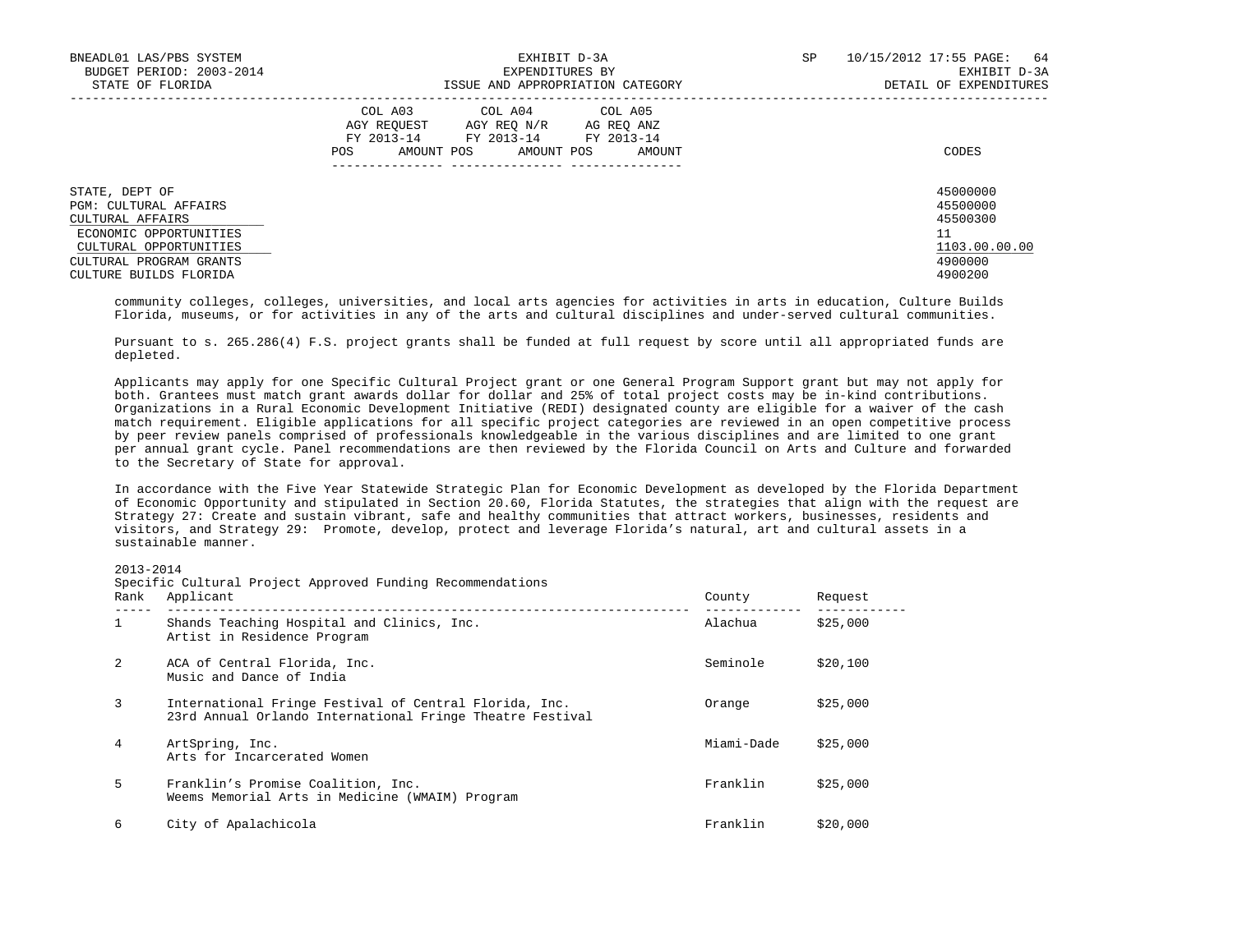| BNEADL01 LAS/PBS SYSTEM<br>BUDGET PERIOD: 2003-2014<br>STATE OF FLORIDA                                                                                                       | EXHIBIT D-3A<br>EXPENDITURES BY<br>ISSUE AND APPROPRIATION CATEGORY                                                                                        | SP<br>10/15/2012 17:55 PAGE:<br>64<br>EXHIBIT D-3A<br>DETAIL OF EXPENDITURES  |
|-------------------------------------------------------------------------------------------------------------------------------------------------------------------------------|------------------------------------------------------------------------------------------------------------------------------------------------------------|-------------------------------------------------------------------------------|
|                                                                                                                                                                               | COL A03<br>COL A04 COL A05<br>AGY REOUEST<br>AGY REO N/R<br>AG REO ANZ<br>FY 2013-14<br>FY 2013-14 FY 2013-14<br>AMOUNT POS<br>AMOUNT POS<br>AMOUNT<br>POS | CODES                                                                         |
| STATE, DEPT OF<br><b>PGM: CULTURAL AFFAIRS</b><br>CULTURAL AFFAIRS<br>ECONOMIC OPPORTUNITIES<br>CULTURAL OPPORTUNITIES<br>CULTURAL PROGRAM GRANTS<br>CIILTIRE BIITLDS FLORIDA |                                                                                                                                                            | 45000000<br>45500000<br>45500300<br>11<br>1103.00.00.00<br>4900000<br>4900200 |

 community colleges, colleges, universities, and local arts agencies for activities in arts in education, Culture Builds Florida, museums, or for activities in any of the arts and cultural disciplines and under-served cultural communities.

 Pursuant to s. 265.286(4) F.S. project grants shall be funded at full request by score until all appropriated funds are depleted.

 Applicants may apply for one Specific Cultural Project grant or one General Program Support grant but may not apply for both. Grantees must match grant awards dollar for dollar and 25% of total project costs may be in-kind contributions. Organizations in a Rural Economic Development Initiative (REDI) designated county are eligible for a waiver of the cash match requirement. Eligible applications for all specific project categories are reviewed in an open competitive process by peer review panels comprised of professionals knowledgeable in the various disciplines and are limited to one grant per annual grant cycle. Panel recommendations are then reviewed by the Florida Council on Arts and Culture and forwarded to the Secretary of State for approval.

 In accordance with the Five Year Statewide Strategic Plan for Economic Development as developed by the Florida Department of Economic Opportunity and stipulated in Section 20.60, Florida Statutes, the strategies that align with the request are Strategy 27: Create and sustain vibrant, safe and healthy communities that attract workers, businesses, residents and visitors, and Strategy 29: Promote, develop, protect and leverage Florida's natural, art and cultural assets in a sustainable manner.

2013-2014

Specific Cultural Project Approved Funding Recommendations

| Rank         | Applicant                                                                                                           | County     | Request  |
|--------------|---------------------------------------------------------------------------------------------------------------------|------------|----------|
| $\mathbf{1}$ | Shands Teaching Hospital and Clinics, Inc.<br>Artist in Residence Program                                           | Alachua    | \$25,000 |
| 2            | ACA of Central Florida, Inc.<br>Music and Dance of India                                                            | Seminole   | \$20,100 |
| 3            | International Fringe Festival of Central Florida, Inc.<br>23rd Annual Orlando International Fringe Theatre Festival | Orange     | \$25,000 |
| 4            | ArtSpring, Inc.<br>Arts for Incarcerated Women                                                                      | Miami-Dade | \$25,000 |
| 5            | Franklin's Promise Coalition, Inc.<br>Weems Memorial Arts in Medicine (WMAIM) Program                               | Franklin   | \$25,000 |
| 6            | City of Apalachicola                                                                                                | Franklin   | \$20,000 |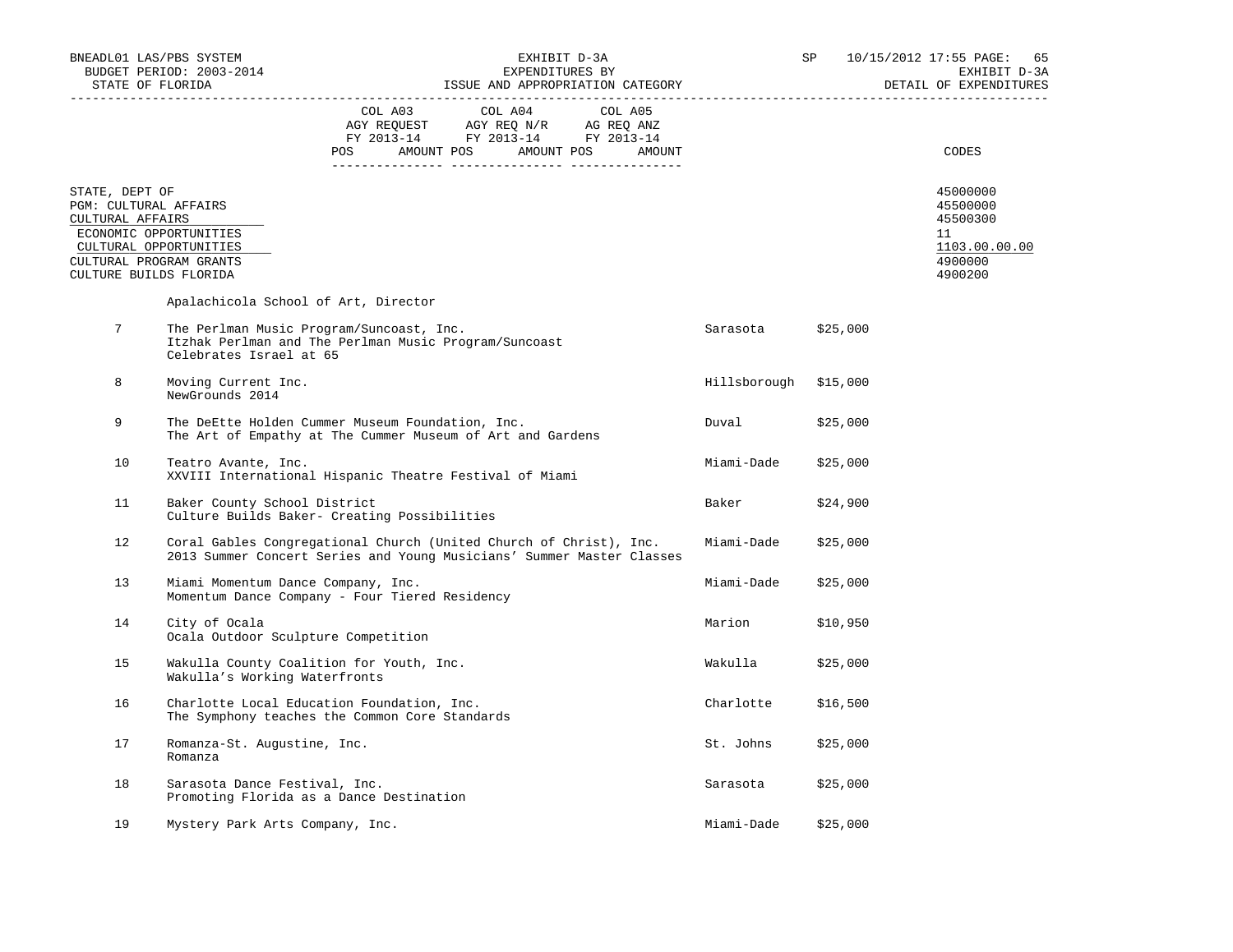| BNEADL01 LAS/PBS SYSTEM<br>BUDGET PERIOD: 2003-2014                                                              |                                                                                                                                             | EXHIBIT D-3A<br>EXPENDITURES BY                                                                                                                                                                |  |  |  |  |                       | SP       |          | 10/15/2012 17:55 PAGE: 65<br>EXHIBIT D-3A                                     |  |
|------------------------------------------------------------------------------------------------------------------|---------------------------------------------------------------------------------------------------------------------------------------------|------------------------------------------------------------------------------------------------------------------------------------------------------------------------------------------------|--|--|--|--|-----------------------|----------|----------|-------------------------------------------------------------------------------|--|
| STATE OF FLORIDA                                                                                                 |                                                                                                                                             | EXPENDITURES BI<br>ISSUE AND APPROPRIATION CATEGORY                                                                                                                                            |  |  |  |  |                       |          |          | DETAIL OF EXPENDITURES                                                        |  |
|                                                                                                                  |                                                                                                                                             | $\begin{tabular}{lcccc} COL A03 & COL A04 & COL A05 \\ AGY REQUEST & AGY REQ N/R & AG REQ ANZ \\ FY & 2013-14 & FY & 2013-14 & FY & 2013-14 \end{tabular}$<br>POS AMOUNT POS AMOUNT POS AMOUNT |  |  |  |  |                       |          |          | CODES                                                                         |  |
| STATE, DEPT OF<br>PGM: CULTURAL AFFAIRS<br>CULTURAL AFFAIRS<br>CULTURAL PROGRAM GRANTS<br>CULTURE BUILDS FLORIDA | ECONOMIC OPPORTUNITIES<br>CULTURAL OPPORTUNITIES                                                                                            |                                                                                                                                                                                                |  |  |  |  |                       |          |          | 45000000<br>45500000<br>45500300<br>11<br>1103.00.00.00<br>4900000<br>4900200 |  |
|                                                                                                                  | Apalachicola School of Art, Director                                                                                                        |                                                                                                                                                                                                |  |  |  |  |                       |          |          |                                                                               |  |
| 7                                                                                                                | The Perlman Music Program/Suncoast, Inc.<br>Itzhak Perlman and The Perlman Music Program/Suncoast<br>Celebrates Israel at 65                |                                                                                                                                                                                                |  |  |  |  | Sarasota              | \$25,000 |          |                                                                               |  |
| 8                                                                                                                | Moving Current Inc.<br>NewGrounds 2014                                                                                                      |                                                                                                                                                                                                |  |  |  |  | Hillsborough \$15,000 |          |          |                                                                               |  |
| 9                                                                                                                |                                                                                                                                             | The DeEtte Holden Cummer Museum Foundation, Inc.<br>The Art of Empathy at The Cummer Museum of Art and Gardens                                                                                 |  |  |  |  | Duval                 | \$25,000 |          |                                                                               |  |
| 10                                                                                                               | Teatro Avante, Inc.<br>XXVIII International Hispanic Theatre Festival of Miami                                                              |                                                                                                                                                                                                |  |  |  |  | Miami-Dade            | \$25,000 |          |                                                                               |  |
| 11                                                                                                               | Baker County School District<br>Culture Builds Baker- Creating Possibilities                                                                |                                                                                                                                                                                                |  |  |  |  | Baker                 | \$24,900 |          |                                                                               |  |
| 12                                                                                                               | Coral Gables Congregational Church (United Church of Christ), Inc.<br>2013 Summer Concert Series and Young Musicians' Summer Master Classes |                                                                                                                                                                                                |  |  |  |  | Miami-Dade            | \$25,000 |          |                                                                               |  |
| 13                                                                                                               | Miami Momentum Dance Company, Inc.<br>Momentum Dance Company - Four Tiered Residency                                                        |                                                                                                                                                                                                |  |  |  |  | Miami-Dade            | \$25,000 |          |                                                                               |  |
| 14                                                                                                               | City of Ocala<br>Ocala Outdoor Sculpture Competition                                                                                        |                                                                                                                                                                                                |  |  |  |  | Marion                | \$10,950 |          |                                                                               |  |
| 15                                                                                                               | Wakulla County Coalition for Youth, Inc.<br>Wakulla's Working Waterfronts                                                                   |                                                                                                                                                                                                |  |  |  |  | Wakulla               | \$25,000 |          |                                                                               |  |
| 16                                                                                                               | Charlotte Local Education Foundation, Inc.<br>The Symphony teaches the Common Core Standards                                                |                                                                                                                                                                                                |  |  |  |  | Charlotte             | \$16,500 |          |                                                                               |  |
| 17                                                                                                               | Romanza-St. Augustine, Inc.<br>Romanza                                                                                                      |                                                                                                                                                                                                |  |  |  |  | St. Johns             | \$25,000 |          |                                                                               |  |
| 18                                                                                                               | Sarasota Dance Festival, Inc.<br>Promoting Florida as a Dance Destination                                                                   |                                                                                                                                                                                                |  |  |  |  | Sarasota              | \$25,000 |          |                                                                               |  |
| 19                                                                                                               | Mystery Park Arts Company, Inc.                                                                                                             |                                                                                                                                                                                                |  |  |  |  | Miami-Dade            |          | \$25,000 |                                                                               |  |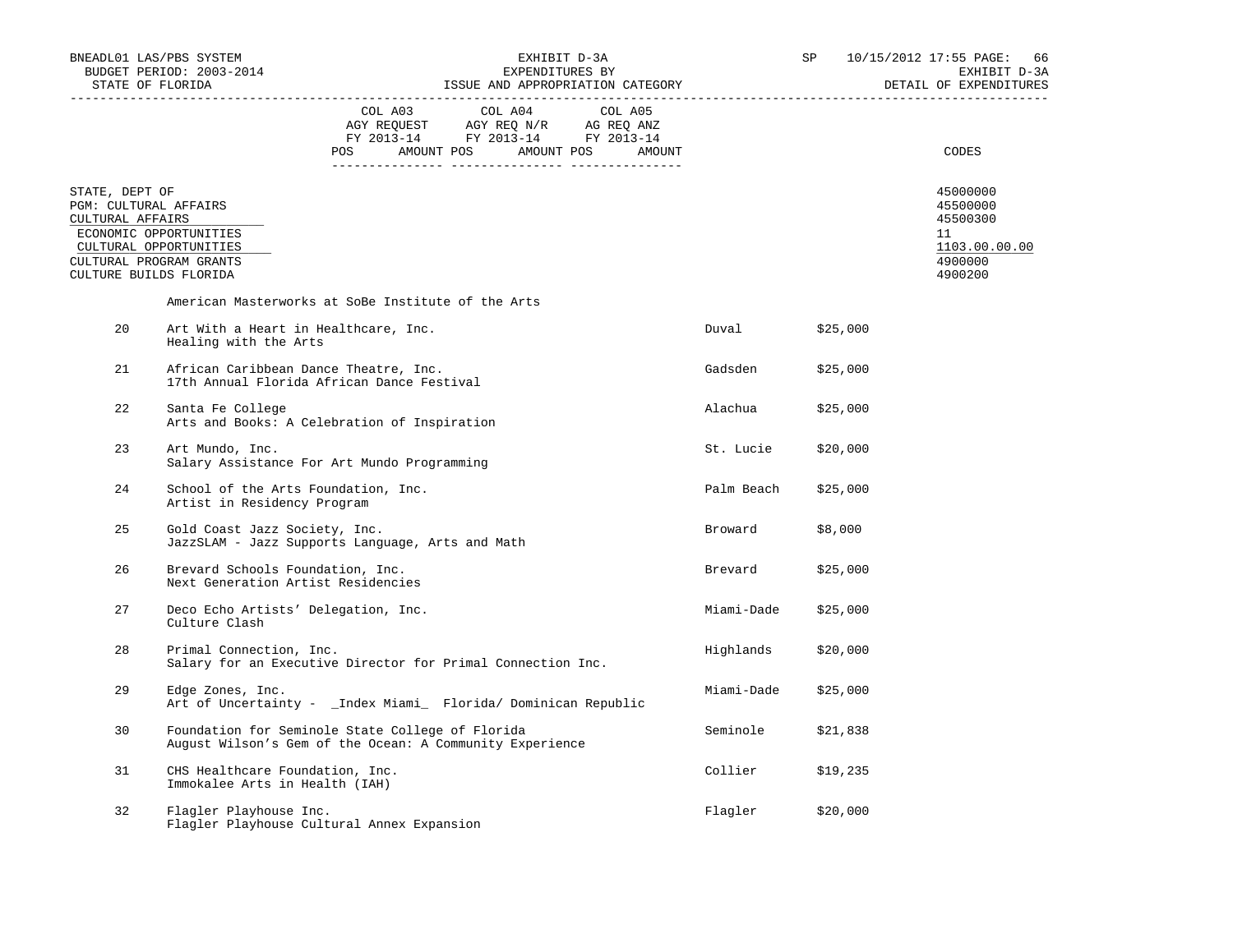|                                                             | BNEADL01 LAS/PBS SYSTEM<br>BUDGET PERIOD: 2003-2014<br>STATE OF FLORIDA                                      | ISSUE AND APPROPRIATION CATEGORY                                                                                                                                                               | EXHIBIT D-3A<br>EXPENDITURES BY |                   | SP <sub>2</sub> |          | 10/15/2012 17:55 PAGE: 66<br>EXHIBIT D-3A<br>DETAIL OF EXPENDITURES |
|-------------------------------------------------------------|--------------------------------------------------------------------------------------------------------------|------------------------------------------------------------------------------------------------------------------------------------------------------------------------------------------------|---------------------------------|-------------------|-----------------|----------|---------------------------------------------------------------------|
|                                                             |                                                                                                              | $\begin{tabular}{lcccc} COL A03 & COL A04 & COL A05 \\ AGY REQUEST & AGY REQ N/R & AG REQ ANZ \\ FY & 2013-14 & FY & 2013-14 & FY & 2013-14 \end{tabular}$<br>POS AMOUNT POS AMOUNT POS AMOUNT |                                 |                   |                 |          | CODES                                                               |
| STATE, DEPT OF<br>PGM: CULTURAL AFFAIRS<br>CULTURAL AFFAIRS | ECONOMIC OPPORTUNITIES<br>CULTURAL OPPORTUNITIES                                                             |                                                                                                                                                                                                |                                 |                   |                 |          | 45000000<br>45500000<br>45500300<br>11<br>1103.00.00.00             |
|                                                             | CULTURAL PROGRAM GRANTS<br>CULTURE BUILDS FLORIDA                                                            |                                                                                                                                                                                                |                                 |                   |                 |          | 4900000<br>4900200                                                  |
|                                                             | American Masterworks at SoBe Institute of the Arts                                                           |                                                                                                                                                                                                |                                 |                   |                 |          |                                                                     |
| 20                                                          | Art With a Heart in Healthcare, Inc.<br>Healing with the Arts                                                |                                                                                                                                                                                                |                                 | Duval             |                 | \$25,000 |                                                                     |
| 21                                                          | African Caribbean Dance Theatre, Inc.<br>17th Annual Florida African Dance Festival                          |                                                                                                                                                                                                |                                 | Gadsden           |                 | \$25,000 |                                                                     |
| 22                                                          | Santa Fe College<br>Arts and Books: A Celebration of Inspiration                                             |                                                                                                                                                                                                |                                 | Alachua           |                 | \$25,000 |                                                                     |
| 23                                                          | Art Mundo, Inc.<br>Salary Assistance For Art Mundo Programming                                               |                                                                                                                                                                                                |                                 | St. Lucie         |                 | \$20,000 |                                                                     |
| 24                                                          | School of the Arts Foundation, Inc.<br>Artist in Residency Program                                           |                                                                                                                                                                                                |                                 | Palm Beach        |                 | \$25,000 |                                                                     |
| 25                                                          | Gold Coast Jazz Society, Inc.<br>JazzSLAM - Jazz Supports Language, Arts and Math                            |                                                                                                                                                                                                |                                 | Broward           | \$8,000         |          |                                                                     |
| 26                                                          | Brevard Schools Foundation, Inc.<br>Next Generation Artist Residencies                                       |                                                                                                                                                                                                |                                 | Brevard           |                 | \$25,000 |                                                                     |
| 27                                                          | Deco Echo Artists' Delegation, Inc.<br>Culture Clash                                                         |                                                                                                                                                                                                |                                 | Miami-Dade        |                 | \$25,000 |                                                                     |
| 28                                                          | Primal Connection, Inc.<br>Salary for an Executive Director for Primal Connection Inc.                       |                                                                                                                                                                                                |                                 | Highlands         |                 | \$20,000 |                                                                     |
| 29                                                          | Edge Zones, Inc.<br>Art of Uncertainty - _Index Miami_ Florida/ Dominican Republic                           |                                                                                                                                                                                                |                                 | Miami-Dade        |                 | \$25,000 |                                                                     |
| 30                                                          | Foundation for Seminole State College of Florida<br>August Wilson's Gem of the Ocean: A Community Experience |                                                                                                                                                                                                |                                 | Seminole \$21,838 |                 |          |                                                                     |
| 31                                                          | CHS Healthcare Foundation, Inc.<br>Immokalee Arts in Health (IAH)                                            |                                                                                                                                                                                                |                                 | Collier           |                 | \$19,235 |                                                                     |
| 32                                                          | Flagler Playhouse Inc.<br>Flagler Playhouse Cultural Annex Expansion                                         |                                                                                                                                                                                                |                                 | Flagler           |                 | \$20,000 |                                                                     |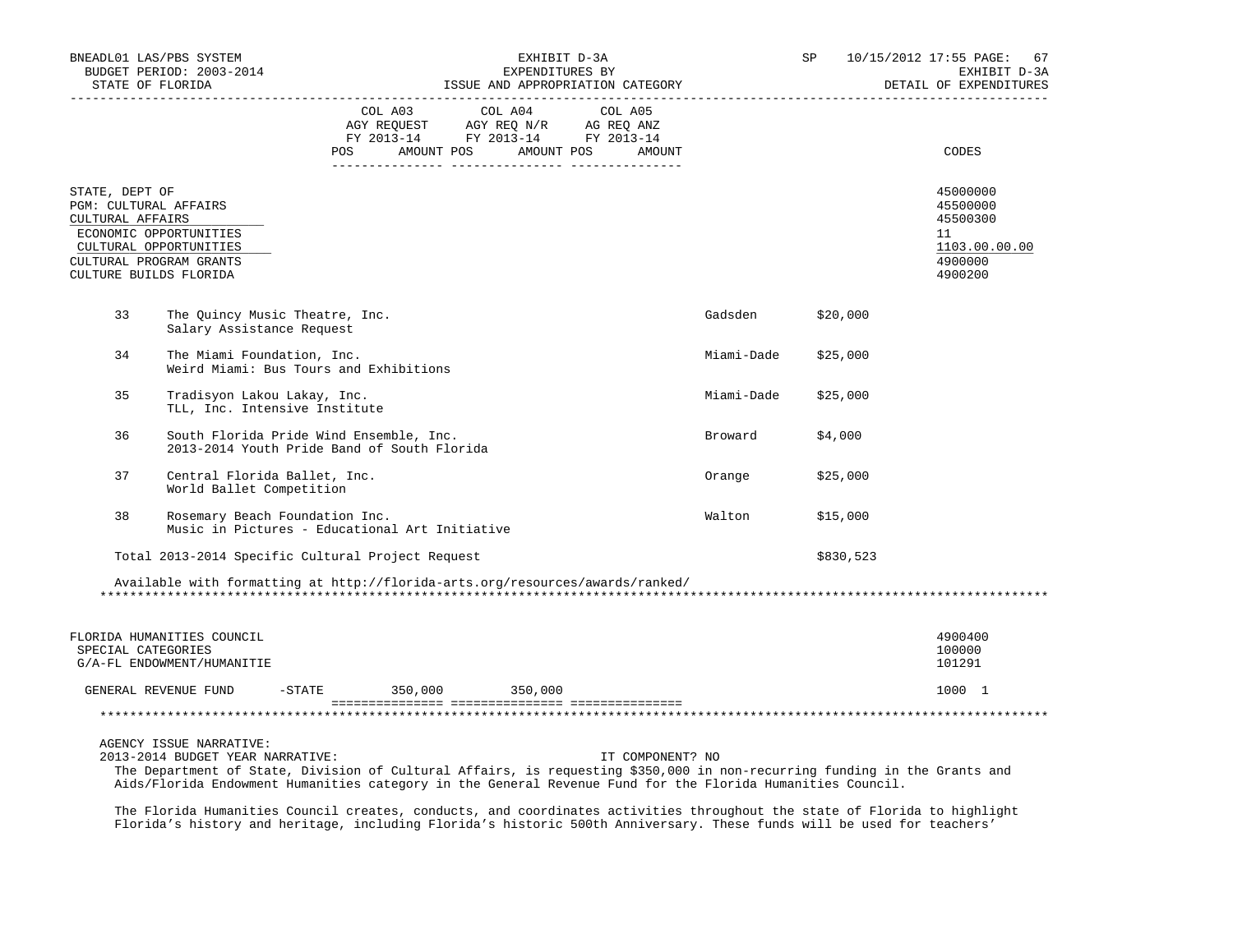|                                                                                                                                                                      | BNEADL01 LAS/PBS SYSTEM<br>BUDGET PERIOD: 2003-2014<br>STATE OF FLORIDA<br>--------------------                                                                                                                                                                                                        | EXHIBIT D-3A<br>EXPENDITURES BY<br>ISSUE AND APPROPRIATION CATEGORY                    |                                                                                                                                                                                                                                                                                                                                                                                                                                                                  |                  |            | SP        | 10/15/2012 17:55 PAGE: 67<br>EXHIBIT D-3A<br>DETAIL OF EXPENDITURES           |
|----------------------------------------------------------------------------------------------------------------------------------------------------------------------|--------------------------------------------------------------------------------------------------------------------------------------------------------------------------------------------------------------------------------------------------------------------------------------------------------|----------------------------------------------------------------------------------------|------------------------------------------------------------------------------------------------------------------------------------------------------------------------------------------------------------------------------------------------------------------------------------------------------------------------------------------------------------------------------------------------------------------------------------------------------------------|------------------|------------|-----------|-------------------------------------------------------------------------------|
|                                                                                                                                                                      |                                                                                                                                                                                                                                                                                                        | <b>POS</b>                                                                             | COL A03 COL A04 COL A05<br>$\begin{tabular}{lllllllll} \multicolumn{2}{l}{{\bf AGY}} & {\bf RcQURST} & {\bf AGY} & {\bf RcQ} & {\bf N/R} & {\bf AGEQ} & {\bf ANZ} \\ \multicolumn{2}{l}{{\bf RTQ}} & {\bf RcQ} & {\bf RcQ} & {\bf NRT} & {\bf RcQ} & {\bf ANZ} \\ \multicolumn{2}{l}{{\bf FT2}} & 2013-14 & {\bf FT2} & 2013-14 & {\bf FT2} & 2013-14 \\ \multicolumn{2}{l}{{\bf CTZ}} & 2013-14 & {\bf ST2} & 2013-14 & \end{tabular}$<br>AMOUNT POS AMOUNT POS | AMOUNT           |            |           | CODES                                                                         |
| STATE, DEPT OF<br>PGM: CULTURAL AFFAIRS<br>CULTURAL AFFAIRS<br>ECONOMIC OPPORTUNITIES<br>CULTURAL OPPORTUNITIES<br>CULTURAL PROGRAM GRANTS<br>CULTURE BUILDS FLORIDA |                                                                                                                                                                                                                                                                                                        |                                                                                        |                                                                                                                                                                                                                                                                                                                                                                                                                                                                  |                  |            |           | 45000000<br>45500000<br>45500300<br>11<br>1103.00.00.00<br>4900000<br>4900200 |
| 33                                                                                                                                                                   | The Quincy Music Theatre, Inc.<br>Salary Assistance Request                                                                                                                                                                                                                                            |                                                                                        |                                                                                                                                                                                                                                                                                                                                                                                                                                                                  |                  | Gadsden    | \$20,000  |                                                                               |
| 34                                                                                                                                                                   | The Miami Foundation, Inc.                                                                                                                                                                                                                                                                             | Weird Miami: Bus Tours and Exhibitions                                                 |                                                                                                                                                                                                                                                                                                                                                                                                                                                                  |                  | Miami-Dade | \$25,000  |                                                                               |
| 35                                                                                                                                                                   | Tradisyon Lakou Lakay, Inc.<br>TLL, Inc. Intensive Institute                                                                                                                                                                                                                                           |                                                                                        |                                                                                                                                                                                                                                                                                                                                                                                                                                                                  |                  | Miami-Dade | \$25,000  |                                                                               |
| 36                                                                                                                                                                   |                                                                                                                                                                                                                                                                                                        | South Florida Pride Wind Ensemble, Inc.<br>2013-2014 Youth Pride Band of South Florida |                                                                                                                                                                                                                                                                                                                                                                                                                                                                  |                  | Broward    | \$4,000   |                                                                               |
| 37                                                                                                                                                                   | Central Florida Ballet, Inc.<br>World Ballet Competition                                                                                                                                                                                                                                               |                                                                                        |                                                                                                                                                                                                                                                                                                                                                                                                                                                                  |                  | Orange     | \$25,000  |                                                                               |
| 38                                                                                                                                                                   | Rosemary Beach Foundation Inc.<br>Music in Pictures - Educational Art Initiative                                                                                                                                                                                                                       |                                                                                        |                                                                                                                                                                                                                                                                                                                                                                                                                                                                  |                  | Walton     | \$15,000  |                                                                               |
|                                                                                                                                                                      | Total 2013-2014 Specific Cultural Project Request                                                                                                                                                                                                                                                      |                                                                                        |                                                                                                                                                                                                                                                                                                                                                                                                                                                                  |                  |            | \$830,523 |                                                                               |
|                                                                                                                                                                      | Available with formatting at http://florida-arts.org/resources/awards/ranked/                                                                                                                                                                                                                          |                                                                                        |                                                                                                                                                                                                                                                                                                                                                                                                                                                                  |                  |            |           |                                                                               |
| SPECIAL CATEGORIES                                                                                                                                                   | FLORIDA HUMANITIES COUNCIL<br>G/A-FL ENDOWMENT/HUMANITIE                                                                                                                                                                                                                                               |                                                                                        |                                                                                                                                                                                                                                                                                                                                                                                                                                                                  |                  |            |           | 4900400<br>100000<br>101291                                                   |
|                                                                                                                                                                      | GENERAL REVENUE FUND -STATE 350,000 350,000                                                                                                                                                                                                                                                            |                                                                                        |                                                                                                                                                                                                                                                                                                                                                                                                                                                                  |                  |            |           | 1000 1                                                                        |
|                                                                                                                                                                      |                                                                                                                                                                                                                                                                                                        |                                                                                        |                                                                                                                                                                                                                                                                                                                                                                                                                                                                  |                  |            |           |                                                                               |
|                                                                                                                                                                      | AGENCY ISSUE NARRATIVE:<br>2013-2014 BUDGET YEAR NARRATIVE:<br>The Department of State, Division of Cultural Affairs, is requesting \$350,000 in non-recurring funding in the Grants and<br>Aids/Florida Endowment Humanities category in the General Revenue Fund for the Florida Humanities Council. |                                                                                        |                                                                                                                                                                                                                                                                                                                                                                                                                                                                  | IT COMPONENT? NO |            |           |                                                                               |

 The Florida Humanities Council creates, conducts, and coordinates activities throughout the state of Florida to highlight Florida's history and heritage, including Florida's historic 500th Anniversary. These funds will be used for teachers'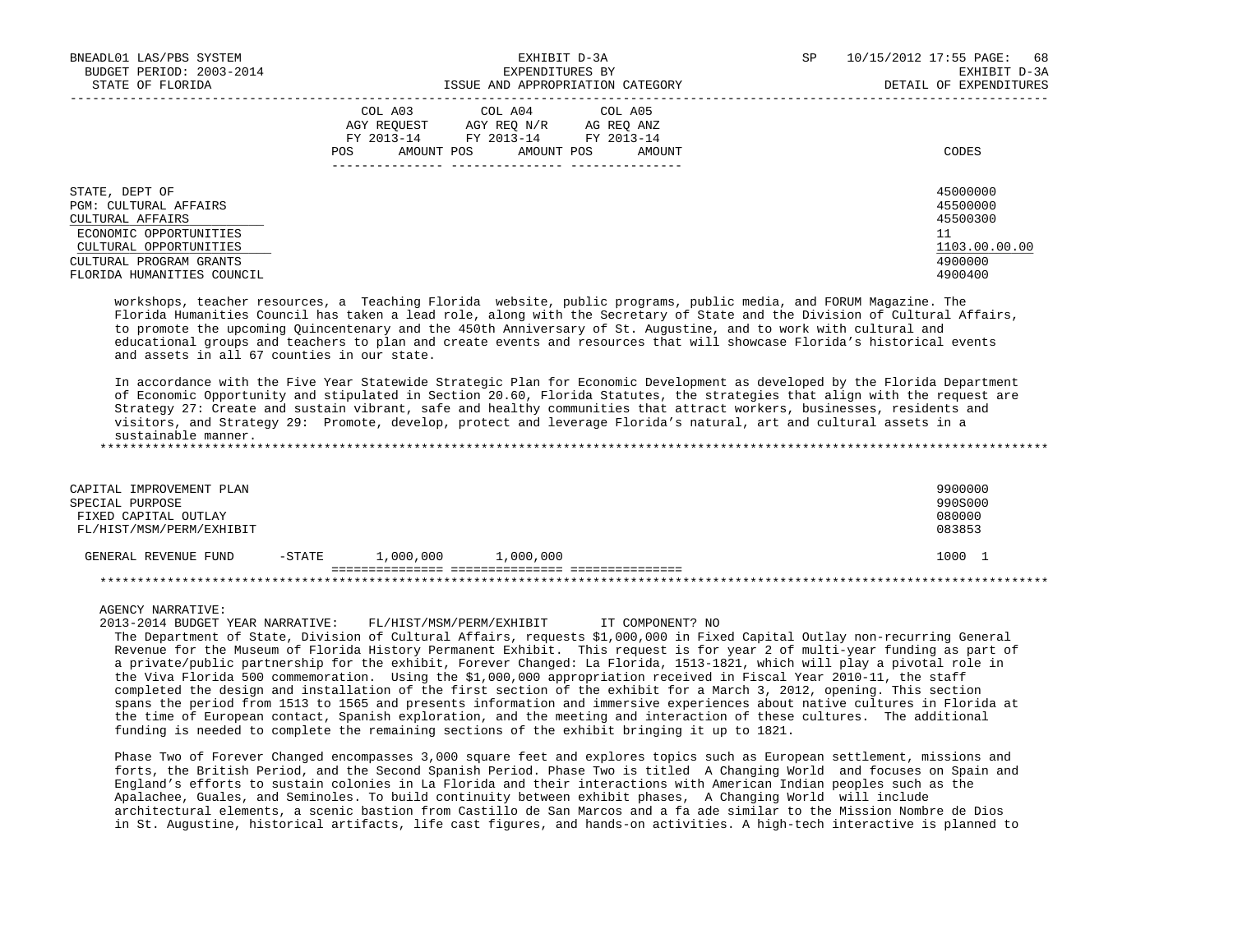| BNEADL01 LAS/PBS SYSTEM<br>BUDGET PERIOD: 2003-2014<br>STATE OF FLORIDA                                                                                                  | EXHIBIT D-3A<br>EXPENDITURES BY<br>ISSUE AND APPROPRIATION CATEGORY                                                                                        | SP<br>10/15/2012 17:55 PAGE:<br>68<br>EXHIBIT D-3A<br>DETAIL OF EXPENDITURES  |
|--------------------------------------------------------------------------------------------------------------------------------------------------------------------------|------------------------------------------------------------------------------------------------------------------------------------------------------------|-------------------------------------------------------------------------------|
|                                                                                                                                                                          | COL A03<br>COL A04 COL A05<br>AGY REOUEST<br>AGY REO N/R<br>AG REO ANZ<br>FY 2013-14<br>FY 2013-14 FY 2013-14<br>AMOUNT POS<br>AMOUNT POS<br>POS<br>AMOUNT | CODES                                                                         |
| STATE, DEPT OF<br>PGM: CULTURAL AFFAIRS<br>CULTURAL AFFAIRS<br>ECONOMIC OPPORTUNITIES<br>CULTURAL OPPORTUNITIES<br>CULTURAL PROGRAM GRANTS<br>FLORIDA HUMANITIES COUNCIL |                                                                                                                                                            | 45000000<br>45500000<br>45500300<br>11<br>1103.00.00.00<br>4900000<br>4900400 |

 workshops, teacher resources, a Teaching Florida website, public programs, public media, and FORUM Magazine. The Florida Humanities Council has taken a lead role, along with the Secretary of State and the Division of Cultural Affairs, to promote the upcoming Quincentenary and the 450th Anniversary of St. Augustine, and to work with cultural and educational groups and teachers to plan and create events and resources that will showcase Florida's historical events and assets in all 67 counties in our state.

 In accordance with the Five Year Statewide Strategic Plan for Economic Development as developed by the Florida Department of Economic Opportunity and stipulated in Section 20.60, Florida Statutes, the strategies that align with the request are Strategy 27: Create and sustain vibrant, safe and healthy communities that attract workers, businesses, residents and visitors, and Strategy 29: Promote, develop, protect and leverage Florida's natural, art and cultural assets in a sustainable manner.

\*\*\*\*\*\*\*\*\*\*\*\*\*\*\*\*\*\*\*\*\*\*\*\*\*\*\*\*\*\*\*\*\*\*\*\*\*\*\*\*\*\*\*\*\*\*\*\*\*\*\*\*\*\*\*\*\*\*\*\*\*\*\*\*\*\*\*\*\*\*\*\*\*\*\*\*\*\*\*\*\*\*\*\*\*\*\*\*\*\*\*\*\*\*\*\*\*\*\*\*\*\*\*\*\*\*\*\*\*\*\*\*\*\*\*\*\*\*\*\*\*\*\*\*\*\*\*

| CAPITAL IMPROVEMENT PLAN<br>SPECIAL PURPOSE<br>FIXED CAPITAL OUTLAY<br>FL/HIST/MSM/PERM/EXHIBIT |           |           |           | 9900000<br>990S000<br>080000<br>083853 |  |  |
|-------------------------------------------------------------------------------------------------|-----------|-----------|-----------|----------------------------------------|--|--|
| GENERAL REVENUE FUND                                                                            | $-$ STATE | 1,000,000 | 1,000,000 | 1000                                   |  |  |
|                                                                                                 |           |           |           |                                        |  |  |

AGENCY NARRATIVE:

 2013-2014 BUDGET YEAR NARRATIVE: FL/HIST/MSM/PERM/EXHIBIT IT COMPONENT? NO The Department of State, Division of Cultural Affairs, requests \$1,000,000 in Fixed Capital Outlay non-recurring General Revenue for the Museum of Florida History Permanent Exhibit. This request is for year 2 of multi-year funding as part of a private/public partnership for the exhibit, Forever Changed: La Florida, 1513-1821, which will play a pivotal role in the Viva Florida 500 commemoration. Using the \$1,000,000 appropriation received in Fiscal Year 2010-11, the staff completed the design and installation of the first section of the exhibit for a March 3, 2012, opening. This section spans the period from 1513 to 1565 and presents information and immersive experiences about native cultures in Florida at the time of European contact, Spanish exploration, and the meeting and interaction of these cultures. The additional funding is needed to complete the remaining sections of the exhibit bringing it up to 1821.

 Phase Two of Forever Changed encompasses 3,000 square feet and explores topics such as European settlement, missions and forts, the British Period, and the Second Spanish Period. Phase Two is titled A Changing World and focuses on Spain and England's efforts to sustain colonies in La Florida and their interactions with American Indian peoples such as the Apalachee, Guales, and Seminoles. To build continuity between exhibit phases, A Changing World will include architectural elements, a scenic bastion from Castillo de San Marcos and a fa ade similar to the Mission Nombre de Dios in St. Augustine, historical artifacts, life cast figures, and hands-on activities. A high-tech interactive is planned to